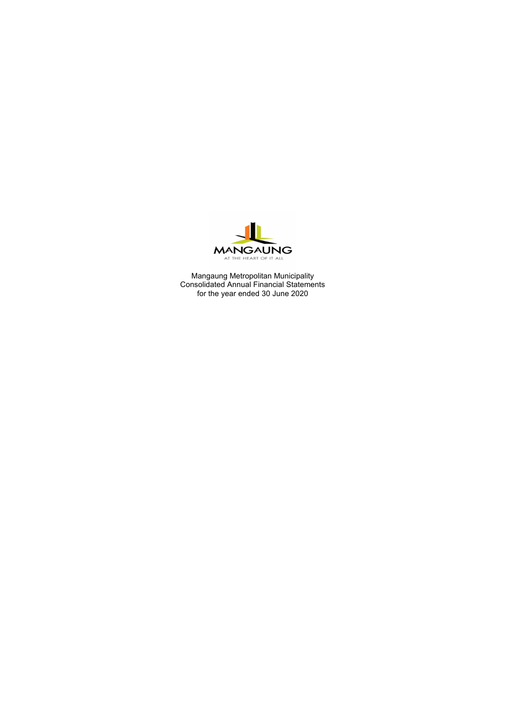

Mangaung Metropolitan Municipality Consolidated Annual Financial Statements for the year ended 30 June 2020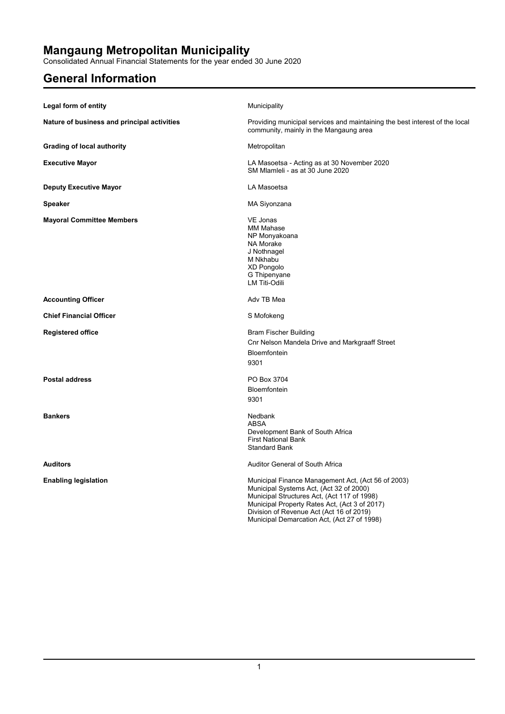Consolidated Annual Financial Statements for the year ended 30 June 2020

# **General Information**

| Legal form of entity                        | Municipality                                                                                                                                                                                                                                                                             |
|---------------------------------------------|------------------------------------------------------------------------------------------------------------------------------------------------------------------------------------------------------------------------------------------------------------------------------------------|
| Nature of business and principal activities | Providing municipal services and maintaining the best interest of the local<br>community, mainly in the Mangaung area                                                                                                                                                                    |
| <b>Grading of local authority</b>           | Metropolitan                                                                                                                                                                                                                                                                             |
| <b>Executive Mayor</b>                      | LA Masoetsa - Acting as at 30 November 2020<br>SM Mlamleli - as at 30 June 2020                                                                                                                                                                                                          |
| <b>Deputy Executive Mayor</b>               | LA Masoetsa                                                                                                                                                                                                                                                                              |
| <b>Speaker</b>                              | MA Siyonzana                                                                                                                                                                                                                                                                             |
| <b>Mayoral Committee Members</b>            | VE Jonas<br><b>MM Mahase</b><br>NP Monyakoana<br>NA Morake<br>J Nothnagel<br>M Nkhabu<br>XD Pongolo<br>G Thipenyane<br><b>LM Titi-Odili</b>                                                                                                                                              |
| <b>Accounting Officer</b>                   | Adv TB Mea                                                                                                                                                                                                                                                                               |
| <b>Chief Financial Officer</b>              | S Mofokeng                                                                                                                                                                                                                                                                               |
| <b>Registered office</b>                    | Bram Fischer Building<br>Cnr Nelson Mandela Drive and Markgraaff Street<br><b>Bloemfontein</b><br>9301                                                                                                                                                                                   |
| <b>Postal address</b>                       | PO Box 3704<br><b>Bloemfontein</b><br>9301                                                                                                                                                                                                                                               |
| <b>Bankers</b>                              | <b>Nedbank</b><br><b>ABSA</b><br>Development Bank of South Africa<br><b>First National Bank</b><br><b>Standard Bank</b>                                                                                                                                                                  |
| <b>Auditors</b>                             | <b>Auditor General of South Africa</b>                                                                                                                                                                                                                                                   |
| <b>Enabling legislation</b>                 | Municipal Finance Management Act, (Act 56 of 2003)<br>Municipal Systems Act, (Act 32 of 2000)<br>Municipal Structures Act, (Act 117 of 1998)<br>Municipal Property Rates Act, (Act 3 of 2017)<br>Division of Revenue Act (Act 16 of 2019)<br>Municipal Demarcation Act, (Act 27 of 1998) |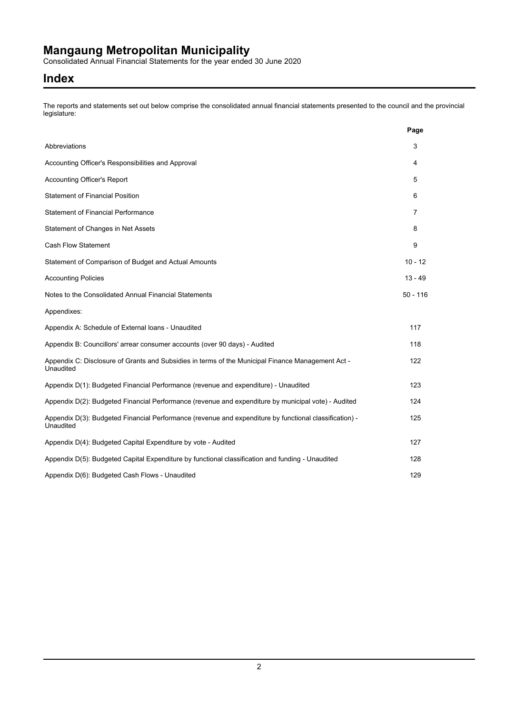Consolidated Annual Financial Statements for the year ended 30 June 2020

### **Index**

The reports and statements set out below comprise the consolidated annual financial statements presented to the council and the provincial legislature:

|                                                                                                                     | Page       |
|---------------------------------------------------------------------------------------------------------------------|------------|
| Abbreviations                                                                                                       | 3          |
| Accounting Officer's Responsibilities and Approval                                                                  | 4          |
| Accounting Officer's Report                                                                                         | 5          |
| <b>Statement of Financial Position</b>                                                                              | 6          |
| <b>Statement of Financial Performance</b>                                                                           | 7          |
| Statement of Changes in Net Assets                                                                                  | 8          |
| <b>Cash Flow Statement</b>                                                                                          | 9          |
| Statement of Comparison of Budget and Actual Amounts                                                                | $10 - 12$  |
| <b>Accounting Policies</b>                                                                                          | $13 - 49$  |
| Notes to the Consolidated Annual Financial Statements                                                               | $50 - 116$ |
| Appendixes:                                                                                                         |            |
| Appendix A: Schedule of External loans - Unaudited                                                                  | 117        |
| Appendix B: Councillors' arrear consumer accounts (over 90 days) - Audited                                          | 118        |
| Appendix C: Disclosure of Grants and Subsidies in terms of the Municipal Finance Management Act -<br>Unaudited      | 122        |
| Appendix D(1): Budgeted Financial Performance (revenue and expenditure) - Unaudited                                 | 123        |
| Appendix D(2): Budgeted Financial Performance (revenue and expenditure by municipal vote) - Audited                 | 124        |
| Appendix D(3): Budgeted Financial Performance (revenue and expenditure by functional classification) -<br>Unaudited | 125        |
| Appendix D(4): Budgeted Capital Expenditure by vote - Audited                                                       | 127        |
| Appendix D(5): Budgeted Capital Expenditure by functional classification and funding - Unaudited                    | 128        |
| Appendix D(6): Budgeted Cash Flows - Unaudited                                                                      | 129        |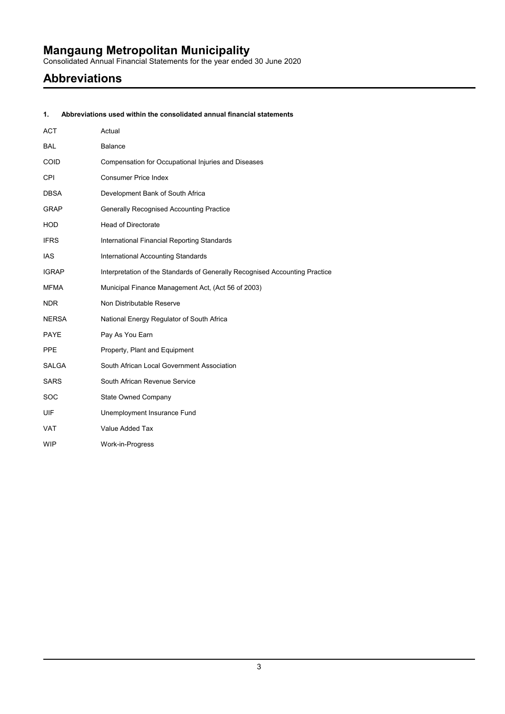Consolidated Annual Financial Statements for the year ended 30 June 2020

# **Abbreviations**

### **1. Abbreviations used within the consolidated annual financial statements**

| <b>ACT</b>   | Actual                                                                      |
|--------------|-----------------------------------------------------------------------------|
| <b>BAL</b>   | <b>Balance</b>                                                              |
| <b>COID</b>  | Compensation for Occupational Injuries and Diseases                         |
| <b>CPI</b>   | <b>Consumer Price Index</b>                                                 |
| <b>DBSA</b>  | Development Bank of South Africa                                            |
| <b>GRAP</b>  | <b>Generally Recognised Accounting Practice</b>                             |
| <b>HOD</b>   | <b>Head of Directorate</b>                                                  |
| <b>IFRS</b>  | International Financial Reporting Standards                                 |
| <b>IAS</b>   | International Accounting Standards                                          |
| <b>IGRAP</b> | Interpretation of the Standards of Generally Recognised Accounting Practice |
| <b>MFMA</b>  | Municipal Finance Management Act, (Act 56 of 2003)                          |
| NDR.         | Non Distributable Reserve                                                   |
| <b>NERSA</b> | National Energy Regulator of South Africa                                   |
| <b>PAYE</b>  | Pay As You Earn                                                             |
| <b>PPE</b>   | Property, Plant and Equipment                                               |
| <b>SALGA</b> | South African Local Government Association                                  |
| <b>SARS</b>  | South African Revenue Service                                               |
| <b>SOC</b>   | <b>State Owned Company</b>                                                  |
| UIF          | Unemployment Insurance Fund                                                 |
| <b>VAT</b>   | Value Added Tax                                                             |
| <b>WIP</b>   | Work-in-Progress                                                            |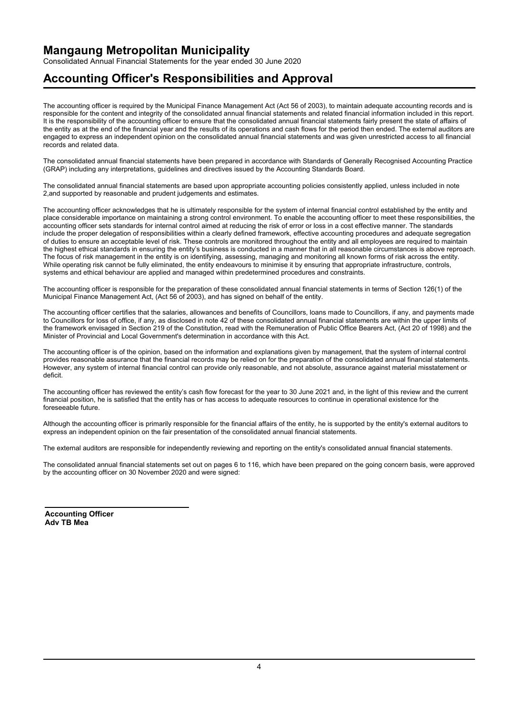Consolidated Annual Financial Statements for the year ended 30 June 2020

# **Accounting Officer's Responsibilities and Approval**

The accounting officer is required by the Municipal Finance Management Act (Act 56 of 2003), to maintain adequate accounting records and is responsible for the content and integrity of the consolidated annual financial statements and related financial information included in this report. It is the responsibility of the accounting officer to ensure that the consolidated annual financial statements fairly present the state of affairs of the entity as at the end of the financial year and the results of its operations and cash flows for the period then ended. The external auditors are engaged to express an independent opinion on the consolidated annual financial statements and was given unrestricted access to all financial records and related data.

The consolidated annual financial statements have been prepared in accordance with Standards of Generally Recognised Accounting Practice (GRAP) including any interpretations, guidelines and directives issued by the Accounting Standards Board.

The consolidated annual financial statements are based upon appropriate accounting policies consistently applied, unless included in note 2,and supported by reasonable and prudent judgements and estimates.

The accounting officer acknowledges that he is ultimately responsible for the system of internal financial control established by the entity and place considerable importance on maintaining a strong control environment. To enable the accounting officer to meet these responsibilities, the accounting officer sets standards for internal control aimed at reducing the risk of error or loss in a cost effective manner. The standards include the proper delegation of responsibilities within a clearly defined framework, effective accounting procedures and adequate segregation of duties to ensure an acceptable level of risk. These controls are monitored throughout the entity and all employees are required to maintain the highest ethical standards in ensuring the entity's business is conducted in a manner that in all reasonable circumstances is above reproach. The focus of risk management in the entity is on identifying, assessing, managing and monitoring all known forms of risk across the entity. While operating risk cannot be fully eliminated, the entity endeavours to minimise it by ensuring that appropriate infrastructure, controls, systems and ethical behaviour are applied and managed within predetermined procedures and constraints.

The accounting officer is responsible for the preparation of these consolidated annual financial statements in terms of Section 126(1) of the Municipal Finance Management Act, (Act 56 of 2003), and has signed on behalf of the entity.

The accounting officer certifies that the salaries, allowances and benefits of Councillors, loans made to Councillors, if any, and payments made to Councillors for loss of office, if any, as disclosed in note 42 of these consolidated annual financial statements are within the upper limits of the framework envisaged in Section 219 of the Constitution, read with the Remuneration of Public Office Bearers Act, (Act 20 of 1998) and the Minister of Provincial and Local Government's determination in accordance with this Act.

The accounting officer is of the opinion, based on the information and explanations given by management, that the system of internal control provides reasonable assurance that the financial records may be relied on for the preparation of the consolidated annual financial statements. However, any system of internal financial control can provide only reasonable, and not absolute, assurance against material misstatement or deficit.

The accounting officer has reviewed the entity's cash flow forecast for the year to 30 June 2021 and, in the light of this review and the current financial position, he is satisfied that the entity has or has access to adequate resources to continue in operational existence for the foreseeable future.

Although the accounting officer is primarily responsible for the financial affairs of the entity, he is supported by the entity's external auditors to express an independent opinion on the fair presentation of the consolidated annual financial statements.

The external auditors are responsible for independently reviewing and reporting on the entity's consolidated annual financial statements.

The consolidated annual financial statements set out on pages 6 to 116, which have been prepared on the going concern basis, were approved by the accounting officer on 30 November 2020 and were signed:

**Accounting Officer Adv TB Mea**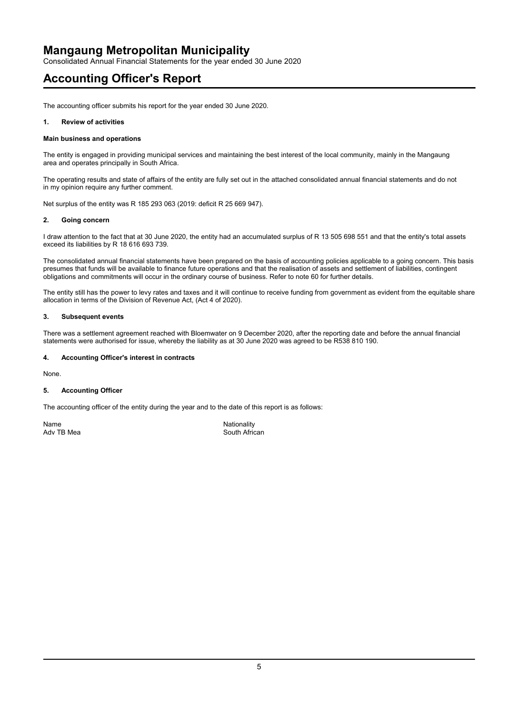Consolidated Annual Financial Statements for the year ended 30 June 2020

# **Accounting Officer's Report**

The accounting officer submits his report for the year ended 30 June 2020.

### **1. Review of activities**

#### **Main business and operations**

The entity is engaged in providing municipal services and maintaining the best interest of the local community, mainly in the Mangaung area and operates principally in South Africa.

The operating results and state of affairs of the entity are fully set out in the attached consolidated annual financial statements and do not in my opinion require any further comment.

Net surplus of the entity was R 185 293 063 (2019: deficit R 25 669 947).

### **2. Going concern**

I draw attention to the fact that at 30 June 2020, the entity had an accumulated surplus of R 13 505 698 551 and that the entity's total assets exceed its liabilities by R 18 616 693 739.

The consolidated annual financial statements have been prepared on the basis of accounting policies applicable to a going concern. This basis presumes that funds will be available to finance future operations and that the realisation of assets and settlement of liabilities, contingent obligations and commitments will occur in the ordinary course of business. Refer to note 60 for further details.

The entity still has the power to levy rates and taxes and it will continue to receive funding from government as evident from the equitable share allocation in terms of the Division of Revenue Act, (Act 4 of 2020).

### **3. Subsequent events**

There was a settlement agreement reached with Bloemwater on 9 December 2020, after the reporting date and before the annual financial statements were authorised for issue, whereby the liability as at 30 June 2020 was agreed to be R538 810 190.

### **4. Accounting Officer's interest in contracts**

None.

### **5. Accounting Officer**

The accounting officer of the entity during the year and to the date of this report is as follows:

Name Nationality<br>Adv TB Mea Nationality<br>South Afric

South African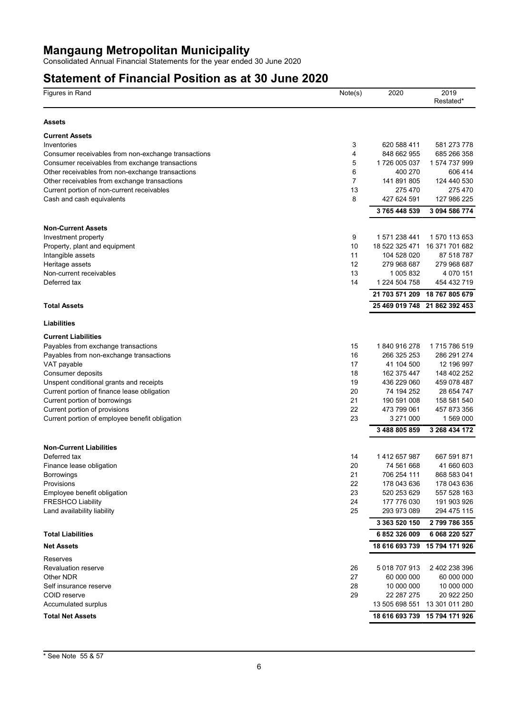Consolidated Annual Financial Statements for the year ended 30 June 2020

### **Statement of Financial Position as at 30 June 2020**

| Figures in Rand                                         | Note(s)  | 2020                       | 2019<br>Restated*             |
|---------------------------------------------------------|----------|----------------------------|-------------------------------|
|                                                         |          |                            |                               |
|                                                         |          |                            |                               |
| Assets                                                  |          |                            |                               |
| <b>Current Assets</b>                                   |          |                            |                               |
| Inventories                                             | 3        | 620 588 411                | 581 273 778                   |
| Consumer receivables from non-exchange transactions     | 4        | 848 662 955                | 685 266 358                   |
| Consumer receivables from exchange transactions         | 5        | 1726 005 037               | 1 574 737 999                 |
| Other receivables from non-exchange transactions        | 6        | 400 270                    | 606 414                       |
| Other receivables from exchange transactions            | 7        | 141 891 805                | 124 440 530                   |
| Current portion of non-current receivables              | 13       | 275 470                    | 275 470                       |
| Cash and cash equivalents                               | 8        | 427 624 591                | 127 986 225                   |
|                                                         |          | 3765448539                 |                               |
|                                                         |          |                            | 3 094 586 774                 |
| <b>Non-Current Assets</b>                               |          |                            |                               |
| Investment property                                     | 9        | 1571238441                 | 1 570 113 653                 |
| Property, plant and equipment                           | 10       | 18 522 325 471             | 16 371 701 682                |
| Intangible assets                                       | 11       | 104 528 020                | 87 518 787                    |
| Heritage assets                                         | 12       | 279 968 687                | 279 968 687                   |
| Non-current receivables                                 | 13       | 1 005 832                  | 4 070 151                     |
| Deferred tax                                            | 14       | 1 224 504 758              | 454 432 719                   |
|                                                         |          |                            |                               |
|                                                         |          |                            | 21 703 571 209 18 767 805 679 |
| <b>Total Assets</b>                                     |          |                            | 25 469 019 748 21 862 392 453 |
|                                                         |          |                            |                               |
| <b>Liabilities</b>                                      |          |                            |                               |
| <b>Current Liabilities</b>                              |          |                            |                               |
| Payables from exchange transactions                     | 15       | 1840916278                 | 1715786519                    |
| Payables from non-exchange transactions                 | 16       | 266 325 253                | 286 291 274                   |
| VAT payable                                             | 17       | 41 104 500                 | 12 196 997                    |
| Consumer deposits                                       | 18       | 162 375 447                | 148 402 252                   |
| Unspent conditional grants and receipts                 | 19       | 436 229 060                | 459 078 487                   |
| Current portion of finance lease obligation             | 20       | 74 194 252                 | 28 654 747                    |
| Current portion of borrowings                           | 21       | 190 591 008                | 158 581 540                   |
| Current portion of provisions                           | 22       | 473 799 061                | 457 873 356                   |
| Current portion of employee benefit obligation          | 23       | 3 271 000                  | 1 569 000                     |
|                                                         |          |                            |                               |
|                                                         |          | 3488805859                 | 3 268 434 172                 |
|                                                         |          |                            |                               |
| <b>Non-Current Liabilities</b>                          |          | 1412657987                 |                               |
| Deferred tax                                            | 14       |                            | 667 591 871                   |
| Finance lease obligation                                | 20       | 74 561 668                 | 41 660 603                    |
| <b>Borrowings</b><br>Provisions                         | 21       | 706 254 111<br>178 043 636 | 868 583 041                   |
|                                                         | 22       |                            | 178 043 636                   |
| Employee benefit obligation<br><b>FRESHCO Liability</b> | 23       | 520 253 629<br>177 776 030 | 557 528 163                   |
| Land availability liability                             | 24<br>25 | 293 973 089                | 191 903 926<br>294 475 115    |
|                                                         |          |                            |                               |
|                                                         |          | 3 363 520 150              | 2799786355                    |
| <b>Total Liabilities</b>                                |          | 6 852 326 009              | 6 068 220 527                 |
| <b>Net Assets</b>                                       |          |                            | 18 616 693 739 15 794 171 926 |
|                                                         |          |                            |                               |
| Reserves                                                |          |                            |                               |
| Revaluation reserve                                     | 26       | 5 018 707 913              | 2 402 238 396                 |
| Other NDR                                               | 27       | 60 000 000                 | 60 000 000                    |
| Self insurance reserve                                  | 28<br>29 | 10 000 000                 | 10 000 000                    |
| COID reserve                                            |          | 22 287 275                 | 20 922 250                    |
| Accumulated surplus                                     |          |                            | 13 505 698 551 13 301 011 280 |
| <b>Total Net Assets</b>                                 |          | 18 616 693 739             | 15 794 171 926                |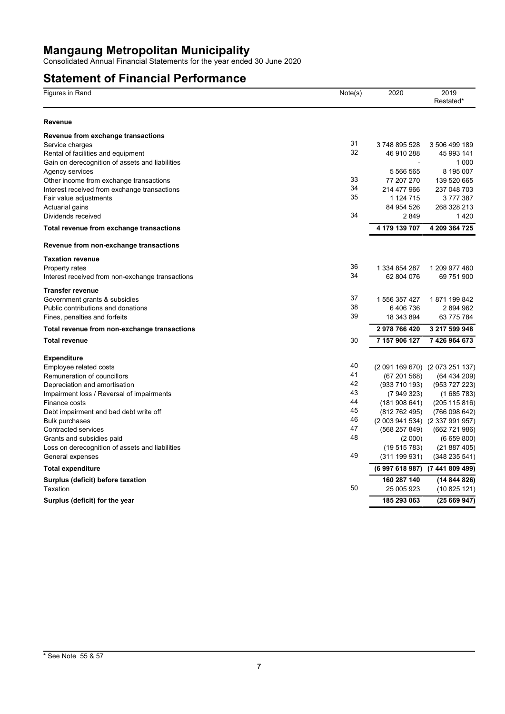Consolidated Annual Financial Statements for the year ended 30 June 2020

## **Statement of Financial Performance**

| Figures in Rand                                  | Note(s) | 2020                  | 2019<br>Restated*               |
|--------------------------------------------------|---------|-----------------------|---------------------------------|
| <b>Revenue</b>                                   |         |                       |                                 |
| Revenue from exchange transactions               |         |                       |                                 |
| Service charges                                  | 31      | 3748895528            | 3 506 499 189                   |
| Rental of facilities and equipment               | 32      | 46 910 288            | 45 993 141                      |
| Gain on derecognition of assets and liabilities  |         |                       | 1 0 0 0                         |
| Agency services                                  |         | 5 5 6 5 5 6 5         | 8 195 007                       |
| Other income from exchange transactions          | 33      | 77 207 270            | 139 520 665                     |
| Interest received from exchange transactions     | 34      | 214 477 966           | 237 048 703                     |
| Fair value adjustments                           | 35      | 1 124 715             | 3777387                         |
| Actuarial gains                                  |         | 84 954 526            | 268 328 213                     |
| Dividends received                               | 34      | 2849<br>4 179 139 707 | 1420<br>4 209 364 725           |
| Total revenue from exchange transactions         |         |                       |                                 |
| Revenue from non-exchange transactions           |         |                       |                                 |
| <b>Taxation revenue</b>                          |         |                       |                                 |
| Property rates                                   | 36      | 1 334 854 287         | 1 209 977 460                   |
| Interest received from non-exchange transactions | 34      | 62 804 076            | 69 751 900                      |
| <b>Transfer revenue</b>                          |         |                       |                                 |
| Government grants & subsidies                    | 37      | 1 556 357 427         | 1871199842                      |
| Public contributions and donations               | 38      | 6406736               | 2894962                         |
| Fines, penalties and forfeits                    | 39      | 18 343 894            | 63 775 784                      |
| Total revenue from non-exchange transactions     |         | 2978766420            | 3 217 599 948                   |
| <b>Total revenue</b>                             | 30      | 7 157 906 127         | 7426964673                      |
| <b>Expenditure</b>                               |         |                       |                                 |
| Employee related costs                           | 40      |                       | (2 091 169 670) (2 073 251 137) |
| Remuneration of councillors                      | 41      | (67201568)            | (64434209)                      |
| Depreciation and amortisation                    | 42      | (933710193)           | (953 727 223)                   |
| Impairment loss / Reversal of impairments        | 43      | (7949323)             | (1685783)                       |
| Finance costs                                    | 44      | (181908641)           | (205 115 816)                   |
| Debt impairment and bad debt write off           | 45      | (812 762 495)         | (766 098 642)                   |
| <b>Bulk purchases</b>                            | 46      |                       | (2 003 941 534) (2 337 991 957) |
| Contracted services                              | 47      | (568 257 849)         | (662721986)                     |
| Grants and subsidies paid                        | 48      | (2000)                | (6659800)                       |
| Loss on derecognition of assets and liabilities  |         | (19515783)            | (21887405)                      |
| General expenses                                 | 49      | (311199931)           | (348 235 541)                   |
| <b>Total expenditure</b>                         |         |                       | (6 997 618 987) (7 441 809 499) |
| Surplus (deficit) before taxation                |         | 160 287 140           | (14844826)                      |
| Taxation                                         | 50      | 25 005 923            | (10825121)                      |
| Surplus (deficit) for the year                   |         | 185 293 063           | (25669947)                      |
|                                                  |         |                       |                                 |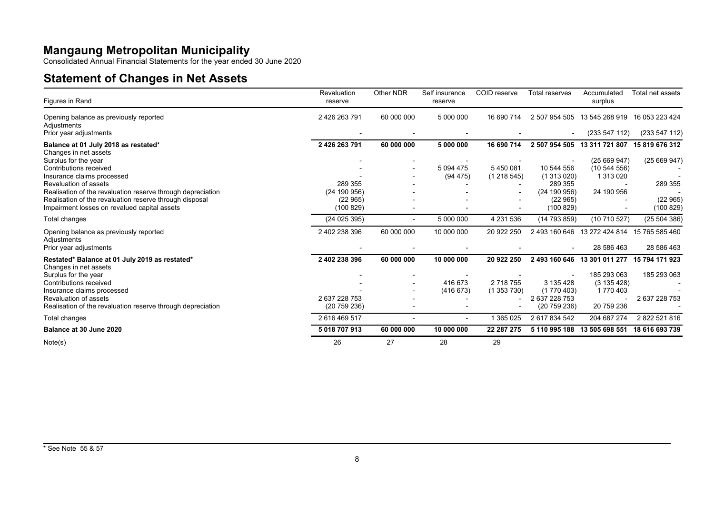Consolidated Annual Financial Statements for the year ended 30 June 2020

# **Statement of Changes in Net Assets**

| Figures in Rand                                                         | Revaluation<br>reserve | Other NDR  | Self insurance<br>reserve | COID reserve | <b>Total reserves</b> | Accumulated<br>surplus | Total net assets |
|-------------------------------------------------------------------------|------------------------|------------|---------------------------|--------------|-----------------------|------------------------|------------------|
| Opening balance as previously reported                                  | 2 426 263 791          | 60 000 000 | 5 000 000                 | 16 690 714   | 2 507 954 505         | 13 545 268 919         | 16 053 223 424   |
| Adjustments<br>Prior year adjustments                                   |                        |            |                           |              |                       | (233 547 112)          | (233 547 112)    |
| Balance at 01 July 2018 as restated*<br>Changes in net assets           | 2 426 263 791          | 60 000 000 | 5 000 000                 | 16 690 714   | 2 507 954 505         | 13 311 721 807         | 15 819 676 312   |
| Surplus for the year                                                    |                        |            |                           |              |                       | (25669947)             | (25669947)       |
| Contributions received                                                  |                        |            | 5 0 9 4 4 7 5             | 5450081      | 10 544 556            | (10544556)             |                  |
| Insurance claims processed                                              |                        |            | (94, 475)                 | (1218545)    | (1313020)             | 1 313 020              |                  |
| Revaluation of assets                                                   | 289 355                |            |                           |              | 289 355               |                        | 289 355          |
| Realisation of the revaluation reserve through depreciation             | (24 190 956)           |            |                           |              | (24 190 956)          | 24 190 956             |                  |
| Realisation of the revaluation reserve through disposal                 | (22965)                |            |                           |              | (22965)               |                        | (22965)          |
| Impairment losses on revalued capital assets                            | (100 829)              |            |                           |              | (100 829)             |                        | (100 829)        |
| Total changes                                                           | (24025395)             | $\sim$     | 5 000 000                 | 4 231 536    | (14793859)            | (10710527)             | (25504386)       |
| Opening balance as previously reported<br>Adjustments                   | 2 402 238 396          | 60 000 000 | 10 000 000                | 20 922 250   | 2 493 160 646         | 13 272 424 814         | 15 765 585 460   |
| Prior year adjustments                                                  |                        |            |                           |              |                       | 28 586 463             | 28 586 463       |
| Restated* Balance at 01 July 2019 as restated*<br>Changes in net assets | 2 402 238 396          | 60 000 000 | 10 000 000                | 20 922 250   | 2 493 160 646         | 13 301 011 277         | 15 794 171 923   |
| Surplus for the year                                                    |                        |            |                           |              |                       | 185 293 063            | 185 293 063      |
| Contributions received                                                  |                        |            | 416 673                   | 2 7 18 7 5 5 | 3 135 428             | (3135428)              |                  |
| Insurance claims processed                                              |                        |            | (416673)                  | (1353730)    | (1770403)             | 1770403                |                  |
| Revaluation of assets                                                   | 2637228753             |            |                           |              | 2 637 228 753         |                        | 2 637 228 753    |
| Realisation of the revaluation reserve through depreciation             | (20759236)             |            |                           |              | (20759236)            | 20 759 236             |                  |
| Total changes                                                           | 2616469517             |            | $\blacksquare$            | 1 365 025    | 2 617 834 542         | 204 687 274            | 2 822 521 816    |
| Balance at 30 June 2020                                                 | 5 018 707 913          | 60 000 000 | 10 000 000                | 22 287 275   | 5 110 995 188         | 13 505 698 551         | 18 616 693 739   |
| Note(s)                                                                 | 26                     | 27         | 28                        | 29           |                       |                        |                  |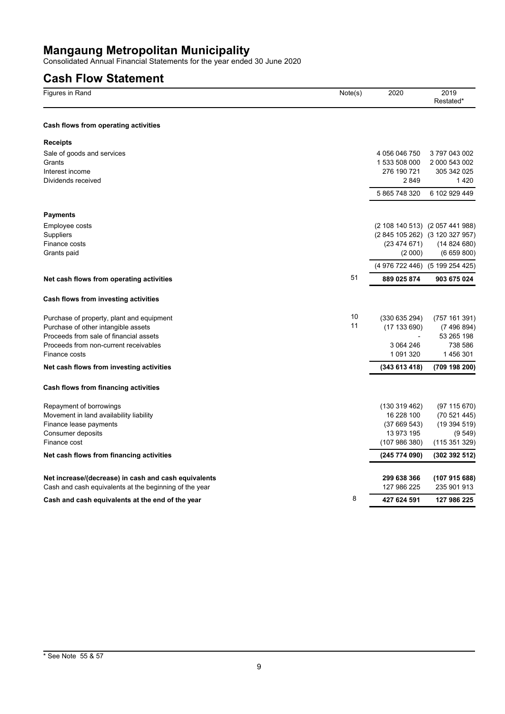Consolidated Annual Financial Statements for the year ended 30 June 2020

# **Cash Flow Statement**

| <b>Cash Flow Statement</b>                             |         |               |                                 |
|--------------------------------------------------------|---------|---------------|---------------------------------|
| Figures in Rand                                        | Note(s) | 2020          | 2019<br>Restated*               |
| Cash flows from operating activities                   |         |               |                                 |
| <b>Receipts</b>                                        |         |               |                                 |
| Sale of goods and services                             |         | 4 056 046 750 | 3797043002                      |
| Grants                                                 |         | 1 533 508 000 | 2 000 543 002                   |
| Interest income                                        |         | 276 190 721   | 305 342 025                     |
| Dividends received                                     |         | 2849          | 1420                            |
|                                                        |         | 5 865 748 320 | 6 102 929 449                   |
| <b>Payments</b>                                        |         |               |                                 |
| Employee costs                                         |         |               | (2 108 140 513) (2 057 441 988) |
| Suppliers                                              |         |               | (2 845 105 262) (3 120 327 957) |
| Finance costs                                          |         | (23474671)    | (14824680)                      |
| Grants paid                                            |         | (2000)        | (6659800)                       |
|                                                        |         |               | (4 976 722 446) (5 199 254 425) |
| Net cash flows from operating activities               | 51      | 889 025 874   | 903 675 024                     |
| Cash flows from investing activities                   |         |               |                                 |
| Purchase of property, plant and equipment              | 10      | (330635294)   | (757 161 391)                   |
| Purchase of other intangible assets                    | 11      | (17133690)    | (7496894)                       |
| Proceeds from sale of financial assets                 |         |               | 53 265 198                      |
| Proceeds from non-current receivables                  |         | 3 064 246     | 738 586                         |
| Finance costs                                          |         | 1 091 320     | 1456301                         |
| Net cash flows from investing activities               |         | (343613418)   | (709 198 200)                   |
| Cash flows from financing activities                   |         |               |                                 |
| Repayment of borrowings                                |         | (130319462)   | (97115670)                      |
| Movement in land availability liability                |         | 16 228 100    | (70521445)                      |
| Finance lease payments                                 |         | (37669543)    | (19394519)                      |
| Consumer deposits                                      |         | 13 973 195    | (9549)                          |
| Finance cost                                           |         | (107986380)   | (115351329)                     |
| Net cash flows from financing activities               |         | (245 774 090) | (302 392 512)                   |
| Net increase/(decrease) in cash and cash equivalents   |         | 299 638 366   | (107915688)                     |
| Cash and cash equivalents at the beginning of the year |         | 127 986 225   | 235 901 913                     |
| Cash and cash equivalents at the end of the year       | 8       | 427 624 591   | 127 986 225                     |
|                                                        |         |               |                                 |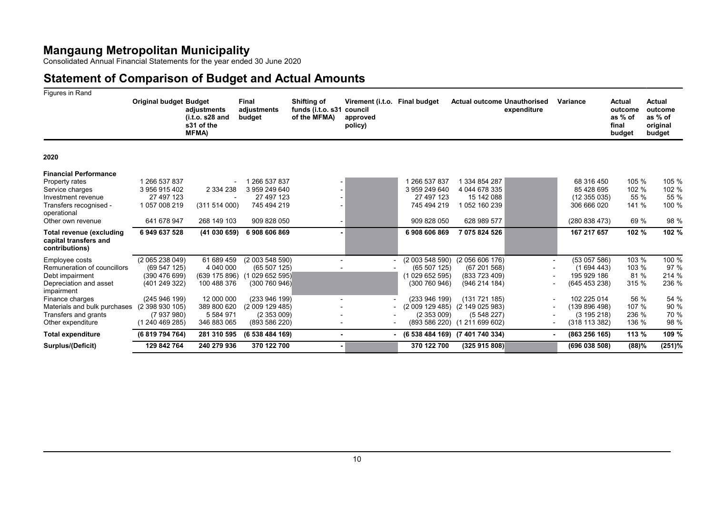Consolidated Annual Financial Statements for the year ended 30 June 2020

# **Statement of Comparison of Budget and Actual Amounts**

| Figures in Rand                                                            |                               |                                                                |                                |                                                                 |                                         |                                     |                                                   |               |                                                 |                                                           |
|----------------------------------------------------------------------------|-------------------------------|----------------------------------------------------------------|--------------------------------|-----------------------------------------------------------------|-----------------------------------------|-------------------------------------|---------------------------------------------------|---------------|-------------------------------------------------|-----------------------------------------------------------|
|                                                                            | <b>Original budget Budget</b> | adjustments<br>(i.t. o. s28 and<br>s31 of the<br><b>MFMA</b> ) | Final<br>adjustments<br>budget | <b>Shifting of</b><br>funds (i.t.o. s31 council<br>of the MFMA) | Virement (i.t.o.<br>approved<br>policy) | <b>Final budget</b>                 | <b>Actual outcome Unauthorised</b><br>expenditure | Variance      | Actual<br>outcome<br>as % of<br>final<br>budget | <b>Actual</b><br>outcome<br>as % of<br>original<br>budget |
| 2020                                                                       |                               |                                                                |                                |                                                                 |                                         |                                     |                                                   |               |                                                 |                                                           |
| <b>Financial Performance</b>                                               |                               |                                                                |                                |                                                                 |                                         |                                     |                                                   |               |                                                 |                                                           |
| Property rates                                                             | 1 266 537 837                 |                                                                | 1 266 537 837                  |                                                                 |                                         | 266 537 837                         | 1 334 854 287                                     | 68 316 450    | 105 %                                           | 105 %                                                     |
| Service charges                                                            | 3 956 915 402                 | 2 334 238                                                      | 3 959 249 640                  |                                                                 |                                         | 3 959 249 640                       | 4 044 678 335                                     | 85 428 695    | 102 %                                           | 102 %                                                     |
| Investment revenue                                                         | 27 497 123                    |                                                                | 27 497 123                     |                                                                 |                                         | 27 497 123                          | 15 142 088                                        | (12355035)    | 55 %                                            | 55 %                                                      |
| Transfers recognised -<br>operational                                      | 1 057 008 219                 | (311 514 000)                                                  | 745 494 219                    |                                                                 |                                         | 745 494 219                         | 1 052 160 239                                     | 306 666 020   | 141 %                                           | 100 %                                                     |
| Other own revenue                                                          | 641 678 947                   | 268 149 103                                                    | 909 828 050                    |                                                                 |                                         | 909 828 050                         | 628 989 577                                       | (280 838 473) | 69 %                                            | 98 %                                                      |
| <b>Total revenue (excluding</b><br>capital transfers and<br>contributions) | 6 949 637 528                 | (41030659)                                                     | 6908606869                     |                                                                 |                                         | 6908606869                          | 7 075 824 526                                     | 167 217 657   | 102 %                                           | 102 %                                                     |
| Employee costs                                                             | (2065238049)                  | 61 689 459                                                     | (2003548590)                   |                                                                 |                                         | (2003548590)                        | (2056606176)                                      | (53057586)    | 103 %                                           | 100 %                                                     |
| Remuneration of councillors                                                | (69547125)                    | 4 040 000                                                      | (65 507 125)                   |                                                                 |                                         | (65 507 125)                        | (67201568)                                        | (1694443)     | 103 %                                           | 97 %                                                      |
| Debt impairment                                                            | (390 476 699)                 | (639175896)                                                    | (1029652595)                   |                                                                 |                                         | (1029652595)                        | (833 723 409)                                     | 195 929 186   | 81 %                                            | 214 %                                                     |
| Depreciation and asset<br>impairment                                       | (401 249 322)                 | 100 488 376                                                    | (300760946)                    |                                                                 |                                         | (300760946)                         | (946 214 184)                                     | (645453238)   | 315 %                                           | 236 %                                                     |
| Finance charges                                                            | (245 946 199)                 | 12 000 000                                                     | (233946199)                    |                                                                 | $\overline{a}$                          | (233946199)                         | (131 721 185)                                     | 102 225 014   | 56 %                                            | 54 %                                                      |
| Materials and bulk purchases                                               | (2 398 930 105)               | 389 800 620                                                    | (2 009 129 485)                |                                                                 |                                         |                                     | (2 009 129 485) (2 149 025 983)                   | (139 896 498) | 107 %                                           | 90 %                                                      |
| Transfers and grants                                                       | (7937980)                     | 5 584 971                                                      | (2353009)                      |                                                                 |                                         | (2353009)                           | (5548227)                                         | (3195218)     | 236 %                                           | 70 %                                                      |
| Other expenditure                                                          | (1240469285)                  | 346 883 065                                                    | (893 586 220)                  |                                                                 |                                         |                                     | (893 586 220) (1 211 699 602)                     | (318113382)   | 136 %                                           | 98 %                                                      |
| <b>Total expenditure</b>                                                   | (6 819 794 764)               | 281 310 595                                                    | (6 538 484 169)                |                                                                 |                                         | $-$ (6 538 484 169) (7 401 740 334) |                                                   | (863 256 165) | 113 %                                           | 109 %                                                     |
| Surplus/(Deficit)                                                          | 129 842 764                   | 240 279 936                                                    | 370 122 700                    |                                                                 |                                         | 370 122 700                         | (325915808)                                       | (696038508)   | (88)%                                           | (251)%                                                    |
|                                                                            |                               |                                                                |                                |                                                                 |                                         |                                     |                                                   |               |                                                 |                                                           |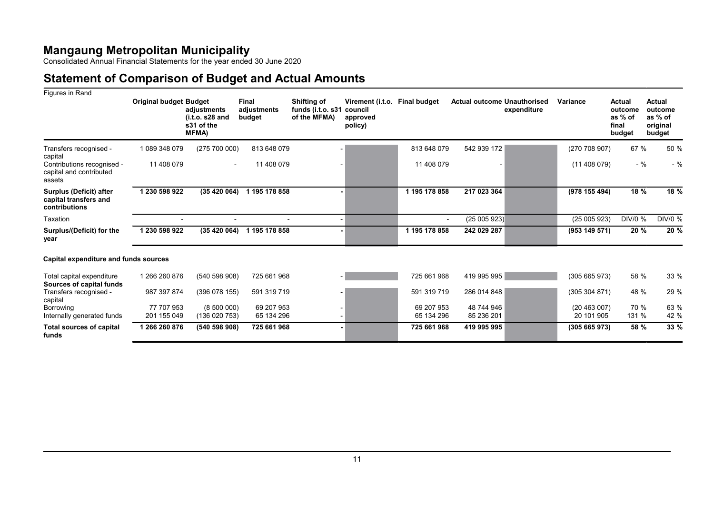Consolidated Annual Financial Statements for the year ended 30 June 2020

# **Statement of Comparison of Budget and Actual Amounts**

| Figures in Rand                                                            |                               |                                                              |                                |                                                          |                                         |                          |                                    |             |                 |                                                        |                                                           |
|----------------------------------------------------------------------------|-------------------------------|--------------------------------------------------------------|--------------------------------|----------------------------------------------------------|-----------------------------------------|--------------------------|------------------------------------|-------------|-----------------|--------------------------------------------------------|-----------------------------------------------------------|
|                                                                            | <b>Original budget Budget</b> | adjustments<br>(i.t. o. s28 and<br>s31 of the<br><b>MFMA</b> | Final<br>adjustments<br>budget | Shifting of<br>funds (i.t.o. s31 council<br>of the MFMA) | Virement (i.t.o.<br>approved<br>policy) | <b>Final budget</b>      | <b>Actual outcome Unauthorised</b> | expenditure | <b>Variance</b> | <b>Actual</b><br>outcome<br>as % of<br>final<br>budget | <b>Actual</b><br>outcome<br>as % of<br>original<br>budget |
| Transfers recognised -                                                     | 1 089 348 079                 | (275 700 000)                                                | 813 648 079                    |                                                          |                                         | 813 648 079              | 542 939 172                        |             | (270708907)     | 67 %                                                   | 50 %                                                      |
| capital<br>Contributions recognised -<br>capital and contributed<br>assets | 11 408 079                    | $\sim$                                                       | 11 408 079                     |                                                          |                                         | 11 408 079               |                                    |             | (11408079)      | $-$ %                                                  | $-$ %                                                     |
| Surplus (Deficit) after<br>capital transfers and<br>contributions          | 1 230 598 922                 | (35 420 064)                                                 | 1 195 178 858                  |                                                          |                                         | 1 195 178 858            | 217 023 364                        |             | (978 155 494)   | 18 %                                                   | 18 %                                                      |
| Taxation                                                                   |                               | $\overline{\phantom{0}}$                                     |                                |                                                          |                                         | $\overline{\phantom{0}}$ | (25005923)                         |             | (25005923)      | DIV/0 %                                                | DIV/0 %                                                   |
| <b>Surplus/(Deficit) for the</b><br>year                                   | 1 230 598 922                 | (35, 420, 064)                                               | 1 195 178 858                  |                                                          |                                         | 1 195 178 858            | 242 029 287                        |             | (953 149 571)   | <b>20 %</b>                                            | 20%                                                       |
| Capital expenditure and funds sources                                      |                               |                                                              |                                |                                                          |                                         |                          |                                    |             |                 |                                                        |                                                           |
| Total capital expenditure<br>Sources of capital funds                      | 1 266 260 876                 | (540598908)                                                  | 725 661 968                    |                                                          |                                         | 725 661 968              | 419 995 995                        |             | (305665973)     | 58 %                                                   | 33 %                                                      |
| Transfers recognised -<br>capital                                          | 987 397 874                   | (396078155)                                                  | 591 319 719                    |                                                          |                                         | 591 319 719              | 286 014 848                        |             | (305304871)     | 48 %                                                   | 29 %                                                      |
| Borrowing                                                                  | 77 707 953                    | (8,500,000)                                                  | 69 207 953                     |                                                          |                                         | 69 207 953               | 48 744 946                         |             | (20463007)      | 70 %                                                   | 63 %                                                      |
| Internally generated funds                                                 | 201 155 049                   | (136020753)                                                  | 65 134 296                     |                                                          |                                         | 65 134 296               | 85 236 201                         |             | 20 101 905      | 131 %                                                  | 42 %                                                      |
| <b>Total sources of capital</b><br>funds                                   | 1 266 260 876                 | (540598908)                                                  | 725 661 968                    |                                                          |                                         | 725 661 968              | 419 995 995                        |             | (305665973)     | 58 %                                                   | 33 %                                                      |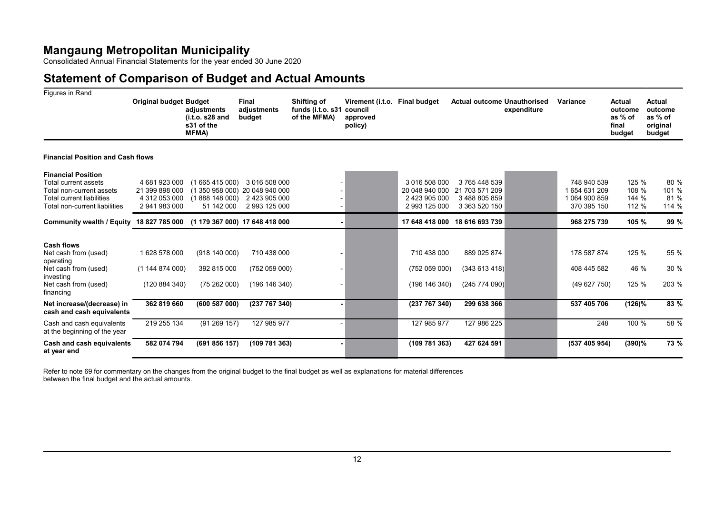Consolidated Annual Financial Statements for the year ended 30 June 2020

# **Statement of Comparison of Budget and Actual Amounts**

| Figures in Rand                                                                                                                             |                                                                   |                                                               |                                                                   |                                                          |                                                      |                                                                   |                                                                |             |                                                           |                                                 |                                                           |
|---------------------------------------------------------------------------------------------------------------------------------------------|-------------------------------------------------------------------|---------------------------------------------------------------|-------------------------------------------------------------------|----------------------------------------------------------|------------------------------------------------------|-------------------------------------------------------------------|----------------------------------------------------------------|-------------|-----------------------------------------------------------|-------------------------------------------------|-----------------------------------------------------------|
|                                                                                                                                             | <b>Original budget Budget</b>                                     | adjustments<br>(i.t. o. s28 and<br>s31 of the<br><b>MFMA)</b> | Final<br>adjustments<br>budget                                    | Shifting of<br>funds (i.t.o. s31 council<br>of the MFMA) | Virement (i.t.o. Final budget<br>approved<br>policy) |                                                                   | <b>Actual outcome Unauthorised</b>                             | expenditure | Variance                                                  | Actual<br>outcome<br>as % of<br>final<br>budget | <b>Actual</b><br>outcome<br>as % of<br>original<br>budget |
| <b>Financial Position and Cash flows</b>                                                                                                    |                                                                   |                                                               |                                                                   |                                                          |                                                      |                                                                   |                                                                |             |                                                           |                                                 |                                                           |
| <b>Financial Position</b><br>Total current assets<br>Total non-current assets<br>Total current liabilities<br>Total non-current liabilities | 4 681 923 000<br>21 399 898 000<br>4 312 053 000<br>2 941 983 000 | (1665415000)<br>1 350 958 000)<br>(1888148000)<br>51 142 000  | 3 016 508 000<br>20 048 940 000<br>2 423 905 000<br>2 993 125 000 |                                                          |                                                      | 3 016 508 000<br>20 048 940 000<br>2 423 905 000<br>2 993 125 000 | 3765448539<br>21 703 571 209<br>3 488 805 859<br>3 363 520 150 |             | 748 940 539<br>1654631209<br>1 064 900 859<br>370 395 150 | 125 %<br>108 %<br>144 %<br>112 %                | 80 %<br>101 %<br>81 %<br>114 %                            |
| Community wealth / Equity 18 827 785 000                                                                                                    |                                                                   |                                                               | (1 179 367 000) 17 648 418 000                                    |                                                          |                                                      |                                                                   | 17 648 418 000 18 616 693 739                                  |             | 968 275 739                                               | 105 %                                           | 99 %                                                      |
| <b>Cash flows</b><br>Net cash from (used)<br>operating<br>Net cash from (used)<br>investing<br>Net cash from (used)                         | 1628 578 000<br>(1144874000)<br>(120 884 340)                     | (91814000)<br>392 815 000<br>(75262000)                       | 710 438 000<br>(752059000)<br>(196 146 340)                       |                                                          |                                                      | 710 438 000<br>(752 059 000)<br>(196 146 340)                     | 889 025 874<br>(343613418)<br>(245 774 090)                    |             | 178 587 874<br>408 445 582<br>(49627750)                  | 125 %<br>46 %<br>125 %                          | 55 %<br>30 %<br>203 %                                     |
| financing<br>Net increase/(decrease) in<br>cash and cash equivalents                                                                        | 362 819 660                                                       | (600 587 000)                                                 | (237 767 340)                                                     |                                                          |                                                      | (237 767 340)                                                     | 299 638 366                                                    |             | 537 405 706                                               | $(126)\%$                                       | 83 %                                                      |
| Cash and cash equivalents<br>at the beginning of the year                                                                                   | 219 255 134                                                       | (91269157)                                                    | 127 985 977                                                       |                                                          |                                                      | 127 985 977                                                       | 127 986 225                                                    |             | 248                                                       | 100 %                                           | 58 %                                                      |
| Cash and cash equivalents<br>at year end                                                                                                    | 582 074 794                                                       | (691856157)                                                   | (109 781 363)                                                     |                                                          |                                                      | (109781363)                                                       | 427 624 591                                                    |             | (537 405 954)                                             | $(390)$ %                                       | 73 %                                                      |

Refer to note 69 for commentary on the changes from the original budget to the final budget as well as explanations for material differences between the final budget and the actual amounts.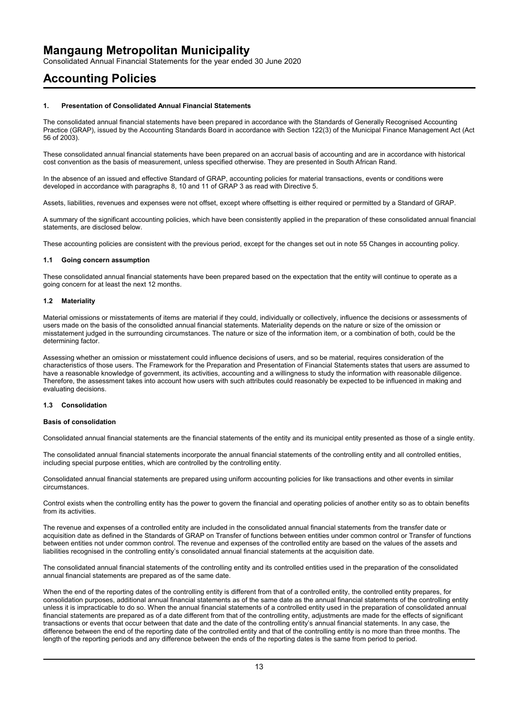Consolidated Annual Financial Statements for the year ended 30 June 2020

## **Accounting Policies**

#### **1. Presentation of Consolidated Annual Financial Statements**

The consolidated annual financial statements have been prepared in accordance with the Standards of Generally Recognised Accounting Practice (GRAP), issued by the Accounting Standards Board in accordance with Section 122(3) of the Municipal Finance Management Act (Act 56 of 2003).

These consolidated annual financial statements have been prepared on an accrual basis of accounting and are in accordance with historical cost convention as the basis of measurement, unless specified otherwise. They are presented in South African Rand.

In the absence of an issued and effective Standard of GRAP, accounting policies for material transactions, events or conditions were developed in accordance with paragraphs 8, 10 and 11 of GRAP 3 as read with Directive 5.

Assets, liabilities, revenues and expenses were not offset, except where offsetting is either required or permitted by a Standard of GRAP.

A summary of the significant accounting policies, which have been consistently applied in the preparation of these consolidated annual financial statements, are disclosed below.

These accounting policies are consistent with the previous period, except for the changes set out in note 55 Changes in accounting policy.

#### **1.1 Going concern assumption**

These consolidated annual financial statements have been prepared based on the expectation that the entity will continue to operate as a going concern for at least the next 12 months.

#### **1.2 Materiality**

Material omissions or misstatements of items are material if they could, individually or collectively, influence the decisions or assessments of users made on the basis of the consolidted annual financial statements. Materiality depends on the nature or size of the omission or misstatement judged in the surrounding circumstances. The nature or size of the information item, or a combination of both, could be the determining factor.

Assessing whether an omission or misstatement could influence decisions of users, and so be material, requires consideration of the characteristics of those users. The Framework for the Preparation and Presentation of Financial Statements states that users are assumed to have a reasonable knowledge of government, its activities, accounting and a willingness to study the information with reasonable diligence. Therefore, the assessment takes into account how users with such attributes could reasonably be expected to be influenced in making and evaluating decisions.

#### **1.3 Consolidation**

#### **Basis of consolidation**

Consolidated annual financial statements are the financial statements of the entity and its municipal entity presented as those of a single entity.

The consolidated annual financial statements incorporate the annual financial statements of the controlling entity and all controlled entities, including special purpose entities, which are controlled by the controlling entity.

Consolidated annual financial statements are prepared using uniform accounting policies for like transactions and other events in similar circumstances.

Control exists when the controlling entity has the power to govern the financial and operating policies of another entity so as to obtain benefits from its activities.

The revenue and expenses of a controlled entity are included in the consolidated annual financial statements from the transfer date or acquisition date as defined in the Standards of GRAP on Transfer of functions between entities under common control or Transfer of functions between entities not under common control. The revenue and expenses of the controlled entity are based on the values of the assets and liabilities recognised in the controlling entity's consolidated annual financial statements at the acquisition date.

The consolidated annual financial statements of the controlling entity and its controlled entities used in the preparation of the consolidated annual financial statements are prepared as of the same date.

When the end of the reporting dates of the controlling entity is different from that of a controlled entity, the controlled entity prepares, for consolidation purposes, additional annual financial statements as of the same date as the annual financial statements of the controlling entity unless it is impracticable to do so. When the annual financial statements of a controlled entity used in the preparation of consolidated annual financial statements are prepared as of a date different from that of the controlling entity, adjustments are made for the effects of significant transactions or events that occur between that date and the date of the controlling entity's annual financial statements. In any case, the difference between the end of the reporting date of the controlled entity and that of the controlling entity is no more than three months. The length of the reporting periods and any difference between the ends of the reporting dates is the same from period to period.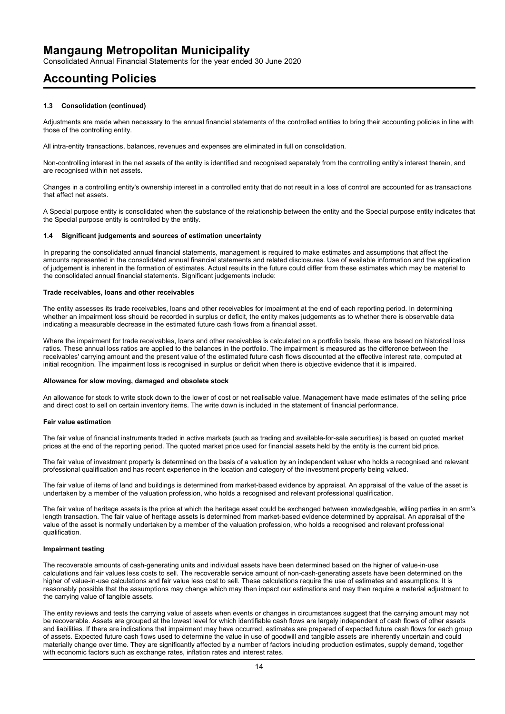Consolidated Annual Financial Statements for the year ended 30 June 2020

## **Accounting Policies**

#### **1.3 Consolidation (continued)**

Adjustments are made when necessary to the annual financial statements of the controlled entities to bring their accounting policies in line with those of the controlling entity.

All intra-entity transactions, balances, revenues and expenses are eliminated in full on consolidation.

Non-controlling interest in the net assets of the entity is identified and recognised separately from the controlling entity's interest therein, and are recognised within net assets.

Changes in a controlling entity's ownership interest in a controlled entity that do not result in a loss of control are accounted for as transactions that affect net assets.

A Special purpose entity is consolidated when the substance of the relationship between the entity and the Special purpose entity indicates that the Special purpose entity is controlled by the entity.

#### **1.4 Significant judgements and sources of estimation uncertainty**

In preparing the consolidated annual financial statements, management is required to make estimates and assumptions that affect the amounts represented in the consolidated annual financial statements and related disclosures. Use of available information and the application of judgement is inherent in the formation of estimates. Actual results in the future could differ from these estimates which may be material to the consolidated annual financial statements. Significant judgements include:

#### **Trade receivables, loans and other receivables**

The entity assesses its trade receivables, loans and other receivables for impairment at the end of each reporting period. In determining whether an impairment loss should be recorded in surplus or deficit, the entity makes judgements as to whether there is observable data indicating a measurable decrease in the estimated future cash flows from a financial asset.

Where the impairment for trade receivables, loans and other receivables is calculated on a portfolio basis, these are based on historical loss ratios. These annual loss ratios are applied to the balances in the portfolio. The impairment is measured as the difference between the receivables' carrying amount and the present value of the estimated future cash flows discounted at the effective interest rate, computed at initial recognition. The impairment loss is recognised in surplus or deficit when there is objective evidence that it is impaired.

#### **Allowance for slow moving, damaged and obsolete stock**

An allowance for stock to write stock down to the lower of cost or net realisable value. Management have made estimates of the selling price and direct cost to sell on certain inventory items. The write down is included in the statement of financial performance.

#### **Fair value estimation**

The fair value of financial instruments traded in active markets (such as trading and available-for-sale securities) is based on quoted market prices at the end of the reporting period. The quoted market price used for financial assets held by the entity is the current bid price.

The fair value of investment property is determined on the basis of a valuation by an independent valuer who holds a recognised and relevant professional qualification and has recent experience in the location and category of the investment property being valued.

The fair value of items of land and buildings is determined from market-based evidence by appraisal. An appraisal of the value of the asset is undertaken by a member of the valuation profession, who holds a recognised and relevant professional qualification.

The fair value of heritage assets is the price at which the heritage asset could be exchanged between knowledgeable, willing parties in an arm's length transaction. The fair value of heritage assets is determined from market-based evidence determined by appraisal. An appraisal of the value of the asset is normally undertaken by a member of the valuation profession, who holds a recognised and relevant professional qualification.

#### **Impairment testing**

The recoverable amounts of cash-generating units and individual assets have been determined based on the higher of value-in-use calculations and fair values less costs to sell. The recoverable service amount of non-cash-generating assets have been determined on the higher of value-in-use calculations and fair value less cost to sell. These calculations require the use of estimates and assumptions. It is reasonably possible that the assumptions may change which may then impact our estimations and may then require a material adjustment to the carrying value of tangible assets.

The entity reviews and tests the carrying value of assets when events or changes in circumstances suggest that the carrying amount may not be recoverable. Assets are grouped at the lowest level for which identifiable cash flows are largely independent of cash flows of other assets and liabilities. If there are indications that impairment may have occurred, estimates are prepared of expected future cash flows for each group of assets. Expected future cash flows used to determine the value in use of goodwill and tangible assets are inherently uncertain and could materially change over time. They are significantly affected by a number of factors including production estimates, supply demand, together with economic factors such as exchange rates, inflation rates and interest rates.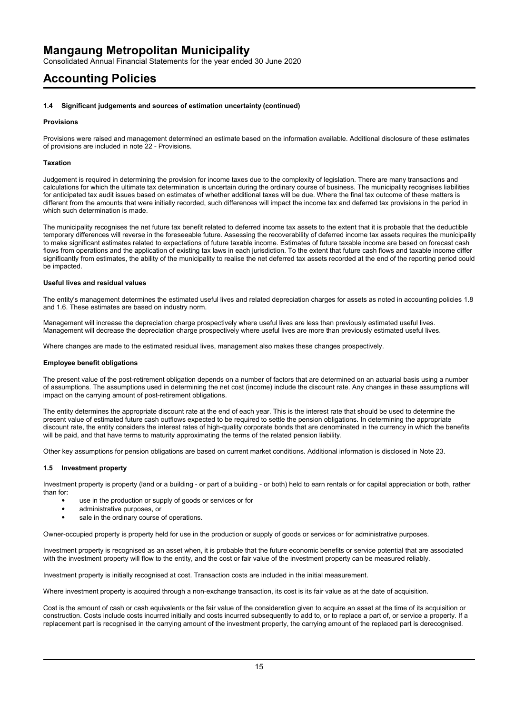Consolidated Annual Financial Statements for the year ended 30 June 2020

# **Accounting Policies**

#### **1.4 Significant judgements and sources of estimation uncertainty (continued)**

### **Provisions**

Provisions were raised and management determined an estimate based on the information available. Additional disclosure of these estimates of provisions are included in note 22 - Provisions.

### **Taxation**

Judgement is required in determining the provision for income taxes due to the complexity of legislation. There are many transactions and calculations for which the ultimate tax determination is uncertain during the ordinary course of business. The municipality recognises liabilities for anticipated tax audit issues based on estimates of whether additional taxes will be due. Where the final tax outcome of these matters is different from the amounts that were initially recorded, such differences will impact the income tax and deferred tax provisions in the period in which such determination is made.

The municipality recognises the net future tax benefit related to deferred income tax assets to the extent that it is probable that the deductible temporary differences will reverse in the foreseeable future. Assessing the recoverability of deferred income tax assets requires the municipality to make significant estimates related to expectations of future taxable income. Estimates of future taxable income are based on forecast cash flows from operations and the application of existing tax laws in each jurisdiction. To the extent that future cash flows and taxable income differ significantly from estimates, the ability of the municipality to realise the net deferred tax assets recorded at the end of the reporting period could be impacted.

#### **Useful lives and residual values**

The entity's management determines the estimated useful lives and related depreciation charges for assets as noted in accounting policies 1.8 and 1.6. These estimates are based on industry norm.

Management will increase the depreciation charge prospectively where useful lives are less than previously estimated useful lives. Management will decrease the depreciation charge prospectively where useful lives are more than previously estimated useful lives.

Where changes are made to the estimated residual lives, management also makes these changes prospectively.

#### **Employee benefit obligations**

The present value of the post-retirement obligation depends on a number of factors that are determined on an actuarial basis using a number of assumptions. The assumptions used in determining the net cost (income) include the discount rate. Any changes in these assumptions will impact on the carrying amount of post-retirement obligations.

The entity determines the appropriate discount rate at the end of each year. This is the interest rate that should be used to determine the present value of estimated future cash outflows expected to be required to settle the pension obligations. In determining the appropriate discount rate, the entity considers the interest rates of high-quality corporate bonds that are denominated in the currency in which the benefits will be paid, and that have terms to maturity approximating the terms of the related pension liability.

Other key assumptions for pension obligations are based on current market conditions. Additional information is disclosed in Note 23.

#### **1.5 Investment property**

Investment property is property (land or a building - or part of a building - or both) held to earn rentals or for capital appreciation or both, rather than for:

- use in the production or supply of goods or services or for
- administrative purposes, or
- sale in the ordinary course of operations.

Owner-occupied property is property held for use in the production or supply of goods or services or for administrative purposes.

Investment property is recognised as an asset when, it is probable that the future economic benefits or service potential that are associated with the investment property will flow to the entity, and the cost or fair value of the investment property can be measured reliably.

Investment property is initially recognised at cost. Transaction costs are included in the initial measurement.

Where investment property is acquired through a non-exchange transaction, its cost is its fair value as at the date of acquisition.

Cost is the amount of cash or cash equivalents or the fair value of the consideration given to acquire an asset at the time of its acquisition or construction. Costs include costs incurred initially and costs incurred subsequently to add to, or to replace a part of, or service a property. If a replacement part is recognised in the carrying amount of the investment property, the carrying amount of the replaced part is derecognised.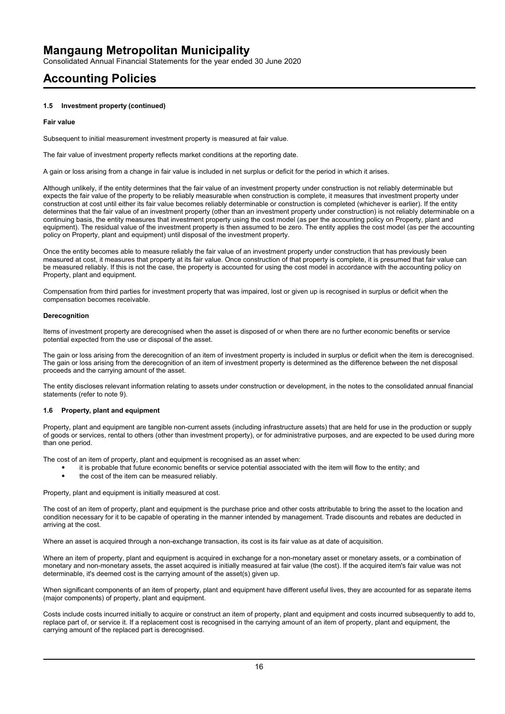Consolidated Annual Financial Statements for the year ended 30 June 2020

# **Accounting Policies**

### **1.5 Investment property (continued)**

#### **Fair value**

Subsequent to initial measurement investment property is measured at fair value.

The fair value of investment property reflects market conditions at the reporting date.

A gain or loss arising from a change in fair value is included in net surplus or deficit for the period in which it arises.

Although unlikely, if the entity determines that the fair value of an investment property under construction is not reliably determinable but expects the fair value of the property to be reliably measurable when construction is complete, it measures that investment property under construction at cost until either its fair value becomes reliably determinable or construction is completed (whichever is earlier). If the entity determines that the fair value of an investment property (other than an investment property under construction) is not reliably determinable on a continuing basis, the entity measures that investment property using the cost model (as per the accounting policy on Property, plant and equipment). The residual value of the investment property is then assumed to be zero. The entity applies the cost model (as per the accounting policy on Property, plant and equipment) until disposal of the investment property.

Once the entity becomes able to measure reliably the fair value of an investment property under construction that has previously been measured at cost, it measures that property at its fair value. Once construction of that property is complete, it is presumed that fair value can be measured reliably. If this is not the case, the property is accounted for using the cost model in accordance with the accounting policy on Property, plant and equipment.

Compensation from third parties for investment property that was impaired, lost or given up is recognised in surplus or deficit when the compensation becomes receivable.

#### **Derecognition**

Items of investment property are derecognised when the asset is disposed of or when there are no further economic benefits or service potential expected from the use or disposal of the asset.

The gain or loss arising from the derecognition of an item of investment property is included in surplus or deficit when the item is derecognised. The gain or loss arising from the derecognition of an item of investment property is determined as the difference between the net disposal proceeds and the carrying amount of the asset.

The entity discloses relevant information relating to assets under construction or development, in the notes to the consolidated annual financial statements (refer to note 9).

### **1.6 Property, plant and equipment**

Property, plant and equipment are tangible non-current assets (including infrastructure assets) that are held for use in the production or supply of goods or services, rental to others (other than investment property), or for administrative purposes, and are expected to be used during more than one period.

The cost of an item of property, plant and equipment is recognised as an asset when:

- it is probable that future economic benefits or service potential associated with the item will flow to the entity; and
- the cost of the item can be measured reliably.

Property, plant and equipment is initially measured at cost.

The cost of an item of property, plant and equipment is the purchase price and other costs attributable to bring the asset to the location and condition necessary for it to be capable of operating in the manner intended by management. Trade discounts and rebates are deducted in arriving at the cost.

Where an asset is acquired through a non-exchange transaction, its cost is its fair value as at date of acquisition.

Where an item of property, plant and equipment is acquired in exchange for a non-monetary asset or monetary assets, or a combination of monetary and non-monetary assets, the asset acquired is initially measured at fair value (the cost). If the acquired item's fair value was not determinable, it's deemed cost is the carrying amount of the asset(s) given up.

When significant components of an item of property, plant and equipment have different useful lives, they are accounted for as separate items (major components) of property, plant and equipment.

Costs include costs incurred initially to acquire or construct an item of property, plant and equipment and costs incurred subsequently to add to, replace part of, or service it. If a replacement cost is recognised in the carrying amount of an item of property, plant and equipment, the carrying amount of the replaced part is derecognised.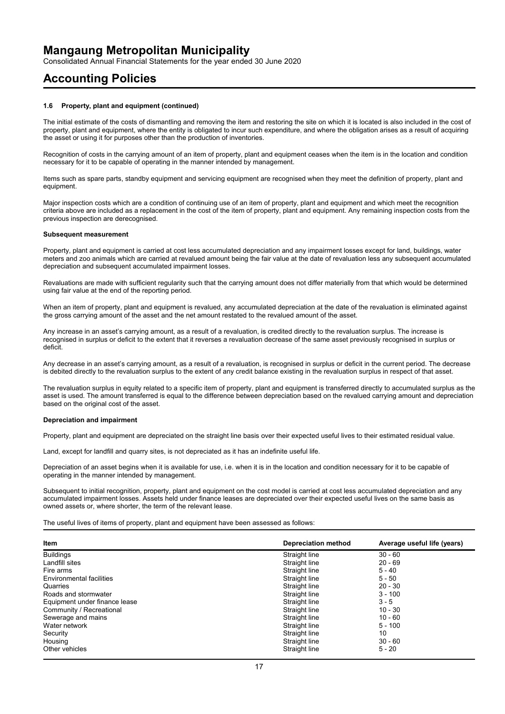Consolidated Annual Financial Statements for the year ended 30 June 2020

### **Accounting Policies**

#### **1.6 Property, plant and equipment (continued)**

The initial estimate of the costs of dismantling and removing the item and restoring the site on which it is located is also included in the cost of property, plant and equipment, where the entity is obligated to incur such expenditure, and where the obligation arises as a result of acquiring the asset or using it for purposes other than the production of inventories.

Recognition of costs in the carrying amount of an item of property, plant and equipment ceases when the item is in the location and condition necessary for it to be capable of operating in the manner intended by management.

Items such as spare parts, standby equipment and servicing equipment are recognised when they meet the definition of property, plant and equipment.

Major inspection costs which are a condition of continuing use of an item of property, plant and equipment and which meet the recognition criteria above are included as a replacement in the cost of the item of property, plant and equipment. Any remaining inspection costs from the previous inspection are derecognised.

#### **Subsequent measurement**

Property, plant and equipment is carried at cost less accumulated depreciation and any impairment losses except for land, buildings, water meters and zoo animals which are carried at revalued amount being the fair value at the date of revaluation less any subsequent accumulated depreciation and subsequent accumulated impairment losses.

Revaluations are made with sufficient regularity such that the carrying amount does not differ materially from that which would be determined using fair value at the end of the reporting period.

When an item of property, plant and equipment is revalued, any accumulated depreciation at the date of the revaluation is eliminated against the gross carrying amount of the asset and the net amount restated to the revalued amount of the asset.

Any increase in an asset's carrying amount, as a result of a revaluation, is credited directly to the revaluation surplus. The increase is recognised in surplus or deficit to the extent that it reverses a revaluation decrease of the same asset previously recognised in surplus or deficit.

Any decrease in an asset's carrying amount, as a result of a revaluation, is recognised in surplus or deficit in the current period. The decrease is debited directly to the revaluation surplus to the extent of any credit balance existing in the revaluation surplus in respect of that asset.

The revaluation surplus in equity related to a specific item of property, plant and equipment is transferred directly to accumulated surplus as the asset is used. The amount transferred is equal to the difference between depreciation based on the revalued carrying amount and depreciation based on the original cost of the asset.

#### **Depreciation and impairment**

Property, plant and equipment are depreciated on the straight line basis over their expected useful lives to their estimated residual value.

Land, except for landfill and quarry sites, is not depreciated as it has an indefinite useful life.

Depreciation of an asset begins when it is available for use, i.e. when it is in the location and condition necessary for it to be capable of operating in the manner intended by management.

Subsequent to initial recognition, property, plant and equipment on the cost model is carried at cost less accumulated depreciation and any accumulated impairment losses. Assets held under finance leases are depreciated over their expected useful lives on the same basis as owned assets or, where shorter, the term of the relevant lease.

The useful lives of items of property, plant and equipment have been assessed as follows:

| Item                          | <b>Depreciation method</b> | Average useful life (years) |
|-------------------------------|----------------------------|-----------------------------|
| <b>Buildings</b>              | Straight line              | $30 - 60$                   |
| Landfill sites                | Straight line              | $20 - 69$                   |
| Fire arms                     | Straight line              | $5 - 40$                    |
| Environmental facilities      | Straight line              | $5 - 50$                    |
| Quarries                      | Straight line              | $20 - 30$                   |
| Roads and stormwater          | Straight line              | $3 - 100$                   |
| Equipment under finance lease | Straight line              | $3 - 5$                     |
| Community / Recreational      | Straight line              | $10 - 30$                   |
| Sewerage and mains            | Straight line              | $10 - 60$                   |
| Water network                 | Straight line              | $5 - 100$                   |
| Security                      | Straight line              | 10                          |
| Housing                       | Straight line              | $30 - 60$                   |
| Other vehicles                | Straight line              | $5 - 20$                    |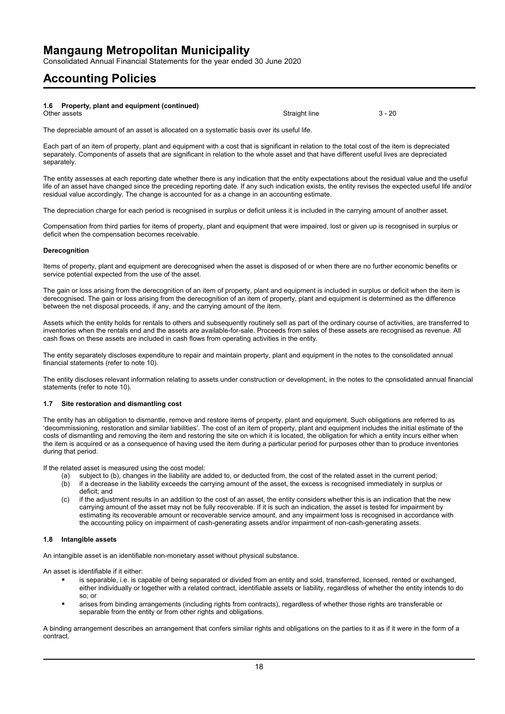Consolidated Annual Financial Statements for the year ended 30 June 2020

## **Accounting Policies**

### **1.6 Property, plant and equipment (continued)**

Other assets 3 - 20 Straight line 3 - 20 Straight line 3 - 20

The depreciable amount of an asset is allocated on a systematic basis over its useful life.

Each part of an item of property, plant and equipment with a cost that is significant in relation to the total cost of the item is depreciated separately. Components of assets that are significant in relation to the whole asset and that have different useful lives are depreciated separately.

The entity assesses at each reporting date whether there is any indication that the entity expectations about the residual value and the useful life of an asset have changed since the preceding reporting date. If any such indication exists, the entity revises the expected useful life and/or residual value accordingly. The change is accounted for as a change in an accounting estimate.

The depreciation charge for each period is recognised in surplus or deficit unless it is included in the carrying amount of another asset.

Compensation from third parties for items of property, plant and equipment that were impaired, lost or given up is recognised in surplus or deficit when the compensation becomes receivable.

#### **Derecognition**

Items of property, plant and equipment are derecognised when the asset is disposed of or when there are no further economic benefits or service potential expected from the use of the asset.

The gain or loss arising from the derecognition of an item of property, plant and equipment is included in surplus or deficit when the item is derecognised. The gain or loss arising from the derecognition of an item of property, plant and equipment is determined as the difference between the net disposal proceeds, if any, and the carrying amount of the item.

Assets which the entity holds for rentals to others and subsequently routinely sell as part of the ordinary course of activities, are transferred to inventories when the rentals end and the assets are available-for-sale. Proceeds from sales of these assets are recognised as revenue. All cash flows on these assets are included in cash flows from operating activities in the entity.

The entity separately discloses expenditure to repair and maintain property, plant and equipment in the notes to the consolidated annual financial statements (refer to note 10).

The entity discloses relevant information relating to assets under construction or development, in the notes to the cpnsolidated annual financial statements (refer to note 10).

#### **1.7 Site restoration and dismantling cost**

The entity has an obligation to dismantle, remove and restore items of property, plant and equipment. Such obligations are referred to as 'decommissioning, restoration and similar liabilities'. The cost of an item of property, plant and equipment includes the initial estimate of the costs of dismantling and removing the item and restoring the site on which it is located, the obligation for which a entity incurs either when the item is acquired or as a consequence of having used the item during a particular period for purposes other than to produce inventories during that period.

If the related asset is measured using the cost model:

- (a) subject to (b), changes in the liability are added to, or deducted from, the cost of the related asset in the current period;
- (b) if a decrease in the liability exceeds the carrying amount of the asset, the excess is recognised immediately in surplus or deficit; and
- (c) if the adjustment results in an addition to the cost of an asset, the entity considers whether this is an indication that the new carrying amount of the asset may not be fully recoverable. If it is such an indication, the asset is tested for impairment by estimating its recoverable amount or recoverable service amount, and any impairment loss is recognised in accordance with the accounting policy on impairment of cash-generating assets and/or impairment of non-cash-generating assets.

#### **1.8 Intangible assets**

An intangible asset is an identifiable non-monetary asset without physical substance.

An asset is identifiable if it either:

- is separable, i.e. is capable of being separated or divided from an entity and sold, transferred, licensed, rented or exchanged, either individually or together with a related contract, identifiable assets or liability, regardless of whether the entity intends to do so; or
- arises from binding arrangements (including rights from contracts), regardless of whether those rights are transferable or separable from the entity or from other rights and obligations.

A binding arrangement describes an arrangement that confers similar rights and obligations on the parties to it as if it were in the form of a contract.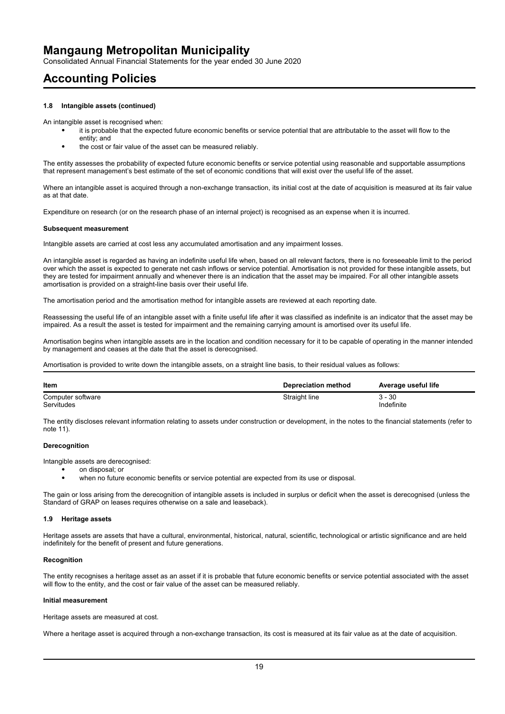Consolidated Annual Financial Statements for the year ended 30 June 2020

## **Accounting Policies**

#### **1.8 Intangible assets (continued)**

An intangible asset is recognised when:

- it is probable that the expected future economic benefits or service potential that are attributable to the asset will flow to the entity; and
- the cost or fair value of the asset can be measured reliably.

The entity assesses the probability of expected future economic benefits or service potential using reasonable and supportable assumptions that represent management's best estimate of the set of economic conditions that will exist over the useful life of the asset.

Where an intangible asset is acquired through a non-exchange transaction, its initial cost at the date of acquisition is measured at its fair value as at that date.

Expenditure on research (or on the research phase of an internal project) is recognised as an expense when it is incurred.

#### **Subsequent measurement**

Intangible assets are carried at cost less any accumulated amortisation and any impairment losses.

An intangible asset is regarded as having an indefinite useful life when, based on all relevant factors, there is no foreseeable limit to the period over which the asset is expected to generate net cash inflows or service potential. Amortisation is not provided for these intangible assets, but they are tested for impairment annually and whenever there is an indication that the asset may be impaired. For all other intangible assets amortisation is provided on a straight-line basis over their useful life.

The amortisation period and the amortisation method for intangible assets are reviewed at each reporting date.

Reassessing the useful life of an intangible asset with a finite useful life after it was classified as indefinite is an indicator that the asset may be impaired. As a result the asset is tested for impairment and the remaining carrying amount is amortised over its useful life.

Amortisation begins when intangible assets are in the location and condition necessary for it to be capable of operating in the manner intended by management and ceases at the date that the asset is derecognised.

Amortisation is provided to write down the intangible assets, on a straight line basis, to their residual values as follows:

| Item                            | <b>Depreciation method</b> | Average useful life    |
|---------------------------------|----------------------------|------------------------|
| Computer software<br>Servitudes | Straight line              | $3 - 30$<br>Indefinite |

The entity discloses relevant information relating to assets under construction or development, in the notes to the financial statements (refer to note 11).

### **Derecognition**

Intangible assets are derecognised:

- on disposal; or
	- when no future economic benefits or service potential are expected from its use or disposal.

The gain or loss arising from the derecognition of intangible assets is included in surplus or deficit when the asset is derecognised (unless the Standard of GRAP on leases requires otherwise on a sale and leaseback).

### **1.9 Heritage assets**

Heritage assets are assets that have a cultural, environmental, historical, natural, scientific, technological or artistic significance and are held indefinitely for the benefit of present and future generations.

#### **Recognition**

The entity recognises a heritage asset as an asset if it is probable that future economic benefits or service potential associated with the asset will flow to the entity, and the cost or fair value of the asset can be measured reliably.

#### **Initial measurement**

Heritage assets are measured at cost.

Where a heritage asset is acquired through a non-exchange transaction, its cost is measured at its fair value as at the date of acquisition.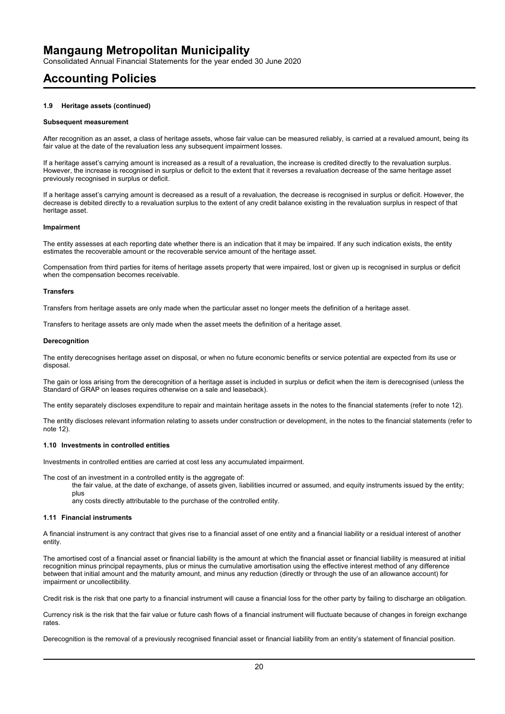Consolidated Annual Financial Statements for the year ended 30 June 2020

## **Accounting Policies**

### **1.9 Heritage assets (continued)**

#### **Subsequent measurement**

After recognition as an asset, a class of heritage assets, whose fair value can be measured reliably, is carried at a revalued amount, being its fair value at the date of the revaluation less any subsequent impairment losses.

If a heritage asset's carrying amount is increased as a result of a revaluation, the increase is credited directly to the revaluation surplus. However, the increase is recognised in surplus or deficit to the extent that it reverses a revaluation decrease of the same heritage asset previously recognised in surplus or deficit.

If a heritage asset's carrying amount is decreased as a result of a revaluation, the decrease is recognised in surplus or deficit. However, the decrease is debited directly to a revaluation surplus to the extent of any credit balance existing in the revaluation surplus in respect of that heritage asset.

#### **Impairment**

The entity assesses at each reporting date whether there is an indication that it may be impaired. If any such indication exists, the entity estimates the recoverable amount or the recoverable service amount of the heritage asset.

Compensation from third parties for items of heritage assets property that were impaired, lost or given up is recognised in surplus or deficit when the compensation becomes receivable.

#### **Transfers**

Transfers from heritage assets are only made when the particular asset no longer meets the definition of a heritage asset.

Transfers to heritage assets are only made when the asset meets the definition of a heritage asset.

#### **Derecognition**

The entity derecognises heritage asset on disposal, or when no future economic benefits or service potential are expected from its use or disposal.

The gain or loss arising from the derecognition of a heritage asset is included in surplus or deficit when the item is derecognised (unless the Standard of GRAP on leases requires otherwise on a sale and leaseback).

The entity separately discloses expenditure to repair and maintain heritage assets in the notes to the financial statements (refer to note 12).

The entity discloses relevant information relating to assets under construction or development, in the notes to the financial statements (refer to note 12).

#### **1.10 Investments in controlled entities**

Investments in controlled entities are carried at cost less any accumulated impairment.

The cost of an investment in a controlled entity is the aggregate of:

the fair value, at the date of exchange, of assets given, liabilities incurred or assumed, and equity instruments issued by the entity; plus

any costs directly attributable to the purchase of the controlled entity.

#### **1.11 Financial instruments**

A financial instrument is any contract that gives rise to a financial asset of one entity and a financial liability or a residual interest of another entity.

The amortised cost of a financial asset or financial liability is the amount at which the financial asset or financial liability is measured at initial recognition minus principal repayments, plus or minus the cumulative amortisation using the effective interest method of any difference between that initial amount and the maturity amount, and minus any reduction (directly or through the use of an allowance account) for impairment or uncollectibility.

Credit risk is the risk that one party to a financial instrument will cause a financial loss for the other party by failing to discharge an obligation.

Currency risk is the risk that the fair value or future cash flows of a financial instrument will fluctuate because of changes in foreign exchange rates.

Derecognition is the removal of a previously recognised financial asset or financial liability from an entity's statement of financial position.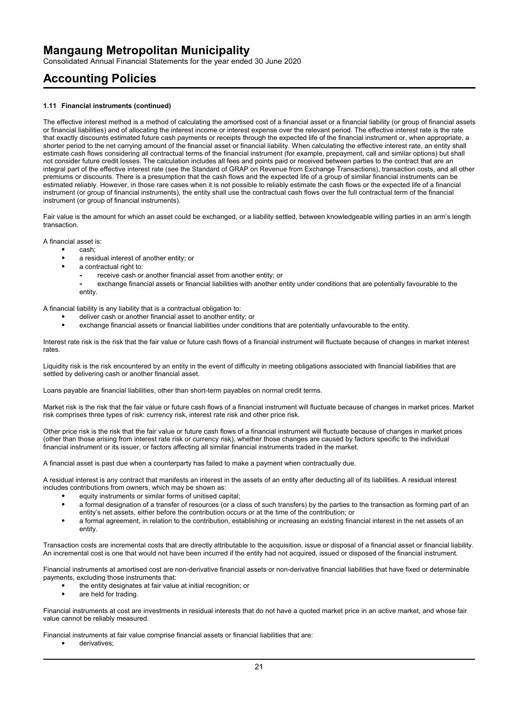Consolidated Annual Financial Statements for the year ended 30 June 2020

# **Accounting Policies**

### **1.11 Financial instruments (continued)**

The effective interest method is a method of calculating the amortised cost of a financial asset or a financial liability (or group of financial assets or financial liabilities) and of allocating the interest income or interest expense over the relevant period. The effective interest rate is the rate that exactly discounts estimated future cash payments or receipts through the expected life of the financial instrument or, when appropriate, a shorter period to the net carrying amount of the financial asset or financial liability. When calculating the effective interest rate, an entity shall estimate cash flows considering all contractual terms of the financial instrument (for example, prepayment, call and similar options) but shall not consider future credit losses. The calculation includes all fees and points paid or received between parties to the contract that are an integral part of the effective interest rate (see the Standard of GRAP on Revenue from Exchange Transactions), transaction costs, and all other premiums or discounts. There is a presumption that the cash flows and the expected life of a group of similar financial instruments can be estimated reliably. However, in those rare cases when it is not possible to reliably estimate the cash flows or the expected life of a financial instrument (or group of financial instruments), the entity shall use the contractual cash flows over the full contractual term of the financial instrument (or group of financial instruments).

Fair value is the amount for which an asset could be exchanged, or a liability settled, between knowledgeable willing parties in an arm's length transaction.

A financial asset is:

- cash;
- a residual interest of another entity; or
- a contractual right to:
	- **-** receive cash or another financial asset from another entity; or
	- **-** exchange financial assets or financial liabilities with another entity under conditions that are potentially favourable to the entity.

A financial liability is any liability that is a contractual obligation to:

- deliver cash or another financial asset to another entity; or
- exchange financial assets or financial liabilities under conditions that are potentially unfavourable to the entity.

Interest rate risk is the risk that the fair value or future cash flows of a financial instrument will fluctuate because of changes in market interest rates

Liquidity risk is the risk encountered by an entity in the event of difficulty in meeting obligations associated with financial liabilities that are settled by delivering cash or another financial asset.

Loans payable are financial liabilities, other than short-term payables on normal credit terms.

Market risk is the risk that the fair value or future cash flows of a financial instrument will fluctuate because of changes in market prices. Market risk comprises three types of risk: currency risk, interest rate risk and other price risk.

Other price risk is the risk that the fair value or future cash flows of a financial instrument will fluctuate because of changes in market prices (other than those arising from interest rate risk or currency risk), whether those changes are caused by factors specific to the individual financial instrument or its issuer, or factors affecting all similar financial instruments traded in the market.

A financial asset is past due when a counterparty has failed to make a payment when contractually due.

A residual interest is any contract that manifests an interest in the assets of an entity after deducting all of its liabilities. A residual interest includes contributions from owners, which may be shown as:

- equity instruments or similar forms of unitised capital;
- a formal designation of a transfer of resources (or a class of such transfers) by the parties to the transaction as forming part of an entity's net assets, either before the contribution occurs or at the time of the contribution; or
- a formal agreement, in relation to the contribution, establishing or increasing an existing financial interest in the net assets of an entity.

Transaction costs are incremental costs that are directly attributable to the acquisition, issue or disposal of a financial asset or financial liability. An incremental cost is one that would not have been incurred if the entity had not acquired, issued or disposed of the financial instrument.

Financial instruments at amortised cost are non-derivative financial assets or non-derivative financial liabilities that have fixed or determinable payments, excluding those instruments that:

- the entity designates at fair value at initial recognition; or
- are held for trading.

Financial instruments at cost are investments in residual interests that do not have a quoted market price in an active market, and whose fair value cannot be reliably measured.

Financial instruments at fair value comprise financial assets or financial liabilities that are:

derivatives;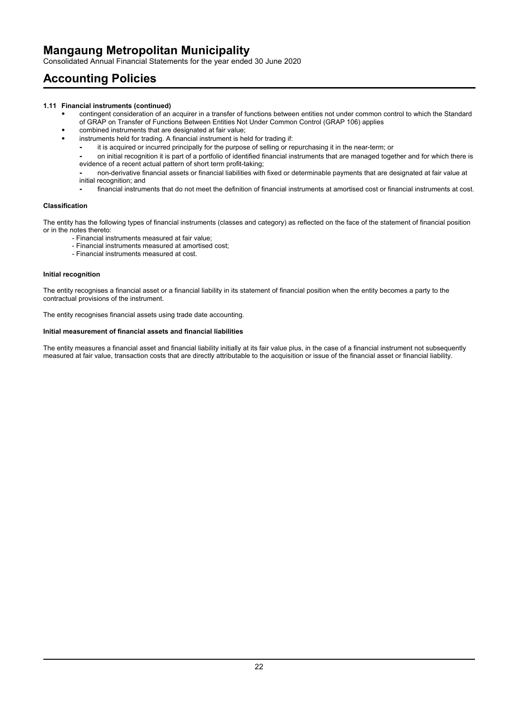Consolidated Annual Financial Statements for the year ended 30 June 2020

# **Accounting Policies**

### **1.11 Financial instruments (continued)**

- contingent consideration of an acquirer in a transfer of functions between entities not under common control to which the Standard
	- of GRAP on Transfer of Functions Between Entities Not Under Common Control (GRAP 106) applies
- combined instruments that are designated at fair value;
- instruments held for trading. A financial instrument is held for trading if:
	- **-** it is acquired or incurred principally for the purpose of selling or repurchasing it in the near-term; or
	- **-** on initial recognition it is part of a portfolio of identified financial instruments that are managed together and for which there is evidence of a recent actual pattern of short term profit-taking;
	- **-** non-derivative financial assets or financial liabilities with fixed or determinable payments that are designated at fair value at initial recognition; and
	- **-** financial instruments that do not meet the definition of financial instruments at amortised cost or financial instruments at cost.

### **Classification**

The entity has the following types of financial instruments (classes and category) as reflected on the face of the statement of financial position or in the notes thereto:

- Financial instruments measured at fair value;
- Financial instruments measured at amortised cost;
- Financial instruments measured at cost.

### **Initial recognition**

The entity recognises a financial asset or a financial liability in its statement of financial position when the entity becomes a party to the contractual provisions of the instrument.

The entity recognises financial assets using trade date accounting.

### **Initial measurement of financial assets and financial liabilities**

The entity measures a financial asset and financial liability initially at its fair value plus, in the case of a financial instrument not subsequently measured at fair value, transaction costs that are directly attributable to the acquisition or issue of the financial asset or financial liability.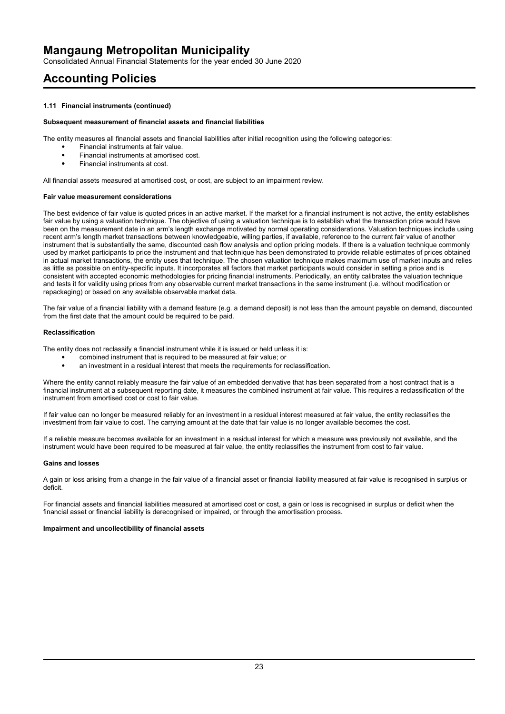Consolidated Annual Financial Statements for the year ended 30 June 2020

# **Accounting Policies**

### **1.11 Financial instruments (continued)**

### **Subsequent measurement of financial assets and financial liabilities**

The entity measures all financial assets and financial liabilities after initial recognition using the following categories:

- Financial instruments at fair value. Financial instruments at amortised cost.
- 
- Financial instruments at cost.

All financial assets measured at amortised cost, or cost, are subject to an impairment review.

#### **Fair value measurement considerations**

The best evidence of fair value is quoted prices in an active market. If the market for a financial instrument is not active, the entity establishes fair value by using a valuation technique. The objective of using a valuation technique is to establish what the transaction price would have been on the measurement date in an arm's length exchange motivated by normal operating considerations. Valuation techniques include using recent arm's length market transactions between knowledgeable, willing parties, if available, reference to the current fair value of another instrument that is substantially the same, discounted cash flow analysis and option pricing models. If there is a valuation technique commonly used by market participants to price the instrument and that technique has been demonstrated to provide reliable estimates of prices obtained in actual market transactions, the entity uses that technique. The chosen valuation technique makes maximum use of market inputs and relies as little as possible on entity-specific inputs. It incorporates all factors that market participants would consider in setting a price and is consistent with accepted economic methodologies for pricing financial instruments. Periodically, an entity calibrates the valuation technique and tests it for validity using prices from any observable current market transactions in the same instrument (i.e. without modification or repackaging) or based on any available observable market data.

The fair value of a financial liability with a demand feature (e.g. a demand deposit) is not less than the amount payable on demand, discounted from the first date that the amount could be required to be paid.

#### **Reclassification**

The entity does not reclassify a financial instrument while it is issued or held unless it is:

- combined instrument that is required to be measured at fair value; or
- an investment in a residual interest that meets the requirements for reclassification.

Where the entity cannot reliably measure the fair value of an embedded derivative that has been separated from a host contract that is a financial instrument at a subsequent reporting date, it measures the combined instrument at fair value. This requires a reclassification of the instrument from amortised cost or cost to fair value.

If fair value can no longer be measured reliably for an investment in a residual interest measured at fair value, the entity reclassifies the investment from fair value to cost. The carrying amount at the date that fair value is no longer available becomes the cost.

If a reliable measure becomes available for an investment in a residual interest for which a measure was previously not available, and the instrument would have been required to be measured at fair value, the entity reclassifies the instrument from cost to fair value.

#### **Gains and losses**

A gain or loss arising from a change in the fair value of a financial asset or financial liability measured at fair value is recognised in surplus or deficit.

For financial assets and financial liabilities measured at amortised cost or cost, a gain or loss is recognised in surplus or deficit when the financial asset or financial liability is derecognised or impaired, or through the amortisation process.

### **Impairment and uncollectibility of financial assets**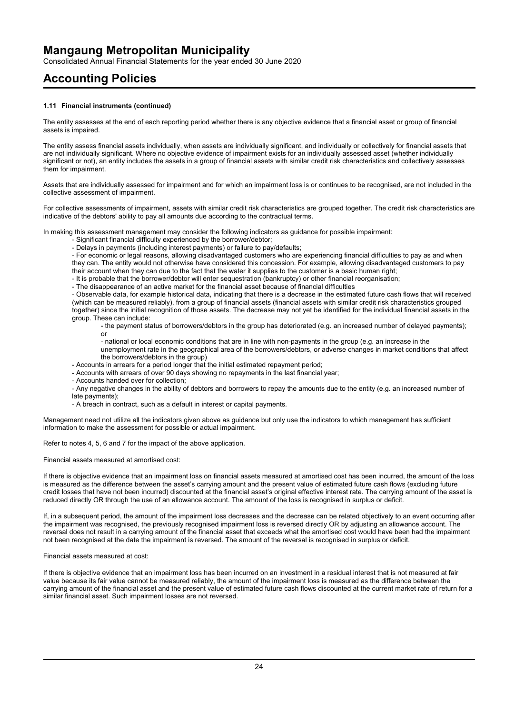Consolidated Annual Financial Statements for the year ended 30 June 2020

# **Accounting Policies**

### **1.11 Financial instruments (continued)**

The entity assesses at the end of each reporting period whether there is any objective evidence that a financial asset or group of financial assets is impaired.

The entity assess financial assets individually, when assets are individually significant, and individually or collectively for financial assets that are not individually significant. Where no objective evidence of impairment exists for an individually assessed asset (whether individually significant or not), an entity includes the assets in a group of financial assets with similar credit risk characteristics and collectively assesses them for impairment.

Assets that are individually assessed for impairment and for which an impairment loss is or continues to be recognised, are not included in the collective assessment of impairment.

For collective assessments of impairment, assets with similar credit risk characteristics are grouped together. The credit risk characteristics are indicative of the debtors' ability to pay all amounts due according to the contractual terms.

In making this assessment management may consider the following indicators as guidance for possible impairment:

- Significant financial difficulty experienced by the borrower/debtor;
- Delays in payments (including interest payments) or failure to pay/defaults;
- For economic or legal reasons, allowing disadvantaged customers who are experiencing financial difficulties to pay as and when they can. The entity would not otherwise have considered this concession. For example, allowing disadvantaged customers to pay

their account when they can due to the fact that the water it supplies to the customer is a basic human right;

- It is probable that the borrower/debtor will enter sequestration (bankruptcy) or other financial reorganisation;

- The disappearance of an active market for the financial asset because of financial difficulties

- Observable data, for example historical data, indicating that there is a decrease in the estimated future cash flows that will received (which can be measured reliably), from a group of financial assets (financial assets with similar credit risk characteristics grouped together) since the initial recognition of those assets. The decrease may not yet be identified for the individual financial assets in the group. These can include:

- the payment status of borrowers/debtors in the group has deteriorated (e.g. an increased number of delayed payments); or

- national or local economic conditions that are in line with non-payments in the group (e.g. an increase in the unemployment rate in the geographical area of the borrowers/debtors, or adverse changes in market conditions that affect

the borrowers/debtors in the group)

- Accounts in arrears for a period longer that the initial estimated repayment period;
- Accounts with arrears of over 90 days showing no repayments in the last financial year;
- Accounts handed over for collection;

- Any negative changes in the ability of debtors and borrowers to repay the amounts due to the entity (e.g. an increased number of late payments);

- A breach in contract, such as a default in interest or capital payments.

Management need not utilize all the indicators given above as guidance but only use the indicators to which management has sufficient information to make the assessment for possible or actual impairment.

Refer to notes 4, 5, 6 and 7 for the impact of the above application.

Financial assets measured at amortised cost:

If there is objective evidence that an impairment loss on financial assets measured at amortised cost has been incurred, the amount of the loss is measured as the difference between the asset's carrying amount and the present value of estimated future cash flows (excluding future credit losses that have not been incurred) discounted at the financial asset's original effective interest rate. The carrying amount of the asset is reduced directly OR through the use of an allowance account. The amount of the loss is recognised in surplus or deficit.

If, in a subsequent period, the amount of the impairment loss decreases and the decrease can be related objectively to an event occurring after the impairment was recognised, the previously recognised impairment loss is reversed directly OR by adjusting an allowance account. The reversal does not result in a carrying amount of the financial asset that exceeds what the amortised cost would have been had the impairment not been recognised at the date the impairment is reversed. The amount of the reversal is recognised in surplus or deficit.

#### Financial assets measured at cost:

If there is objective evidence that an impairment loss has been incurred on an investment in a residual interest that is not measured at fair value because its fair value cannot be measured reliably, the amount of the impairment loss is measured as the difference between the carrying amount of the financial asset and the present value of estimated future cash flows discounted at the current market rate of return for a similar financial asset. Such impairment losses are not reversed.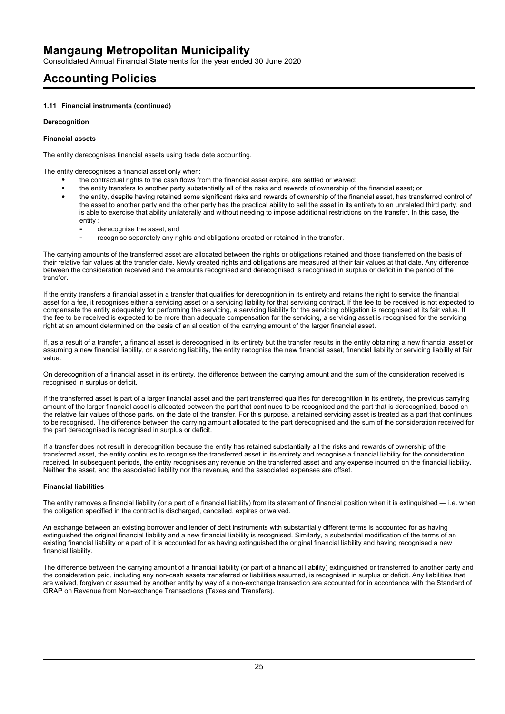Consolidated Annual Financial Statements for the year ended 30 June 2020

# **Accounting Policies**

### **1.11 Financial instruments (continued)**

### **Derecognition**

### **Financial assets**

The entity derecognises financial assets using trade date accounting.

The entity derecognises a financial asset only when:

- the contractual rights to the cash flows from the financial asset expire, are settled or waived;
- the entity transfers to another party substantially all of the risks and rewards of ownership of the financial asset; or the entity, despite having retained some significant risks and rewards of ownership of the financial asset, has transferred control of the asset to another party and the other party has the practical ability to sell the asset in its entirety to an unrelated third party, and is able to exercise that ability unilaterally and without needing to impose additional restrictions on the transfer. In this case, the entity
	- **-** derecognise the asset; and
		- **-** recognise separately any rights and obligations created or retained in the transfer.

The carrying amounts of the transferred asset are allocated between the rights or obligations retained and those transferred on the basis of their relative fair values at the transfer date. Newly created rights and obligations are measured at their fair values at that date. Any difference between the consideration received and the amounts recognised and derecognised is recognised in surplus or deficit in the period of the transfer.

If the entity transfers a financial asset in a transfer that qualifies for derecognition in its entirety and retains the right to service the financial asset for a fee, it recognises either a servicing asset or a servicing liability for that servicing contract. If the fee to be received is not expected to compensate the entity adequately for performing the servicing, a servicing liability for the servicing obligation is recognised at its fair value. If the fee to be received is expected to be more than adequate compensation for the servicing, a servicing asset is recognised for the servicing right at an amount determined on the basis of an allocation of the carrying amount of the larger financial asset.

If, as a result of a transfer, a financial asset is derecognised in its entirety but the transfer results in the entity obtaining a new financial asset or assuming a new financial liability, or a servicing liability, the entity recognise the new financial asset, financial liability or servicing liability at fair value.

On derecognition of a financial asset in its entirety, the difference between the carrying amount and the sum of the consideration received is recognised in surplus or deficit.

If the transferred asset is part of a larger financial asset and the part transferred qualifies for derecognition in its entirety, the previous carrying amount of the larger financial asset is allocated between the part that continues to be recognised and the part that is derecognised, based on the relative fair values of those parts, on the date of the transfer. For this purpose, a retained servicing asset is treated as a part that continues to be recognised. The difference between the carrying amount allocated to the part derecognised and the sum of the consideration received for the part derecognised is recognised in surplus or deficit.

If a transfer does not result in derecognition because the entity has retained substantially all the risks and rewards of ownership of the transferred asset, the entity continues to recognise the transferred asset in its entirety and recognise a financial liability for the consideration received. In subsequent periods, the entity recognises any revenue on the transferred asset and any expense incurred on the financial liability. Neither the asset, and the associated liability nor the revenue, and the associated expenses are offset.

### **Financial liabilities**

The entity removes a financial liability (or a part of a financial liability) from its statement of financial position when it is extinguished - i.e. when the obligation specified in the contract is discharged, cancelled, expires or waived.

An exchange between an existing borrower and lender of debt instruments with substantially different terms is accounted for as having extinguished the original financial liability and a new financial liability is recognised. Similarly, a substantial modification of the terms of an existing financial liability or a part of it is accounted for as having extinguished the original financial liability and having recognised a new financial liability.

The difference between the carrying amount of a financial liability (or part of a financial liability) extinguished or transferred to another party and the consideration paid, including any non-cash assets transferred or liabilities assumed, is recognised in surplus or deficit. Any liabilities that are waived, forgiven or assumed by another entity by way of a non-exchange transaction are accounted for in accordance with the Standard of GRAP on Revenue from Non-exchange Transactions (Taxes and Transfers).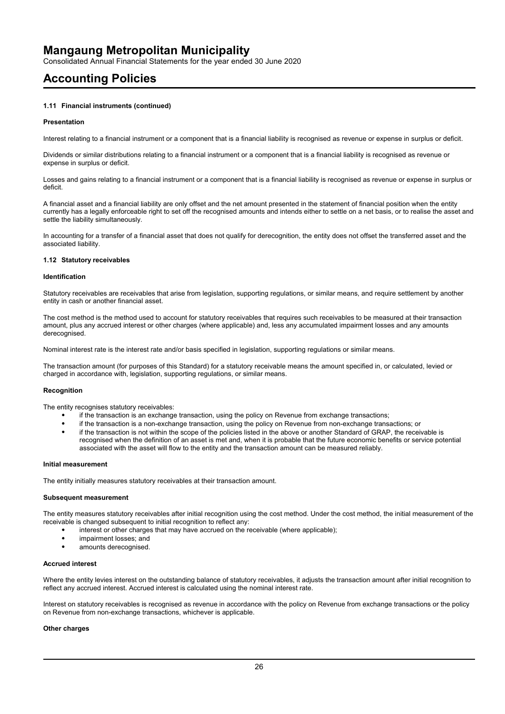Consolidated Annual Financial Statements for the year ended 30 June 2020

# **Accounting Policies**

#### **1.11 Financial instruments (continued)**

#### **Presentation**

Interest relating to a financial instrument or a component that is a financial liability is recognised as revenue or expense in surplus or deficit.

Dividends or similar distributions relating to a financial instrument or a component that is a financial liability is recognised as revenue or expense in surplus or deficit.

Losses and gains relating to a financial instrument or a component that is a financial liability is recognised as revenue or expense in surplus or deficit.

A financial asset and a financial liability are only offset and the net amount presented in the statement of financial position when the entity currently has a legally enforceable right to set off the recognised amounts and intends either to settle on a net basis, or to realise the asset and settle the liability simultaneously.

In accounting for a transfer of a financial asset that does not qualify for derecognition, the entity does not offset the transferred asset and the associated liability.

#### **1.12 Statutory receivables**

#### **Identification**

Statutory receivables are receivables that arise from legislation, supporting regulations, or similar means, and require settlement by another entity in cash or another financial asset.

The cost method is the method used to account for statutory receivables that requires such receivables to be measured at their transaction amount, plus any accrued interest or other charges (where applicable) and, less any accumulated impairment losses and any amounts derecognised.

Nominal interest rate is the interest rate and/or basis specified in legislation, supporting regulations or similar means.

The transaction amount (for purposes of this Standard) for a statutory receivable means the amount specified in, or calculated, levied or charged in accordance with, legislation, supporting regulations, or similar means.

#### **Recognition**

The entity recognises statutory receivables:

- if the transaction is an exchange transaction, using the policy on Revenue from exchange transactions;
- if the transaction is a non-exchange transaction, using the policy on Revenue from non-exchange transactions; or
- if the transaction is not within the scope of the policies listed in the above or another Standard of GRAP, the receivable is recognised when the definition of an asset is met and, when it is probable that the future economic benefits or service potential associated with the asset will flow to the entity and the transaction amount can be measured reliably.

#### **Initial measurement**

The entity initially measures statutory receivables at their transaction amount.

### **Subsequent measurement**

The entity measures statutory receivables after initial recognition using the cost method. Under the cost method, the initial measurement of the receivable is changed subsequent to initial recognition to reflect any:

- interest or other charges that may have accrued on the receivable (where applicable);
- impairment losses; and
- amounts derecognised.

#### **Accrued interest**

Where the entity levies interest on the outstanding balance of statutory receivables, it adjusts the transaction amount after initial recognition to reflect any accrued interest. Accrued interest is calculated using the nominal interest rate.

Interest on statutory receivables is recognised as revenue in accordance with the policy on Revenue from exchange transactions or the policy on Revenue from non-exchange transactions, whichever is applicable.

#### **Other charges**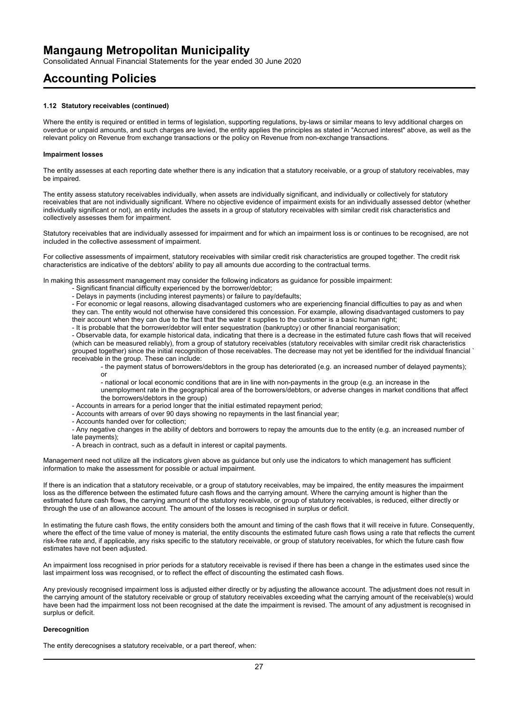Consolidated Annual Financial Statements for the year ended 30 June 2020

### **Accounting Policies**

#### **1.12 Statutory receivables (continued)**

Where the entity is required or entitled in terms of legislation, supporting regulations, by-laws or similar means to levy additional charges on overdue or unpaid amounts, and such charges are levied, the entity applies the principles as stated in "Accrued interest" above, as well as the relevant policy on Revenue from exchange transactions or the policy on Revenue from non-exchange transactions.

#### **Impairment losses**

The entity assesses at each reporting date whether there is any indication that a statutory receivable, or a group of statutory receivables, may be impaired.

The entity assess statutory receivables individually, when assets are individually significant, and individually or collectively for statutory receivables that are not individually significant. Where no objective evidence of impairment exists for an individually assessed debtor (whether individually significant or not), an entity includes the assets in a group of statutory receivables with similar credit risk characteristics and collectively assesses them for impairment.

Statutory receivables that are individually assessed for impairment and for which an impairment loss is or continues to be recognised, are not included in the collective assessment of impairment.

For collective assessments of impairment, statutory receivables with similar credit risk characteristics are grouped together. The credit risk characteristics are indicative of the debtors' ability to pay all amounts due according to the contractual terms.

In making this assessment management may consider the following indicators as guidance for possible impairment:

- Significant financial difficulty experienced by the borrower/debtor;
- Delays in payments (including interest payments) or failure to pay/defaults;

- For economic or legal reasons, allowing disadvantaged customers who are experiencing financial difficulties to pay as and when they can. The entity would not otherwise have considered this concession. For example, allowing disadvantaged customers to pay their account when they can due to the fact that the water it supplies to the customer is a basic human right;

- It is probable that the borrower/debtor will enter sequestration (bankruptcy) or other financial reorganisation;

- Observable data, for example historical data, indicating that there is a decrease in the estimated future cash flows that will received (which can be measured reliably), from a group of statutory receivables (statutory receivables with similar credit risk characteristics grouped together) since the initial recognition of those receivables. The decrease may not yet be identified for the individual financial ` receivable in the group. These can include:

- the payment status of borrowers/debtors in the group has deteriorated (e.g. an increased number of delayed payments); or

- national or local economic conditions that are in line with non-payments in the group (e.g. an increase in the

unemployment rate in the geographical area of the borrowers/debtors, or adverse changes in market conditions that affect the borrowers/debtors in the group)

- Accounts in arrears for a period longer that the initial estimated repayment period;
- Accounts with arrears of over 90 days showing no repayments in the last financial year;
- Accounts handed over for collection;

- Any negative changes in the ability of debtors and borrowers to repay the amounts due to the entity (e.g. an increased number of late payments);

- A breach in contract, such as a default in interest or capital payments.

Management need not utilize all the indicators given above as guidance but only use the indicators to which management has sufficient information to make the assessment for possible or actual impairment.

If there is an indication that a statutory receivable, or a group of statutory receivables, may be impaired, the entity measures the impairment loss as the difference between the estimated future cash flows and the carrying amount. Where the carrying amount is higher than the estimated future cash flows, the carrying amount of the statutory receivable, or group of statutory receivables, is reduced, either directly or through the use of an allowance account. The amount of the losses is recognised in surplus or deficit.

In estimating the future cash flows, the entity considers both the amount and timing of the cash flows that it will receive in future. Consequently, where the effect of the time value of money is material, the entity discounts the estimated future cash flows using a rate that reflects the current risk-free rate and, if applicable, any risks specific to the statutory receivable, or group of statutory receivables, for which the future cash flow estimates have not been adjusted.

An impairment loss recognised in prior periods for a statutory receivable is revised if there has been a change in the estimates used since the last impairment loss was recognised, or to reflect the effect of discounting the estimated cash flows.

Any previously recognised impairment loss is adjusted either directly or by adjusting the allowance account. The adjustment does not result in the carrying amount of the statutory receivable or group of statutory receivables exceeding what the carrying amount of the receivable(s) would have been had the impairment loss not been recognised at the date the impairment is revised. The amount of any adjustment is recognised in surplus or deficit.

#### **Derecognition**

The entity derecognises a statutory receivable, or a part thereof, when: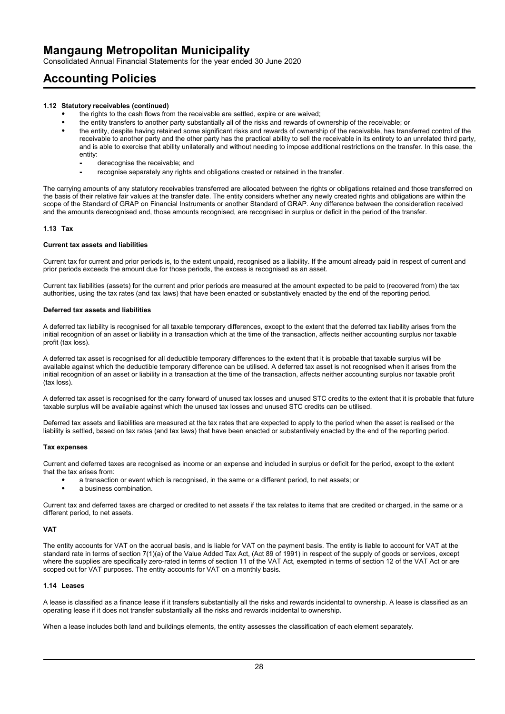Consolidated Annual Financial Statements for the year ended 30 June 2020

## **Accounting Policies**

### **1.12 Statutory receivables (continued)**

- the rights to the cash flows from the receivable are settled, expire or are waived;
- the entity transfers to another party substantially all of the risks and rewards of ownership of the receivable; or
- the entity, despite having retained some significant risks and rewards of ownership of the receivable, has transferred control of the receivable to another party and the other party has the practical ability to sell the receivable in its entirety to an unrelated third party, and is able to exercise that ability unilaterally and without needing to impose additional restrictions on the transfer. In this case, the entity:
	- **-** derecognise the receivable; and
	- **-** recognise separately any rights and obligations created or retained in the transfer.

The carrying amounts of any statutory receivables transferred are allocated between the rights or obligations retained and those transferred on the basis of their relative fair values at the transfer date. The entity considers whether any newly created rights and obligations are within the scope of the Standard of GRAP on Financial Instruments or another Standard of GRAP. Any difference between the consideration received and the amounts derecognised and, those amounts recognised, are recognised in surplus or deficit in the period of the transfer.

#### **1.13 Tax**

#### **Current tax assets and liabilities**

Current tax for current and prior periods is, to the extent unpaid, recognised as a liability. If the amount already paid in respect of current and prior periods exceeds the amount due for those periods, the excess is recognised as an asset.

Current tax liabilities (assets) for the current and prior periods are measured at the amount expected to be paid to (recovered from) the tax authorities, using the tax rates (and tax laws) that have been enacted or substantively enacted by the end of the reporting period.

### **Deferred tax assets and liabilities**

A deferred tax liability is recognised for all taxable temporary differences, except to the extent that the deferred tax liability arises from the initial recognition of an asset or liability in a transaction which at the time of the transaction, affects neither accounting surplus nor taxable profit (tax loss).

A deferred tax asset is recognised for all deductible temporary differences to the extent that it is probable that taxable surplus will be available against which the deductible temporary difference can be utilised. A deferred tax asset is not recognised when it arises from the initial recognition of an asset or liability in a transaction at the time of the transaction, affects neither accounting surplus nor taxable profit (tax loss).

A deferred tax asset is recognised for the carry forward of unused tax losses and unused STC credits to the extent that it is probable that future taxable surplus will be available against which the unused tax losses and unused STC credits can be utilised.

Deferred tax assets and liabilities are measured at the tax rates that are expected to apply to the period when the asset is realised or the liability is settled, based on tax rates (and tax laws) that have been enacted or substantively enacted by the end of the reporting period.

#### **Tax expenses**

Current and deferred taxes are recognised as income or an expense and included in surplus or deficit for the period, except to the extent that the tax arises from:

- a transaction or event which is recognised, in the same or a different period, to net assets; or
- a business combination.

Current tax and deferred taxes are charged or credited to net assets if the tax relates to items that are credited or charged, in the same or a different period, to net assets.

#### **VAT**

The entity accounts for VAT on the accrual basis, and is liable for VAT on the payment basis. The entity is liable to account for VAT at the standard rate in terms of section 7(1)(a) of the Value Added Tax Act, (Act 89 of 1991) in respect of the supply of goods or services, except where the supplies are specifically zero-rated in terms of section 11 of the VAT Act, exempted in terms of section 12 of the VAT Act or are scoped out for VAT purposes. The entity accounts for VAT on a monthly basis.

#### **1.14 Leases**

A lease is classified as a finance lease if it transfers substantially all the risks and rewards incidental to ownership. A lease is classified as an operating lease if it does not transfer substantially all the risks and rewards incidental to ownership.

When a lease includes both land and buildings elements, the entity assesses the classification of each element separately.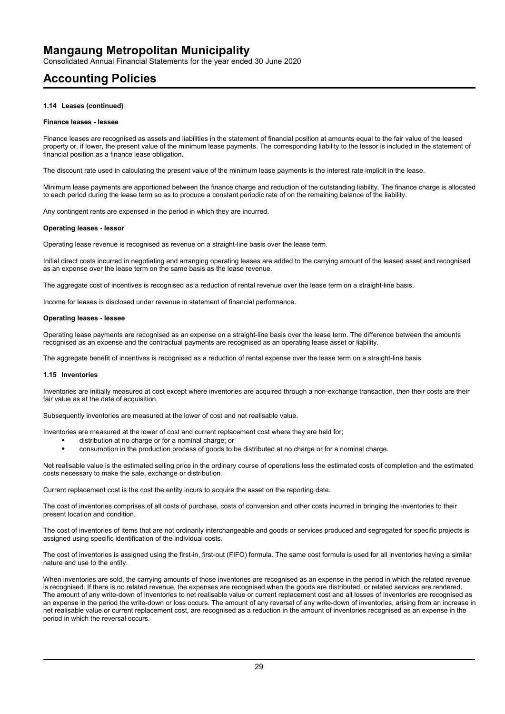Consolidated Annual Financial Statements for the year ended 30 June 2020

# **Accounting Policies**

#### **1.14 Leases (continued)**

#### **Finance leases - lessee**

Finance leases are recognised as assets and liabilities in the statement of financial position at amounts equal to the fair value of the leased property or, if lower, the present value of the minimum lease payments. The corresponding liability to the lessor is included in the statement of financial position as a finance lease obligation.

The discount rate used in calculating the present value of the minimum lease payments is the interest rate implicit in the lease.

Minimum lease payments are apportioned between the finance charge and reduction of the outstanding liability. The finance charge is allocated to each period during the lease term so as to produce a constant periodic rate of on the remaining balance of the liability.

Any contingent rents are expensed in the period in which they are incurred.

#### **Operating leases - lessor**

Operating lease revenue is recognised as revenue on a straight-line basis over the lease term.

Initial direct costs incurred in negotiating and arranging operating leases are added to the carrying amount of the leased asset and recognised as an expense over the lease term on the same basis as the lease revenue.

The aggregate cost of incentives is recognised as a reduction of rental revenue over the lease term on a straight-line basis.

Income for leases is disclosed under revenue in statement of financial performance.

#### **Operating leases - lessee**

Operating lease payments are recognised as an expense on a straight-line basis over the lease term. The difference between the amounts recognised as an expense and the contractual payments are recognised as an operating lease asset or liability.

The aggregate benefit of incentives is recognised as a reduction of rental expense over the lease term on a straight-line basis.

#### **1.15 Inventories**

Inventories are initially measured at cost except where inventories are acquired through a non-exchange transaction, then their costs are their fair value as at the date of acquisition.

Subsequently inventories are measured at the lower of cost and net realisable value.

Inventories are measured at the lower of cost and current replacement cost where they are held for;

- distribution at no charge or for a nominal charge; or
- consumption in the production process of goods to be distributed at no charge or for a nominal charge.

Net realisable value is the estimated selling price in the ordinary course of operations less the estimated costs of completion and the estimated costs necessary to make the sale, exchange or distribution.

Current replacement cost is the cost the entity incurs to acquire the asset on the reporting date.

The cost of inventories comprises of all costs of purchase, costs of conversion and other costs incurred in bringing the inventories to their present location and condition.

The cost of inventories of items that are not ordinarily interchangeable and goods or services produced and segregated for specific projects is assigned using specific identification of the individual costs.

The cost of inventories is assigned using the first-in, first-out (FIFO) formula. The same cost formula is used for all inventories having a similar nature and use to the entity.

When inventories are sold, the carrying amounts of those inventories are recognised as an expense in the period in which the related revenue is recognised. If there is no related revenue, the expenses are recognised when the goods are distributed, or related services are rendered. The amount of any write-down of inventories to net realisable value or current replacement cost and all losses of inventories are recognised as an expense in the period the write-down or loss occurs. The amount of any reversal of any write-down of inventories, arising from an increase in net realisable value or current replacement cost, are recognised as a reduction in the amount of inventories recognised as an expense in the period in which the reversal occurs.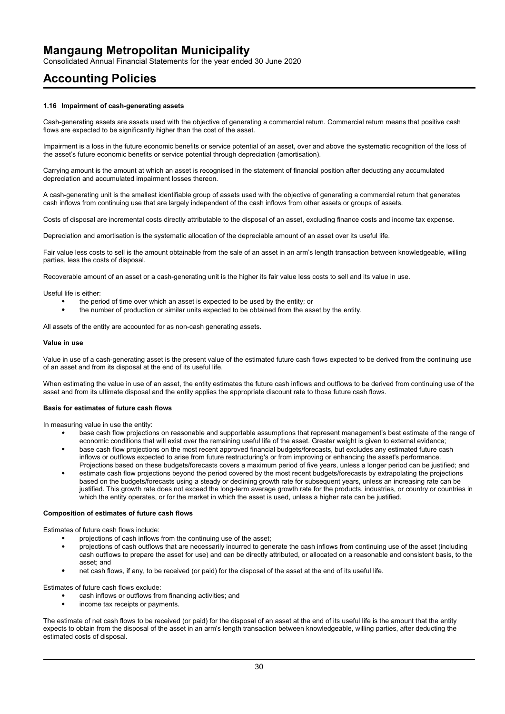Consolidated Annual Financial Statements for the year ended 30 June 2020

## **Accounting Policies**

#### **1.16 Impairment of cash-generating assets**

Cash-generating assets are assets used with the objective of generating a commercial return. Commercial return means that positive cash flows are expected to be significantly higher than the cost of the asset.

Impairment is a loss in the future economic benefits or service potential of an asset, over and above the systematic recognition of the loss of the asset's future economic benefits or service potential through depreciation (amortisation).

Carrying amount is the amount at which an asset is recognised in the statement of financial position after deducting any accumulated depreciation and accumulated impairment losses thereon.

A cash-generating unit is the smallest identifiable group of assets used with the objective of generating a commercial return that generates cash inflows from continuing use that are largely independent of the cash inflows from other assets or groups of assets.

Costs of disposal are incremental costs directly attributable to the disposal of an asset, excluding finance costs and income tax expense.

Depreciation and amortisation is the systematic allocation of the depreciable amount of an asset over its useful life.

Fair value less costs to sell is the amount obtainable from the sale of an asset in an arm's length transaction between knowledgeable, willing parties, less the costs of disposal.

Recoverable amount of an asset or a cash-generating unit is the higher its fair value less costs to sell and its value in use.

Useful life is either:

- the period of time over which an asset is expected to be used by the entity; or
- the number of production or similar units expected to be obtained from the asset by the entity.

All assets of the entity are accounted for as non-cash generating assets.

#### **Value in use**

Value in use of a cash-generating asset is the present value of the estimated future cash flows expected to be derived from the continuing use of an asset and from its disposal at the end of its useful life.

When estimating the value in use of an asset, the entity estimates the future cash inflows and outflows to be derived from continuing use of the asset and from its ultimate disposal and the entity applies the appropriate discount rate to those future cash flows.

#### **Basis for estimates of future cash flows**

In measuring value in use the entity:

- base cash flow projections on reasonable and supportable assumptions that represent management's best estimate of the range of economic conditions that will exist over the remaining useful life of the asset. Greater weight is given to external evidence;
- base cash flow projections on the most recent approved financial budgets/forecasts, but excludes any estimated future cash inflows or outflows expected to arise from future restructuring's or from improving or enhancing the asset's performance. Projections based on these budgets/forecasts covers a maximum period of five years, unless a longer period can be justified; and
- estimate cash flow projections beyond the period covered by the most recent budgets/forecasts by extrapolating the projections based on the budgets/forecasts using a steady or declining growth rate for subsequent years, unless an increasing rate can be justified. This growth rate does not exceed the long-term average growth rate for the products, industries, or country or countries in which the entity operates, or for the market in which the asset is used, unless a higher rate can be justified.

#### **Composition of estimates of future cash flows**

Estimates of future cash flows include:

- projections of cash inflows from the continuing use of the asset;
- projections of cash outflows that are necessarily incurred to generate the cash inflows from continuing use of the asset (including cash outflows to prepare the asset for use) and can be directly attributed, or allocated on a reasonable and consistent basis, to the asset; and
- net cash flows, if any, to be received (or paid) for the disposal of the asset at the end of its useful life.

Estimates of future cash flows exclude:

- cash inflows or outflows from financing activities; and
- income tax receipts or payments.

The estimate of net cash flows to be received (or paid) for the disposal of an asset at the end of its useful life is the amount that the entity expects to obtain from the disposal of the asset in an arm's length transaction between knowledgeable, willing parties, after deducting the estimated costs of disposal.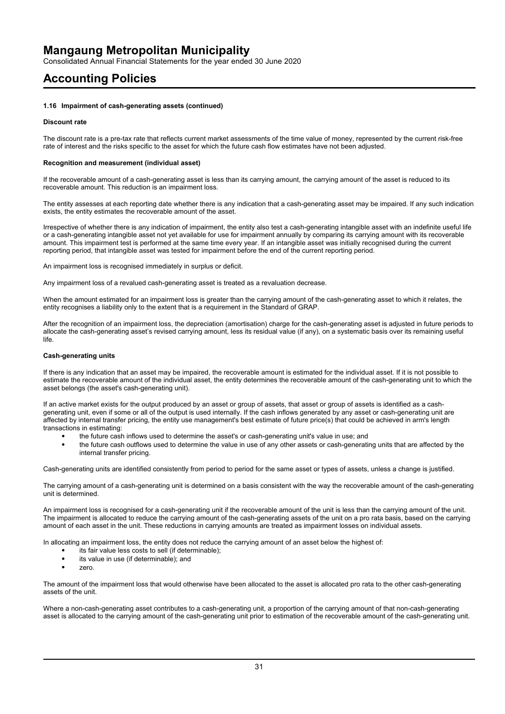Consolidated Annual Financial Statements for the year ended 30 June 2020

## **Accounting Policies**

#### **1.16 Impairment of cash-generating assets (continued)**

#### **Discount rate**

The discount rate is a pre-tax rate that reflects current market assessments of the time value of money, represented by the current risk-free rate of interest and the risks specific to the asset for which the future cash flow estimates have not been adjusted.

#### **Recognition and measurement (individual asset)**

If the recoverable amount of a cash-generating asset is less than its carrying amount, the carrying amount of the asset is reduced to its recoverable amount. This reduction is an impairment loss.

The entity assesses at each reporting date whether there is any indication that a cash-generating asset may be impaired. If any such indication exists, the entity estimates the recoverable amount of the asset.

Irrespective of whether there is any indication of impairment, the entity also test a cash-generating intangible asset with an indefinite useful life or a cash-generating intangible asset not yet available for use for impairment annually by comparing its carrying amount with its recoverable amount. This impairment test is performed at the same time every year. If an intangible asset was initially recognised during the current reporting period, that intangible asset was tested for impairment before the end of the current reporting period.

An impairment loss is recognised immediately in surplus or deficit.

Any impairment loss of a revalued cash-generating asset is treated as a revaluation decrease.

When the amount estimated for an impairment loss is greater than the carrying amount of the cash-generating asset to which it relates, the entity recognises a liability only to the extent that is a requirement in the Standard of GRAP.

After the recognition of an impairment loss, the depreciation (amortisation) charge for the cash-generating asset is adjusted in future periods to allocate the cash-generating asset's revised carrying amount, less its residual value (if any), on a systematic basis over its remaining useful life.

#### **Cash-generating units**

If there is any indication that an asset may be impaired, the recoverable amount is estimated for the individual asset. If it is not possible to estimate the recoverable amount of the individual asset, the entity determines the recoverable amount of the cash-generating unit to which the asset belongs (the asset's cash-generating unit).

If an active market exists for the output produced by an asset or group of assets, that asset or group of assets is identified as a cashgenerating unit, even if some or all of the output is used internally. If the cash inflows generated by any asset or cash-generating unit are affected by internal transfer pricing, the entity use management's best estimate of future price(s) that could be achieved in arm's length transactions in estimating:

- the future cash inflows used to determine the asset's or cash-generating unit's value in use; and
- the future cash outflows used to determine the value in use of any other assets or cash-generating units that are affected by the internal transfer pricing.

Cash-generating units are identified consistently from period to period for the same asset or types of assets, unless a change is justified.

The carrying amount of a cash-generating unit is determined on a basis consistent with the way the recoverable amount of the cash-generating unit is determined.

An impairment loss is recognised for a cash-generating unit if the recoverable amount of the unit is less than the carrying amount of the unit. The impairment is allocated to reduce the carrying amount of the cash-generating assets of the unit on a pro rata basis, based on the carrying amount of each asset in the unit. These reductions in carrying amounts are treated as impairment losses on individual assets.

In allocating an impairment loss, the entity does not reduce the carrying amount of an asset below the highest of:

- its fair value less costs to sell (if determinable);
- its value in use (if determinable); and
- zero.

The amount of the impairment loss that would otherwise have been allocated to the asset is allocated pro rata to the other cash-generating assets of the unit.

Where a non-cash-generating asset contributes to a cash-generating unit, a proportion of the carrying amount of that non-cash-generating asset is allocated to the carrying amount of the cash-generating unit prior to estimation of the recoverable amount of the cash-generating unit.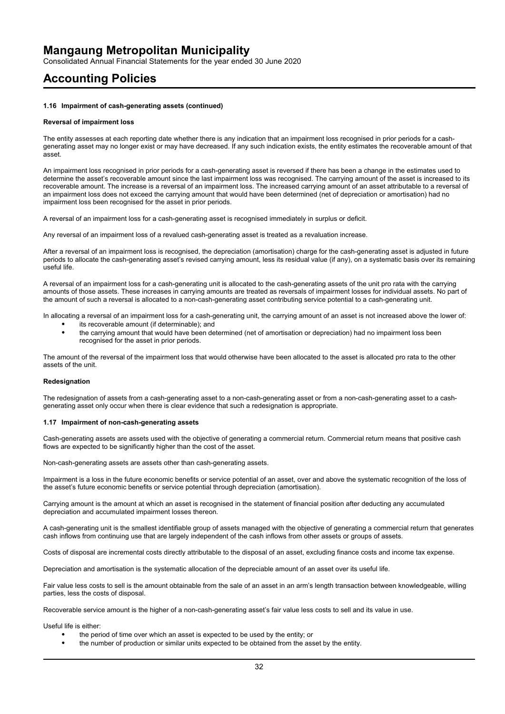Consolidated Annual Financial Statements for the year ended 30 June 2020

## **Accounting Policies**

#### **1.16 Impairment of cash-generating assets (continued)**

#### **Reversal of impairment loss**

The entity assesses at each reporting date whether there is any indication that an impairment loss recognised in prior periods for a cashgenerating asset may no longer exist or may have decreased. If any such indication exists, the entity estimates the recoverable amount of that asset.

An impairment loss recognised in prior periods for a cash-generating asset is reversed if there has been a change in the estimates used to determine the asset's recoverable amount since the last impairment loss was recognised. The carrying amount of the asset is increased to its recoverable amount. The increase is a reversal of an impairment loss. The increased carrying amount of an asset attributable to a reversal of an impairment loss does not exceed the carrying amount that would have been determined (net of depreciation or amortisation) had no impairment loss been recognised for the asset in prior periods.

A reversal of an impairment loss for a cash-generating asset is recognised immediately in surplus or deficit.

Any reversal of an impairment loss of a revalued cash-generating asset is treated as a revaluation increase.

After a reversal of an impairment loss is recognised, the depreciation (amortisation) charge for the cash-generating asset is adjusted in future periods to allocate the cash-generating asset's revised carrying amount, less its residual value (if any), on a systematic basis over its remaining useful life.

A reversal of an impairment loss for a cash-generating unit is allocated to the cash-generating assets of the unit pro rata with the carrying amounts of those assets. These increases in carrying amounts are treated as reversals of impairment losses for individual assets. No part of the amount of such a reversal is allocated to a non-cash-generating asset contributing service potential to a cash-generating unit.

In allocating a reversal of an impairment loss for a cash-generating unit, the carrying amount of an asset is not increased above the lower of:

- its recoverable amount (if determinable); and
- the carrying amount that would have been determined (net of amortisation or depreciation) had no impairment loss been recognised for the asset in prior periods.

The amount of the reversal of the impairment loss that would otherwise have been allocated to the asset is allocated pro rata to the other assets of the unit.

#### **Redesignation**

The redesignation of assets from a cash-generating asset to a non-cash-generating asset or from a non-cash-generating asset to a cashgenerating asset only occur when there is clear evidence that such a redesignation is appropriate.

#### **1.17 Impairment of non-cash-generating assets**

Cash-generating assets are assets used with the objective of generating a commercial return. Commercial return means that positive cash flows are expected to be significantly higher than the cost of the asset.

Non-cash-generating assets are assets other than cash-generating assets.

Impairment is a loss in the future economic benefits or service potential of an asset, over and above the systematic recognition of the loss of the asset's future economic benefits or service potential through depreciation (amortisation).

Carrying amount is the amount at which an asset is recognised in the statement of financial position after deducting any accumulated depreciation and accumulated impairment losses thereon.

A cash-generating unit is the smallest identifiable group of assets managed with the objective of generating a commercial return that generates cash inflows from continuing use that are largely independent of the cash inflows from other assets or groups of assets.

Costs of disposal are incremental costs directly attributable to the disposal of an asset, excluding finance costs and income tax expense.

Depreciation and amortisation is the systematic allocation of the depreciable amount of an asset over its useful life.

Fair value less costs to sell is the amount obtainable from the sale of an asset in an arm's length transaction between knowledgeable, willing parties, less the costs of disposal.

Recoverable service amount is the higher of a non-cash-generating asset's fair value less costs to sell and its value in use.

Useful life is either:

- the period of time over which an asset is expected to be used by the entity; or
- the number of production or similar units expected to be obtained from the asset by the entity.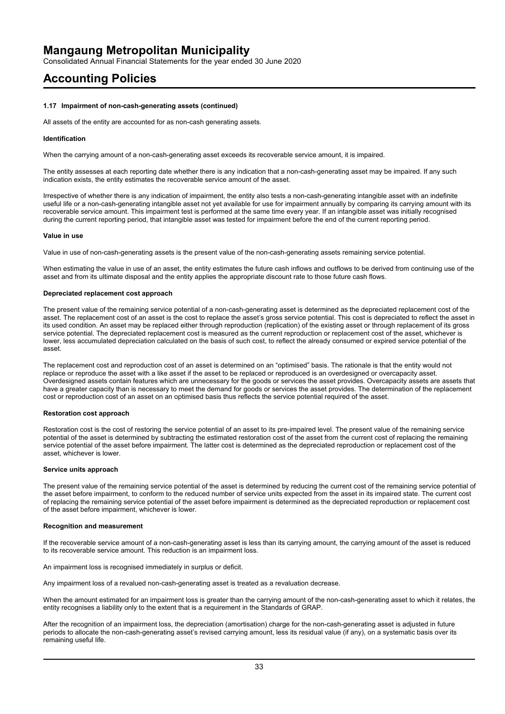Consolidated Annual Financial Statements for the year ended 30 June 2020

# **Accounting Policies**

#### **1.17 Impairment of non-cash-generating assets (continued)**

All assets of the entity are accounted for as non-cash generating assets.

#### **Identification**

When the carrying amount of a non-cash-generating asset exceeds its recoverable service amount, it is impaired.

The entity assesses at each reporting date whether there is any indication that a non-cash-generating asset may be impaired. If any such indication exists, the entity estimates the recoverable service amount of the asset.

Irrespective of whether there is any indication of impairment, the entity also tests a non-cash-generating intangible asset with an indefinite useful life or a non-cash-generating intangible asset not yet available for use for impairment annually by comparing its carrying amount with its recoverable service amount. This impairment test is performed at the same time every year. If an intangible asset was initially recognised during the current reporting period, that intangible asset was tested for impairment before the end of the current reporting period.

#### **Value in use**

Value in use of non-cash-generating assets is the present value of the non-cash-generating assets remaining service potential.

When estimating the value in use of an asset, the entity estimates the future cash inflows and outflows to be derived from continuing use of the asset and from its ultimate disposal and the entity applies the appropriate discount rate to those future cash flows.

### **Depreciated replacement cost approach**

The present value of the remaining service potential of a non-cash-generating asset is determined as the depreciated replacement cost of the asset. The replacement cost of an asset is the cost to replace the asset's gross service potential. This cost is depreciated to reflect the asset in its used condition. An asset may be replaced either through reproduction (replication) of the existing asset or through replacement of its gross service potential. The depreciated replacement cost is measured as the current reproduction or replacement cost of the asset, whichever is lower, less accumulated depreciation calculated on the basis of such cost, to reflect the already consumed or expired service potential of the asset.

The replacement cost and reproduction cost of an asset is determined on an "optimised" basis. The rationale is that the entity would not replace or reproduce the asset with a like asset if the asset to be replaced or reproduced is an overdesigned or overcapacity asset. Overdesigned assets contain features which are unnecessary for the goods or services the asset provides. Overcapacity assets are assets that have a greater capacity than is necessary to meet the demand for goods or services the asset provides. The determination of the replacement cost or reproduction cost of an asset on an optimised basis thus reflects the service potential required of the asset.

#### **Restoration cost approach**

Restoration cost is the cost of restoring the service potential of an asset to its pre-impaired level. The present value of the remaining service potential of the asset is determined by subtracting the estimated restoration cost of the asset from the current cost of replacing the remaining service potential of the asset before impairment. The latter cost is determined as the depreciated reproduction or replacement cost of the asset, whichever is lower.

#### **Service units approach**

The present value of the remaining service potential of the asset is determined by reducing the current cost of the remaining service potential of the asset before impairment, to conform to the reduced number of service units expected from the asset in its impaired state. The current cost of replacing the remaining service potential of the asset before impairment is determined as the depreciated reproduction or replacement cost of the asset before impairment, whichever is lower.

#### **Recognition and measurement**

If the recoverable service amount of a non-cash-generating asset is less than its carrying amount, the carrying amount of the asset is reduced to its recoverable service amount. This reduction is an impairment loss.

An impairment loss is recognised immediately in surplus or deficit.

Any impairment loss of a revalued non-cash-generating asset is treated as a revaluation decrease.

When the amount estimated for an impairment loss is greater than the carrying amount of the non-cash-generating asset to which it relates, the entity recognises a liability only to the extent that is a requirement in the Standards of GRAP.

After the recognition of an impairment loss, the depreciation (amortisation) charge for the non-cash-generating asset is adjusted in future periods to allocate the non-cash-generating asset's revised carrying amount, less its residual value (if any), on a systematic basis over its remaining useful life.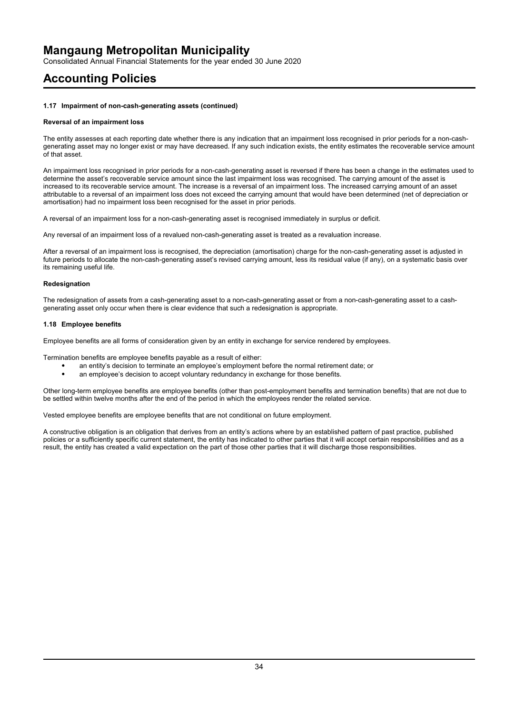Consolidated Annual Financial Statements for the year ended 30 June 2020

# **Accounting Policies**

### **1.17 Impairment of non-cash-generating assets (continued)**

### **Reversal of an impairment loss**

The entity assesses at each reporting date whether there is any indication that an impairment loss recognised in prior periods for a non-cashgenerating asset may no longer exist or may have decreased. If any such indication exists, the entity estimates the recoverable service amount of that asset.

An impairment loss recognised in prior periods for a non-cash-generating asset is reversed if there has been a change in the estimates used to determine the asset's recoverable service amount since the last impairment loss was recognised. The carrying amount of the asset is increased to its recoverable service amount. The increase is a reversal of an impairment loss. The increased carrying amount of an asset attributable to a reversal of an impairment loss does not exceed the carrying amount that would have been determined (net of depreciation or amortisation) had no impairment loss been recognised for the asset in prior periods.

A reversal of an impairment loss for a non-cash-generating asset is recognised immediately in surplus or deficit.

Any reversal of an impairment loss of a revalued non-cash-generating asset is treated as a revaluation increase.

After a reversal of an impairment loss is recognised, the depreciation (amortisation) charge for the non-cash-generating asset is adjusted in future periods to allocate the non-cash-generating asset's revised carrying amount, less its residual value (if any), on a systematic basis over its remaining useful life.

### **Redesignation**

The redesignation of assets from a cash-generating asset to a non-cash-generating asset or from a non-cash-generating asset to a cashgenerating asset only occur when there is clear evidence that such a redesignation is appropriate.

#### **1.18 Employee benefits**

Employee benefits are all forms of consideration given by an entity in exchange for service rendered by employees.

Termination benefits are employee benefits payable as a result of either:

- an entity's decision to terminate an employee's employment before the normal retirement date; or
	- an employee's decision to accept voluntary redundancy in exchange for those benefits.

Other long-term employee benefits are employee benefits (other than post-employment benefits and termination benefits) that are not due to be settled within twelve months after the end of the period in which the employees render the related service.

Vested employee benefits are employee benefits that are not conditional on future employment.

A constructive obligation is an obligation that derives from an entity's actions where by an established pattern of past practice, published policies or a sufficiently specific current statement, the entity has indicated to other parties that it will accept certain responsibilities and as a result, the entity has created a valid expectation on the part of those other parties that it will discharge those responsibilities.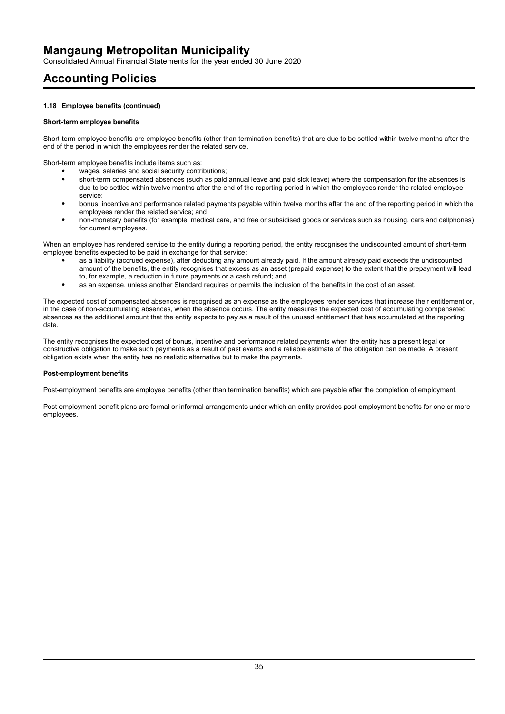Consolidated Annual Financial Statements for the year ended 30 June 2020

# **Accounting Policies**

### **1.18 Employee benefits (continued)**

### **Short-term employee benefits**

Short-term employee benefits are employee benefits (other than termination benefits) that are due to be settled within twelve months after the end of the period in which the employees render the related service.

Short-term employee benefits include items such as:

- wages, salaries and social security contributions;
- short-term compensated absences (such as paid annual leave and paid sick leave) where the compensation for the absences is due to be settled within twelve months after the end of the reporting period in which the employees render the related employee service;
- bonus, incentive and performance related payments payable within twelve months after the end of the reporting period in which the employees render the related service; and
- non-monetary benefits (for example, medical care, and free or subsidised goods or services such as housing, cars and cellphones) for current employees.

When an employee has rendered service to the entity during a reporting period, the entity recognises the undiscounted amount of short-term employee benefits expected to be paid in exchange for that service:

- as a liability (accrued expense), after deducting any amount already paid. If the amount already paid exceeds the undiscounted amount of the benefits, the entity recognises that excess as an asset (prepaid expense) to the extent that the prepayment will lead to, for example, a reduction in future payments or a cash refund; and
- as an expense, unless another Standard requires or permits the inclusion of the benefits in the cost of an asset.

The expected cost of compensated absences is recognised as an expense as the employees render services that increase their entitlement or, in the case of non-accumulating absences, when the absence occurs. The entity measures the expected cost of accumulating compensated absences as the additional amount that the entity expects to pay as a result of the unused entitlement that has accumulated at the reporting date.

The entity recognises the expected cost of bonus, incentive and performance related payments when the entity has a present legal or constructive obligation to make such payments as a result of past events and a reliable estimate of the obligation can be made. A present obligation exists when the entity has no realistic alternative but to make the payments.

### **Post-employment benefits**

Post-employment benefits are employee benefits (other than termination benefits) which are payable after the completion of employment.

Post-employment benefit plans are formal or informal arrangements under which an entity provides post-employment benefits for one or more employees.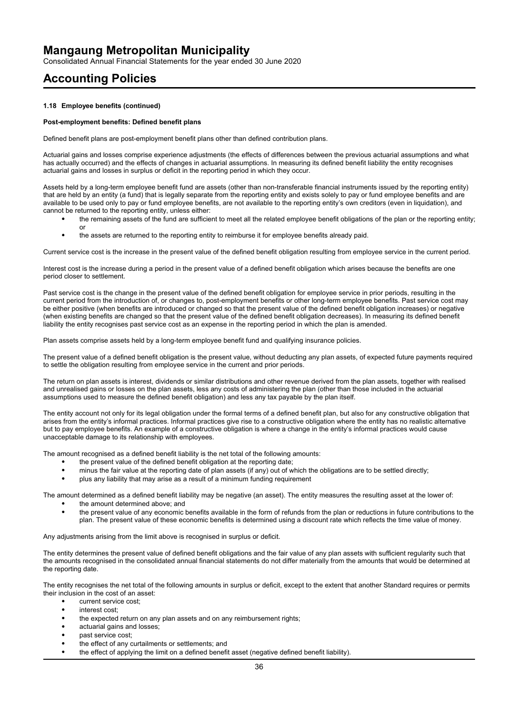Consolidated Annual Financial Statements for the year ended 30 June 2020

# **Accounting Policies**

### **1.18 Employee benefits (continued)**

### **Post-employment benefits: Defined benefit plans**

Defined benefit plans are post-employment benefit plans other than defined contribution plans.

Actuarial gains and losses comprise experience adjustments (the effects of differences between the previous actuarial assumptions and what has actually occurred) and the effects of changes in actuarial assumptions. In measuring its defined benefit liability the entity recognises actuarial gains and losses in surplus or deficit in the reporting period in which they occur.

Assets held by a long-term employee benefit fund are assets (other than non-transferable financial instruments issued by the reporting entity) that are held by an entity (a fund) that is legally separate from the reporting entity and exists solely to pay or fund employee benefits and are available to be used only to pay or fund employee benefits, are not available to the reporting entity's own creditors (even in liquidation), and cannot be returned to the reporting entity, unless either:

- the remaining assets of the fund are sufficient to meet all the related employee benefit obligations of the plan or the reporting entity; or
- the assets are returned to the reporting entity to reimburse it for employee benefits already paid.

Current service cost is the increase in the present value of the defined benefit obligation resulting from employee service in the current period.

Interest cost is the increase during a period in the present value of a defined benefit obligation which arises because the benefits are one period closer to settlement.

Past service cost is the change in the present value of the defined benefit obligation for employee service in prior periods, resulting in the current period from the introduction of, or changes to, post-employment benefits or other long-term employee benefits. Past service cost may be either positive (when benefits are introduced or changed so that the present value of the defined benefit obligation increases) or negative (when existing benefits are changed so that the present value of the defined benefit obligation decreases). In measuring its defined benefit liability the entity recognises past service cost as an expense in the reporting period in which the plan is amended.

Plan assets comprise assets held by a long-term employee benefit fund and qualifying insurance policies.

The present value of a defined benefit obligation is the present value, without deducting any plan assets, of expected future payments required to settle the obligation resulting from employee service in the current and prior periods.

The return on plan assets is interest, dividends or similar distributions and other revenue derived from the plan assets, together with realised and unrealised gains or losses on the plan assets, less any costs of administering the plan (other than those included in the actuarial assumptions used to measure the defined benefit obligation) and less any tax payable by the plan itself.

The entity account not only for its legal obligation under the formal terms of a defined benefit plan, but also for any constructive obligation that arises from the entity's informal practices. Informal practices give rise to a constructive obligation where the entity has no realistic alternative but to pay employee benefits. An example of a constructive obligation is where a change in the entity's informal practices would cause unacceptable damage to its relationship with employees.

The amount recognised as a defined benefit liability is the net total of the following amounts:

- the present value of the defined benefit obligation at the reporting date;
- minus the fair value at the reporting date of plan assets (if any) out of which the obligations are to be settled directly;
- plus any liability that may arise as a result of a minimum funding requirement

The amount determined as a defined benefit liability may be negative (an asset). The entity measures the resulting asset at the lower of:

- the amount determined above; and
- the present value of any economic benefits available in the form of refunds from the plan or reductions in future contributions to the plan. The present value of these economic benefits is determined using a discount rate which reflects the time value of money.

Any adjustments arising from the limit above is recognised in surplus or deficit.

The entity determines the present value of defined benefit obligations and the fair value of any plan assets with sufficient regularity such that the amounts recognised in the consolidated annual financial statements do not differ materially from the amounts that would be determined at the reporting date.

The entity recognises the net total of the following amounts in surplus or deficit, except to the extent that another Standard requires or permits their inclusion in the cost of an asset:

- current service cost;
- interest cost;
- the expected return on any plan assets and on any reimbursement rights:
- actuarial gains and losses;
- past service cost;
- the effect of any curtailments or settlements; and
- the effect of applying the limit on a defined benefit asset (negative defined benefit liability).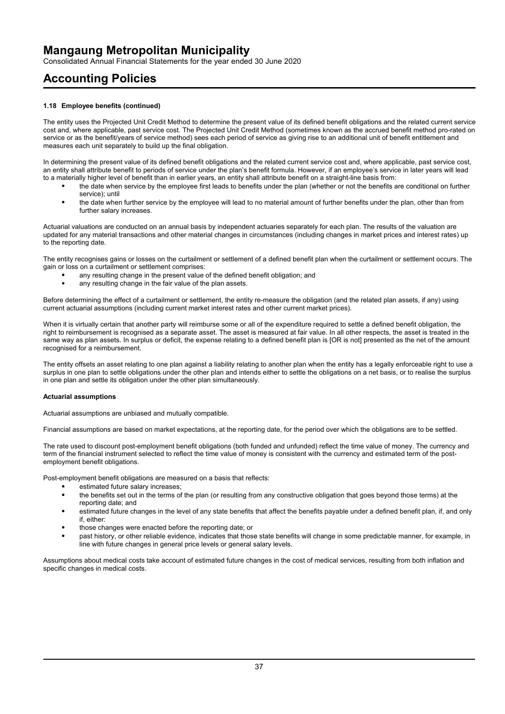Consolidated Annual Financial Statements for the year ended 30 June 2020

# **Accounting Policies**

## **1.18 Employee benefits (continued)**

The entity uses the Projected Unit Credit Method to determine the present value of its defined benefit obligations and the related current service cost and, where applicable, past service cost. The Projected Unit Credit Method (sometimes known as the accrued benefit method pro-rated on service or as the benefit/years of service method) sees each period of service as giving rise to an additional unit of benefit entitlement and measures each unit separately to build up the final obligation.

In determining the present value of its defined benefit obligations and the related current service cost and, where applicable, past service cost, an entity shall attribute benefit to periods of service under the plan's benefit formula. However, if an employee's service in later years will lead to a materially higher level of benefit than in earlier years, an entity shall attribute benefit on a straight-line basis from:

- the date when service by the employee first leads to benefits under the plan (whether or not the benefits are conditional on further service); until
- the date when further service by the employee will lead to no material amount of further benefits under the plan, other than from further salary increases.

Actuarial valuations are conducted on an annual basis by independent actuaries separately for each plan. The results of the valuation are updated for any material transactions and other material changes in circumstances (including changes in market prices and interest rates) up to the reporting date.

The entity recognises gains or losses on the curtailment or settlement of a defined benefit plan when the curtailment or settlement occurs. The gain or loss on a curtailment or settlement comprises:

- any resulting change in the present value of the defined benefit obligation; and
- any resulting change in the fair value of the plan assets.

Before determining the effect of a curtailment or settlement, the entity re-measure the obligation (and the related plan assets, if any) using current actuarial assumptions (including current market interest rates and other current market prices).

When it is virtually certain that another party will reimburse some or all of the expenditure required to settle a defined benefit obligation, the right to reimbursement is recognised as a separate asset. The asset is measured at fair value. In all other respects, the asset is treated in the same way as plan assets. In surplus or deficit, the expense relating to a defined benefit plan is [OR is not] presented as the net of the amount recognised for a reimbursement.

The entity offsets an asset relating to one plan against a liability relating to another plan when the entity has a legally enforceable right to use a surplus in one plan to settle obligations under the other plan and intends either to settle the obligations on a net basis, or to realise the surplus in one plan and settle its obligation under the other plan simultaneously.

## **Actuarial assumptions**

Actuarial assumptions are unbiased and mutually compatible.

Financial assumptions are based on market expectations, at the reporting date, for the period over which the obligations are to be settled.

The rate used to discount post-employment benefit obligations (both funded and unfunded) reflect the time value of money. The currency and term of the financial instrument selected to reflect the time value of money is consistent with the currency and estimated term of the postemployment benefit obligations.

Post-employment benefit obligations are measured on a basis that reflects:

- estimated future salary increases;
- the benefits set out in the terms of the plan (or resulting from any constructive obligation that goes beyond those terms) at the reporting date; and
- estimated future changes in the level of any state benefits that affect the benefits payable under a defined benefit plan, if, and only if, either:
- those changes were enacted before the reporting date; or
- past history, or other reliable evidence, indicates that those state benefits will change in some predictable manner, for example, in line with future changes in general price levels or general salary levels.

Assumptions about medical costs take account of estimated future changes in the cost of medical services, resulting from both inflation and specific changes in medical costs.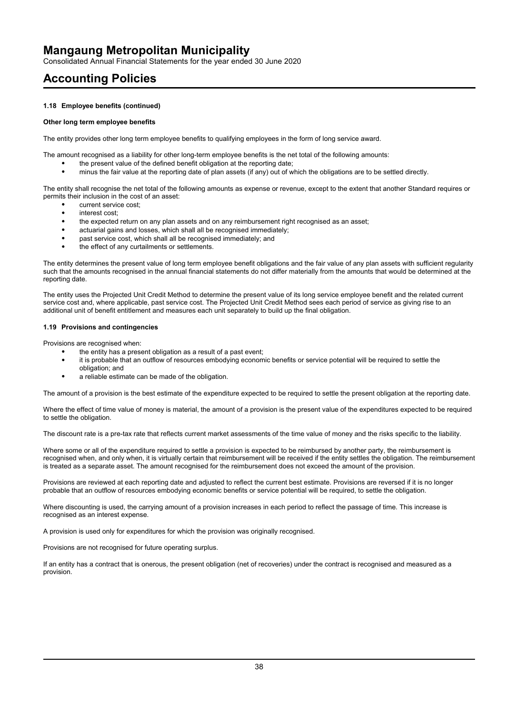Consolidated Annual Financial Statements for the year ended 30 June 2020

# **Accounting Policies**

## **1.18 Employee benefits (continued)**

## **Other long term employee benefits**

The entity provides other long term employee benefits to qualifying employees in the form of long service award.

The amount recognised as a liability for other long-term employee benefits is the net total of the following amounts:

- the present value of the defined benefit obligation at the reporting date;
- minus the fair value at the reporting date of plan assets (if any) out of which the obligations are to be settled directly.

The entity shall recognise the net total of the following amounts as expense or revenue, except to the extent that another Standard requires or permits their inclusion in the cost of an asset:

- current service cost;
- interest cost;
- the expected return on any plan assets and on any reimbursement right recognised as an asset;
- actuarial gains and losses, which shall all be recognised immediately;
- past service cost, which shall all be recognised immediately; and
- the effect of any curtailments or settlements.

The entity determines the present value of long term employee benefit obligations and the fair value of any plan assets with sufficient regularity such that the amounts recognised in the annual financial statements do not differ materially from the amounts that would be determined at the reporting date.

The entity uses the Projected Unit Credit Method to determine the present value of its long service employee benefit and the related current service cost and, where applicable, past service cost. The Projected Unit Credit Method sees each period of service as giving rise to an additional unit of benefit entitlement and measures each unit separately to build up the final obligation.

### **1.19 Provisions and contingencies**

Provisions are recognised when:

- the entity has a present obligation as a result of a past event;
- it is probable that an outflow of resources embodying economic benefits or service potential will be required to settle the obligation; and
- a reliable estimate can be made of the obligation.

The amount of a provision is the best estimate of the expenditure expected to be required to settle the present obligation at the reporting date.

Where the effect of time value of money is material, the amount of a provision is the present value of the expenditures expected to be required to settle the obligation.

The discount rate is a pre-tax rate that reflects current market assessments of the time value of money and the risks specific to the liability.

Where some or all of the expenditure required to settle a provision is expected to be reimbursed by another party, the reimbursement is recognised when, and only when, it is virtually certain that reimbursement will be received if the entity settles the obligation. The reimbursement is treated as a separate asset. The amount recognised for the reimbursement does not exceed the amount of the provision.

Provisions are reviewed at each reporting date and adjusted to reflect the current best estimate. Provisions are reversed if it is no longer probable that an outflow of resources embodying economic benefits or service potential will be required, to settle the obligation.

Where discounting is used, the carrying amount of a provision increases in each period to reflect the passage of time. This increase is recognised as an interest expense.

A provision is used only for expenditures for which the provision was originally recognised.

Provisions are not recognised for future operating surplus.

If an entity has a contract that is onerous, the present obligation (net of recoveries) under the contract is recognised and measured as a provision.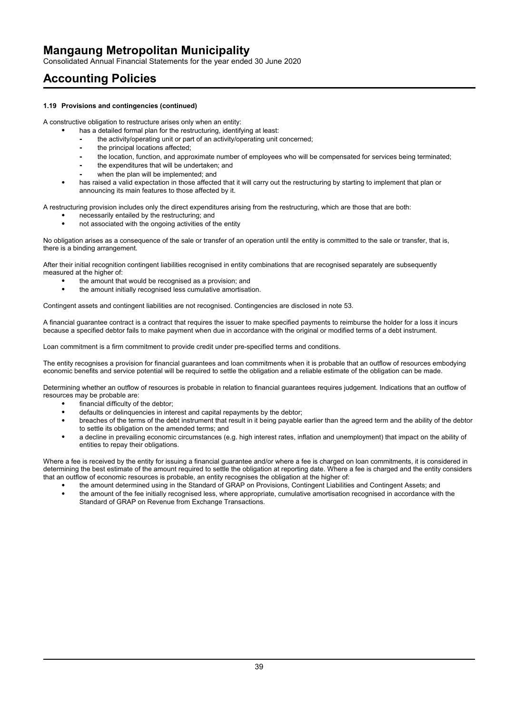Consolidated Annual Financial Statements for the year ended 30 June 2020

# **Accounting Policies**

## **1.19 Provisions and contingencies (continued)**

A constructive obligation to restructure arises only when an entity:

- has a detailed formal plan for the restructuring, identifying at least:
	- **-** the activity/operating unit or part of an activity/operating unit concerned;
- **-** the principal locations affected;
- **-** the location, function, and approximate number of employees who will be compensated for services being terminated;
- **-** the expenditures that will be undertaken; and
- when the plan will be implemented; and
- has raised a valid expectation in those affected that it will carry out the restructuring by starting to implement that plan or announcing its main features to those affected by it.

A restructuring provision includes only the direct expenditures arising from the restructuring, which are those that are both:

- necessarily entailed by the restructuring; and
- not associated with the ongoing activities of the entity

No obligation arises as a consequence of the sale or transfer of an operation until the entity is committed to the sale or transfer, that is, there is a binding arrangement.

After their initial recognition contingent liabilities recognised in entity combinations that are recognised separately are subsequently measured at the higher of:

- the amount that would be recognised as a provision; and
- the amount initially recognised less cumulative amortisation.

Contingent assets and contingent liabilities are not recognised. Contingencies are disclosed in note 53.

A financial guarantee contract is a contract that requires the issuer to make specified payments to reimburse the holder for a loss it incurs because a specified debtor fails to make payment when due in accordance with the original or modified terms of a debt instrument.

Loan commitment is a firm commitment to provide credit under pre-specified terms and conditions.

The entity recognises a provision for financial guarantees and loan commitments when it is probable that an outflow of resources embodying economic benefits and service potential will be required to settle the obligation and a reliable estimate of the obligation can be made.

Determining whether an outflow of resources is probable in relation to financial guarantees requires judgement. Indications that an outflow of resources may be probable are:

- financial difficulty of the debtor;
- defaults or delinquencies in interest and capital repayments by the debtor;
- breaches of the terms of the debt instrument that result in it being payable earlier than the agreed term and the ability of the debtor to settle its obligation on the amended terms; and
- a decline in prevailing economic circumstances (e.g. high interest rates, inflation and unemployment) that impact on the ability of entities to repay their obligations.

Where a fee is received by the entity for issuing a financial guarantee and/or where a fee is charged on loan commitments, it is considered in determining the best estimate of the amount required to settle the obligation at reporting date. Where a fee is charged and the entity considers that an outflow of economic resources is probable, an entity recognises the obligation at the higher of:

- the amount determined using in the Standard of GRAP on Provisions, Contingent Liabilities and Contingent Assets; and
- the amount of the fee initially recognised less, where appropriate, cumulative amortisation recognised in accordance with the Standard of GRAP on Revenue from Exchange Transactions.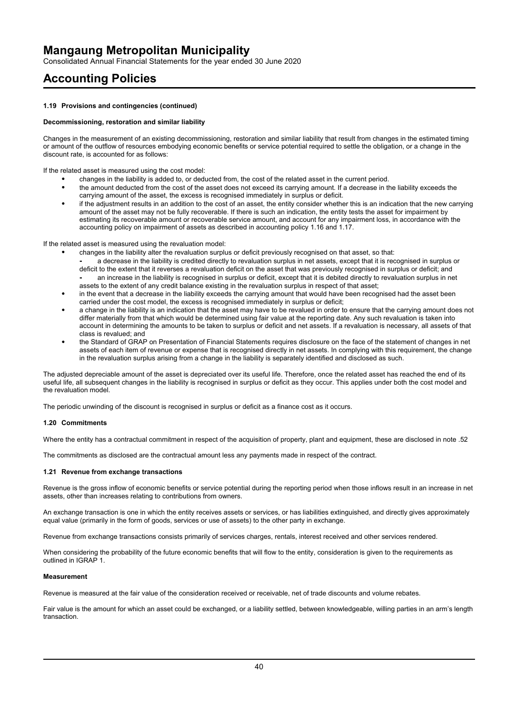Consolidated Annual Financial Statements for the year ended 30 June 2020

# **Accounting Policies**

## **1.19 Provisions and contingencies (continued)**

### **Decommissioning, restoration and similar liability**

Changes in the measurement of an existing decommissioning, restoration and similar liability that result from changes in the estimated timing or amount of the outflow of resources embodying economic benefits or service potential required to settle the obligation, or a change in the discount rate, is accounted for as follows:

If the related asset is measured using the cost model:

- changes in the liability is added to, or deducted from, the cost of the related asset in the current period.
- the amount deducted from the cost of the asset does not exceed its carrying amount. If a decrease in the liability exceeds the carrying amount of the asset, the excess is recognised immediately in surplus or deficit.
- if the adjustment results in an addition to the cost of an asset, the entity consider whether this is an indication that the new carrying amount of the asset may not be fully recoverable. If there is such an indication, the entity tests the asset for impairment by estimating its recoverable amount or recoverable service amount, and account for any impairment loss, in accordance with the accounting policy on impairment of assets as described in accounting policy 1.16 and 1.17.

If the related asset is measured using the revaluation model:

- changes in the liability alter the revaluation surplus or deficit previously recognised on that asset, so that:
- **-** a decrease in the liability is credited directly to revaluation surplus in net assets, except that it is recognised in surplus or deficit to the extent that it reverses a revaluation deficit on the asset that was previously recognised in surplus or deficit; and **-** an increase in the liability is recognised in surplus or deficit, except that it is debited directly to revaluation surplus in net
- assets to the extent of any credit balance existing in the revaluation surplus in respect of that asset; in the event that a decrease in the liability exceeds the carrying amount that would have been recognised had the asset been carried under the cost model, the excess is recognised immediately in surplus or deficit;
- a change in the liability is an indication that the asset may have to be revalued in order to ensure that the carrying amount does not differ materially from that which would be determined using fair value at the reporting date. Any such revaluation is taken into account in determining the amounts to be taken to surplus or deficit and net assets. If a revaluation is necessary, all assets of that class is revalued; and
- the Standard of GRAP on Presentation of Financial Statements requires disclosure on the face of the statement of changes in net assets of each item of revenue or expense that is recognised directly in net assets. In complying with this requirement, the change in the revaluation surplus arising from a change in the liability is separately identified and disclosed as such.

The adjusted depreciable amount of the asset is depreciated over its useful life. Therefore, once the related asset has reached the end of its useful life, all subsequent changes in the liability is recognised in surplus or deficit as they occur. This applies under both the cost model and the revaluation model.

The periodic unwinding of the discount is recognised in surplus or deficit as a finance cost as it occurs.

### **1.20 Commitments**

Where the entity has a contractual commitment in respect of the acquisition of property, plant and equipment, these are disclosed in note .52

The commitments as disclosed are the contractual amount less any payments made in respect of the contract.

### **1.21 Revenue from exchange transactions**

Revenue is the gross inflow of economic benefits or service potential during the reporting period when those inflows result in an increase in net assets, other than increases relating to contributions from owners.

An exchange transaction is one in which the entity receives assets or services, or has liabilities extinguished, and directly gives approximately equal value (primarily in the form of goods, services or use of assets) to the other party in exchange.

Revenue from exchange transactions consists primarily of services charges, rentals, interest received and other services rendered.

When considering the probability of the future economic benefits that will flow to the entity, consideration is given to the requirements as outlined in IGRAP 1.

### **Measurement**

Revenue is measured at the fair value of the consideration received or receivable, net of trade discounts and volume rebates.

Fair value is the amount for which an asset could be exchanged, or a liability settled, between knowledgeable, willing parties in an arm's length transaction.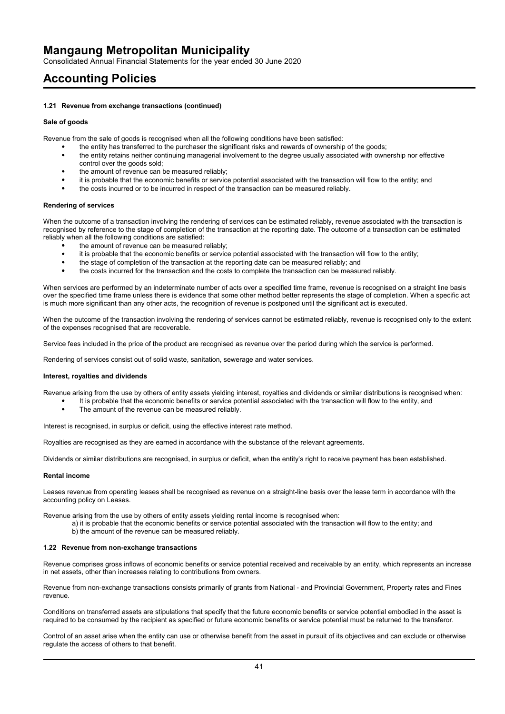Consolidated Annual Financial Statements for the year ended 30 June 2020

# **Accounting Policies**

### **1.21 Revenue from exchange transactions (continued)**

### **Sale of goods**

Revenue from the sale of goods is recognised when all the following conditions have been satisfied:

- the entity has transferred to the purchaser the significant risks and rewards of ownership of the goods;
- the entity retains neither continuing managerial involvement to the degree usually associated with ownership nor effective control over the goods sold;
- the amount of revenue can be measured reliably;
- it is probable that the economic benefits or service potential associated with the transaction will flow to the entity; and
- the costs incurred or to be incurred in respect of the transaction can be measured reliably.

### **Rendering of services**

When the outcome of a transaction involving the rendering of services can be estimated reliably, revenue associated with the transaction is recognised by reference to the stage of completion of the transaction at the reporting date. The outcome of a transaction can be estimated reliably when all the following conditions are satisfied:

- the amount of revenue can be measured reliably;
- it is probable that the economic benefits or service potential associated with the transaction will flow to the entity;
- the stage of completion of the transaction at the reporting date can be measured reliably; and
- the costs incurred for the transaction and the costs to complete the transaction can be measured reliably.

When services are performed by an indeterminate number of acts over a specified time frame, revenue is recognised on a straight line basis over the specified time frame unless there is evidence that some other method better represents the stage of completion. When a specific act is much more significant than any other acts, the recognition of revenue is postponed until the significant act is executed.

When the outcome of the transaction involving the rendering of services cannot be estimated reliably, revenue is recognised only to the extent of the expenses recognised that are recoverable.

Service fees included in the price of the product are recognised as revenue over the period during which the service is performed.

Rendering of services consist out of solid waste, sanitation, sewerage and water services.

### **Interest, royalties and dividends**

Revenue arising from the use by others of entity assets yielding interest, royalties and dividends or similar distributions is recognised when:

- It is probable that the economic benefits or service potential associated with the transaction will flow to the entity, and
	- The amount of the revenue can be measured reliably.

Interest is recognised, in surplus or deficit, using the effective interest rate method.

Royalties are recognised as they are earned in accordance with the substance of the relevant agreements.

Dividends or similar distributions are recognised, in surplus or deficit, when the entity's right to receive payment has been established.

### **Rental income**

Leases revenue from operating leases shall be recognised as revenue on a straight-line basis over the lease term in accordance with the accounting policy on Leases.

Revenue arising from the use by others of entity assets yielding rental income is recognised when:

- a) it is probable that the economic benefits or service potential associated with the transaction will flow to the entity; and
- b) the amount of the revenue can be measured reliably.

### **1.22 Revenue from non-exchange transactions**

Revenue comprises gross inflows of economic benefits or service potential received and receivable by an entity, which represents an increase in net assets, other than increases relating to contributions from owners.

Revenue from non-exchange transactions consists primarily of grants from National - and Provincial Government, Property rates and Fines revenue.

Conditions on transferred assets are stipulations that specify that the future economic benefits or service potential embodied in the asset is required to be consumed by the recipient as specified or future economic benefits or service potential must be returned to the transferor.

Control of an asset arise when the entity can use or otherwise benefit from the asset in pursuit of its objectives and can exclude or otherwise regulate the access of others to that benefit.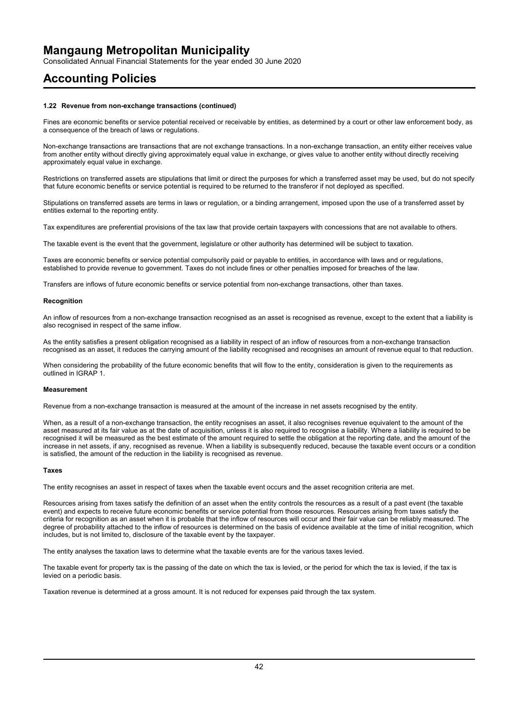Consolidated Annual Financial Statements for the year ended 30 June 2020

# **Accounting Policies**

### **1.22 Revenue from non-exchange transactions (continued)**

Fines are economic benefits or service potential received or receivable by entities, as determined by a court or other law enforcement body, as a consequence of the breach of laws or regulations.

Non-exchange transactions are transactions that are not exchange transactions. In a non-exchange transaction, an entity either receives value from another entity without directly giving approximately equal value in exchange, or gives value to another entity without directly receiving approximately equal value in exchange.

Restrictions on transferred assets are stipulations that limit or direct the purposes for which a transferred asset may be used, but do not specify that future economic benefits or service potential is required to be returned to the transferor if not deployed as specified.

Stipulations on transferred assets are terms in laws or regulation, or a binding arrangement, imposed upon the use of a transferred asset by entities external to the reporting entity.

Tax expenditures are preferential provisions of the tax law that provide certain taxpayers with concessions that are not available to others.

The taxable event is the event that the government, legislature or other authority has determined will be subject to taxation.

Taxes are economic benefits or service potential compulsorily paid or payable to entities, in accordance with laws and or regulations, established to provide revenue to government. Taxes do not include fines or other penalties imposed for breaches of the law.

Transfers are inflows of future economic benefits or service potential from non-exchange transactions, other than taxes.

### **Recognition**

An inflow of resources from a non-exchange transaction recognised as an asset is recognised as revenue, except to the extent that a liability is also recognised in respect of the same inflow.

As the entity satisfies a present obligation recognised as a liability in respect of an inflow of resources from a non-exchange transaction recognised as an asset, it reduces the carrying amount of the liability recognised and recognises an amount of revenue equal to that reduction.

When considering the probability of the future economic benefits that will flow to the entity, consideration is given to the requirements as outlined in IGRAP 1.

### **Measurement**

Revenue from a non-exchange transaction is measured at the amount of the increase in net assets recognised by the entity.

When, as a result of a non-exchange transaction, the entity recognises an asset, it also recognises revenue equivalent to the amount of the asset measured at its fair value as at the date of acquisition, unless it is also required to recognise a liability. Where a liability is required to be recognised it will be measured as the best estimate of the amount required to settle the obligation at the reporting date, and the amount of the increase in net assets, if any, recognised as revenue. When a liability is subsequently reduced, because the taxable event occurs or a condition is satisfied, the amount of the reduction in the liability is recognised as revenue.

### **Taxes**

The entity recognises an asset in respect of taxes when the taxable event occurs and the asset recognition criteria are met.

Resources arising from taxes satisfy the definition of an asset when the entity controls the resources as a result of a past event (the taxable event) and expects to receive future economic benefits or service potential from those resources. Resources arising from taxes satisfy the criteria for recognition as an asset when it is probable that the inflow of resources will occur and their fair value can be reliably measured. The degree of probability attached to the inflow of resources is determined on the basis of evidence available at the time of initial recognition, which includes, but is not limited to, disclosure of the taxable event by the taxpayer.

The entity analyses the taxation laws to determine what the taxable events are for the various taxes levied.

The taxable event for property tax is the passing of the date on which the tax is levied, or the period for which the tax is levied, if the tax is levied on a periodic basis.

Taxation revenue is determined at a gross amount. It is not reduced for expenses paid through the tax system.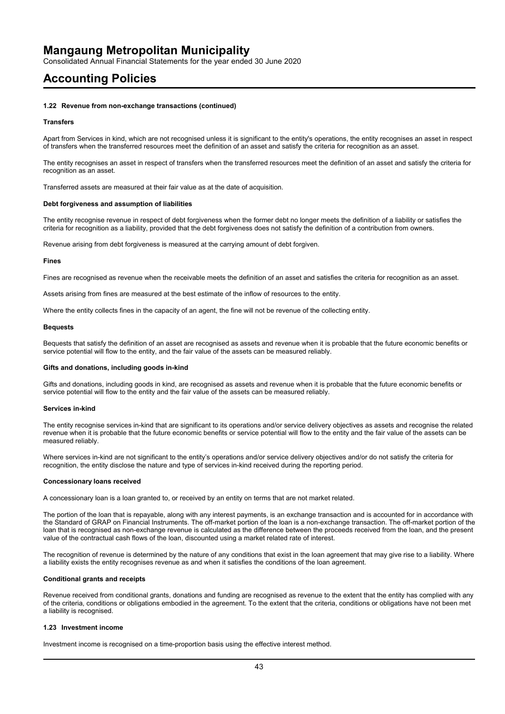Consolidated Annual Financial Statements for the year ended 30 June 2020

# **Accounting Policies**

### **1.22 Revenue from non-exchange transactions (continued)**

### **Transfers**

Apart from Services in kind, which are not recognised unless it is significant to the entity's operations, the entity recognises an asset in respect of transfers when the transferred resources meet the definition of an asset and satisfy the criteria for recognition as an asset.

The entity recognises an asset in respect of transfers when the transferred resources meet the definition of an asset and satisfy the criteria for recognition as an asset.

Transferred assets are measured at their fair value as at the date of acquisition.

### **Debt forgiveness and assumption of liabilities**

The entity recognise revenue in respect of debt forgiveness when the former debt no longer meets the definition of a liability or satisfies the criteria for recognition as a liability, provided that the debt forgiveness does not satisfy the definition of a contribution from owners.

Revenue arising from debt forgiveness is measured at the carrying amount of debt forgiven.

#### **Fines**

Fines are recognised as revenue when the receivable meets the definition of an asset and satisfies the criteria for recognition as an asset.

Assets arising from fines are measured at the best estimate of the inflow of resources to the entity.

Where the entity collects fines in the capacity of an agent, the fine will not be revenue of the collecting entity.

#### **Bequests**

Bequests that satisfy the definition of an asset are recognised as assets and revenue when it is probable that the future economic benefits or service potential will flow to the entity, and the fair value of the assets can be measured reliably.

### **Gifts and donations, including goods in-kind**

Gifts and donations, including goods in kind, are recognised as assets and revenue when it is probable that the future economic benefits or service potential will flow to the entity and the fair value of the assets can be measured reliably.

### **Services in-kind**

The entity recognise services in-kind that are significant to its operations and/or service delivery objectives as assets and recognise the related revenue when it is probable that the future economic benefits or service potential will flow to the entity and the fair value of the assets can be measured reliably.

Where services in-kind are not significant to the entity's operations and/or service delivery objectives and/or do not satisfy the criteria for recognition, the entity disclose the nature and type of services in-kind received during the reporting period.

#### **Concessionary loans received**

A concessionary loan is a loan granted to, or received by an entity on terms that are not market related.

The portion of the loan that is repayable, along with any interest payments, is an exchange transaction and is accounted for in accordance with the Standard of GRAP on Financial Instruments. The off-market portion of the loan is a non-exchange transaction. The off-market portion of the loan that is recognised as non-exchange revenue is calculated as the difference between the proceeds received from the loan, and the present value of the contractual cash flows of the loan, discounted using a market related rate of interest.

The recognition of revenue is determined by the nature of any conditions that exist in the loan agreement that may give rise to a liability. Where a liability exists the entity recognises revenue as and when it satisfies the conditions of the loan agreement.

### **Conditional grants and receipts**

Revenue received from conditional grants, donations and funding are recognised as revenue to the extent that the entity has complied with any of the criteria, conditions or obligations embodied in the agreement. To the extent that the criteria, conditions or obligations have not been met a liability is recognised.

### **1.23 Investment income**

Investment income is recognised on a time-proportion basis using the effective interest method.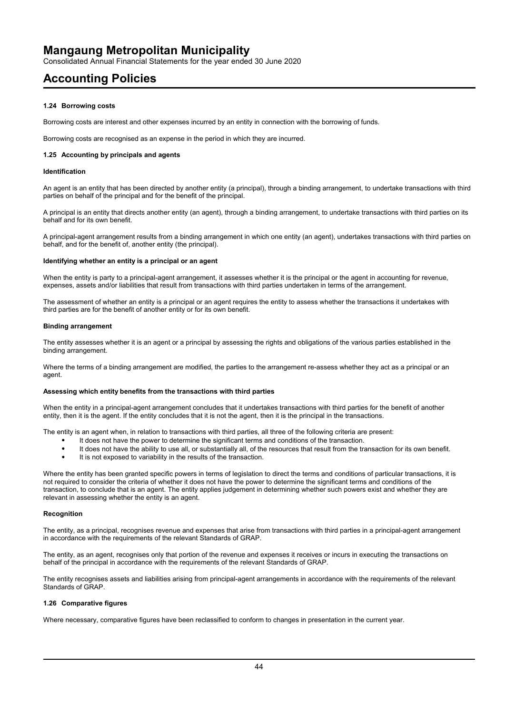Consolidated Annual Financial Statements for the year ended 30 June 2020

# **Accounting Policies**

### **1.24 Borrowing costs**

Borrowing costs are interest and other expenses incurred by an entity in connection with the borrowing of funds.

Borrowing costs are recognised as an expense in the period in which they are incurred.

### **1.25 Accounting by principals and agents**

### **Identification**

An agent is an entity that has been directed by another entity (a principal), through a binding arrangement, to undertake transactions with third parties on behalf of the principal and for the benefit of the principal.

A principal is an entity that directs another entity (an agent), through a binding arrangement, to undertake transactions with third parties on its behalf and for its own benefit.

A principal-agent arrangement results from a binding arrangement in which one entity (an agent), undertakes transactions with third parties on behalf, and for the benefit of, another entity (the principal).

#### **Identifying whether an entity is a principal or an agent**

When the entity is party to a principal-agent arrangement, it assesses whether it is the principal or the agent in accounting for revenue, expenses, assets and/or liabilities that result from transactions with third parties undertaken in terms of the arrangement.

The assessment of whether an entity is a principal or an agent requires the entity to assess whether the transactions it undertakes with third parties are for the benefit of another entity or for its own benefit.

#### **Binding arrangement**

The entity assesses whether it is an agent or a principal by assessing the rights and obligations of the various parties established in the binding arrangement.

Where the terms of a binding arrangement are modified, the parties to the arrangement re-assess whether they act as a principal or an agent.

### **Assessing which entity benefits from the transactions with third parties**

When the entity in a principal-agent arrangement concludes that it undertakes transactions with third parties for the benefit of another entity, then it is the agent. If the entity concludes that it is not the agent, then it is the principal in the transactions.

The entity is an agent when, in relation to transactions with third parties, all three of the following criteria are present:

- It does not have the power to determine the significant terms and conditions of the transaction.
- It does not have the ability to use all, or substantially all, of the resources that result from the transaction for its own benefit.
- It is not exposed to variability in the results of the transaction.

Where the entity has been granted specific powers in terms of legislation to direct the terms and conditions of particular transactions, it is not required to consider the criteria of whether it does not have the power to determine the significant terms and conditions of the transaction, to conclude that is an agent. The entity applies judgement in determining whether such powers exist and whether they are relevant in assessing whether the entity is an agent.

### **Recognition**

The entity, as a principal, recognises revenue and expenses that arise from transactions with third parties in a principal-agent arrangement in accordance with the requirements of the relevant Standards of GRAP.

The entity, as an agent, recognises only that portion of the revenue and expenses it receives or incurs in executing the transactions on behalf of the principal in accordance with the requirements of the relevant Standards of GRAP.

The entity recognises assets and liabilities arising from principal-agent arrangements in accordance with the requirements of the relevant Standards of GRAP.

### **1.26 Comparative figures**

Where necessary, comparative figures have been reclassified to conform to changes in presentation in the current year.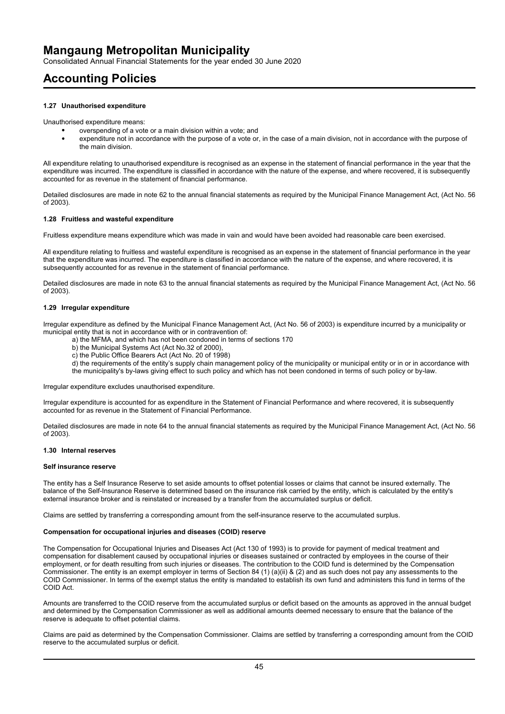Consolidated Annual Financial Statements for the year ended 30 June 2020

# **Accounting Policies**

### **1.27 Unauthorised expenditure**

Unauthorised expenditure means:

- overspending of a vote or a main division within a vote; and
- expenditure not in accordance with the purpose of a vote or, in the case of a main division, not in accordance with the purpose of the main division.

All expenditure relating to unauthorised expenditure is recognised as an expense in the statement of financial performance in the year that the expenditure was incurred. The expenditure is classified in accordance with the nature of the expense, and where recovered, it is subsequently accounted for as revenue in the statement of financial performance.

Detailed disclosures are made in note 62 to the annual financial statements as required by the Municipal Finance Management Act, (Act No. 56 of 2003).

### **1.28 Fruitless and wasteful expenditure**

Fruitless expenditure means expenditure which was made in vain and would have been avoided had reasonable care been exercised.

All expenditure relating to fruitless and wasteful expenditure is recognised as an expense in the statement of financial performance in the year that the expenditure was incurred. The expenditure is classified in accordance with the nature of the expense, and where recovered, it is subsequently accounted for as revenue in the statement of financial performance.

Detailed disclosures are made in note 63 to the annual financial statements as required by the Municipal Finance Management Act, (Act No. 56 of 2003).

### **1.29 Irregular expenditure**

Irregular expenditure as defined by the Municipal Finance Management Act, (Act No. 56 of 2003) is expenditure incurred by a municipality or municipal entity that is not in accordance with or in contravention of:

a) the MFMA, and which has not been condoned in terms of sections 170

- b) the Municipal Systems Act (Act No.32 of 2000),
- c) the Public Office Bearers Act (Act No. 20 of 1998)

d) the requirements of the entity's supply chain management policy of the municipality or municipal entity or in or in accordance with the municipality's by-laws giving effect to such policy and which has not been condoned in terms of such policy or by-law.

Irregular expenditure excludes unauthorised expenditure.

Irregular expenditure is accounted for as expenditure in the Statement of Financial Performance and where recovered, it is subsequently accounted for as revenue in the Statement of Financial Performance.

Detailed disclosures are made in note 64 to the annual financial statements as required by the Municipal Finance Management Act, (Act No. 56 of 2003).

## **1.30 Internal reserves**

### **Self insurance reserve**

The entity has a Self Insurance Reserve to set aside amounts to offset potential losses or claims that cannot be insured externally. The balance of the Self-Insurance Reserve is determined based on the insurance risk carried by the entity, which is calculated by the entity's external insurance broker and is reinstated or increased by a transfer from the accumulated surplus or deficit.

Claims are settled by transferring a corresponding amount from the self-insurance reserve to the accumulated surplus.

### **Compensation for occupational injuries and diseases (COID) reserve**

The Compensation for Occupational Injuries and Diseases Act (Act 130 of 1993) is to provide for payment of medical treatment and compensation for disablement caused by occupational injuries or diseases sustained or contracted by employees in the course of their employment, or for death resulting from such injuries or diseases. The contribution to the COID fund is determined by the Compensation Commissioner. The entity is an exempt employer in terms of Section 84 (1) (a)(ii) & (2) and as such does not pay any assessments to the COID Commissioner. In terms of the exempt status the entity is mandated to establish its own fund and administers this fund in terms of the COID Act.

Amounts are transferred to the COID reserve from the accumulated surplus or deficit based on the amounts as approved in the annual budget and determined by the Compensation Commissioner as well as additional amounts deemed necessary to ensure that the balance of the reserve is adequate to offset potential claims.

Claims are paid as determined by the Compensation Commissioner. Claims are settled by transferring a corresponding amount from the COID reserve to the accumulated surplus or deficit.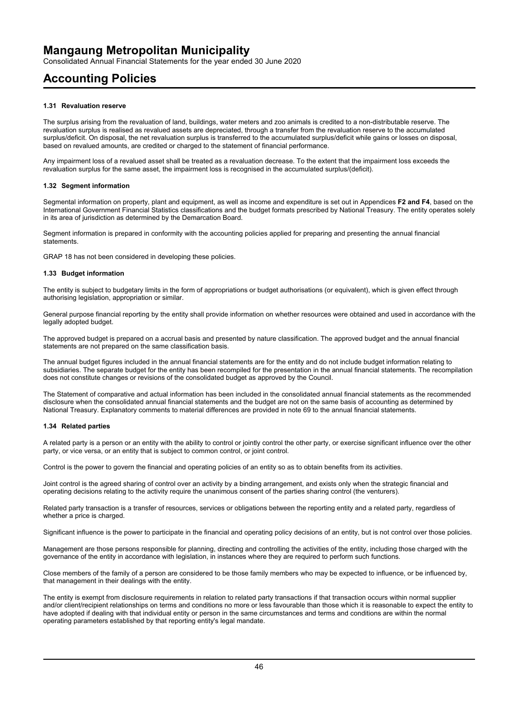Consolidated Annual Financial Statements for the year ended 30 June 2020

# **Accounting Policies**

### **1.31 Revaluation reserve**

The surplus arising from the revaluation of land, buildings, water meters and zoo animals is credited to a non-distributable reserve. The revaluation surplus is realised as revalued assets are depreciated, through a transfer from the revaluation reserve to the accumulated surplus/deficit. On disposal, the net revaluation surplus is transferred to the accumulated surplus/deficit while gains or losses on disposal, based on revalued amounts, are credited or charged to the statement of financial performance.

Any impairment loss of a revalued asset shall be treated as a revaluation decrease. To the extent that the impairment loss exceeds the revaluation surplus for the same asset, the impairment loss is recognised in the accumulated surplus/(deficit).

### **1.32 Segment information**

Segmental information on property, plant and equipment, as well as income and expenditure is set out in Appendices **F2 and F4**, based on the International Government Financial Statistics classifications and the budget formats prescribed by National Treasury. The entity operates solely in its area of jurisdiction as determined by the Demarcation Board.

Segment information is prepared in conformity with the accounting policies applied for preparing and presenting the annual financial statements.

GRAP 18 has not been considered in developing these policies.

### **1.33 Budget information**

The entity is subject to budgetary limits in the form of appropriations or budget authorisations (or equivalent), which is given effect through authorising legislation, appropriation or similar.

General purpose financial reporting by the entity shall provide information on whether resources were obtained and used in accordance with the legally adopted budget.

The approved budget is prepared on a accrual basis and presented by nature classification. The approved budget and the annual financial statements are not prepared on the same classification basis.

The annual budget figures included in the annual financial statements are for the entity and do not include budget information relating to subsidiaries. The separate budget for the entity has been recompiled for the presentation in the annual financial statements. The recompilation does not constitute changes or revisions of the consolidated budget as approved by the Council.

The Statement of comparative and actual information has been included in the consolidated annual financial statements as the recommended disclosure when the consolidated annual financial statements and the budget are not on the same basis of accounting as determined by National Treasury. Explanatory comments to material differences are provided in note 69 to the annual financial statements.

### **1.34 Related parties**

A related party is a person or an entity with the ability to control or jointly control the other party, or exercise significant influence over the other party, or vice versa, or an entity that is subject to common control, or joint control.

Control is the power to govern the financial and operating policies of an entity so as to obtain benefits from its activities.

Joint control is the agreed sharing of control over an activity by a binding arrangement, and exists only when the strategic financial and operating decisions relating to the activity require the unanimous consent of the parties sharing control (the venturers).

Related party transaction is a transfer of resources, services or obligations between the reporting entity and a related party, regardless of whether a price is charged.

Significant influence is the power to participate in the financial and operating policy decisions of an entity, but is not control over those policies.

Management are those persons responsible for planning, directing and controlling the activities of the entity, including those charged with the governance of the entity in accordance with legislation, in instances where they are required to perform such functions.

Close members of the family of a person are considered to be those family members who may be expected to influence, or be influenced by, that management in their dealings with the entity.

The entity is exempt from disclosure requirements in relation to related party transactions if that transaction occurs within normal supplier and/or client/recipient relationships on terms and conditions no more or less favourable than those which it is reasonable to expect the entity to have adopted if dealing with that individual entity or person in the same circumstances and terms and conditions are within the normal operating parameters established by that reporting entity's legal mandate.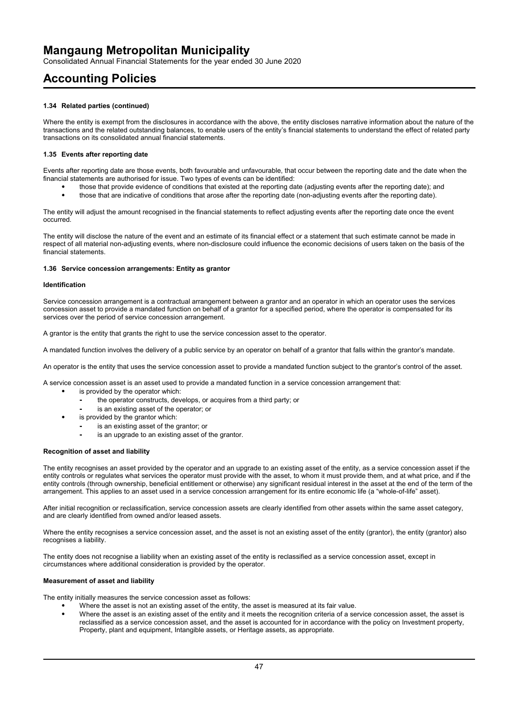Consolidated Annual Financial Statements for the year ended 30 June 2020

# **Accounting Policies**

## **1.34 Related parties (continued)**

Where the entity is exempt from the disclosures in accordance with the above, the entity discloses narrative information about the nature of the transactions and the related outstanding balances, to enable users of the entity's financial statements to understand the effect of related party transactions on its consolidated annual financial statements.

### **1.35 Events after reporting date**

Events after reporting date are those events, both favourable and unfavourable, that occur between the reporting date and the date when the financial statements are authorised for issue. Two types of events can be identified:

- those that provide evidence of conditions that existed at the reporting date (adjusting events after the reporting date); and
- those that are indicative of conditions that arose after the reporting date (non-adjusting events after the reporting date).

The entity will adjust the amount recognised in the financial statements to reflect adjusting events after the reporting date once the event occurred.

The entity will disclose the nature of the event and an estimate of its financial effect or a statement that such estimate cannot be made in respect of all material non-adjusting events, where non-disclosure could influence the economic decisions of users taken on the basis of the financial statements.

### **1.36 Service concession arrangements: Entity as grantor**

### **Identification**

Service concession arrangement is a contractual arrangement between a grantor and an operator in which an operator uses the services concession asset to provide a mandated function on behalf of a grantor for a specified period, where the operator is compensated for its services over the period of service concession arrangement.

A grantor is the entity that grants the right to use the service concession asset to the operator.

A mandated function involves the delivery of a public service by an operator on behalf of a grantor that falls within the grantor's mandate.

An operator is the entity that uses the service concession asset to provide a mandated function subject to the grantor's control of the asset.

A service concession asset is an asset used to provide a mandated function in a service concession arrangement that:

- is provided by the operator which:
	- **-** the operator constructs, develops, or acquires from a third party; or
	- **-** is an existing asset of the operator; or
- is provided by the grantor which:
	- **-** is an existing asset of the grantor; or
	- **-** is an upgrade to an existing asset of the grantor.

### **Recognition of asset and liability**

The entity recognises an asset provided by the operator and an upgrade to an existing asset of the entity, as a service concession asset if the entity controls or regulates what services the operator must provide with the asset, to whom it must provide them, and at what price, and if the entity controls (through ownership, beneficial entitlement or otherwise) any significant residual interest in the asset at the end of the term of the arrangement. This applies to an asset used in a service concession arrangement for its entire economic life (a "whole-of-life" asset).

After initial recognition or reclassification, service concession assets are clearly identified from other assets within the same asset category, and are clearly identified from owned and/or leased assets.

Where the entity recognises a service concession asset, and the asset is not an existing asset of the entity (grantor), the entity (grantor) also recognises a liability.

The entity does not recognise a liability when an existing asset of the entity is reclassified as a service concession asset, except in circumstances where additional consideration is provided by the operator.

## **Measurement of asset and liability**

The entity initially measures the service concession asset as follows:

- Where the asset is not an existing asset of the entity, the asset is measured at its fair value.
- Where the asset is an existing asset of the entity and it meets the recognition criteria of a service concession asset, the asset is reclassified as a service concession asset, and the asset is accounted for in accordance with the policy on Investment property, Property, plant and equipment, Intangible assets, or Heritage assets, as appropriate.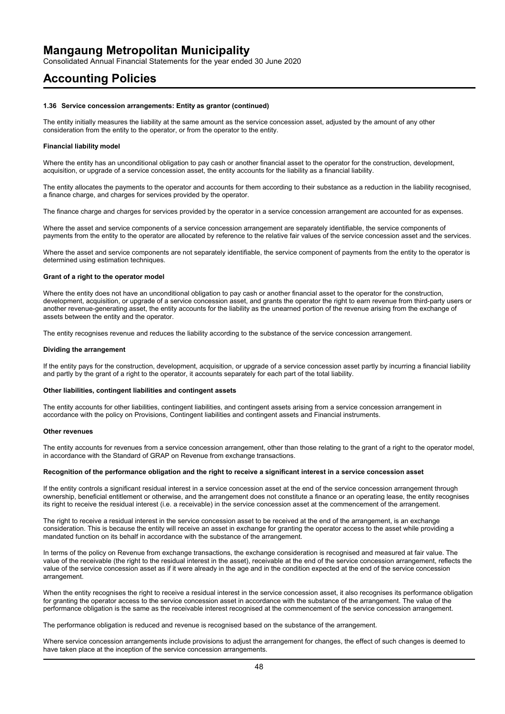Consolidated Annual Financial Statements for the year ended 30 June 2020

# **Accounting Policies**

### **1.36 Service concession arrangements: Entity as grantor (continued)**

The entity initially measures the liability at the same amount as the service concession asset, adjusted by the amount of any other consideration from the entity to the operator, or from the operator to the entity.

### **Financial liability model**

Where the entity has an unconditional obligation to pay cash or another financial asset to the operator for the construction, development, acquisition, or upgrade of a service concession asset, the entity accounts for the liability as a financial liability.

The entity allocates the payments to the operator and accounts for them according to their substance as a reduction in the liability recognised, a finance charge, and charges for services provided by the operator.

The finance charge and charges for services provided by the operator in a service concession arrangement are accounted for as expenses.

Where the asset and service components of a service concession arrangement are separately identifiable, the service components of payments from the entity to the operator are allocated by reference to the relative fair values of the service concession asset and the services.

Where the asset and service components are not separately identifiable, the service component of payments from the entity to the operator is determined using estimation techniques.

#### **Grant of a right to the operator model**

Where the entity does not have an unconditional obligation to pay cash or another financial asset to the operator for the construction, development, acquisition, or upgrade of a service concession asset, and grants the operator the right to earn revenue from third-party users or another revenue-generating asset, the entity accounts for the liability as the unearned portion of the revenue arising from the exchange of assets between the entity and the operator.

The entity recognises revenue and reduces the liability according to the substance of the service concession arrangement.

#### **Dividing the arrangement**

If the entity pays for the construction, development, acquisition, or upgrade of a service concession asset partly by incurring a financial liability and partly by the grant of a right to the operator, it accounts separately for each part of the total liability.

#### **Other liabilities, contingent liabilities and contingent assets**

The entity accounts for other liabilities, contingent liabilities, and contingent assets arising from a service concession arrangement in accordance with the policy on Provisions, Contingent liabilities and contingent assets and Financial instruments.

#### **Other revenues**

The entity accounts for revenues from a service concession arrangement, other than those relating to the grant of a right to the operator model, in accordance with the Standard of GRAP on Revenue from exchange transactions.

#### **Recognition of the performance obligation and the right to receive a significant interest in a service concession asset**

If the entity controls a significant residual interest in a service concession asset at the end of the service concession arrangement through ownership, beneficial entitlement or otherwise, and the arrangement does not constitute a finance or an operating lease, the entity recognises its right to receive the residual interest (i.e. a receivable) in the service concession asset at the commencement of the arrangement.

The right to receive a residual interest in the service concession asset to be received at the end of the arrangement, is an exchange consideration. This is because the entity will receive an asset in exchange for granting the operator access to the asset while providing a mandated function on its behalf in accordance with the substance of the arrangement.

In terms of the policy on Revenue from exchange transactions, the exchange consideration is recognised and measured at fair value. The value of the receivable (the right to the residual interest in the asset), receivable at the end of the service concession arrangement, reflects the value of the service concession asset as if it were already in the age and in the condition expected at the end of the service concession arrangement.

When the entity recognises the right to receive a residual interest in the service concession asset, it also recognises its performance obligation for granting the operator access to the service concession asset in accordance with the substance of the arrangement. The value of the performance obligation is the same as the receivable interest recognised at the commencement of the service concession arrangement.

The performance obligation is reduced and revenue is recognised based on the substance of the arrangement.

Where service concession arrangements include provisions to adjust the arrangement for changes, the effect of such changes is deemed to have taken place at the inception of the service concession arrangements.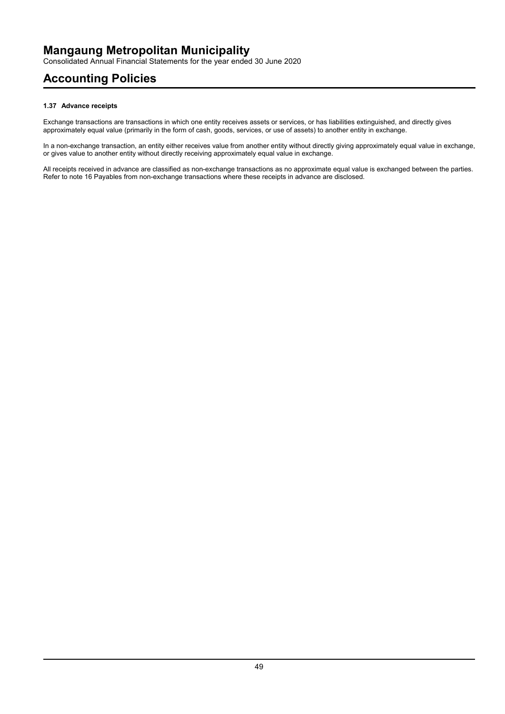Consolidated Annual Financial Statements for the year ended 30 June 2020

# **Accounting Policies**

## **1.37 Advance receipts**

Exchange transactions are transactions in which one entity receives assets or services, or has liabilities extinguished, and directly gives approximately equal value (primarily in the form of cash, goods, services, or use of assets) to another entity in exchange.

In a non-exchange transaction, an entity either receives value from another entity without directly giving approximately equal value in exchange, or gives value to another entity without directly receiving approximately equal value in exchange.

All receipts received in advance are classified as non-exchange transactions as no approximate equal value is exchanged between the parties. Refer to note 16 Payables from non-exchange transactions where these receipts in advance are disclosed.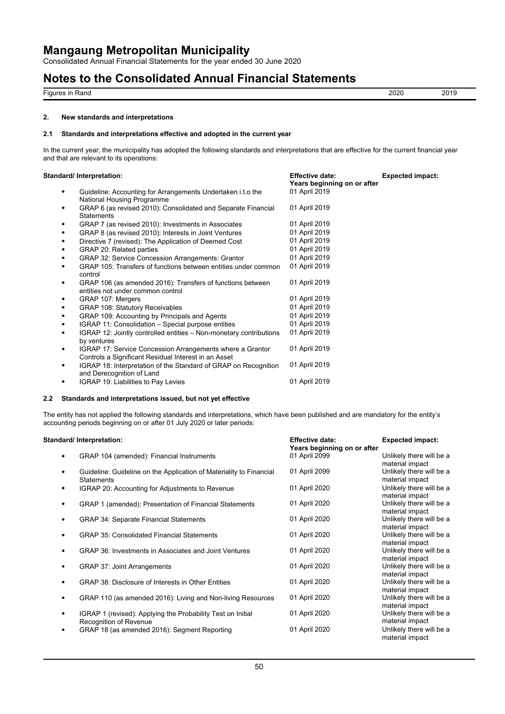Consolidated Annual Financial Statements for the year ended 30 June 2020

# **Notes to the Consolidated Annual Financial Statements**

| --<br>Rand<br>Figure<br>ິ້<br>- 11 1<br>$\cdot$ | 2020<br>$\sim$ $\sim$ | 201<br>∸∽<br>$\sim$ $\sim$ |
|-------------------------------------------------|-----------------------|----------------------------|
|                                                 |                       |                            |

## **2. New standards and interpretations**

### **2.1 Standards and interpretations effective and adopted in the current year**

In the current year, the municipality has adopted the following standards and interpretations that are effective for the current financial year and that are relevant to its operations:

**Expected impact:**

### **Standard/ Interpretation: Effective date:**

|   |                                                                    | Years beginning on or after |
|---|--------------------------------------------------------------------|-----------------------------|
|   | Guideline: Accounting for Arrangements Undertaken i.t.o the        | 01 April 2019               |
|   | National Housing Programme                                         |                             |
|   | GRAP 6 (as revised 2010): Consolidated and Separate Financial      | 01 April 2019               |
|   | <b>Statements</b>                                                  |                             |
|   | GRAP 7 (as revised 2010): Investments in Associates                | 01 April 2019               |
|   | GRAP 8 (as revised 2010): Interests in Joint Ventures              | 01 April 2019               |
|   | Directive 7 (revised): The Application of Deemed Cost              | 01 April 2019               |
|   | GRAP 20: Related parties                                           | 01 April 2019               |
|   | <b>GRAP 32: Service Concession Arrangements: Grantor</b>           | 01 April 2019               |
|   | GRAP 105: Transfers of functions between entities under common     | 01 April 2019               |
|   | control                                                            |                             |
| ٠ | GRAP 106 (as amended 2016): Transfers of functions between         | 01 April 2019               |
|   | entities not under common control                                  |                             |
|   | GRAP 107: Mergers                                                  | 01 April 2019               |
|   | <b>GRAP 108: Statutory Receivables</b>                             | 01 April 2019               |
|   | GRAP 109: Accounting by Principals and Agents                      | 01 April 2019               |
|   | IGRAP 11: Consolidation - Special purpose entities                 | 01 April 2019               |
|   | IGRAP 12: Jointly controlled entities - Non-monetary contributions | 01 April 2019               |
|   | by ventures                                                        |                             |
|   | IGRAP 17: Service Concession Arrangements where a Grantor          | 01 April 2019               |
|   | Controls a Significant Residual Interest in an Asset               |                             |
|   | IGRAP 18: Interpretation of the Standard of GRAP on Recognition    | 01 April 2019               |
|   | and Derecognition of Land                                          |                             |
| ٠ | IGRAP 19: Liabilities to Pay Levies                                | 01 April 2019               |
|   |                                                                    |                             |

## **2.2 Standards and interpretations issued, but not yet effective**

The entity has not applied the following standards and interpretations, which have been published and are mandatory for the entity's accounting periods beginning on or after 01 July 2020 or later periods:

| Standard/Interpretation: |  |  |
|--------------------------|--|--|
|                          |  |  |

| ndard/ Interpretation:                                                                   | <b>Effective date:</b><br>Years beginning on or after | <b>Expected impact:</b>                     |
|------------------------------------------------------------------------------------------|-------------------------------------------------------|---------------------------------------------|
| GRAP 104 (amended): Financial Instruments                                                | 01 April 2099                                         | Unlikely there will be a<br>material impact |
| Guideline: Guideline on the Application of Materiality to Financial<br><b>Statements</b> | 01 April 2099                                         | Unlikely there will be a<br>material impact |
| IGRAP 20: Accounting for Adjustments to Revenue                                          | 01 April 2020                                         | Unlikely there will be a<br>material impact |
| GRAP 1 (amended): Presentation of Financial Statements                                   | 01 April 2020                                         | Unlikely there will be a<br>material impact |
| <b>GRAP 34: Separate Financial Statements</b>                                            | 01 April 2020                                         | Unlikely there will be a<br>material impact |
| <b>GRAP 35: Consolidated Financial Statements</b>                                        | 01 April 2020                                         | Unlikely there will be a<br>material impact |
| <b>GRAP 36: Investments in Associates and Joint Ventures</b>                             | 01 April 2020                                         | Unlikely there will be a<br>material impact |
| <b>GRAP 37: Joint Arrangements</b>                                                       | 01 April 2020                                         | Unlikely there will be a<br>material impact |
| <b>GRAP 38: Disclosure of Interests in Other Entities</b>                                | 01 April 2020                                         | Unlikely there will be a<br>material impact |
| GRAP 110 (as amended 2016): Living and Non-living Resources                              | 01 April 2020                                         | Unlikely there will be a<br>material impact |
| IGRAP 1 (revised): Applying the Probability Test on Initial<br>Recognition of Revenue    | 01 April 2020                                         | Unlikely there will be a<br>material impact |
| GRAP 18 (as amended 2016): Segment Reporting                                             | 01 April 2020                                         | Unlikely there will be a<br>material impact |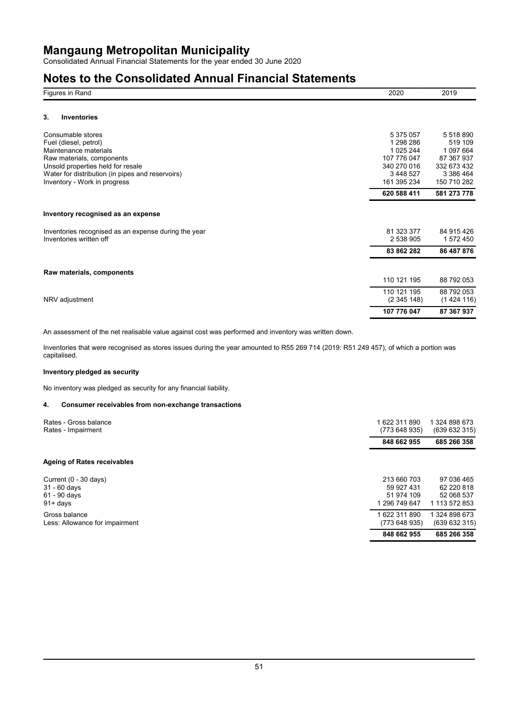Consolidated Annual Financial Statements for the year ended 30 June 2020

# **Notes to the Consolidated Annual Financial Statements**

| Figures in Rand |                                                                                                                       | 2020                                               | 2019                                               |
|-----------------|-----------------------------------------------------------------------------------------------------------------------|----------------------------------------------------|----------------------------------------------------|
| 3.              | <b>Inventories</b>                                                                                                    |                                                    |                                                    |
|                 | Consumable stores<br>Fuel (diesel, petrol)<br>Maintenance materials<br>Raw materials, components                      | 5 375 057<br>1 298 286<br>1 025 244<br>107 776 047 | 5 5 18 8 9 0<br>519 109<br>1 097 664<br>87 367 937 |
|                 | Unsold properties held for resale<br>Water for distribution (in pipes and reservoirs)<br>Inventory - Work in progress | 340 270 016<br>3 448 527<br>161 395 234            | 332 673 432<br>3 386 464<br>150 710 282            |
|                 | 620 588 411                                                                                                           | 581 273 778                                        |                                                    |
|                 | Inventory recognised as an expense                                                                                    |                                                    |                                                    |
|                 | Inventories recognised as an expense during the year<br>Inventories written off                                       | 81 323 377<br>2 538 905                            | 84 915 426<br>1 572 450                            |
|                 |                                                                                                                       | 83 862 282                                         | 86 487 876                                         |
|                 | Raw materials, components                                                                                             | 110 121 195                                        | 88 792 053                                         |
|                 | NRV adjustment                                                                                                        | 110 121 195<br>(2345148)                           | 88 792 053<br>(1424116)                            |
|                 |                                                                                                                       | 107 776 047                                        | 87 367 937                                         |

An assessment of the net realisable value against cost was performed and inventory was written down.

Inventories that were recognised as stores issues during the year amounted to R55 269 714 (2019: R51 249 457), of which a portion was capitalised.

## **Inventory pledged as security**

No inventory was pledged as security for any financial liability.

## **4. Consumer receivables from non-exchange transactions**

| Rates - Gross balance              | 1622 311 890  | 1 324 898 673 |
|------------------------------------|---------------|---------------|
| Rates - Impairment                 | (773 648 935) | (639632315)   |
|                                    | 848 662 955   | 685 266 358   |
| <b>Ageing of Rates receivables</b> |               |               |
| Current (0 - 30 days)              | 213 660 703   | 97 036 465    |
| $31 - 60$ days                     | 59 927 431    | 62 220 818    |
| 61 - 90 days                       | 51 974 109    | 52 068 537    |
| $91 + days$                        | 1 296 749 647 | 1 113 572 853 |
| Gross balance                      | 1622 311 890  | 1 324 898 673 |
| Less: Allowance for impairment     | (773 648 935) | (639632315)   |
|                                    | 848 662 955   | 685 266 358   |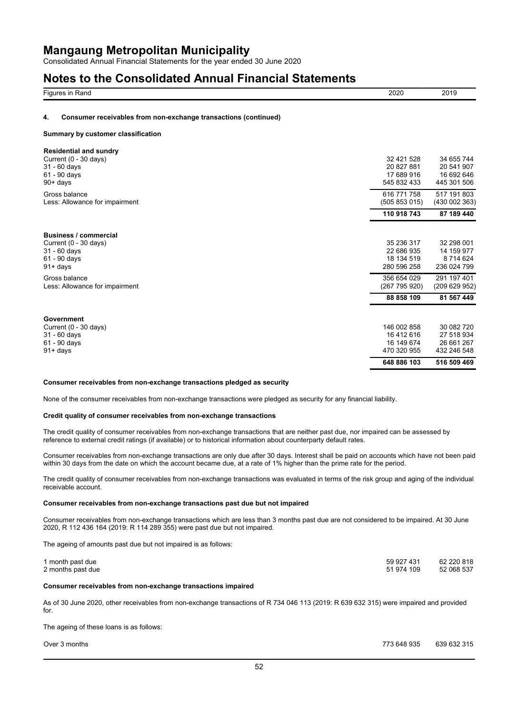Consolidated Annual Financial Statements for the year ended 30 June 2020

# **Notes to the Consolidated Annual Financial Statements**

| Figures in Rand                                                                                          | 2020                                                                  | 2019                                                                 |
|----------------------------------------------------------------------------------------------------------|-----------------------------------------------------------------------|----------------------------------------------------------------------|
| Consumer receivables from non-exchange transactions (continued)<br>4.                                    |                                                                       |                                                                      |
| Summary by customer classification                                                                       |                                                                       |                                                                      |
| <b>Residential and sundry</b><br>Current (0 - 30 days)<br>31 - 60 days<br>61 - 90 days<br>$90 + days$    | 32 421 528<br>20 827 881<br>17 689 916<br>545 832 433                 | 34 655 744<br>20 541 907<br>16 692 646<br>445 301 506                |
| Gross balance                                                                                            | 616 771 758<br>(505 853 015)                                          | 517 191 803<br>(430 002 363)                                         |
| Less: Allowance for impairment                                                                           | 110 918 743                                                           | 87 189 440                                                           |
| <b>Business / commercial</b><br>Current (0 - 30 days)<br>$31 - 60$ days<br>$61 - 90$ days<br>$91 + days$ | 35 236 317<br>22 686 935<br>18 134 519<br>280 596 258                 | 32 298 001<br>14 159 977<br>8714624<br>236 024 799                   |
| Gross balance                                                                                            | 356 654 029                                                           | 291 197 401                                                          |
| Less: Allowance for impairment                                                                           | (267 795 920)<br>88 858 109                                           | (209 629 952)<br>81 567 449                                          |
| Government<br>Current (0 - 30 days)<br>31 - 60 days<br>61 - 90 days<br>$91 + days$                       | 146 002 858<br>16 412 616<br>16 149 674<br>470 320 955<br>648 886 103 | 30 082 720<br>27 518 934<br>26 661 267<br>432 246 548<br>516 509 469 |

### **Consumer receivables from non-exchange transactions pledged as security**

None of the consumer receivables from non-exchange transactions were pledged as security for any financial liability.

#### **Credit quality of consumer receivables from non-exchange transactions**

The credit quality of consumer receivables from non-exchange transactions that are neither past due, nor impaired can be assessed by reference to external credit ratings (if available) or to historical information about counterparty default rates.

Consumer receivables from non-exchange transactions are only due after 30 days. Interest shall be paid on accounts which have not been paid within 30 days from the date on which the account became due, at a rate of 1% higher than the prime rate for the period.

The credit quality of consumer receivables from non-exchange transactions was evaluated in terms of the risk group and aging of the individual receivable account.

### **Consumer receivables from non-exchange transactions past due but not impaired**

Consumer receivables from non-exchange transactions which are less than 3 months past due are not considered to be impaired. At 30 June 2020, R 112 436 164 (2019: R 114 289 355) were past due but not impaired.

The ageing of amounts past due but not impaired is as follows:

| 1 month past due  | 59 927 431 | 62 220 818 |
|-------------------|------------|------------|
| 2 months past due | 51 974 109 | 52 068 537 |
|                   |            |            |

### **Consumer receivables from non-exchange transactions impaired**

As of 30 June 2020, other receivables from non-exchange transactions of R 734 046 113 (2019: R 639 632 315) were impaired and provided for.

The ageing of these loans is as follows: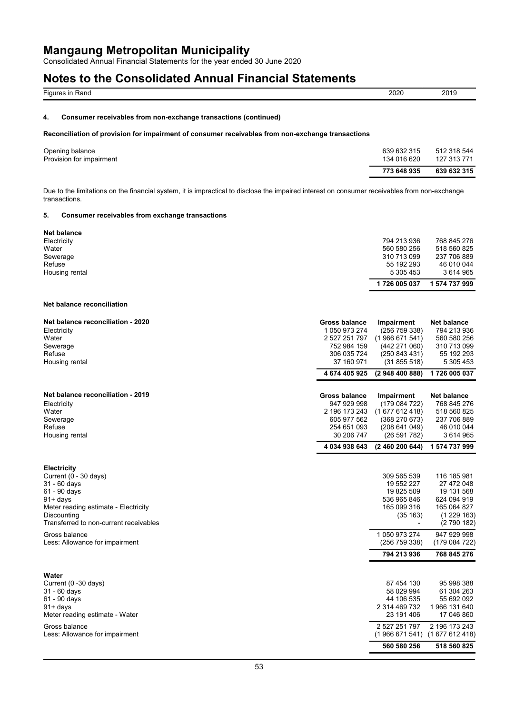Consolidated Annual Financial Statements for the year ended 30 June 2020

# **Notes to the Consolidated Annual Financial Statements**

Figures in Rand 2019 2019

|                                                                                                    | 639 632 315<br>134 016 620                                                                                         | 512 318 544<br>127 313 771                                                                                                                                                                        |
|----------------------------------------------------------------------------------------------------|--------------------------------------------------------------------------------------------------------------------|---------------------------------------------------------------------------------------------------------------------------------------------------------------------------------------------------|
|                                                                                                    | 773 648 935                                                                                                        | 639 632 315                                                                                                                                                                                       |
|                                                                                                    |                                                                                                                    |                                                                                                                                                                                                   |
|                                                                                                    |                                                                                                                    |                                                                                                                                                                                                   |
|                                                                                                    | 794 213 936<br>560 580 256<br>310 713 099<br>55 192 293<br>5 305 453                                               | 768 845 276<br>518 560 825<br>237 706 889<br>46 010 044<br>3614965                                                                                                                                |
|                                                                                                    |                                                                                                                    | 1 574 737 999                                                                                                                                                                                     |
|                                                                                                    |                                                                                                                    |                                                                                                                                                                                                   |
| <b>Gross balance</b><br>1 050 973 274<br>2 527 251 797<br>752 984 159<br>306 035 724<br>37 160 971 | Impairment<br>(256 759 338)<br>(1966671541)<br>(442 271 060)<br>(250843431)<br>(31855518)                          | <b>Net balance</b><br>794 213 936<br>560 580 256<br>310 713 099<br>55 192 293<br>5 305 453                                                                                                        |
| 4 674 405 925                                                                                      | (2 948 400 888)                                                                                                    | 1726 005 037                                                                                                                                                                                      |
| Gross balance<br>947 929 998<br>2 196 173 243<br>605 977 562<br>254 651 093<br>30 206 747          | Impairment<br>(179 084 722)<br>(1677612418)<br>(368 270 673)<br>(208641049)<br>(26 591 782)                        | <b>Net balance</b><br>768 845 276<br>518 560 825<br>237 706 889<br>46 010 044<br>3 614 965                                                                                                        |
|                                                                                                    |                                                                                                                    | 1 574 737 999                                                                                                                                                                                     |
|                                                                                                    | 309 565 539<br>19 552 227<br>19 825 509<br>536 965 846<br>165 099 316<br>(35163)                                   | 116 185 981<br>27 472 048<br>19 131 568<br>624 094 919<br>165 064 827<br>(1229163)<br>(2790182)                                                                                                   |
|                                                                                                    | 1 050 973 274<br>(256 759 338)                                                                                     | 947 929 998<br>(179 084 722)                                                                                                                                                                      |
|                                                                                                    | 794 213 936                                                                                                        | 768 845 276                                                                                                                                                                                       |
|                                                                                                    | 87 454 130<br>58 029 994<br>44 106 535<br>2 314 469 732<br>23 191 406                                              | 95 998 388<br>61 304 263<br>55 692 092<br>1966 131 640<br>17 046 860                                                                                                                              |
|                                                                                                    | $(1966671541)$ $(1677612418)$<br>560 580 256                                                                       | 2 196 173 243<br>518 560 825                                                                                                                                                                      |
|                                                                                                    | Reconciliation of provision for impairment of consumer receivables from non-exchange transactions<br>4 034 938 643 | Due to the limitations on the financial system, it is impractical to disclose the impaired interest on consumer receivables from non-exchange<br>1726 005 037<br>(2 460 200 644)<br>2 527 251 797 |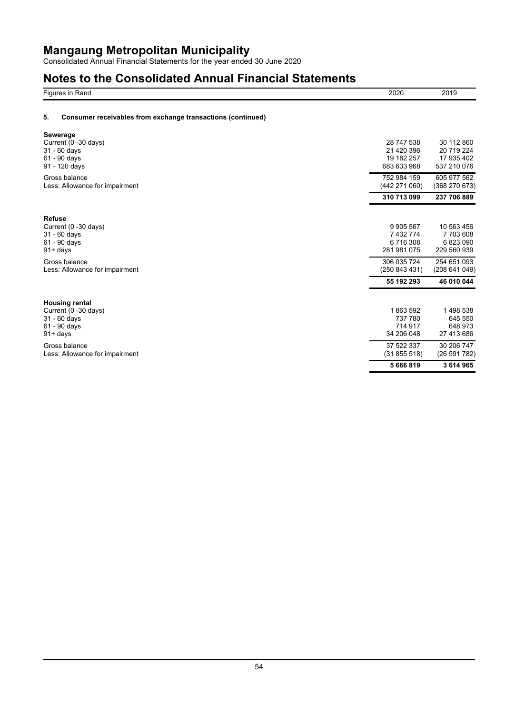Consolidated Annual Financial Statements for the year ended 30 June 2020

# **Notes to the Consolidated Annual Financial Statements**

| Figures in Rand                                                                              | 2020                                                  | 2019                                                  |
|----------------------------------------------------------------------------------------------|-------------------------------------------------------|-------------------------------------------------------|
| 5.<br>Consumer receivables from exchange transactions (continued)                            |                                                       |                                                       |
| Sewerage<br>Current (0 -30 days)<br>31 - 60 days<br>61 - 90 days<br>91 - 120 days            | 28 747 538<br>21 420 396<br>19 182 257<br>683 633 968 | 30 112 860<br>20 719 224<br>17 935 402<br>537 210 076 |
| Gross balance<br>Less: Allowance for impairment                                              | 752 984 159<br>(442 271 060)<br>310 713 099           | 605 977 562<br>(368 270 673)<br>237 706 889           |
| <b>Refuse</b><br>Current (0 -30 days)<br>31 - 60 days<br>61 - 90 days<br>$91 + days$         | 9 905 567<br>7 432 774<br>6716308<br>281 981 075      | 10 563 456<br>7703608<br>6823090<br>229 560 939       |
| Gross balance<br>Less: Allowance for impairment                                              | 306 035 724<br>(250843431)<br>55 192 293              | 254 651 093<br>(208641049)<br>46 010 044              |
| <b>Housing rental</b><br>Current (0 -30 days)<br>31 - 60 days<br>61 - 90 days<br>$91 + days$ | 1863 592<br>737 780<br>714 917<br>34 206 048          | 1498538<br>645 550<br>648 973<br>27 413 686           |
| Gross balance<br>Less: Allowance for impairment                                              | 37 522 337<br>(31855518)<br>5 666 819                 | 30 206 747<br>(26 591 782)<br>3614965                 |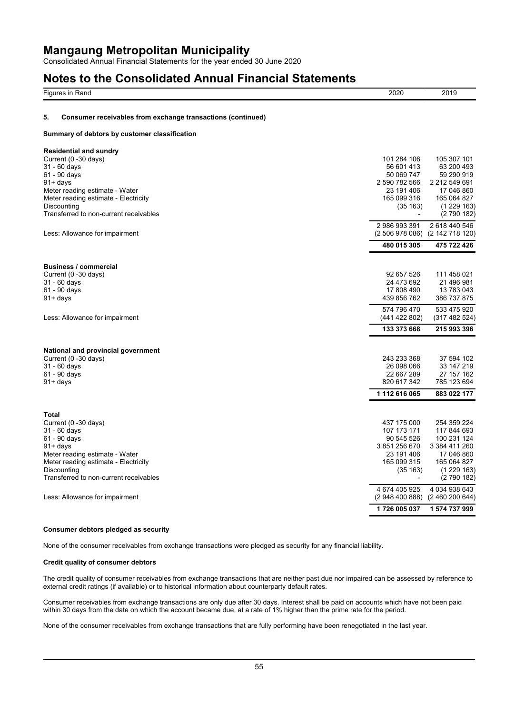Consolidated Annual Financial Statements for the year ended 30 June 2020

# **Notes to the Consolidated Annual Financial Statements**

| Figures<br>Rand<br>۰. . | 2020<br>$- - - -$ | 2019 |
|-------------------------|-------------------|------|
|                         |                   |      |

## **5. Consumer receivables from exchange transactions (continued)**

### **Summary of debtors by customer classification**

## **Residential and sundry** Current (0 -30 days)  $\sim$  101 284 106 105 307 101 284 106 105 307 101 284 106 105 307 101 284 106 105 307 101 31 - 60 days 56 601 413 63 200 493

| 61 - 90 days<br>$91 + days$<br>Meter reading estimate - Water<br>Meter reading estimate - Electricity<br>Discounting<br>Transferred to non-current receivables | 50 069 747<br>2 590 782 566<br>23 191 406<br>165 099 316<br>(35163)<br>2986993391 | 59 290 919<br>2 212 549 691<br>17 046 860<br>165 064 827<br>(1229163)<br>(2790182)<br>2 618 440 546 |
|----------------------------------------------------------------------------------------------------------------------------------------------------------------|-----------------------------------------------------------------------------------|-----------------------------------------------------------------------------------------------------|
| Less: Allowance for impairment                                                                                                                                 | (2 506 978 086) (2 142 718 120)<br>480 015 305                                    | 475 722 426                                                                                         |
| <b>Business / commercial</b><br>Current (0 -30 days)                                                                                                           | 92 657 526                                                                        | 111 458 021                                                                                         |
| $31 - 60$ days                                                                                                                                                 | 24 473 692                                                                        | 21 496 981                                                                                          |
| 61 - 90 days                                                                                                                                                   | 17 808 490                                                                        | 13 783 043                                                                                          |
| $91 + days$                                                                                                                                                    | 439 856 762                                                                       | 386 737 875                                                                                         |
|                                                                                                                                                                | 574 796 470                                                                       | 533 475 920                                                                                         |
| Less: Allowance for impairment                                                                                                                                 | (441 422 802)                                                                     | (317 482 524)                                                                                       |
|                                                                                                                                                                | 133 373 668                                                                       | 215 993 396                                                                                         |
| National and provincial government                                                                                                                             |                                                                                   |                                                                                                     |
| Current (0 -30 days)                                                                                                                                           | 243 233 368                                                                       | 37 594 102                                                                                          |
| 31 - 60 days                                                                                                                                                   | 26 098 066                                                                        | 33 147 219                                                                                          |
| 61 - 90 days                                                                                                                                                   | 22 667 289                                                                        | 27 157 162                                                                                          |
| $91 + days$                                                                                                                                                    | 820 617 342                                                                       | 785 123 694                                                                                         |
|                                                                                                                                                                | 1 112 616 065                                                                     | 883 022 177                                                                                         |
|                                                                                                                                                                |                                                                                   |                                                                                                     |
| Total                                                                                                                                                          |                                                                                   |                                                                                                     |
| Current (0 -30 days)                                                                                                                                           | 437 175 000<br>107 173 171                                                        | 254 359 224<br>117 844 693                                                                          |
| $31 - 60$ days<br>61 - 90 days                                                                                                                                 | 90 545 526                                                                        | 100 231 124                                                                                         |
| $91 + days$                                                                                                                                                    | 3 851 256 670                                                                     | 3 384 411 260                                                                                       |
| Meter reading estimate - Water                                                                                                                                 | 23 191 406                                                                        | 17 046 860                                                                                          |
| Meter reading estimate - Electricity                                                                                                                           | 165 099 315                                                                       | 165 064 827                                                                                         |
| Discounting                                                                                                                                                    | (35163)                                                                           | (1229163)                                                                                           |
| Transferred to non-current receivables                                                                                                                         |                                                                                   | (2790182)                                                                                           |
|                                                                                                                                                                | 4 674 405 925                                                                     | 4 034 938 643                                                                                       |
| Less: Allowance for impairment                                                                                                                                 | (2 948 400 888)                                                                   | (2460200644)                                                                                        |
|                                                                                                                                                                | 1726 005 037                                                                      | 1 574 737 999                                                                                       |

## **Consumer debtors pledged as security**

None of the consumer receivables from exchange transactions were pledged as security for any financial liability.

### **Credit quality of consumer debtors**

The credit quality of consumer receivables from exchange transactions that are neither past due nor impaired can be assessed by reference to external credit ratings (if available) or to historical information about counterparty default rates.

Consumer receivables from exchange transactions are only due after 30 days. Interest shall be paid on accounts which have not been paid within 30 days from the date on which the account became due, at a rate of 1% higher than the prime rate for the period.

None of the consumer receivables from exchange transactions that are fully performing have been renegotiated in the last year.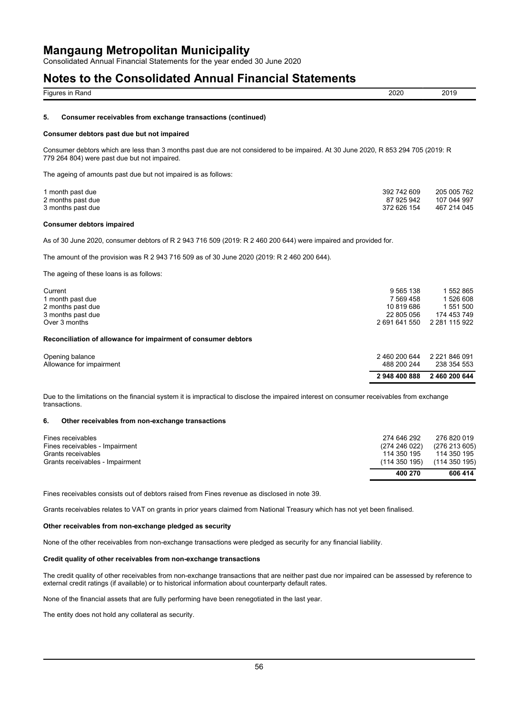Consolidated Annual Financial Statements for the year ended 30 June 2020

# **Notes to the Consolidated Annual Financial Statements**

|    | Figures in Rand                                                                                                                                                                   | 2020                                                                 | 2019                                                                |
|----|-----------------------------------------------------------------------------------------------------------------------------------------------------------------------------------|----------------------------------------------------------------------|---------------------------------------------------------------------|
|    |                                                                                                                                                                                   |                                                                      |                                                                     |
| 5. | Consumer receivables from exchange transactions (continued)                                                                                                                       |                                                                      |                                                                     |
|    | Consumer debtors past due but not impaired                                                                                                                                        |                                                                      |                                                                     |
|    | Consumer debtors which are less than 3 months past due are not considered to be impaired. At 30 June 2020, R 853 294 705 (2019: R<br>779 264 804) were past due but not impaired. |                                                                      |                                                                     |
|    | The ageing of amounts past due but not impaired is as follows:                                                                                                                    |                                                                      |                                                                     |
|    | 1 month past due<br>2 months past due<br>3 months past due                                                                                                                        | 392 742 609<br>87 925 942<br>372 626 154                             | 205 005 762<br>107 044 997<br>467 214 045                           |
|    | <b>Consumer debtors impaired</b>                                                                                                                                                  |                                                                      |                                                                     |
|    | As of 30 June 2020, consumer debtors of R 2 943 716 509 (2019: R 2 460 200 644) were impaired and provided for.                                                                   |                                                                      |                                                                     |
|    | The amount of the provision was R 2 943 716 509 as of 30 June 2020 (2019: R 2 460 200 644).                                                                                       |                                                                      |                                                                     |
|    | The ageing of these loans is as follows:                                                                                                                                          |                                                                      |                                                                     |
|    | Current<br>1 month past due<br>2 months past due<br>3 months past due<br>Over 3 months                                                                                            | 9 5 65 138<br>7 569 458<br>10 819 686<br>22 805 056<br>2 691 641 550 | 1 552 865<br>1 526 608<br>1 551 500<br>174 453 749<br>2 281 115 922 |
|    | Reconciliation of allowance for impairment of consumer debtors                                                                                                                    |                                                                      |                                                                     |
|    | Opening balance<br>Allowance for impairment                                                                                                                                       | 2 460 200 644<br>488 200 244                                         | 2 221 846 091<br>238 354 553                                        |
|    |                                                                                                                                                                                   | 2948400888                                                           | 2 460 200 644                                                       |
|    | Due to the limitations on the financial system it is impractical to disclose the impaired interest on consumer receivables from exchange<br>transactions.                         |                                                                      |                                                                     |
| 6. | Other receivables from non-exchange transactions                                                                                                                                  |                                                                      |                                                                     |
|    | <b>Fines receivables</b><br>Fines receivables - Impairment<br><b>Grants receivables</b><br>Grants receivables - Impairment                                                        | 274 646 292<br>(274 246 022)<br>114 350 195<br>(114 350 195)         | 276 820 019<br>(276 213 605)<br>114 350 195<br>(114350195)          |

Fines receivables consists out of debtors raised from Fines revenue as disclosed in note 39.

Grants receivables relates to VAT on grants in prior years claimed from National Treasury which has not yet been finalised.

### **Other receivables from non-exchange pledged as security**

None of the other receivables from non-exchange transactions were pledged as security for any financial liability.

### **Credit quality of other receivables from non-exchange transactions**

The credit quality of other receivables from non-exchange transactions that are neither past due nor impaired can be assessed by reference to external credit ratings (if available) or to historical information about counterparty default rates.

**400 270 606 414**

None of the financial assets that are fully performing have been renegotiated in the last year.

The entity does not hold any collateral as security.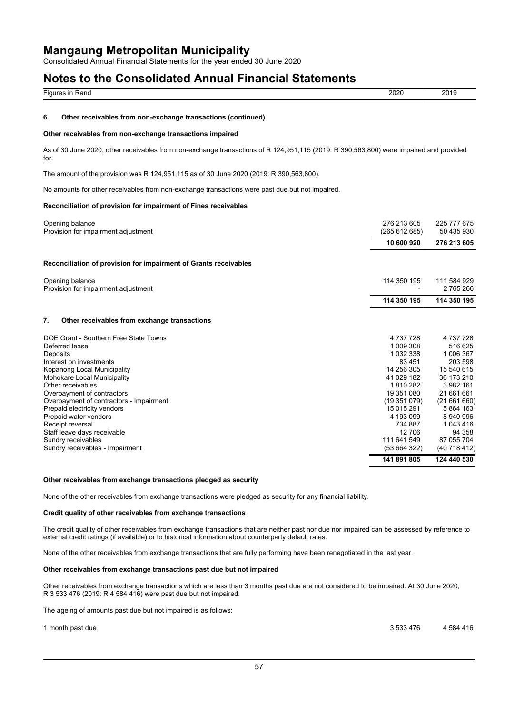Consolidated Annual Financial Statements for the year ended 30 June 2020

# **Notes to the Consolidated Annual Financial Statements**

| --<br>.<br><b>Liqure</b><br>ır<br>≺and<br> | ____ |  |
|--------------------------------------------|------|--|
|                                            |      |  |

## **6. Other receivables from non-exchange transactions (continued)**

### **Other receivables from non-exchange transactions impaired**

As of 30 June 2020, other receivables from non-exchange transactions of R 124,951,115 (2019: R 390,563,800) were impaired and provided for.

The amount of the provision was R 124,951,115 as of 30 June 2020 (2019: R 390,563,800).

No amounts for other receivables from non-exchange transactions were past due but not impaired.

### **Reconciliation of provision for impairment of Fines receivables**

| Opening balance<br>Provision for impairment adjustment                   | 276 213 605<br>(265 612 685)           | 225 777 675<br>50 435 930             |
|--------------------------------------------------------------------------|----------------------------------------|---------------------------------------|
|                                                                          | 10 600 920                             | 276 213 605                           |
| Reconciliation of provision for impairment of Grants receivables         |                                        |                                       |
| Opening balance<br>Provision for impairment adjustment                   | 114 350 195                            | 111 584 929<br>2 765 266              |
|                                                                          | 114 350 195                            | 114 350 195                           |
| 7.<br>Other receivables from exchange transactions                       |                                        |                                       |
| DOE Grant - Southern Free State Towns<br>Deferred lease<br>Deposits      | 4 737 728<br>1 009 308<br>1 032 338    | 4 737 728<br>516 625<br>1 006 367     |
| Interest on investments<br>Kopanong Local Municipality                   | 83 451<br>14 256 305                   | 203 598<br>15 540 615                 |
| Mohokare Local Municipality<br>Other receivables                         | 41 029 182<br>1810282                  | 36 173 210<br>3982161                 |
| Overpayment of contractors<br>Overpayment of contractors - Impairment    | 19 351 080<br>(19351079)<br>15 015 291 | 21 661 661<br>(21661660)<br>5 864 163 |
| Prepaid electricity vendors<br>Prepaid water vendors<br>Receipt reversal | 4 193 099<br>734 887                   | 8 940 996<br>1 043 416                |
| Staff leave days receivable<br>Sundry receivables                        | 12 706<br>111 641 549                  | 94 358<br>87 055 704                  |
| Sundry receivables - Impairment                                          | (53664322)                             | (40718412)                            |
|                                                                          | 141 891 805                            | 124 440 530                           |

### **Other receivables from exchange transactions pledged as security**

None of the other receivables from exchange transactions were pledged as security for any financial liability.

### **Credit quality of other receivables from exchange transactions**

The credit quality of other receivables from exchange transactions that are neither past nor due nor impaired can be assessed by reference to external credit ratings (if available) or to historical information about counterparty default rates.

None of the other receivables from exchange transactions that are fully performing have been renegotiated in the last year.

## **Other receivables from exchange transactions past due but not impaired**

Other receivables from exchange transactions which are less than 3 months past due are not considered to be impaired. At 30 June 2020, R 3 533 476 (2019: R 4 584 416) were past due but not impaired.

The ageing of amounts past due but not impaired is as follows:

1 month past due 3 533 476 4 584 416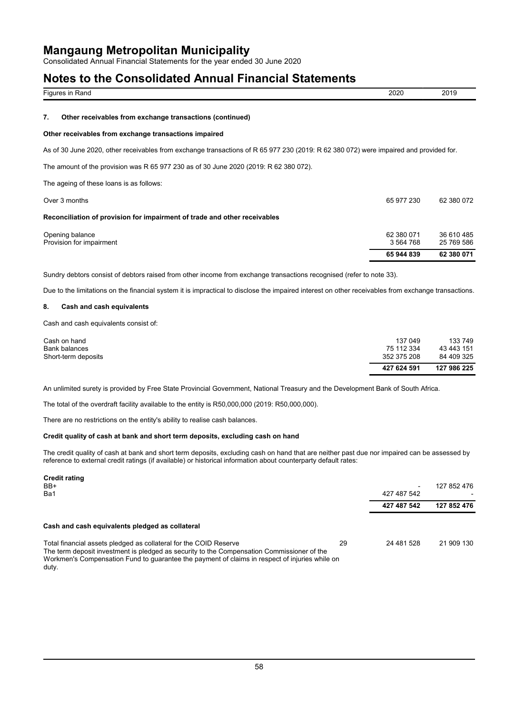Consolidated Annual Financial Statements for the year ended 30 June 2020

# **Notes to the Consolidated Annual Financial Statements**

| Figures in Rand                                                                       | 2020                                                                                                                                  | 2019                     |  |
|---------------------------------------------------------------------------------------|---------------------------------------------------------------------------------------------------------------------------------------|--------------------------|--|
| 7.<br>Other receivables from exchange transactions (continued)                        |                                                                                                                                       |                          |  |
| Other receivables from exchange transactions impaired                                 |                                                                                                                                       |                          |  |
|                                                                                       | As of 30 June 2020, other receivables from exchange transactions of R 65 977 230 (2019: R 62 380 072) were impaired and provided for. |                          |  |
| The amount of the provision was R 65 977 230 as of 30 June 2020 (2019: R 62 380 072). |                                                                                                                                       |                          |  |
| The ageing of these loans is as follows:                                              |                                                                                                                                       |                          |  |
| Over 3 months                                                                         | 65 977 230                                                                                                                            | 62 380 072               |  |
| Reconciliation of provision for impairment of trade and other receivables             |                                                                                                                                       |                          |  |
| Opening balance<br>Provision for impairment                                           | 62 380 071<br>3 564 768                                                                                                               | 36 610 485<br>25 769 586 |  |
|                                                                                       | 65 944 839                                                                                                                            | 62 380 071               |  |

Sundry debtors consist of debtors raised from other income from exchange transactions recognised (refer to note 33).

Due to the limitations on the financial system it is impractical to disclose the impaired interest on other receivables from exchange transactions.

## **8. Cash and cash equivalents**

Cash and cash equivalents consist of:

|                     | 427 624 591 | 127 986 225 |
|---------------------|-------------|-------------|
| Short-term deposits | 352 375 208 | 84 409 325  |
| Bank balances       | 75 112 334  | 43 443 151  |
| Cash on hand        | 137 049     | 133 749     |
|                     |             |             |

An unlimited surety is provided by Free State Provincial Government, National Treasury and the Development Bank of South Africa.

The total of the overdraft facility available to the entity is R50,000,000 (2019: R50,000,000).

There are no restrictions on the entity's ability to realise cash balances.

## **Credit quality of cash at bank and short term deposits, excluding cash on hand**

The credit quality of cash at bank and short term deposits, excluding cash on hand that are neither past due nor impaired can be assessed by reference to external credit ratings (if available) or historical information about counterparty default rates:

**Credit rating**

| BB+<br>Ba1                                                                                                                                                                                                                                                                 |    | 427 487 542 | 127 852 476 |
|----------------------------------------------------------------------------------------------------------------------------------------------------------------------------------------------------------------------------------------------------------------------------|----|-------------|-------------|
|                                                                                                                                                                                                                                                                            |    | 427 487 542 | 127 852 476 |
| Cash and cash equivalents pledged as collateral                                                                                                                                                                                                                            |    |             |             |
| Total financial assets pledged as collateral for the COID Reserve<br>The term deposit investment is pledged as security to the Compensation Commissioner of the<br>Workmen's Compensation Fund to quarantee the payment of claims in respect of injuries while on<br>duty. | 29 | 24 481 528  | 21 909 130  |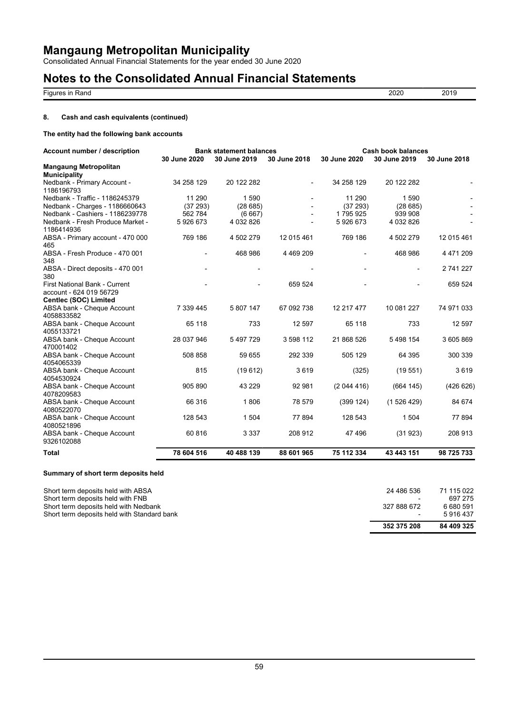Consolidated Annual Financial Statements for the year ended 30 June 2020

# **Notes to the Consolidated Annual Financial Statements**

Figures in Rand 2019

## **8. Cash and cash equivalents (continued)**

**The entity had the following bank accounts**

| Account number / description                                    | 30 June 2020             | <b>Bank statement balances</b><br>30 June 2019 | 30 June 2018 | 30 June 2020 | <b>Cash book balances</b><br>30 June 2019 | 30 June 2018 |
|-----------------------------------------------------------------|--------------------------|------------------------------------------------|--------------|--------------|-------------------------------------------|--------------|
| <b>Mangaung Metropolitan</b>                                    |                          |                                                |              |              |                                           |              |
| <b>Municipality</b>                                             |                          |                                                |              |              |                                           |              |
| Nedbank - Primary Account -<br>1186196793                       | 34 258 129               | 20 122 282                                     |              | 34 258 129   | 20 122 282                                |              |
| Nedbank - Traffic - 1186245379                                  | 11 290                   | 1590                                           |              | 11 290       | 1590                                      |              |
| Nedbank - Charges - 1186660643                                  | (37293)                  | (28685)                                        |              | (37293)      | (28685)                                   |              |
| Nedbank - Cashiers - 1186239778                                 | 562 784                  | (6667)                                         |              | 1795925      | 939 908                                   |              |
| Nedbank - Fresh Produce Market -<br>1186414936                  | 5926673                  | 4 032 826                                      |              | 5926673      | 4 032 826                                 |              |
| ABSA - Primary account - 470 000<br>465                         | 769 186                  | 4 502 279                                      | 12 015 461   | 769 186      | 4 502 279                                 | 12 015 461   |
| ABSA - Fresh Produce - 470 001<br>348                           | $\overline{\phantom{0}}$ | 468 986                                        | 4 4 69 2 09  |              | 468 986                                   | 4 471 209    |
| ABSA - Direct deposits - 470 001<br>380                         |                          | $\overline{\phantom{a}}$                       |              |              |                                           | 2 741 227    |
| <b>First National Bank - Current</b><br>account - 624 019 56729 |                          |                                                | 659 524      |              |                                           | 659 524      |
| Centlec (SOC) Limited                                           |                          |                                                |              |              |                                           |              |
| ABSA bank - Cheque Account<br>4058833582                        | 7 339 445                | 5 807 147                                      | 67 092 738   | 12 217 477   | 10 081 227                                | 74 971 033   |
| ABSA bank - Cheque Account<br>4055133721                        | 65 118                   | 733                                            | 12 597       | 65 118       | 733                                       | 12 597       |
| ABSA bank - Cheque Account<br>470001402                         | 28 037 946               | 5497729                                        | 3 598 112    | 21 868 526   | 5498154                                   | 3 605 869    |
| ABSA bank - Cheque Account<br>4054065339                        | 508 858                  | 59 655                                         | 292 339      | 505 129      | 64 395                                    | 300 339      |
| ABSA bank - Cheque Account<br>4054530924                        | 815                      | (19612)                                        | 3619         | (325)        | (19.551)                                  | 3619         |
| ABSA bank - Cheque Account<br>4078209583                        | 905 890                  | 43 2 2 9                                       | 92 981       | (2044416)    | (664 145)                                 | (426626)     |
| ABSA bank - Cheque Account<br>4080522070                        | 66 316                   | 1806                                           | 78 579       | (399 124)    | (1526429)                                 | 84 674       |
| ABSA bank - Cheque Account<br>4080521896                        | 128 543                  | 1 504                                          | 77 894       | 128 543      | 1 504                                     | 77894        |
| ABSA bank - Cheque Account<br>9326102088                        | 60 816                   | 3 3 3 7                                        | 208 912      | 47 496       | (31923)                                   | 208 913      |
| <b>Total</b>                                                    | 78 604 516               | 40 488 139                                     | 88 601 965   | 75 112 334   | 43 443 151                                | 98 725 733   |

## **Summary of short term deposits held**

|                                             | 352 375 208 | 84 409 325 |
|---------------------------------------------|-------------|------------|
| Short term deposits held with Standard bank |             | 5 916 437  |
| Short term deposits held with Nedbank       | 327 888 672 | 6 680 591  |
| Short term deposits held with FNB           |             | 697 275    |
| Short term deposits held with ABSA          | 24 486 536  | 71 115 022 |
|                                             |             |            |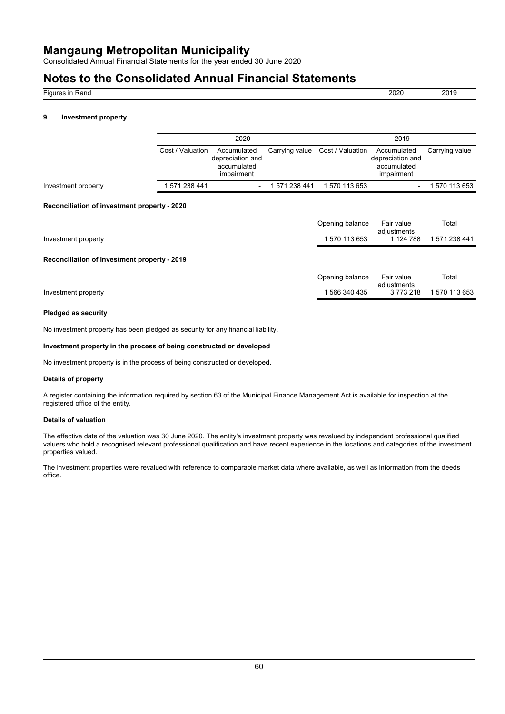Consolidated Annual Financial Statements for the year ended 30 June 2020

# **Notes to the Consolidated Annual Financial Statements**

| -iqures in Rand | 2020<br>___ | 2019 |
|-----------------|-------------|------|

## **9. Investment property**

|                                              |                  | 2020                                                         |                |                  | 2019                                                         |                |  |
|----------------------------------------------|------------------|--------------------------------------------------------------|----------------|------------------|--------------------------------------------------------------|----------------|--|
|                                              | Cost / Valuation | Accumulated<br>depreciation and<br>accumulated<br>impairment | Carrying value | Cost / Valuation | Accumulated<br>depreciation and<br>accumulated<br>impairment | Carrying value |  |
| Investment property                          | 571 238 441      | ٠                                                            | 1 571 238 441  | 1 570 113 653    | -                                                            | 1 570 113 653  |  |
| Reconciliation of investment property - 2020 |                  |                                                              |                | Opening balance  | Fair value<br>adjustments                                    | Total          |  |
| Investment property                          |                  |                                                              |                | 1 570 113 653    | 1 124 788                                                    | 1 571 238 441  |  |
| Reconciliation of investment property - 2019 |                  |                                                              |                |                  |                                                              |                |  |
|                                              |                  |                                                              |                | Opening balance  | Fair value<br>adjustments                                    | Total          |  |
| Investment property                          |                  |                                                              |                | 1 566 340 435    | 3773218                                                      | 1 570 113 653  |  |
|                                              |                  |                                                              |                |                  |                                                              |                |  |

## **Pledged as security**

No investment property has been pledged as security for any financial liability.

### **Investment property in the process of being constructed or developed**

No investment property is in the process of being constructed or developed.

### **Details of property**

A register containing the information required by section 63 of the Municipal Finance Management Act is available for inspection at the registered office of the entity.

### **Details of valuation**

The effective date of the valuation was 30 June 2020. The entity's investment property was revalued by independent professional qualified valuers who hold a recognised relevant professional qualification and have recent experience in the locations and categories of the investment properties valued.

The investment properties were revalued with reference to comparable market data where available, as well as information from the deeds office.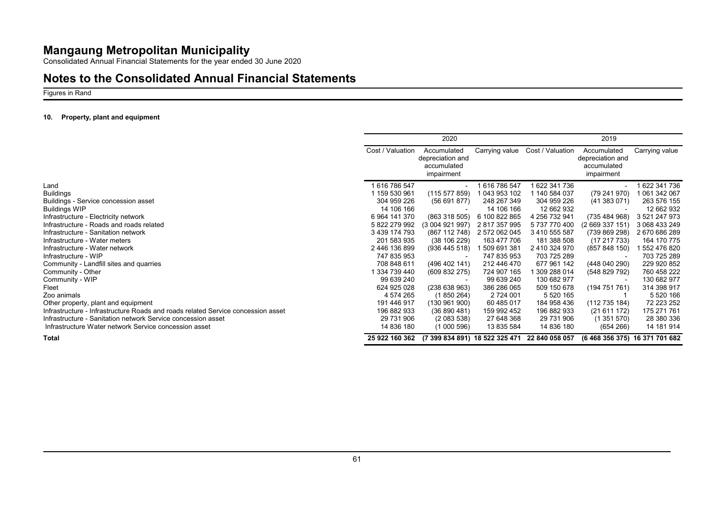Consolidated Annual Financial Statements for the year ended 30 June 2020

# **Notes to the Consolidated Annual Financial Statements**

Figures in Rand

## **10. Property, plant and equipment**

|                                                                                  |                  | 2020                                                         |                | 2019             |                                                              |                |  |
|----------------------------------------------------------------------------------|------------------|--------------------------------------------------------------|----------------|------------------|--------------------------------------------------------------|----------------|--|
|                                                                                  | Cost / Valuation | Accumulated<br>depreciation and<br>accumulated<br>impairment | Carrying value | Cost / Valuation | Accumulated<br>depreciation and<br>accumulated<br>impairment | Carrying value |  |
| Land                                                                             | 1616786547       | $\overline{\phantom{a}}$                                     | 1616786547     | 1 622 341 736    |                                                              | 1 622 341 736  |  |
| <b>Buildings</b>                                                                 | 1 159 530 961    | (115 577 859)                                                | 1043953102     | 140 584 037      | (79 241 970)                                                 | 061 342 067    |  |
| Buildings - Service concession asset                                             | 304 959 226      | (56691877)                                                   | 248 267 349    | 304 959 226      | (41383071)                                                   | 263 576 155    |  |
| <b>Buildings WIP</b>                                                             | 14 106 166       |                                                              | 14 106 166     | 12 662 932       |                                                              | 12 662 932     |  |
| Infrastructure - Electricity network                                             | 6 964 141 370    | (863318505)                                                  | 6 100 822 865  | 4 256 732 941    | (735484968)                                                  | 3 521 247 973  |  |
| Infrastructure - Roads and roads related                                         | 5 822 279 992    | (3004921997)                                                 | 2817357995     | 5737770400       | (2669337151)                                                 | 3 068 433 249  |  |
| Infrastructure - Sanitation network                                              | 3 439 174 793    | (867 112 748)                                                | 2 572 062 045  | 3 410 555 587    | (739 869 298)                                                | 2670686289     |  |
| Infrastructure - Water meters                                                    | 201 583 935      | (38106229)                                                   | 163 477 706    | 181 388 508      | (17217733)                                                   | 164 170 775    |  |
| Infrastructure - Water network                                                   | 2 446 136 899    | (936445518)                                                  | 509 691 381    | 2 410 324 970    | (857 848 150)                                                | 552 476 820    |  |
| Infrastructure - WIP                                                             | 747 835 953      | $\blacksquare$                                               | 747 835 953    | 703 725 289      |                                                              | 703 725 289    |  |
| Community - Landfill sites and quarries                                          | 708 848 611      | (496 402 141)                                                | 212 446 470    | 677 961 142      | (448040290)                                                  | 229 920 852    |  |
| Community - Other                                                                | 1 334 739 440    | (609 832 275)                                                | 724 907 165    | 309 288 014      | (548 829 792)                                                | 760 458 222    |  |
| Community - WIP                                                                  | 99 639 240       |                                                              | 99 639 240     | 130 682 977      |                                                              | 130 682 977    |  |
| Fleet                                                                            | 624 925 028      | (238638963)                                                  | 386 286 065    | 509 150 678      | (194 751 761)                                                | 314 398 917    |  |
| Zoo animals                                                                      | 4 574 265        | (1850264)                                                    | 2 724 001      | 5 5 20 1 6 5     |                                                              | 5 5 20 1 66    |  |
| Other property, plant and equipment                                              | 191 446 917      | (130961900)                                                  | 60 485 017     | 184 958 436      | (112 735 184)                                                | 72 223 252     |  |
| Infrastructure - Infrastructure Roads and roads related Service concession asset | 196 882 933      | (36890481)                                                   | 159 992 452    | 196 882 933      | (21611172)                                                   | 175 271 761    |  |
| Infrastructure - Sanitation network Service concession asset                     | 29 731 906       | (2083538)                                                    | 27 648 368     | 29 731 906       | (1351570)                                                    | 28 380 336     |  |
| Infrastructure Water network Service concession asset                            | 14 836 180       | (1000596)                                                    | 13 835 584     | 14 836 180       | (654 266)                                                    | 14 181 914     |  |
| <b>Total</b>                                                                     | 25 922 160 362   | (7 399 834 891) 18 522 325 471                               |                | 22 840 058 057   | (6 468 356 375) 16 371 701 682                               |                |  |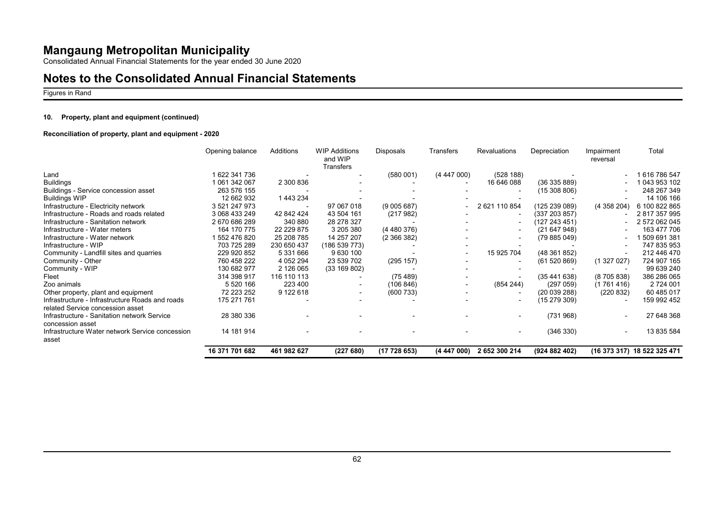Consolidated Annual Financial Statements for the year ended 30 June 2020

# **Notes to the Consolidated Annual Financial Statements**

Figures in Rand

## **10. Property, plant and equipment (continued)**

**Reconciliation of property, plant and equipment - 2020**

|                                                                                     | Opening balance | Additions   | <b>WIP Additions</b><br>and WIP<br>Transfers | <b>Disposals</b> | Transfers                | <b>Revaluations</b> | Depreciation  | Impairment<br>reversal   | Total                       |
|-------------------------------------------------------------------------------------|-----------------|-------------|----------------------------------------------|------------------|--------------------------|---------------------|---------------|--------------------------|-----------------------------|
| Land                                                                                | 1 622 341 736   |             |                                              | (580001)         | (4447000)                | (528 188)           |               | $\overline{\phantom{a}}$ | 616 786 547                 |
| <b>Buildings</b>                                                                    | 1 061 342 067   | 2 300 836   |                                              |                  |                          | 16 646 088          | (36335889)    |                          | 043 953 102                 |
| Buildings - Service concession asset                                                | 263 576 155     |             |                                              |                  |                          |                     | (15 308 806)  |                          | 248 267 349                 |
| <b>Buildings WIP</b>                                                                | 12 662 932      | 1 443 234   |                                              |                  |                          |                     |               |                          | 14 106 166                  |
| Infrastructure - Electricity network                                                | 3 521 247 973   |             | 97 067 018                                   | (9005687)        |                          | 2621110854          | (125 239 089) | (4358204)                | 6 100 822 865               |
| Infrastructure - Roads and roads related                                            | 3 068 433 249   | 42 842 424  | 43 504 161                                   | (217982)         |                          |                     | (337 203 857) |                          | 2817357995                  |
| Infrastructure - Sanitation network                                                 | 2670686289      | 340 880     | 28 278 327                                   |                  |                          |                     | (127 243 451) |                          | 2 572 062 045               |
| Infrastructure - Water meters                                                       | 164 170 775     | 22 229 875  | 3 205 380                                    | (4480376)        |                          |                     | (21647948)    |                          | 163 477 706                 |
| Infrastructure - Water network                                                      | 552 476 820     | 25 208 785  | 14 257 207                                   | (2366382)        |                          |                     | (79885049)    | -                        | 509 691 381                 |
| Infrastructure - WIP                                                                | 703 725 289     | 230 650 437 | (186 539 773)                                |                  |                          |                     |               | $\overline{\phantom{a}}$ | 747 835 953                 |
| Community - Landfill sites and quarries                                             | 229 920 852     | 5 331 666   | 9 630 100                                    |                  | $\overline{\phantom{a}}$ | 15 925 704          | (48361852)    |                          | 212 446 470                 |
| Community - Other                                                                   | 760 458 222     | 4 052 294   | 23 539 702                                   | (295 157)        |                          |                     | (61520869)    | (1327027)                | 724 907 165                 |
| Community - WIP                                                                     | 130 682 977     | 2 126 065   | (33 169 802)                                 |                  |                          |                     |               |                          | 99 639 240                  |
| Fleet                                                                               | 314 398 917     | 116 110 113 | $\overline{\phantom{0}}$                     | (75, 489)        |                          |                     | (35441638)    | (8705838)                | 386 286 065                 |
| Zoo animals                                                                         | 5 5 20 1 66     | 223 400     | $\overline{\phantom{a}}$                     | (106 846)        | $\overline{\phantom{a}}$ | (854 244)           | (297059)      | (1761416)                | 2 724 001                   |
| Other property, plant and equipment                                                 | 72 223 252      | 9 122 618   |                                              | (600733)         |                          |                     | (20039288)    | (220 832)                | 60 485 017                  |
| Infrastructure - Infrastructure Roads and roads<br>related Service concession asset | 175 271 761     |             |                                              |                  |                          |                     | (15 279 309)  | $\overline{\phantom{0}}$ | 159 992 452                 |
| Infrastructure - Sanitation network Service<br>concession asset                     | 28 380 336      |             |                                              |                  |                          |                     | (731968)      | $\sim$                   | 27 648 368                  |
| Infrastructure Water network Service concession<br>asset                            | 14 181 914      |             |                                              |                  |                          |                     | (346330)      | $\sim$                   | 13 835 584                  |
|                                                                                     | 16 371 701 682  | 461 982 627 | (227680)                                     | (17 728 653)     | (4447000)                | 2 652 300 214       | (924 882 402) |                          | (16 373 317) 18 522 325 471 |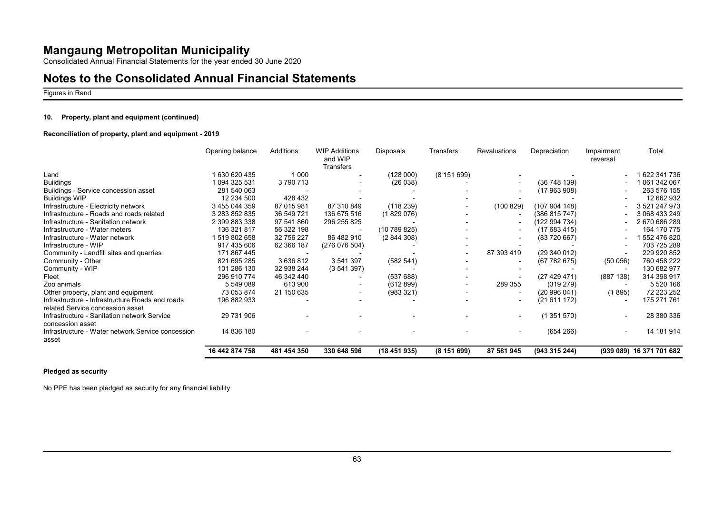Consolidated Annual Financial Statements for the year ended 30 June 2020

# **Notes to the Consolidated Annual Financial Statements**

Figures in Rand

## **10. Property, plant and equipment (continued)**

**Reconciliation of property, plant and equipment - 2019**

|                                                                 | Opening balance | Additions   | <b>WIP Additions</b><br>and WIP<br>Transfers | Disposals    | Transfers                | <b>Revaluations</b>      | Depreciation  | Impairment<br>reversal   | Total                    |
|-----------------------------------------------------------------|-----------------|-------------|----------------------------------------------|--------------|--------------------------|--------------------------|---------------|--------------------------|--------------------------|
| Land                                                            | 1 630 620 435   | 1 0 0 0     | $\overline{\phantom{0}}$                     | (128000)     | (8151699)                |                          |               | $\sim$                   | 622 341 736              |
| <b>Buildings</b>                                                | 1 094 325 531   | 3790713     |                                              | (26038)      |                          |                          | (36748139)    |                          | 061 342 067              |
| Buildings - Service concession asset                            | 281 540 063     |             |                                              |              |                          |                          | (17 963 908)  | $\overline{\phantom{a}}$ | 263 576 155              |
| <b>Buildings WIP</b>                                            | 12 234 500      | 428 432     |                                              |              |                          |                          |               | $\overline{\phantom{a}}$ | 12 662 932               |
| Infrastructure - Electricity network                            | 3 455 044 359   | 87 015 981  | 87 310 849                                   | (118239)     | $\overline{\phantom{a}}$ | (100 829)                | (107 904 148) | -                        | 3 521 247 973            |
| Infrastructure - Roads and roads related                        | 3 283 852 835   | 36 549 721  | 136 675 516                                  | (1829076)    |                          |                          | (386 815 747) |                          | 3 068 433 249            |
| Infrastructure - Sanitation network                             | 2 399 883 338   | 97 541 860  | 296 255 825                                  |              |                          |                          | (122 994 734) |                          | 2670686289               |
| Infrastructure - Water meters                                   | 136 321 817     | 56 322 198  |                                              | (10789825)   |                          |                          | (17 683 415)  |                          | 164 170 775              |
| Infrastructure - Water network                                  | 519 802 658     | 32 756 227  | 86 482 910                                   | (2844308)    |                          | $\overline{\phantom{a}}$ | (83720667)    | $\sim$                   | 552 476 820              |
| Infrastructure - WIP                                            | 917 435 606     | 62 366 187  | (276 076 504)                                |              |                          |                          |               | $\overline{\phantom{a}}$ | 703 725 289              |
| Community - Landfill sites and quarries                         | 171 867 445     |             |                                              |              | $\overline{\phantom{a}}$ | 87 393 419               | (29340012)    | $\overline{\phantom{a}}$ | 229 920 852              |
| Community - Other                                               | 821 695 285     | 3 636 812   | 3 541 397                                    | (582541)     |                          |                          | (67782675)    | (50056)                  | 760 458 222              |
| Community - WIP                                                 | 101 286 130     | 32 938 244  | (3541397)                                    |              |                          |                          |               |                          | 130 682 977              |
| Fleet                                                           | 296 910 774     | 46 342 440  |                                              | (537688)     |                          |                          | (27429471)    | (887 138)                | 314 398 917              |
| Zoo animals                                                     | 5 549 089       | 613 900     | $\overline{\phantom{a}}$                     | (612899)     | $\overline{\phantom{a}}$ | 289 355                  | (319 279)     |                          | 5 520 166                |
| Other property, plant and equipment                             | 73 053 874      | 21 150 635  |                                              | (983 321)    |                          |                          | (2096041)     | (1895)                   | 72 223 252               |
| Infrastructure - Infrastructure Roads and roads                 | 196 882 933     |             |                                              |              |                          |                          | (21 611 172)  | $\overline{\phantom{a}}$ | 175 271 761              |
| related Service concession asset                                |                 |             |                                              |              |                          |                          |               |                          |                          |
| Infrastructure - Sanitation network Service<br>concession asset | 29 731 906      |             |                                              |              |                          |                          | (1351570)     | $\sim$                   | 28 380 336               |
| Infrastructure - Water network Service concession<br>asset      | 14 836 180      |             |                                              |              |                          | -                        | (654 266)     | $\sim$                   | 14 181 914               |
|                                                                 | 16 442 874 758  | 481 454 350 | 330 648 596                                  | (18 451 935) | (8151699)                | 87 581 945               | (943 315 244) |                          | (939 089) 16 371 701 682 |

### **Pledged as security**

No PPE has been pledged as security for any financial liability.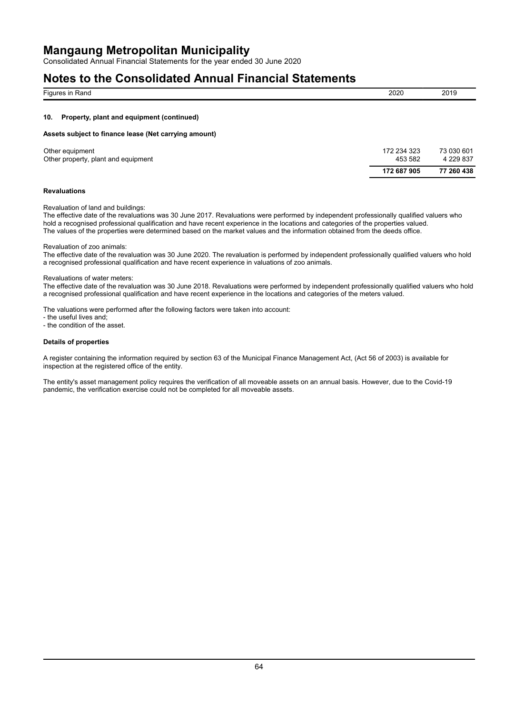Consolidated Annual Financial Statements for the year ended 30 June 2020

# **Notes to the Consolidated Annual Financial Statements**

| $-$<br>FIOUL<br>≺anc<br>שו<br>$\cdot$ | วกวเ<br><b>LULU</b> | 2019 |
|---------------------------------------|---------------------|------|
|                                       |                     |      |

## **10. Property, plant and equipment (continued)**

### **Assets subject to finance lease (Net carrying amount)**

|                                     | 172 687 905 | 77 260 438 |
|-------------------------------------|-------------|------------|
| Other equipment                     | 172 234 323 | 73 030 601 |
| Other property, plant and equipment | 453 582     | 4 229 837  |

## **Revaluations**

### Revaluation of land and buildings:

The effective date of the revaluations was 30 June 2017. Revaluations were performed by independent professionally qualified valuers who hold a recognised professional qualification and have recent experience in the locations and categories of the properties valued. The values of the properties were determined based on the market values and the information obtained from the deeds office.

Revaluation of zoo animals:

The effective date of the revaluation was 30 June 2020. The revaluation is performed by independent professionally qualified valuers who hold a recognised professional qualification and have recent experience in valuations of zoo animals.

### Revaluations of water meters:

The effective date of the revaluation was 30 June 2018. Revaluations were performed by independent professionally qualified valuers who hold a recognised professional qualification and have recent experience in the locations and categories of the meters valued.

The valuations were performed after the following factors were taken into account:

- the useful lives and;

- the condition of the asset.

### **Details of properties**

A register containing the information required by section 63 of the Municipal Finance Management Act, (Act 56 of 2003) is available for inspection at the registered office of the entity.

The entity's asset management policy requires the verification of all moveable assets on an annual basis. However, due to the Covid-19 pandemic, the verification exercise could not be completed for all moveable assets.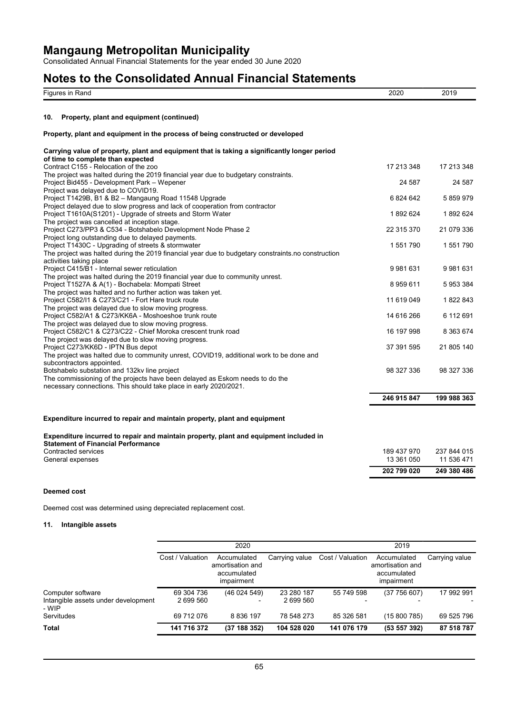Consolidated Annual Financial Statements for the year ended 30 June 2020

# **Notes to the Consolidated Annual Financial Statements**

| Figures in Rand                                                                                                                       | 2020        | 2019          |
|---------------------------------------------------------------------------------------------------------------------------------------|-------------|---------------|
|                                                                                                                                       |             |               |
| Property, plant and equipment (continued)<br>10.                                                                                      |             |               |
| Property, plant and equipment in the process of being constructed or developed                                                        |             |               |
| Carrying value of property, plant and equipment that is taking a significantly longer period<br>of time to complete than expected     |             |               |
| Contract C155 - Relocation of the zoo                                                                                                 | 17 213 348  | 17 213 348    |
| The project was halted during the 2019 financial year due to budgetary constraints.                                                   |             |               |
| Project Bid455 - Development Park - Wepener                                                                                           | 24 587      | 24 587        |
| Project was delayed due to COVID19.                                                                                                   | 6824642     | 5859979       |
| Project T1429B, B1 & B2 - Mangaung Road 11548 Upgrade<br>Project delayed due to slow progress and lack of cooperation from contractor |             |               |
| Project T1610A(S1201) - Upgrade of streets and Storm Water                                                                            | 1892624     | 1892624       |
| The project was cancelled at inception stage.                                                                                         |             |               |
| Project C273/PP3 & C534 - Botshabelo Development Node Phase 2                                                                         | 22 315 370  | 21 079 336    |
| Project long outstanding due to delayed payments.                                                                                     |             |               |
| Project T1430C - Upgrading of streets & stormwater                                                                                    | 1 551 790   | 1 551 790     |
| The project was halted during the 2019 financial year due to budgetary constraints no construction                                    |             |               |
| activities taking place                                                                                                               |             |               |
| Project C415/B1 - Internal sewer reticulation                                                                                         | 9981631     | 9981631       |
| The project was halted during the 2019 financial year due to community unrest.<br>Project T1527A & A(1) - Bochabela: Mompati Street   | 8959611     | 5953384       |
| The project was halted and no further action was taken yet.                                                                           |             |               |
| Project C582/I1 & C273/C21 - Fort Hare truck route                                                                                    | 11 619 049  | 1822843       |
| The project was delayed due to slow moving progress.                                                                                  |             |               |
| Project C582/A1 & C273/KK6A - Moshoeshoe trunk route                                                                                  | 14 616 266  | 6 112 691     |
| The project was delayed due to slow moving progress.                                                                                  |             |               |
| Project C582/C1 & C273/C22 - Chief Moroka crescent trunk road                                                                         | 16 197 998  | 8 3 6 3 6 7 4 |
| The project was delayed due to slow moving progress.                                                                                  |             |               |
| Project C273/KK6D - IPTN Bus depot                                                                                                    | 37 391 595  | 21 805 140    |
| The project was halted due to community unrest, COVID19, additional work to be done and                                               |             |               |
| subcontractors appointed.                                                                                                             | 98 327 336  | 98 327 336    |
| Botshabelo substation and 132kv line project<br>The commissioning of the projects have been delayed as Eskom needs to do the          |             |               |
| necessary connections. This should take place in early 2020/2021.                                                                     |             |               |
|                                                                                                                                       | 246 915 847 | 199 988 363   |
| Expenditure incurred to repair and maintain property, plant and equipment                                                             |             |               |
| Expenditure incurred to repair and maintain property, plant and equipment included in                                                 |             |               |
| <b>Statement of Financial Performance</b>                                                                                             |             |               |
| Contracted services                                                                                                                   | 189 437 970 | 237 844 015   |
| General expenses                                                                                                                      | 13 361 050  | 11 536 471    |
|                                                                                                                                       | 202 799 020 | 249 380 486   |

## **Deemed cost**

Deemed cost was determined using depreciated replacement cost.

## **11. Intangible assets**

|                                              |                  | 2020                                                         |                | 2019             |                                                              |                |
|----------------------------------------------|------------------|--------------------------------------------------------------|----------------|------------------|--------------------------------------------------------------|----------------|
|                                              | Cost / Valuation | Accumulated<br>amortisation and<br>accumulated<br>impairment | Carrying value | Cost / Valuation | Accumulated<br>amortisation and<br>accumulated<br>impairment | Carrying value |
| Computer software                            | 69 304 736       | (46024549)                                                   | 23 280 187     | 55 749 598       | (37756607)                                                   | 17 992 991     |
| Intangible assets under development<br>- WIP | 2 699 560        | -                                                            | 2 699 560      |                  |                                                              |                |
| <b>Servitudes</b>                            | 69 712 076       | 8 836 197                                                    | 78 548 273     | 85 326 581       | (15 800 785)                                                 | 69 525 796     |
| <b>Total</b>                                 | 141 716 372      | (37 188 352)                                                 | 104 528 020    | 141 076 179      | (53 557 392)                                                 | 87 518 787     |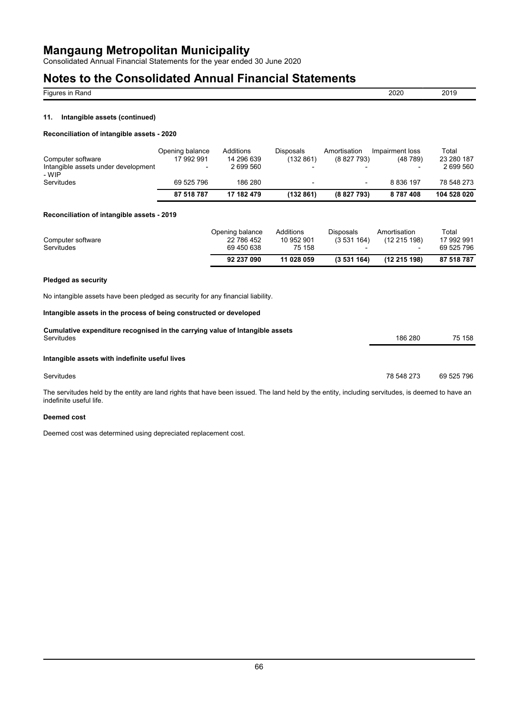Consolidated Annual Financial Statements for the year ended 30 June 2020

# **Notes to the Consolidated Annual Financial Statements**

| $- \cdot$<br>.<br>Fiau<br>≺ano<br>------<br>$\cdot$ | 2020 | 2011<br>ZUIY |
|-----------------------------------------------------|------|--------------|
|                                                     |      |              |

## **11. Intangible assets (continued)**

### **Reconciliation of intangible assets - 2020**

| Computer software                            | Opening balance<br>17 992 991 | Additions<br>14 296 639 | Disposals<br>(132 861)   | Amortisation<br>(8827793) | Impairment loss<br>(48 789) | Total<br>23 280 187 |
|----------------------------------------------|-------------------------------|-------------------------|--------------------------|---------------------------|-----------------------------|---------------------|
| Intangible assets under development<br>- WIP | ۰.                            | 2 699 560               | $\overline{\phantom{a}}$ |                           |                             | 2 699 560           |
| Servitudes                                   | 69 525 796                    | 186 280                 | $\overline{\phantom{0}}$ | $\overline{\phantom{a}}$  | 8 8 3 6 1 9 7               | 78 548 273          |
|                                              | 87 518 787                    | 17 182 479              | (132861)                 | (8 827 793)               | 8787408                     | 104 528 020         |

## **Reconciliation of intangible assets - 2019**

| Computer software<br>Servitudes | Opening balance<br>22 786 452<br>69 450 638 | Additions<br>10 952 901<br>75 158 | Disposals<br>(3531164) | Amortisation<br>(12215198) | Total<br>17 992 991<br>69 525 796 |
|---------------------------------|---------------------------------------------|-----------------------------------|------------------------|----------------------------|-----------------------------------|
|                                 | 92 237 090                                  | 11 028 059                        | (3531164)              | (12 215 198)               | 87 518 787                        |

## **Pledged as security**

No intangible assets have been pledged as security for any financial liability.

## **Intangible assets in the process of being constructed or developed**

| Cumulative expenditure recognised in the carrying value of Intangible assets<br>Servitudes | 186 280    | 75 158     |
|--------------------------------------------------------------------------------------------|------------|------------|
| Intangible assets with indefinite useful lives                                             |            |            |
| Servitudes                                                                                 | 78 548 273 | 69 525 796 |

The servitudes held by the entity are land rights that have been issued. The land held by the entity, including servitudes, is deemed to have an indefinite useful life.

## **Deemed cost**

Deemed cost was determined using depreciated replacement cost.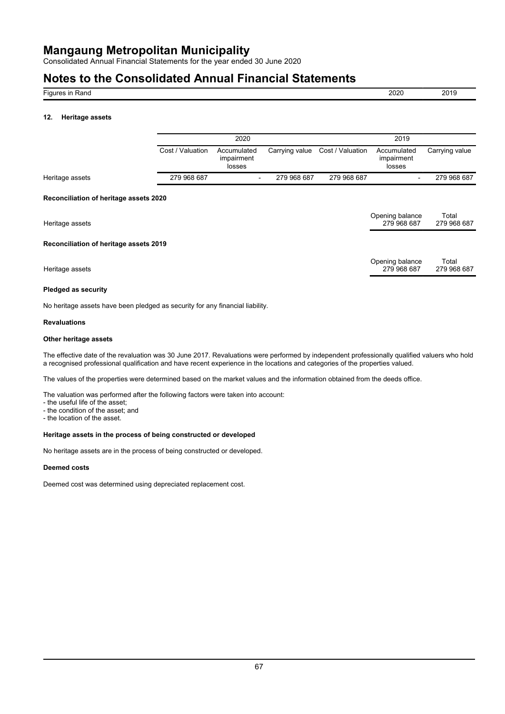Consolidated Annual Financial Statements for the year ended 30 June 2020

# **Notes to the Consolidated Annual Financial Statements**

| $-$<br>$ -$<br>Figur.<br>ules III Railu<br>. ւայ. | 2020<br>$\sim$ $\sim$ | 20 <sup>4</sup><br>$\sim$ $\sim$ $\sim$ |
|---------------------------------------------------|-----------------------|-----------------------------------------|
|                                                   |                       |                                         |

## **12. Heritage assets**

|                  | 2020                                |             |             | 2019                                |                |
|------------------|-------------------------------------|-------------|-------------|-------------------------------------|----------------|
| Cost / Valuation | Accumulated<br>impairment<br>losses |             |             | Accumulated<br>impairment<br>losses | Carrying value |
| 279 968 687      | $\overline{\phantom{a}}$            | 279 968 687 | 279 968 687 |                                     | 279 968 687    |
|                  |                                     |             |             | Carrying value Cost / Valuation     |                |

### **Reconciliation of heritage assets 2020**

| Heritage assets                        | Opening balance<br>279 968 687 | Total<br>279 968 687 |
|----------------------------------------|--------------------------------|----------------------|
| Reconciliation of heritage assets 2019 |                                |                      |
| Heritage assets                        | Opening balance<br>279 968 687 | Total<br>279 968 687 |

#### **Pledged as security**

No heritage assets have been pledged as security for any financial liability.

## **Revaluations**

## **Other heritage assets**

The effective date of the revaluation was 30 June 2017. Revaluations were performed by independent professionally qualified valuers who hold a recognised professional qualification and have recent experience in the locations and categories of the properties valued.

The values of the properties were determined based on the market values and the information obtained from the deeds office.

The valuation was performed after the following factors were taken into account:

- the useful life of the asset;

- the condition of the asset; and

- the location of the asset.

### **Heritage assets in the process of being constructed or developed**

No heritage assets are in the process of being constructed or developed.

### **Deemed costs**

Deemed cost was determined using depreciated replacement cost.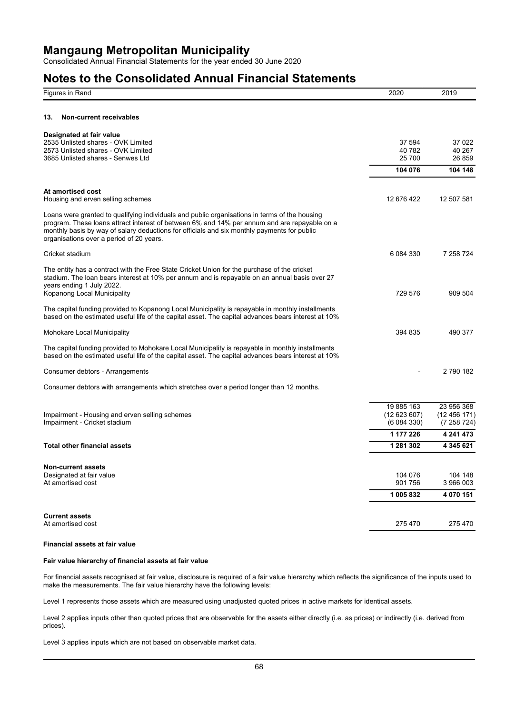Consolidated Annual Financial Statements for the year ended 30 June 2020

# **Notes to the Consolidated Annual Financial Statements**

| Figures in Rand             |  | 2019 |
|-----------------------------|--|------|
| 13. Non-current receivables |  |      |

| Designated at fair value<br>2535 Unlisted shares - OVK Limited                                                                                                                                                                                                                                                                           | 37 594                                | 37 022                                  |
|------------------------------------------------------------------------------------------------------------------------------------------------------------------------------------------------------------------------------------------------------------------------------------------------------------------------------------------|---------------------------------------|-----------------------------------------|
| 2573 Unlisted shares - OVK Limited                                                                                                                                                                                                                                                                                                       | 40 782                                | 40 267                                  |
| 3685 Unlisted shares - Senwes Ltd                                                                                                                                                                                                                                                                                                        | 25 700                                | 26 859                                  |
|                                                                                                                                                                                                                                                                                                                                          | 104 076                               | 104 148                                 |
| At amortised cost<br>Housing and erven selling schemes                                                                                                                                                                                                                                                                                   | 12 676 422                            | 12 507 581                              |
| Loans were granted to qualifying individuals and public organisations in terms of the housing<br>program. These loans attract interest of between 6% and 14% per annum and are repayable on a<br>monthly basis by way of salary deductions for officials and six monthly payments for public<br>organisations over a period of 20 years. |                                       |                                         |
| Cricket stadium                                                                                                                                                                                                                                                                                                                          | 6 0 84 3 30                           | 7 258 724                               |
| The entity has a contract with the Free State Cricket Union for the purchase of the cricket<br>stadium. The loan bears interest at 10% per annum and is repayable on an annual basis over 27<br>years ending 1 July 2022.                                                                                                                |                                       |                                         |
| Kopanong Local Municipality                                                                                                                                                                                                                                                                                                              | 729 576                               | 909 504                                 |
| The capital funding provided to Kopanong Local Municipality is repayable in monthly installments<br>based on the estimated useful life of the capital asset. The capital advances bears interest at 10%                                                                                                                                  |                                       |                                         |
| Mohokare Local Municipality                                                                                                                                                                                                                                                                                                              | 394 835                               | 490 377                                 |
| The capital funding provided to Mohokare Local Municipality is repayable in monthly installments<br>based on the estimated useful life of the capital asset. The capital advances bears interest at 10%                                                                                                                                  |                                       |                                         |
| Consumer debtors - Arrangements                                                                                                                                                                                                                                                                                                          |                                       | 2790182                                 |
| Consumer debtors with arrangements which stretches over a period longer than 12 months.                                                                                                                                                                                                                                                  |                                       |                                         |
| Impairment - Housing and erven selling schemes<br>Impairment - Cricket stadium                                                                                                                                                                                                                                                           | 19 885 163<br>(12623607)<br>(6084330) | 23 956 368<br>(12 456 171)<br>(7258724) |
|                                                                                                                                                                                                                                                                                                                                          | 1 177 226                             | 4 241 473                               |
| <b>Total other financial assets</b>                                                                                                                                                                                                                                                                                                      | 1 281 302                             | 4 345 621                               |
| <b>Non-current assets</b><br>Designated at fair value<br>At amortised cost                                                                                                                                                                                                                                                               | 104 076<br>901 756                    | 104 148<br>3 966 003                    |
|                                                                                                                                                                                                                                                                                                                                          | 1005832                               | 4 070 151                               |
| <b>Current assets</b><br>At amortised cost                                                                                                                                                                                                                                                                                               | 275470                                | 275470                                  |

### **Financial assets at fair value**

### **Fair value hierarchy of financial assets at fair value**

For financial assets recognised at fair value, disclosure is required of a fair value hierarchy which reflects the significance of the inputs used to make the measurements. The fair value hierarchy have the following levels:

Level 1 represents those assets which are measured using unadjusted quoted prices in active markets for identical assets.

Level 2 applies inputs other than quoted prices that are observable for the assets either directly (i.e. as prices) or indirectly (i.e. derived from prices).

Level 3 applies inputs which are not based on observable market data.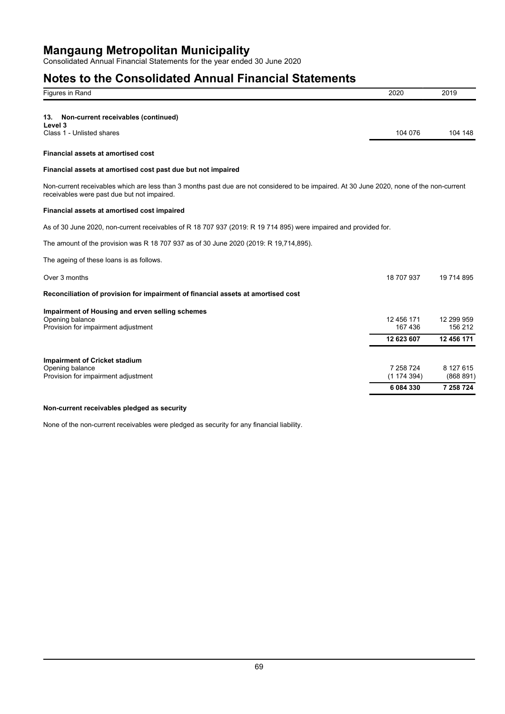Consolidated Annual Financial Statements for the year ended 30 June 2020

# **Notes to the Consolidated Annual Financial Statements**

| Non-current receivables (continued)<br>13.<br>Level 3<br>Class 1 - Unlisted shares<br>104 076<br>104 148<br>Financial assets at amortised cost<br>Financial assets at amortised cost past due but not impaired<br>Non-current receivables which are less than 3 months past due are not considered to be impaired. At 30 June 2020, none of the non-current<br>receivables were past due but not impaired.<br>Financial assets at amortised cost impaired<br>As of 30 June 2020, non-current receivables of R 18 707 937 (2019: R 19 714 895) were impaired and provided for.<br>The amount of the provision was R 18 707 937 as of 30 June 2020 (2019: R 19,714,895).<br>The ageing of these loans is as follows.<br>Over 3 months<br>18 707 937<br>19 714 895<br>Reconciliation of provision for impairment of financial assets at amortised cost<br>Impairment of Housing and erven selling schemes<br>12 456 171<br>12 299 959<br>Opening balance<br>156 212<br>Provision for impairment adjustment<br>167436<br>12 456 171<br>12 623 607<br><b>Impairment of Cricket stadium</b><br>7 258 724<br>8 127 615<br>Opening balance<br>Provision for impairment adjustment<br>(1174394)<br>(868 891)<br>7 258 724<br>6 084 330 | Figures in Rand | 2020 | 2019 |
|-------------------------------------------------------------------------------------------------------------------------------------------------------------------------------------------------------------------------------------------------------------------------------------------------------------------------------------------------------------------------------------------------------------------------------------------------------------------------------------------------------------------------------------------------------------------------------------------------------------------------------------------------------------------------------------------------------------------------------------------------------------------------------------------------------------------------------------------------------------------------------------------------------------------------------------------------------------------------------------------------------------------------------------------------------------------------------------------------------------------------------------------------------------------------------------------------------------------------------|-----------------|------|------|
|                                                                                                                                                                                                                                                                                                                                                                                                                                                                                                                                                                                                                                                                                                                                                                                                                                                                                                                                                                                                                                                                                                                                                                                                                               |                 |      |      |
|                                                                                                                                                                                                                                                                                                                                                                                                                                                                                                                                                                                                                                                                                                                                                                                                                                                                                                                                                                                                                                                                                                                                                                                                                               |                 |      |      |
|                                                                                                                                                                                                                                                                                                                                                                                                                                                                                                                                                                                                                                                                                                                                                                                                                                                                                                                                                                                                                                                                                                                                                                                                                               |                 |      |      |
|                                                                                                                                                                                                                                                                                                                                                                                                                                                                                                                                                                                                                                                                                                                                                                                                                                                                                                                                                                                                                                                                                                                                                                                                                               |                 |      |      |
|                                                                                                                                                                                                                                                                                                                                                                                                                                                                                                                                                                                                                                                                                                                                                                                                                                                                                                                                                                                                                                                                                                                                                                                                                               |                 |      |      |
|                                                                                                                                                                                                                                                                                                                                                                                                                                                                                                                                                                                                                                                                                                                                                                                                                                                                                                                                                                                                                                                                                                                                                                                                                               |                 |      |      |
|                                                                                                                                                                                                                                                                                                                                                                                                                                                                                                                                                                                                                                                                                                                                                                                                                                                                                                                                                                                                                                                                                                                                                                                                                               |                 |      |      |
|                                                                                                                                                                                                                                                                                                                                                                                                                                                                                                                                                                                                                                                                                                                                                                                                                                                                                                                                                                                                                                                                                                                                                                                                                               |                 |      |      |
|                                                                                                                                                                                                                                                                                                                                                                                                                                                                                                                                                                                                                                                                                                                                                                                                                                                                                                                                                                                                                                                                                                                                                                                                                               |                 |      |      |
|                                                                                                                                                                                                                                                                                                                                                                                                                                                                                                                                                                                                                                                                                                                                                                                                                                                                                                                                                                                                                                                                                                                                                                                                                               |                 |      |      |
|                                                                                                                                                                                                                                                                                                                                                                                                                                                                                                                                                                                                                                                                                                                                                                                                                                                                                                                                                                                                                                                                                                                                                                                                                               |                 |      |      |
|                                                                                                                                                                                                                                                                                                                                                                                                                                                                                                                                                                                                                                                                                                                                                                                                                                                                                                                                                                                                                                                                                                                                                                                                                               |                 |      |      |
|                                                                                                                                                                                                                                                                                                                                                                                                                                                                                                                                                                                                                                                                                                                                                                                                                                                                                                                                                                                                                                                                                                                                                                                                                               |                 |      |      |
|                                                                                                                                                                                                                                                                                                                                                                                                                                                                                                                                                                                                                                                                                                                                                                                                                                                                                                                                                                                                                                                                                                                                                                                                                               |                 |      |      |
|                                                                                                                                                                                                                                                                                                                                                                                                                                                                                                                                                                                                                                                                                                                                                                                                                                                                                                                                                                                                                                                                                                                                                                                                                               |                 |      |      |
|                                                                                                                                                                                                                                                                                                                                                                                                                                                                                                                                                                                                                                                                                                                                                                                                                                                                                                                                                                                                                                                                                                                                                                                                                               |                 |      |      |
|                                                                                                                                                                                                                                                                                                                                                                                                                                                                                                                                                                                                                                                                                                                                                                                                                                                                                                                                                                                                                                                                                                                                                                                                                               |                 |      |      |

## **Non-current receivables pledged as security**

None of the non-current receivables were pledged as security for any financial liability.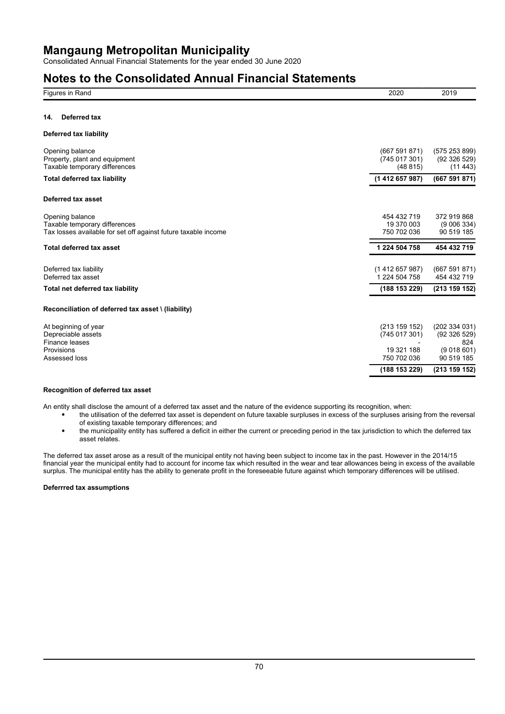Consolidated Annual Financial Statements for the year ended 30 June 2020

# **Notes to the Consolidated Annual Financial Statements**

| Eiour<br>InnA<br>i in Rand<br>$\cdot$ | 2020 | 2019 |
|---------------------------------------|------|------|
|                                       |      |      |

## **14. Deferred tax**

## **Deferred tax liability**

|                                                                | (188 153 229)                  | (213 159 152)               |
|----------------------------------------------------------------|--------------------------------|-----------------------------|
| Assessed loss                                                  | 750 702 036                    | 90 519 185                  |
| Provisions                                                     | 19 321 188                     | (9018601)                   |
| Finance leases                                                 |                                | 824                         |
| Depreciable assets                                             | (745 017 301)                  | (92326529)                  |
| At beginning of year                                           | (213 159 152)                  | (202334031)                 |
| Reconciliation of deferred tax asset \ (liability)             |                                |                             |
| Total net deferred tax liability                               | (188 153 229)                  | (213 159 152)               |
| Deferred tax asset                                             | 1 224 504 758                  | 454 432 719                 |
| Deferred tax liability                                         | (1412657987)                   | (667 591 871)               |
| <b>Total deferred tax asset</b>                                | 1 224 504 758                  | 454 432 719                 |
| Tax losses available for set off against future taxable income | 750 702 036                    | 90 519 185                  |
| Opening balance<br>Taxable temporary differences               | 454 432 719<br>19 370 003      | 372 919 868<br>(9006334)    |
|                                                                |                                |                             |
| Deferred tax asset                                             |                                |                             |
| <b>Total deferred tax liability</b>                            | (1412 657 987)                 | (667 591 871)               |
| Taxable temporary differences                                  | (48815)                        | (11443)                     |
| Opening balance<br>Property, plant and equipment               | (667 591 871)<br>(745 017 301) | (575 253 899)<br>(92326529) |
|                                                                |                                |                             |

## **Recognition of deferred tax asset**

An entity shall disclose the amount of a deferred tax asset and the nature of the evidence supporting its recognition, when:

- the utilisation of the deferred tax asset is dependent on future taxable surpluses in excess of the surpluses arising from the reversal of existing taxable temporary differences; and
- the municipality entity has suffered a deficit in either the current or preceding period in the tax jurisdiction to which the deferred tax asset relates.

The deferred tax asset arose as a result of the municipal entity not having been subject to income tax in the past. However in the 2014/15 financial year the municipal entity had to account for income tax which resulted in the wear and tear allowances being in excess of the available surplus. The municipal entity has the ability to generate profit in the foreseeable future against which temporary differences will be utilised.

### **Deferrred tax assumptions**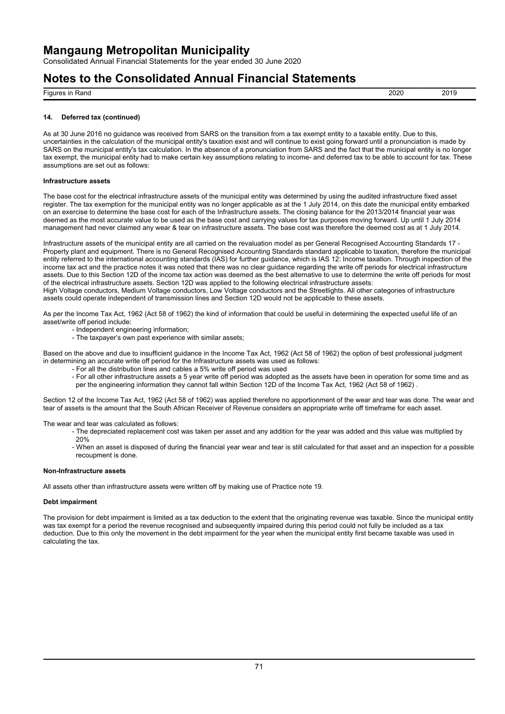Consolidated Annual Financial Statements for the year ended 30 June 2020

# **Notes to the Consolidated Annual Financial Statements**

| $- \cdot$<br>Figures in<br>Rand | 2020 | ว∩ฯ ด  |
|---------------------------------|------|--------|
|                                 |      | .<br>_ |

### **14. Deferred tax (continued)**

As at 30 June 2016 no guidance was received from SARS on the transition from a tax exempt entity to a taxable entity. Due to this, uncertainties in the calculation of the municipal entity's taxation exist and will continue to exist going forward until a pronunciation is made by SARS on the municipal entity's tax calculation. In the absence of a pronunciation from SARS and the fact that the municipal entity is no longer tax exempt, the municipal entity had to make certain key assumptions relating to income- and deferred tax to be able to account for tax. These assumptions are set out as follows:

### **Infrastructure assets**

The base cost for the electrical infrastructure assets of the municipal entity was determined by using the audited infrastructure fixed asset register. The tax exemption for the municipal entity was no longer applicable as at the 1 July 2014, on this date the municipal entity embarked on an exercise to determine the base cost for each of the Infrastructure assets. The closing balance for the 2013/2014 financial year was deemed as the most accurate value to be used as the base cost and carrying values for tax purposes moving forward. Up until 1 July 2014 management had never claimed any wear & tear on infrastructure assets. The base cost was therefore the deemed cost as at 1 July 2014.

Infrastructure assets of the municipal entity are all carried on the revaluation model as per General Recognised Accounting Standards 17 - Property plant and equipment. There is no General Recognised Accounting Standards standard applicable to taxation, therefore the municipal entity referred to the international accounting standards (IAS) for further guidance, which is IAS 12: Income taxation. Through inspection of the income tax act and the practice notes it was noted that there was no clear guidance regarding the write off periods for electrical infrastructure assets. Due to this Section 12D of the income tax action was deemed as the best alternative to use to determine the write off periods for most of the electrical infrastructure assets. Section 12D was applied to the following electrical infrastructure assets:

High Voltage conductors, Medium Voltage conductors, Low Voltage conductors and the Streetlights. All other categories of infrastructure assets could operate independent of transmission lines and Section 12D would not be applicable to these assets.

As per the Income Tax Act, 1962 (Act 58 of 1962) the kind of information that could be useful in determining the expected useful life of an asset/write off period include:

- Independent engineering information;
- The taxpayer's own past experience with similar assets;

Based on the above and due to insufficient guidance in the Income Tax Act, 1962 (Act 58 of 1962) the option of best professional judgment in determining an accurate write off period for the Infrastructure assets was used as follows:

- For all the distribution lines and cables a 5% write off period was used
- For all other infrastructure assets a 5 year write off period was adopted as the assets have been in operation for some time and as
- per the engineering information they cannot fall within Section 12D of the Income Tax Act, 1962 (Act 58 of 1962) .

Section 12 of the Income Tax Act, 1962 (Act 58 of 1962) was applied therefore no apportionment of the wear and tear was done. The wear and tear of assets is the amount that the South African Receiver of Revenue considers an appropriate write off timeframe for each asset.

The wear and tear was calculated as follows:

- The depreciated replacement cost was taken per asset and any addition for the year was added and this value was multiplied by 20%
- When an asset is disposed of during the financial year wear and tear is still calculated for that asset and an inspection for a possible recoupment is done.

### **Non-Infrastructure assets**

All assets other than infrastructure assets were written off by making use of Practice note 19.

#### **Debt impairment**

The provision for debt impairment is limited as a tax deduction to the extent that the originating revenue was taxable. Since the municipal entity was tax exempt for a period the revenue recognised and subsequently impaired during this period could not fully be included as a tax deduction. Due to this only the movement in the debt impairment for the year when the municipal entity first became taxable was used in calculating the tax.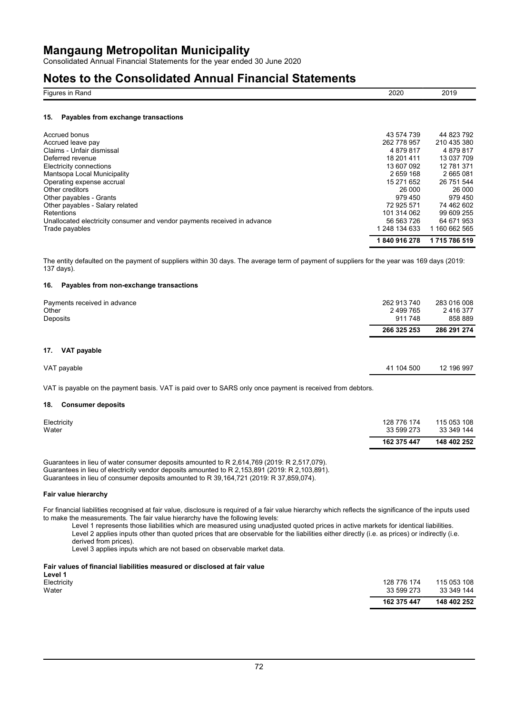Consolidated Annual Financial Statements for the year ended 30 June 2020

## **Notes to the Consolidated Annual Financial Statements**

| <b>Figure</b><br>.<br>$\sim$ | 2020<br>$- - -$ | 2019 |
|------------------------------|-----------------|------|
|                              |                 |      |

### **15. Payables from exchange transactions**

| Accrued bonus                                                            | 43 574 739    | 44 823 792    |
|--------------------------------------------------------------------------|---------------|---------------|
| Accrued leave pay                                                        | 262 778 957   | 210 435 380   |
| Claims - Unfair dismissal                                                | 4879817       | 4879817       |
| Deferred revenue                                                         | 18 201 411    | 13 037 709    |
| Electricity connections                                                  | 13 607 092    | 12 781 371    |
| Mantsopa Local Municipality                                              | 2659168       | 2665081       |
| Operating expense accrual                                                | 15 271 652    | 26 751 544    |
| Other creditors                                                          | 26 000        | 26 000        |
| Other payables - Grants                                                  | 979 450       | 979 450       |
| Other payables - Salary related                                          | 72 925 571    | 74 462 602    |
| Retentions                                                               | 101 314 062   | 99 609 255    |
| Unallocated electricity consumer and vendor payments received in advance | 56 563 726    | 64 671 953    |
| Trade payables                                                           | 1 248 134 633 | 1 160 662 565 |
|                                                                          | 1840916278    | 1 715 786 519 |

The entity defaulted on the payment of suppliers within 30 days. The average term of payment of suppliers for the year was 169 days (2019: 137 days).

### **16. Payables from non-exchange transactions**

| 17. VAT payable              |             |             |
|------------------------------|-------------|-------------|
|                              | 266 325 253 | 286 291 274 |
| Deposits                     | 911748      | 858 889     |
| Other                        | 2 499 765   | 2416377     |
| Payments received in advance | 262 913 740 | 283 016 008 |

| VAT payable | 41 104 500<br>. | 12 196 997<br>. |
|-------------|-----------------|-----------------|
|             |                 |                 |

VAT is payable on the payment basis. VAT is paid over to SARS only once payment is received from debtors.

### **18. Consumer deposits**

| Water       | 33 599 273<br>162 375 447 | 33 349 144<br>148 402 252 |
|-------------|---------------------------|---------------------------|
| Electricity | 128 776 174               | 115 053 108               |

Guarantees in lieu of water consumer deposits amounted to R 2,614,769 (2019: R 2,517,079). Guarantees in lieu of electricity vendor deposits amounted to R 2,153,891 (2019: R 2,103,891). Guarantees in lieu of consumer deposits amounted to R 39,164,721 (2019: R 37,859,074).

#### **Fair value hierarchy**

For financial liabilities recognised at fair value, disclosure is required of a fair value hierarchy which reflects the significance of the inputs used to make the measurements. The fair value hierarchy have the following levels:

Level 1 represents those liabilities which are measured using unadjusted quoted prices in active markets for identical liabilities. Level 2 applies inputs other than quoted prices that are observable for the liabilities either directly (i.e. as prices) or indirectly (i.e. derived from prices).

Level 3 applies inputs which are not based on observable market data.

#### **Fair values of financial liabilities measured or disclosed at fair value Level 1**

|             | 162 375 447 | 148 402 252 |
|-------------|-------------|-------------|
| Water       | 33 599 273  | 33 349 144  |
| Electricity | 128 776 174 | 115 053 108 |
| Level I     |             |             |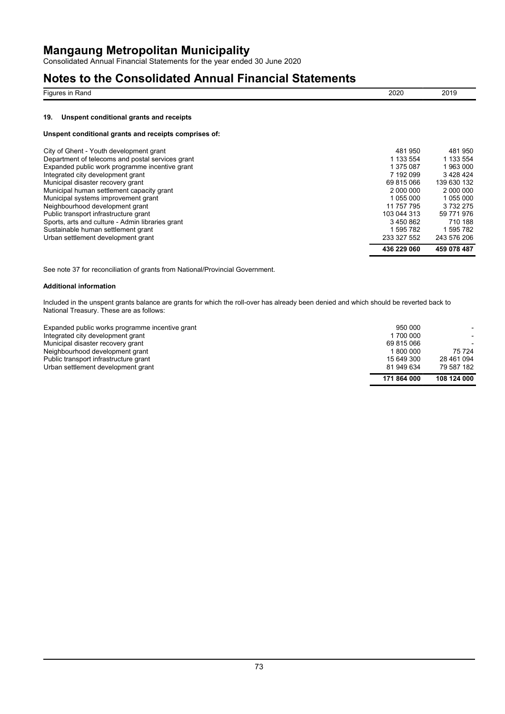Consolidated Annual Financial Statements for the year ended 30 June 2020

# **Notes to the Consolidated Annual Financial Statements**

| Figure<br><b>Jail</b> u<br> | 2020 | 2019 |
|-----------------------------|------|------|
|                             |      |      |

### **19. Unspent conditional grants and receipts**

### **Unspent conditional grants and receipts comprises of:**

|                                                  | 436 229 060 | 459 078 487 |
|--------------------------------------------------|-------------|-------------|
| Urban settlement development grant               | 233 327 552 | 243 576 206 |
| Sustainable human settlement grant               | 1 595 782   | 595 782     |
| Sports, arts and culture - Admin libraries grant | 3450862     | 710 188     |
| Public transport infrastructure grant            | 103 044 313 | 59 771 976  |
| Neighbourhood development grant                  | 11 757 795  | 3732275     |
| Municipal systems improvement grant              | 1 055 000   | 1 055 000   |
| Municipal human settlement capacity grant        | 2 000 000   | 2 000 000   |
| Municipal disaster recovery grant                | 69 815 066  | 139 630 132 |
| Integrated city development grant                | 7 192 099   | 3428424     |
| Expanded public work programme incentive grant   | 1 375 087   | 963 000     |
| Department of telecoms and postal services grant | 1 133 554   | 1 133 554   |
| City of Ghent - Youth development grant          | 481 950     | 481 950     |
|                                                  |             |             |

See note 37 for reconciliation of grants from National/Provincial Government.

### **Additional information**

Included in the unspent grants balance are grants for which the roll-over has already been denied and which should be reverted back to National Treasury. These are as follows:

| 108 124 000              |
|--------------------------|
| 79 587 182               |
| 28 461 094               |
| 75 724                   |
| $\overline{\phantom{a}}$ |
| ۰                        |
| ۰                        |
|                          |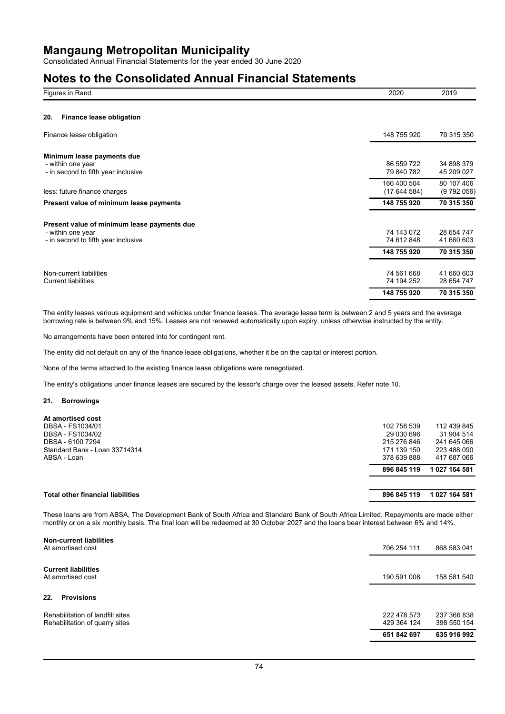Consolidated Annual Financial Statements for the year ended 30 June 2020

### **Notes to the Consolidated Annual Financial Statements**

| Figures in Rand                                          | 2020                      | 2019                     |
|----------------------------------------------------------|---------------------------|--------------------------|
| <b>Finance lease obligation</b><br>20.                   |                           |                          |
| Finance lease obligation                                 | 148 755 920               | 70 315 350               |
| Minimum lease payments due                               |                           |                          |
| - within one year<br>- in second to fifth year inclusive | 86 559 722<br>79 840 782  | 34 898 379<br>45 209 027 |
| less: future finance charges                             | 166 400 504<br>(17644584) | 80 107 406<br>(9792056)  |
| Present value of minimum lease payments                  | 148 755 920               | 70 315 350               |
| Present value of minimum lease payments due              |                           |                          |
| - within one year<br>- in second to fifth year inclusive | 74 143 072<br>74 612 848  | 28 654 747<br>41 660 603 |
|                                                          | 148 755 920               | 70 315 350               |
| Non-current liabilities<br><b>Current liabilities</b>    | 74 561 668<br>74 194 252  | 41 660 603<br>28 654 747 |
|                                                          | 148 755 920               | 70 315 350               |

The entity leases various equipment and vehicles under finance leases. The average lease term is between 2 and 5 years and the average borrowing rate is between 9% and 15%. Leases are not renewed automatically upon expiry, unless otherwise instructed by the entity.

No arrangements have been entered into for contingent rent.

The entity did not default on any of the finance lease obligations, whether it be on the capital or interest portion.

None of the terms attached to the existing finance lease obligations were renegotiated.

The entity's obligations under finance leases are secured by the lessor's charge over the leased assets. Refer note 10.

#### **21. Borrowings**

| At amortised cost                        |             |               |
|------------------------------------------|-------------|---------------|
| DBSA - FS1034/01                         | 102 758 539 | 112 439 845   |
| DBSA - FS1034/02                         | 29 030 696  | 31 904 514    |
| DBSA - 6100 7294                         | 215 276 846 | 241 645 066   |
| Standard Bank - Loan 33714314            | 171 139 150 | 223 488 090   |
| ABSA - Loan                              | 378 639 888 | 417 687 066   |
|                                          | 896 845 119 | 1 027 164 581 |
|                                          |             |               |
| <b>Total other financial liabilities</b> | 896 845 119 | 1 027 164 581 |

These loans are from ABSA, The Development Bank of South Africa and Standard Bank of South Africa Limited. Repayments are made either monthly or on a six monthly basis. The final loan will be redeemed at 30 October 2027 and the loans bear interest between 6% and 14%.

|                                                     | 651 842 697 | 635 916 992 |
|-----------------------------------------------------|-------------|-------------|
| Rehabilitation of quarry sites                      | 429 364 124 | 398 550 154 |
| Rehabilitation of landfill sites                    | 222 478 573 | 237 366 838 |
| 22.<br><b>Provisions</b>                            |             |             |
| <b>Current liabilities</b><br>At amortised cost     | 190 591 008 | 158 581 540 |
| <b>Non-current liabilities</b><br>At amortised cost | 706 254 111 | 868 583 041 |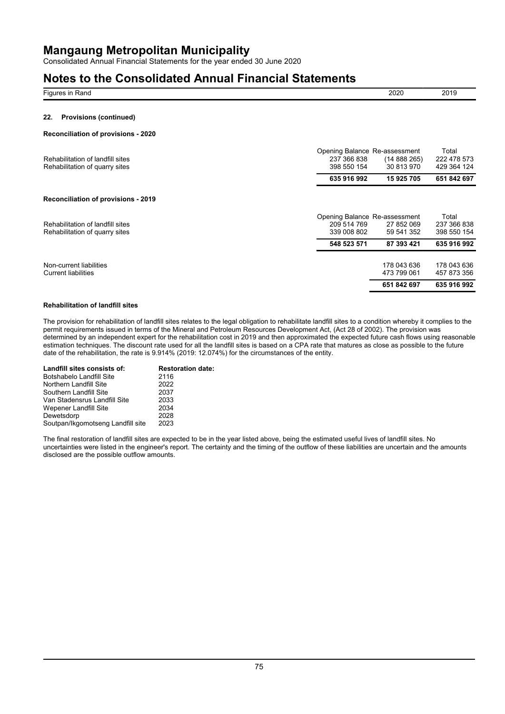Consolidated Annual Financial Statements for the year ended 30 June 2020

## **Notes to the Consolidated Annual Financial Statements**

| $- \cdot$<br>.<br>Fiau<br>каnс<br>$\cdot$ | 2020 | 2019 |
|-------------------------------------------|------|------|
|                                           |      |      |

### **22. Provisions (continued)**

### **Reconciliation of provisions - 2020**

| Rehabilitation of landfill sites<br>Rehabilitation of quarry sites | Opening Balance Re-assessment<br>237 366 838<br>398 550 154 | (14888265)<br>30 813 970                  | Total<br>222 478 573<br>429 364 124       |
|--------------------------------------------------------------------|-------------------------------------------------------------|-------------------------------------------|-------------------------------------------|
|                                                                    | 635 916 992                                                 | 15 925 705                                | 651 842 697                               |
| <b>Reconciliation of provisions - 2019</b>                         |                                                             |                                           |                                           |
| Rehabilitation of landfill sites<br>Rehabilitation of quarry sites | Opening Balance Re-assessment<br>209 514 769<br>339 008 802 | 27 852 069<br>59 541 352                  | Total<br>237 366 838<br>398 550 154       |
|                                                                    | 548 523 571                                                 | 87 393 421                                | 635 916 992                               |
| Non-current liabilities<br><b>Current liabilities</b>              |                                                             | 178 043 636<br>473 799 061<br>651 842 697 | 178 043 636<br>457 873 356<br>635 916 992 |

### **Rehabilitation of landfill sites**

The provision for rehabilitation of landfill sites relates to the legal obligation to rehabilitate landfill sites to a condition whereby it complies to the permit requirements issued in terms of the Mineral and Petroleum Resources Development Act, (Act 28 of 2002). The provision was determined by an independent expert for the rehabilitation cost in 2019 and then approximated the expected future cash flows using reasonable estimation techniques. The discount rate used for all the landfill sites is based on a CPA rate that matures as close as possible to the future date of the rehabilitation, the rate is 9.914% (2019: 12.074%) for the circumstances of the entity.

| Landfill sites consists of:       | <b>Restoration date:</b> |
|-----------------------------------|--------------------------|
| Botshabelo Landfill Site          | 2116                     |
| Northern Landfill Site            | 2022                     |
| Southern Landfill Site            | 2037                     |
| Van Stadensrus Landfill Site      | 2033                     |
| Wepener Landfill Site             | 2034                     |
| Dewetsdorp                        | 2028                     |
| Soutpan/Ikgomotseng Landfill site | 2023                     |

The final restoration of landfill sites are expected to be in the year listed above, being the estimated useful lives of landfill sites. No uncertainties were listed in the engineer's report. The certainty and the timing of the outflow of these liabilities are uncertain and the amounts disclosed are the possible outflow amounts.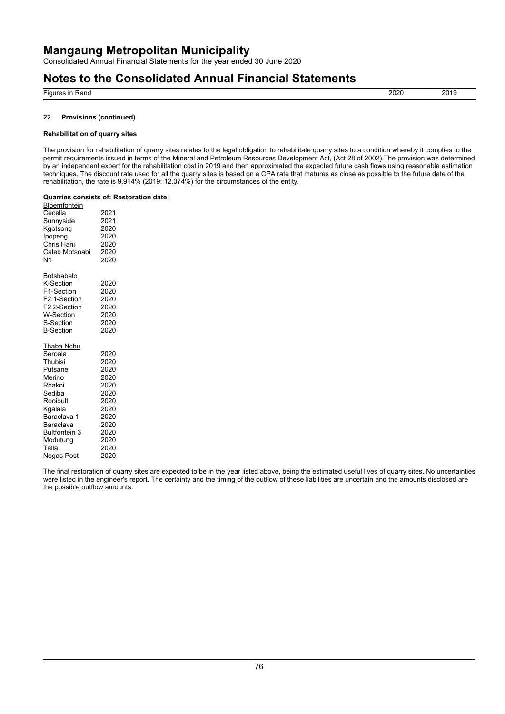Consolidated Annual Financial Statements for the year ended 30 June 2020

## **Notes to the Consolidated Annual Financial Statements**

Figures in Rand 2002 2019

### **22. Provisions (continued)**

#### **Rehabilitation of quarry sites**

The provision for rehabilitation of quarry sites relates to the legal obligation to rehabilitate quarry sites to a condition whereby it complies to the permit requirements issued in terms of the Mineral and Petroleum Resources Development Act, (Act 28 of 2002).The provision was determined by an independent expert for the rehabilitation cost in 2019 and then approximated the expected future cash flows using reasonable estimation techniques. The discount rate used for all the quarry sites is based on a CPA rate that matures as close as possible to the future date of the rehabilitation, the rate is 9.914% (2019: 12.074%) for the circumstances of the entity.

#### **Quarries consists of: Restoration date:** Bloemfontein

| <b>PROPERTY</b><br>Cecelia<br>Sunnyside<br>Kgotsong<br>Ipopeng<br>Chris Hani<br>Caleb Motsoabi<br>Ν1                                                                                    | 2021<br>2021<br>2020<br>2020<br>2020<br>2020<br>2020                                                         |
|-----------------------------------------------------------------------------------------------------------------------------------------------------------------------------------------|--------------------------------------------------------------------------------------------------------------|
| Botshabelo<br>K-Section<br>F1-Section<br>F2.1-Section<br>F2.2-Section<br><b>W-Section</b><br>S-Section<br><b>B-Section</b>                                                              | 2020<br>2020<br>2020<br>2020<br>2020<br>2020<br>2020                                                         |
| Thaba Nchu<br>Seroala<br>Thubisi<br>Putsane<br>Merino<br>Rhakoi<br>Sediba<br>Rooibult<br>Kgalala<br>Baraclava 1<br>Baraclava<br><b>Bultfontein 3</b><br>Modutung<br>Talla<br>Nogas Post | 2020<br>2020<br>2020<br>2020<br>2020<br>2020<br>2020<br>2020<br>2020<br>2020<br>2020<br>2020<br>2020<br>2020 |

The final restoration of quarry sites are expected to be in the year listed above, being the estimated useful lives of quarry sites. No uncertainties were listed in the engineer's report. The certainty and the timing of the outflow of these liabilities are uncertain and the amounts disclosed are the possible outflow amounts.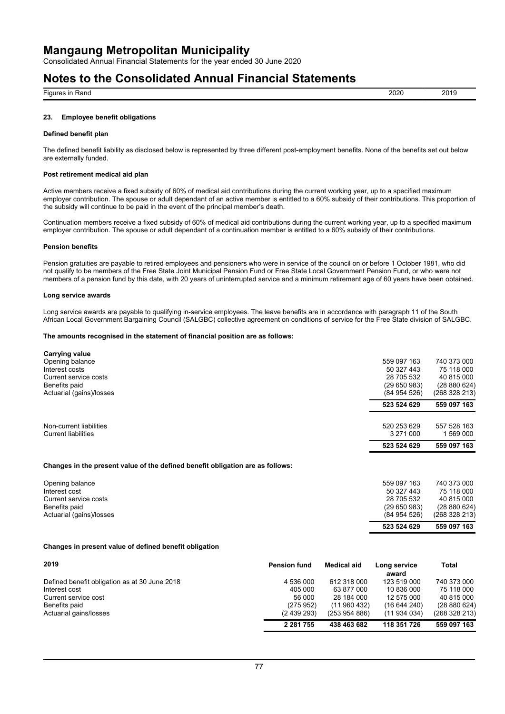Consolidated Annual Financial Statements for the year ended 30 June 2020

### **Notes to the Consolidated Annual Financial Statements**

| $- \cdot$<br>.<br>$F1$ $F1$<br>∕* €°<br>Ranu<br>≂ | 2020 | ົ<br>20 P<br>-- |
|---------------------------------------------------|------|-----------------|
|                                                   |      |                 |

### **23. Employee benefit obligations**

### **Defined benefit plan**

The defined benefit liability as disclosed below is represented by three different post-employment benefits. None of the benefits set out below are externally funded.

### **Post retirement medical aid plan**

Active members receive a fixed subsidy of 60% of medical aid contributions during the current working year, up to a specified maximum employer contribution. The spouse or adult dependant of an active member is entitled to a 60% subsidy of their contributions. This proportion of the subsidy will continue to be paid in the event of the principal member's death.

Continuation members receive a fixed subsidy of 60% of medical aid contributions during the current working year, up to a specified maximum employer contribution. The spouse or adult dependant of a continuation member is entitled to a 60% subsidy of their contributions.

#### **Pension benefits**

Pension gratuities are payable to retired employees and pensioners who were in service of the council on or before 1 October 1981, who did not qualify to be members of the Free State Joint Municipal Pension Fund or Free State Local Government Pension Fund, or who were not members of a pension fund by this date, with 20 years of uninterrupted service and a minimum retirement age of 60 years have been obtained.

#### **Long service awards**

Long service awards are payable to qualifying in-service employees. The leave benefits are in accordance with paragraph 11 of the South African Local Government Bargaining Council (SALGBC) collective agreement on conditions of service for the Free State division of SALGBC.

#### **The amounts recognised in the statement of financial position are as follows:**

| Carrying value                                        |                          |                        |
|-------------------------------------------------------|--------------------------|------------------------|
| Opening balance                                       | 559 097 163              | 740 373 000            |
| Interest costs                                        | 50 327 443               | 75 118 000             |
| Current service costs                                 | 28 705 532               | 40 815 000             |
| Benefits paid                                         | (29650983)               | (28880624)             |
| Actuarial (gains)/losses                              | (84954526)               | (268 328 213)          |
|                                                       | 523 524 629              | 559 097 163            |
| Non-current liabilities<br><b>Current liabilities</b> | 520 253 629<br>3 271 000 | 557 528 163<br>569 000 |
|                                                       | 523 524 629              | 559 097 163            |
|                                                       |                          |                        |

#### **Changes in the present value of the defined benefit obligation are as follows:**

| 523 524 629  | 559 097 163 |
|--------------|-------------|
| (84 954 526) | (268328213) |
| (29650983)   | (28880624)  |
| 28 705 532   | 40 815 000  |
| 50 327 443   | 75 118 000  |
| 559 097 163  | 740 373 000 |
|              |             |

#### **Changes in present value of defined benefit obligation**

| 2019                                          | <b>Pension fund</b> | <b>Medical aid</b> | Long service | Total       |
|-----------------------------------------------|---------------------|--------------------|--------------|-------------|
|                                               |                     |                    | award        |             |
| Defined benefit obligation as at 30 June 2018 | 4 536 000           | 612 318 000        | 123 519 000  | 740 373 000 |
| Interest cost                                 | 405 000             | 63 877 000         | 10 836 000   | 75 118 000  |
| Current service cost                          | 56 000              | 28 184 000         | 12 575 000   | 40 815 000  |
| Benefits paid                                 | (275952)            | (11960432)         | (16644240)   | (28880624)  |
| Actuarial gains/losses                        | (2439293)           | (253954886)        | (11934034)   | (268328213) |
|                                               | 2 2 8 1 7 5 5       | 438 463 682        | 118 351 726  | 559 097 163 |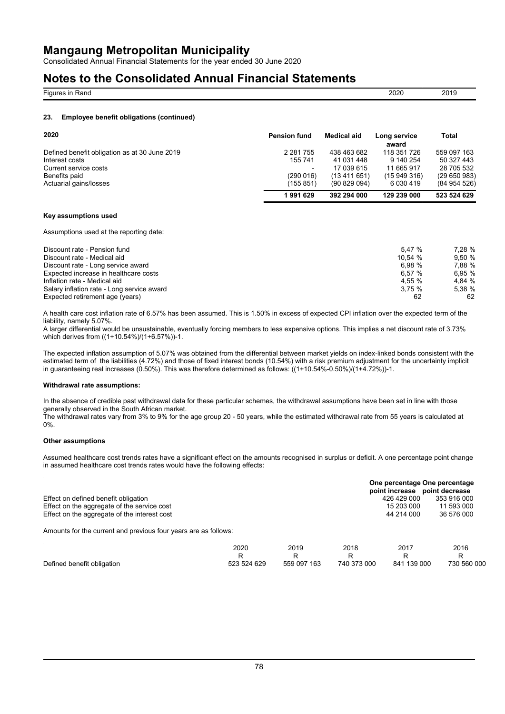Consolidated Annual Financial Statements for the year ended 30 June 2020

# **Notes to the Consolidated Annual Financial Statements**

| Figur<br>Ranc<br>$\cdot$ | 2020<br>$- - -$ | 2019<br>$- - -$ |
|--------------------------|-----------------|-----------------|
|                          |                 |                 |

### **23. Employee benefit obligations (continued)**

| 2020                                          | <b>Pension fund</b> | <b>Medical aid</b> | Long service<br>award | Total       |
|-----------------------------------------------|---------------------|--------------------|-----------------------|-------------|
| Defined benefit obligation as at 30 June 2019 | 2 2 8 1 7 5 5       | 438 463 682        | 118 351 726           | 559 097 163 |
| Interest costs                                | 155 741             | 41 031 448         | 9 140 254             | 50 327 443  |
| Current service costs                         |                     | 17 039 615         | 11 665 917            | 28 705 532  |
| Benefits paid                                 | (290016)            | (13411651)         | (15949316)            | (29650983)  |
| Actuarial gains/losses                        | (155 851)           | (90829094)         | 6 030 419             | (84954526)  |
|                                               | 1991629             | 392 294 000        | 129 239 000           | 523 524 629 |

### **Key assumptions used**

Assumptions used at the reporting date:

| Discount rate - Pension fund               | 5.47 % | 7.28 % |
|--------------------------------------------|--------|--------|
| Discount rate - Medical aid                | 10.54% | 9.50%  |
| Discount rate - Long service award         | 6.98%  | 7.88 % |
| Expected increase in healthcare costs      | 6.57%  | 6.95%  |
| Inflation rate - Medical aid               | 4.55 % | 4.84 % |
| Salary inflation rate - Long service award | 3.75%  | 5.38 % |
| Expected retirement age (years)            | 62     | 62     |

A health care cost inflation rate of 6.57% has been assumed. This is 1.50% in excess of expected CPI inflation over the expected term of the liability, namely 5.07%.

A larger differential would be unsustainable, eventually forcing members to less expensive options. This implies a net discount rate of 3.73% which derives from ((1+10.54%)/(1+6.57%))-1.

The expected inflation assumption of 5.07% was obtained from the differential between market yields on index-linked bonds consistent with the estimated term of the liabilities (4.72%) and those of fixed interest bonds (10.54%) with a risk premium adjustment for the uncertainty implicit in guaranteeing real increases (0.50%). This was therefore determined as follows: ((1+10.54%-0.50%)/(1+4.72%))-1.

#### **Withdrawal rate assumptions:**

In the absence of credible past withdrawal data for these particular schemes, the withdrawal assumptions have been set in line with those generally observed in the South African market.

The withdrawal rates vary from 3% to 9% for the age group 20 - 50 years, while the estimated withdrawal rate from 55 years is calculated at 0%.

### **Other assumptions**

Assumed healthcare cost trends rates have a significant effect on the amounts recognised in surplus or deficit. A one percentage point change in assumed healthcare cost trends rates would have the following effects:

|                                                                 |      |      |      | One percentage One percentage<br>point increase point decrease |             |
|-----------------------------------------------------------------|------|------|------|----------------------------------------------------------------|-------------|
| Effect on defined benefit obligation                            |      |      |      | 426 429 000                                                    | 353 916 000 |
| Effect on the aggregate of the service cost                     |      |      |      | 15 203 000                                                     | 11 593 000  |
| Effect on the aggregate of the interest cost                    |      |      |      | 44 214 000                                                     | 36 576 000  |
| Amounts for the current and previous four years are as follows: |      |      |      |                                                                |             |
|                                                                 | 2020 | 2019 | 2018 | 2017                                                           | 2016        |
|                                                                 | R    | R    | R    | R                                                              |             |

|                            | 2020        | 2019        | 2018        | 2017        | 2016        |
|----------------------------|-------------|-------------|-------------|-------------|-------------|
|                            |             |             |             |             |             |
| Defined benefit obligation | 523 524 629 | 559 097 163 | 740 373 000 | 841 139 000 | 730 560 000 |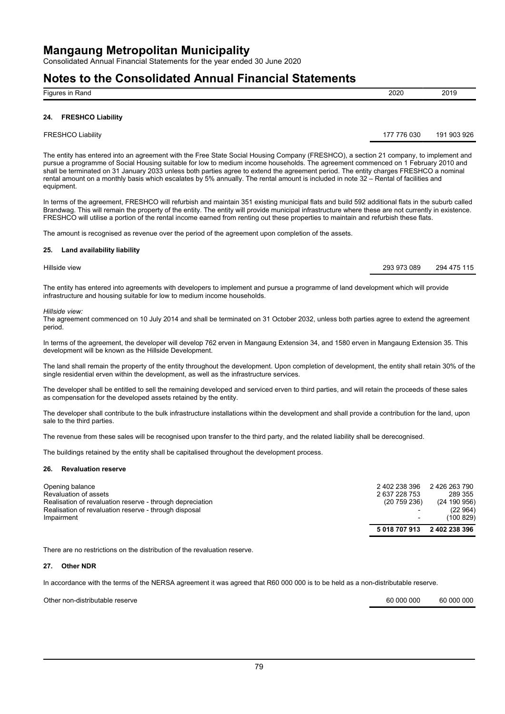Consolidated Annual Financial Statements for the year ended 30 June 2020

### **Notes to the Consolidated Annual Financial Statements**

| $- \cdot$<br>⊢iau.<br>var ru<br>$\cdot$ | .<br>.,<br>--- | r<br>-<br>$\sim$ $\sim$ |
|-----------------------------------------|----------------|-------------------------|
|                                         |                |                         |

### **24. FRESHCO Liability**

FRESHCO Liability 177 776 030 191 903 926

The entity has entered into an agreement with the Free State Social Housing Company (FRESHCO), a section 21 company, to implement and pursue a programme of Social Housing suitable for low to medium income households. The agreement commenced on 1 February 2010 and shall be terminated on 31 January 2033 unless both parties agree to extend the agreement period. The entity charges FRESHCO a nominal rental amount on a monthly basis which escalates by 5% annually. The rental amount is included in note 32 – Rental of facilities and equipment.

In terms of the agreement, FRESHCO will refurbish and maintain 351 existing municipal flats and build 592 additional flats in the suburb called Brandwag. This will remain the property of the entity. The entity will provide municipal infrastructure where these are not currently in existence. FRESHCO will utilise a portion of the rental income earned from renting out these properties to maintain and refurbish these flats.

The amount is recognised as revenue over the period of the agreement upon completion of the assets.

#### **25. Land availability liability**

Hillside view 293 973 089 294 475 115

The entity has entered into agreements with developers to implement and pursue a programme of land development which will provide infrastructure and housing suitable for low to medium income households.

#### *Hillside view:*

The agreement commenced on 10 July 2014 and shall be terminated on 31 October 2032, unless both parties agree to extend the agreement period.

In terms of the agreement, the developer will develop 762 erven in Mangaung Extension 34, and 1580 erven in Mangaung Extension 35. This development will be known as the Hillside Development.

The land shall remain the property of the entity throughout the development. Upon completion of development, the entity shall retain 30% of the single residential erven within the development, as well as the infrastructure services.

The developer shall be entitled to sell the remaining developed and serviced erven to third parties, and will retain the proceeds of these sales as compensation for the developed assets retained by the entity.

The developer shall contribute to the bulk infrastructure installations within the development and shall provide a contribution for the land, upon sale to the third parties.

The revenue from these sales will be recognised upon transfer to the third party, and the related liability shall be derecognised.

The buildings retained by the entity shall be capitalised throughout the development process.

#### **26. Revaluation reserve**

|                                                           | 5 018 707 913 2 402 238 396 |            |
|-----------------------------------------------------------|-----------------------------|------------|
| Impairment                                                | $\overline{\phantom{a}}$    | (100829)   |
| Realisation of revaluation reserve - through disposal     |                             | (22 964)   |
| Realisation of revaluation reserve - through depreciation | (20 759 236)                | (24190956) |
| Revaluation of assets                                     | 2 637 228 753               | 289 355    |
| Opening balance                                           | 2 402 238 396 2 426 263 790 |            |

There are no restrictions on the distribution of the revaluation reserve.

#### **27. Other NDR**

In accordance with the terms of the NERSA agreement it was agreed that R60 000 000 is to be held as a non-distributable reserve.

Other non-distributable reserve and the serve of the server of the server of the server of the server of the server of the server of the server of the server of the server of the server of the server of the server of the s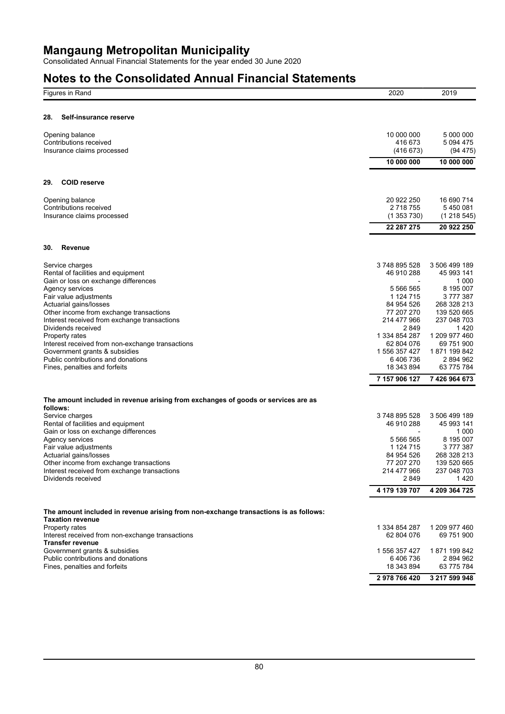Consolidated Annual Financial Statements for the year ended 30 June 2020

# **Notes to the Consolidated Annual Financial Statements**

| Figures in Rand                                                                      | 2020                        | 2019                     |
|--------------------------------------------------------------------------------------|-----------------------------|--------------------------|
| 28.<br>Self-insurance reserve                                                        |                             |                          |
| Opening balance                                                                      | 10 000 000                  | 5 000 000                |
| Contributions received                                                               | 416 673                     | 5 0 94 4 7 5             |
| Insurance claims processed                                                           | (416673)                    | (94475)                  |
|                                                                                      | 10 000 000                  | 10 000 000               |
| 29.<br><b>COID reserve</b>                                                           |                             |                          |
| Opening balance                                                                      | 20 922 250                  | 16 690 714               |
| Contributions received                                                               | 2 718 755                   | 5450081                  |
| Insurance claims processed                                                           | (1353730)                   | (1218545)                |
|                                                                                      | 22 287 275                  | 20 922 250               |
| Revenue<br>30.                                                                       |                             |                          |
| Service charges                                                                      | 3748895528                  | 3 506 499 189            |
| Rental of facilities and equipment                                                   | 46 910 288                  | 45 993 141               |
| Gain or loss on exchange differences<br>Agency services                              | 5 566 565                   | 1 0 0 0<br>8 195 007     |
| Fair value adjustments                                                               | 1 124 715                   | 3777387                  |
| Actuarial gains/losses                                                               | 84 954 526                  | 268 328 213              |
| Other income from exchange transactions                                              | 77 207 270                  | 139 520 665              |
| Interest received from exchange transactions                                         | 214 477 966                 | 237 048 703              |
| Dividends received                                                                   | 2849                        | 1420                     |
| Property rates                                                                       | 1 334 854 287               | 1 209 977 460            |
| Interest received from non-exchange transactions<br>Government grants & subsidies    | 62 804 076<br>1 556 357 427 | 69 751 900<br>1871199842 |
| Public contributions and donations                                                   | 6406736                     | 2894962                  |
| Fines, penalties and forfeits                                                        | 18 343 894                  | 63 775 784               |
|                                                                                      | 7 157 906 127               | 7426964673               |
| The amount included in revenue arising from exchanges of goods or services are as    |                             |                          |
| follows:                                                                             |                             |                          |
| Service charges                                                                      | 3748895528<br>46 910 288    | 3 506 499 189            |
| Rental of facilities and equipment<br>Gain or loss on exchange differences           |                             | 45 993 141<br>1 000      |
| Agency services                                                                      | 5 5 6 5 5 6 5               | 8 195 007                |
| Fair value adjustments                                                               | 1 124 715                   | 3777387                  |
| Actuarial gains/losses                                                               | 84 954 526                  | 268 328 213              |
| Other income from exchange transactions                                              | 77 207 270                  | 139 520 665              |
| Interest received from exchange transactions<br>Dividends received                   | 214 477 966<br>2849         | 237 048 703<br>1 4 2 0   |
|                                                                                      | 4 179 139 707               | 4 209 364 725            |
| The amount included in revenue arising from non-exchange transactions is as follows: |                             |                          |
| <b>Taxation revenue</b>                                                              |                             |                          |
| Property rates                                                                       | 1 334 854 287               | 1 209 977 460            |
| Interest received from non-exchange transactions                                     | 62 804 076                  | 69 751 900               |
| <b>Transfer revenue</b><br>Government grants & subsidies                             | 1 556 357 427               | 1871199842               |
| Public contributions and donations                                                   | 6406736                     | 2894962                  |
| Fines, penalties and forfeits                                                        | 18 343 894                  | 63 775 784               |
|                                                                                      | 2978766420                  | 3 217 599 948            |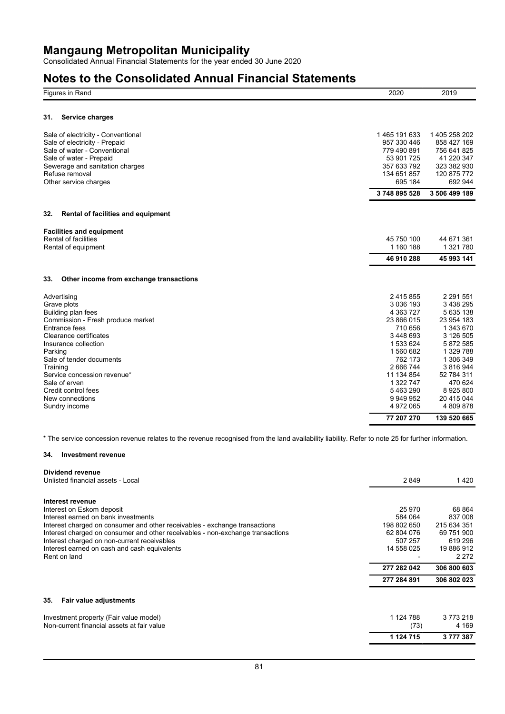Consolidated Annual Financial Statements for the year ended 30 June 2020

# **Notes to the Consolidated Annual Financial Statements**

| Figures in Rand                                | 2020                 | 2019                   |
|------------------------------------------------|----------------------|------------------------|
| Service charges<br>31.                         |                      |                        |
| Sale of electricity - Conventional             | 1465 191 633         | 1 405 258 202          |
| Sale of electricity - Prepaid                  | 957 330 446          | 858 427 169            |
| Sale of water - Conventional                   | 779 490 891          | 756 641 825            |
| Sale of water - Prepaid                        | 53 901 725           | 41 220 347             |
| Sewerage and sanitation charges                | 357 633 792          | 323 382 930            |
| Refuse removal                                 | 134 651 857          | 120 875 772            |
| Other service charges                          | 695 184              | 692 944                |
|                                                | 3748895528           | 3 506 499 189          |
| 32.<br>Rental of facilities and equipment      |                      |                        |
| <b>Facilities and equipment</b>                |                      |                        |
| Rental of facilities                           | 45 750 100           | 44 671 361             |
| Rental of equipment                            | 1 160 188            | 1 321 780              |
|                                                | 46 910 288           | 45 993 141             |
| Other income from exchange transactions<br>33. |                      |                        |
| Advertising                                    | 2415855              | 2 2 9 1 5 5 1          |
| Grave plots                                    | 3 0 3 6 1 9 3        | 3 4 3 8 2 9 5          |
| Building plan fees                             | 4 3 63 7 27          | 5 635 138              |
| Commission - Fresh produce market              | 23 866 015           | 23 954 183             |
| <b>Entrance fees</b>                           | 710 656              | 1 343 670              |
| Clearance certificates                         | 3 448 693            | 3 126 505              |
| Insurance collection                           | 1 533 624<br>1560682 | 5 872 585<br>1 329 788 |
| Parking<br>Sale of tender documents            | 762 173              | 1 306 349              |
| Training                                       | 2 666 744            | 3 816 944              |
| Service concession revenue*                    | 11 134 854           | 52 784 311             |
| Sale of erven                                  | 1 322 747            | 470 624                |
| Credit control fees                            | 5463290              | 8925800                |
| New connections                                | 9 949 952            | 20 415 044             |
| Sundry income                                  | 4 972 065            | 4809878                |
|                                                | 77 207 270           | 139 520 665            |

\* The service concession revenue relates to the revenue recognised from the land availability liability. Refer to note 25 for further information.

### **34. Investment revenue**

|                                                                                             | (73)<br>1 124 715     | 3777387             |
|---------------------------------------------------------------------------------------------|-----------------------|---------------------|
| Investment property (Fair value model)<br>Non-current financial assets at fair value        | 1 124 788             | 3773218<br>4 1 6 9  |
| <b>Fair value adjustments</b><br>35.                                                        |                       |                     |
|                                                                                             | 277 284 891           | 306 802 023         |
|                                                                                             | 277 282 042           | 306 800 603         |
| Rent on land                                                                                |                       | 2 2 7 2             |
| Interest charged on non-current receivables<br>Interest earned on cash and cash equivalents | 507 257<br>14 558 025 | 619 296<br>19886912 |
| Interest charged on consumer and other receivables - non-exchange transactions              | 62 804 076            | 69 751 900          |
| Interest charged on consumer and other receivables - exchange transactions                  | 198 802 650           | 215 634 351         |
| Interest earned on bank investments                                                         | 584 064               | 837 008             |
| Interest revenue<br>Interest on Eskom deposit                                               | 25 970                | 68 864              |
| Dividend revenue<br>Unlisted financial assets - Local                                       | 2849                  | 1 4 2 0             |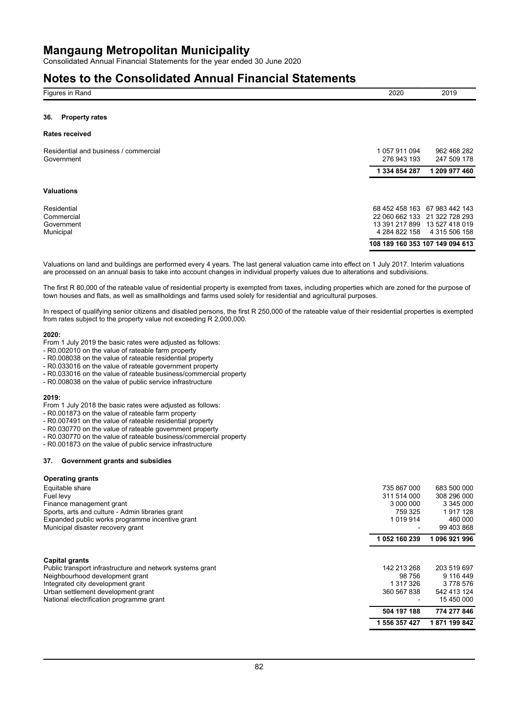Consolidated Annual Financial Statements for the year ended 30 June 2020

### **Notes to the Consolidated Annual Financial Statements**

| Figure<br>Rand<br>.<br>$\mathbf{r}$ | 2020 | 2019<br>$  \cdot$ |
|-------------------------------------|------|-------------------|
|                                     |      |                   |

### **36. Property rates**

### **Rates received**

| Residential and business / commercial<br>Government  | 1057911094<br>276 943 193                        | 962 468 282<br>247 509 178                                                                                       |
|------------------------------------------------------|--------------------------------------------------|------------------------------------------------------------------------------------------------------------------|
|                                                      | 1 334 854 287                                    | 1 209 977 460                                                                                                    |
| <b>Valuations</b>                                    |                                                  |                                                                                                                  |
| Residential<br>Commercial<br>Government<br>Municipal | 4 284 822 158<br>108 189 160 353 107 149 094 613 | 68 452 458 163 67 983 442 143<br>22 060 662 133 21 322 728 293<br>13 391 217 899 13 527 418 019<br>4 315 506 158 |

Valuations on land and buildings are performed every 4 years. The last general valuation came into effect on 1 July 2017. Interim valuations are processed on an annual basis to take into account changes in individual property values due to alterations and subdivisions.

The first R 80,000 of the rateable value of residential property is exempted from taxes, including properties which are zoned for the purpose of town houses and flats, as well as smallholdings and farms used solely for residential and agricultural purposes.

In respect of qualifying senior citizens and disabled persons, the first R 250,000 of the rateable value of their residential properties is exempted from rates subject to the property value not exceeding R 2,000,000.

#### **2020:**

- From 1 July 2019 the basic rates were adjusted as follows:
- R0.002010 on the value of rateable farm property
- R0.008038 on the value of rateable residential property
- R0.033016 on the value of rateable government property
- R0.033016 on the value of rateable business/commercial property
- R0.008038 on the value of public service infrastructure

#### **2019:**

From 1 July 2018 the basic rates were adjusted as follows:

- R0.001873 on the value of rateable farm property
- R0.007491 on the value of rateable residential property
- R0.030770 on the value of rateable government property
- R0.030770 on the value of rateable business/commercial property
- R0.001873 on the value of public service infrastructure

#### **37. Government grants and subsidies**

### **Operating grants**

| Equitable share                                           | 735 867 000   | 683 500 000 |
|-----------------------------------------------------------|---------------|-------------|
| Fuel levy                                                 | 311 514 000   | 308 296 000 |
| Finance management grant                                  | 3 000 000     | 3 345 000   |
| Sports, arts and culture - Admin libraries grant          | 759 325       | 1917128     |
| Expanded public works programme incentive grant           | 1019914       | 460 000     |
| Municipal disaster recovery grant                         |               | 99 403 868  |
|                                                           | 1052160239    | 1096921996  |
| Capital grants                                            |               |             |
| Public transport infrastructure and network systems grant | 142 213 268   | 203 519 697 |
| Neighbourhood development grant                           | 98 756        | 9 116 449   |
| Integrated city development grant                         | 1 317 326     | 3778576     |
| Urban settlement development grant                        | 360 567 838   | 542 413 124 |
| National electrification programme grant                  |               | 15 450 000  |
|                                                           | 504 197 188   | 774 277 846 |
|                                                           | 1 556 357 427 | 1871199842  |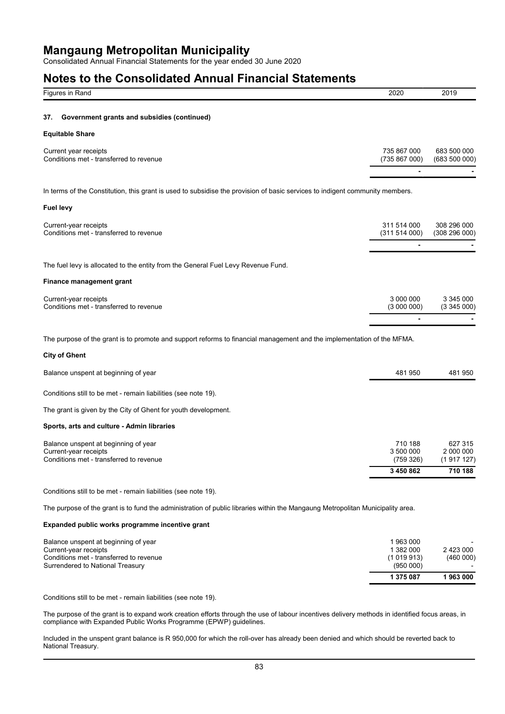Consolidated Annual Financial Statements for the year ended 30 June 2020

### **Notes to the Consolidated Annual Financial Statements**

| Figures in Rand                                                  | 2020                         | 2019                         |
|------------------------------------------------------------------|------------------------------|------------------------------|
| Government grants and subsidies (continued)<br>37.               |                              |                              |
| <b>Equitable Share</b>                                           |                              |                              |
| Current year receipts<br>Conditions met - transferred to revenue | 735 867 000<br>(735 867 000) | 683 500 000<br>(683 500 000) |

**- -**

In terms of the Constitution, this grant is used to subsidise the provision of basic services to indigent community members.

### **Fuel levy**

| 311 514 000 | 308 296 000                     |
|-------------|---------------------------------|
|             | $(311 514 000)$ $(308 296 000)$ |

The fuel levy is allocated to the entity from the General Fuel Levy Revenue Fund.

### **Finance management grant**

| (3000000) | (3345000) |
|-----------|-----------|
| 3 000 000 | 3 345 000 |
|           |           |

The purpose of the grant is to promote and support reforms to financial management and the implementation of the MFMA.

#### **City of Ghent**

| Balance unspent at beginning of year                                                                     | 481 950                           | 481950                            |
|----------------------------------------------------------------------------------------------------------|-----------------------------------|-----------------------------------|
| Conditions still to be met - remain liabilities (see note 19).                                           |                                   |                                   |
| The grant is given by the City of Ghent for youth development.                                           |                                   |                                   |
| Sports, arts and culture - Admin libraries                                                               |                                   |                                   |
| Balance unspent at beginning of year<br>Current-year receipts<br>Conditions met - transferred to revenue | 710 188<br>3 500 000<br>(759 326) | 627 315<br>2 000 000<br>(1917127) |
|                                                                                                          | 3 450 862                         | 710 188                           |

Conditions still to be met - remain liabilities (see note 19).

The purpose of the grant is to fund the administration of public libraries within the Mangaung Metropolitan Municipality area.

### **Expanded public works programme incentive grant**

|                                         | 1 375 087   | 1963000   |
|-----------------------------------------|-------------|-----------|
| Surrendered to National Treasury        | (95000)     |           |
| Conditions met - transferred to revenue | (1 019 913) | (46000)   |
| Current-year receipts                   | 1 382 000   | 2 423 000 |
| Balance unspent at beginning of year    | 963 000     |           |

Conditions still to be met - remain liabilities (see note 19).

The purpose of the grant is to expand work creation efforts through the use of labour incentives delivery methods in identified focus areas, in compliance with Expanded Public Works Programme (EPWP) guidelines.

Included in the unspent grant balance is R 950,000 for which the roll-over has already been denied and which should be reverted back to National Treasury.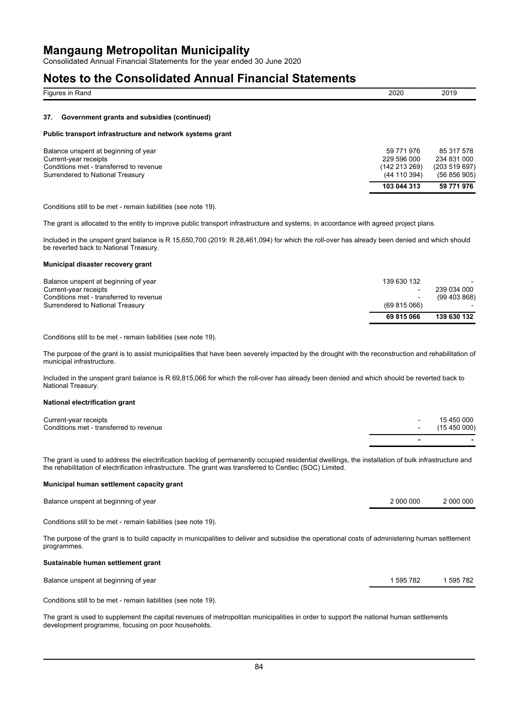Consolidated Annual Financial Statements for the year ended 30 June 2020

### **Notes to the Consolidated Annual Financial Statements**

|     | Figures in Rand                             | 2020 | 2019 |
|-----|---------------------------------------------|------|------|
|     |                                             |      |      |
| 37. | Government grants and subsidies (continued) |      |      |

### **Public transport infrastructure and network systems grant**

|                                         | 103 044 313   | 59 771 976    |
|-----------------------------------------|---------------|---------------|
| Surrendered to National Treasury        | (44 110 394)  | (56 856 905)  |
| Conditions met - transferred to revenue | (142 213 269) | (203 519 697) |
| Current-year receipts                   | 229 596 000   | 234 831 000   |
| Balance unspent at beginning of year    | 59 771 976    | 85 317 578    |
|                                         |               |               |

Conditions still to be met - remain liabilities (see note 19).

The grant is allocated to the entity to improve public transport infrastructure and systems, in accordance with agreed project plans.

Included in the unspent grant balance is R 15,650,700 (2019: R 28,461,094) for which the roll-over has already been denied and which should be reverted back to National Treasury.

### **Municipal disaster recovery grant**

|                                         | 69 815 066  | 139 630 132  |
|-----------------------------------------|-------------|--------------|
| Surrendered to National Treasury        | (69815066)  |              |
| Conditions met - transferred to revenue |             | (99 403 868) |
| Current-year receipts                   |             | 239 034 000  |
| Balance unspent at beginning of year    | 139 630 132 |              |

Conditions still to be met - remain liabilities (see note 19).

The purpose of the grant is to assist municipalities that have been severely impacted by the drought with the reconstruction and rehabilitation of municipal infrastructure.

Included in the unspent grant balance is R 69,815,066 for which the roll-over has already been denied and which should be reverted back to National Treasury.

#### **National electrification grant**

| Current-year receipts<br>Conditions met - transferred to revenue | 15 450 000<br>(15 450 000) |
|------------------------------------------------------------------|----------------------------|
|                                                                  |                            |

The grant is used to address the electrification backlog of permanently occupied residential dwellings, the installation of bulk infrastructure and the rehabilitation of electrification infrastructure. The grant was transferred to Centlec (SOC) Limited.

#### **Municipal human settlement capacity grant**

| Balance unspent at beginning of year | 2 000 000 | 2 000 000 |
|--------------------------------------|-----------|-----------|
|                                      |           |           |

Conditions still to be met - remain liabilities (see note 19).

The purpose of the grant is to build capacity in municipalities to deliver and subsidise the operational costs of administering human settlement programmes.

#### **Sustainable human settlement grant**

Balance unspent at beginning of year 1 595 782 1 595 782 1 595 782 1 595 782 1 595 782 1 595 782 1 595 782 1 595 782 1 595 782 1 595 782 1 595 782 1 595 782 1 595 782 1 595 782 1 595 782 1 595 782 1 595 782 1 595 782 1 595

Conditions still to be met - remain liabilities (see note 19).

The grant is used to supplement the capital revenues of metropolitan municipalities in order to support the national human settlements development programme, focusing on poor households.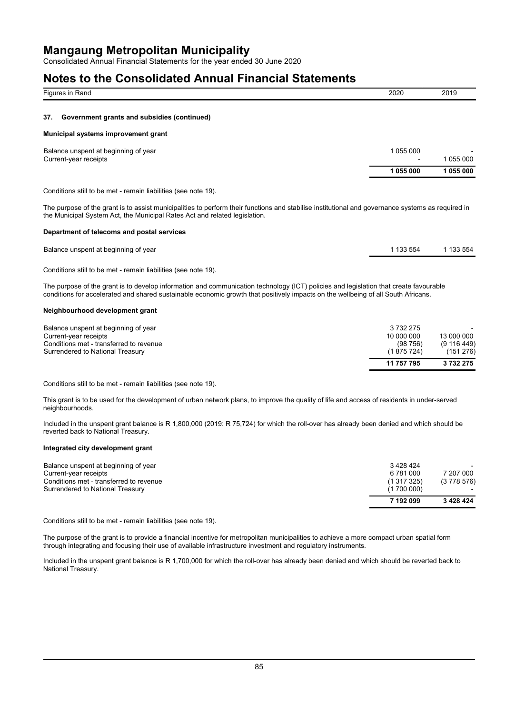Consolidated Annual Financial Statements for the year ended 30 June 2020

## **Notes to the Consolidated Annual Financial Statements**

| Figures in Rand                                                                                                                                                                                                                 | 2020      | 2019      |
|---------------------------------------------------------------------------------------------------------------------------------------------------------------------------------------------------------------------------------|-----------|-----------|
| 37.<br>Government grants and subsidies (continued)                                                                                                                                                                              |           |           |
| Municipal systems improvement grant                                                                                                                                                                                             |           |           |
| Balance unspent at beginning of year<br>Current-year receipts                                                                                                                                                                   | 1 055 000 | 1 055 000 |
|                                                                                                                                                                                                                                 | 1055000   | 1055000   |
| Conditions still to be met - remain liabilities (see note 19).                                                                                                                                                                  |           |           |
| The purpose of the grant is to assist municipalities to perform their functions and stabilise institutional and governance systems as required in<br>the Municipal System Act, the Municipal Rates Act and related legislation. |           |           |

### **Department of telecoms and postal services**

| Balance unspent at beginning of year | 1 133 554 | 1 133 554 |
|--------------------------------------|-----------|-----------|
|                                      |           |           |

Conditions still to be met - remain liabilities (see note 19).

The purpose of the grant is to develop information and communication technology (ICT) policies and legislation that create favourable conditions for accelerated and shared sustainable economic growth that positively impacts on the wellbeing of all South Africans.

### **Neighbourhood development grant**

|                                         | 11 757 795    | 3 732 275  |
|-----------------------------------------|---------------|------------|
| Surrendered to National Treasury        | (1875724)     | (151276)   |
| Conditions met - transferred to revenue | (98, 756)     | (9116449)  |
| Current-year receipts                   | 10 000 000    | 13 000 000 |
| Balance unspent at beginning of year    | 3 7 3 2 2 7 5 |            |

Conditions still to be met - remain liabilities (see note 19).

This grant is to be used for the development of urban network plans, to improve the quality of life and access of residents in under-served neighbourhoods.

Included in the unspent grant balance is R 1,800,000 (2019: R 75,724) for which the roll-over has already been denied and which should be reverted back to National Treasury.

#### **Integrated city development grant**

|                                         | 7 192 099 | 3 4 2 8 4 2 4 |
|-----------------------------------------|-----------|---------------|
| Surrendered to National Treasury        | (1700000) |               |
| Conditions met - transferred to revenue | (1317325) | (3778576)     |
| Current-year receipts                   | 6 781 000 | 7 207 000     |
| Balance unspent at beginning of year    | 3428424   |               |

Conditions still to be met - remain liabilities (see note 19).

The purpose of the grant is to provide a financial incentive for metropolitan municipalities to achieve a more compact urban spatial form through integrating and focusing their use of available infrastructure investment and regulatory instruments.

Included in the unspent grant balance is R 1,700,000 for which the roll-over has already been denied and which should be reverted back to National Treasury.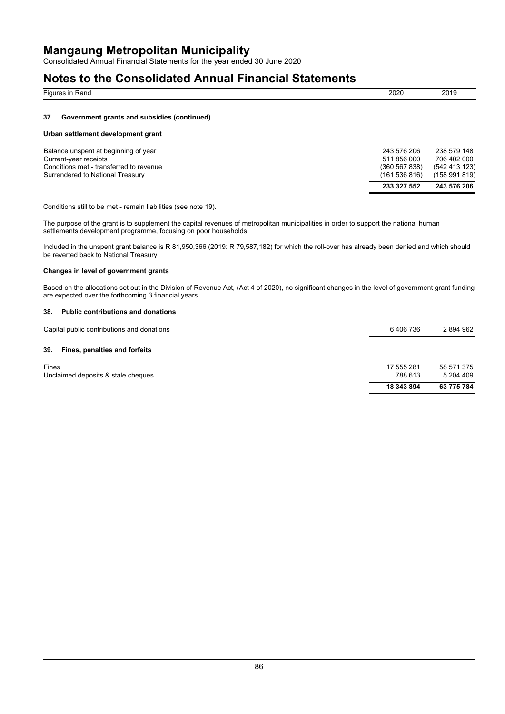Consolidated Annual Financial Statements for the year ended 30 June 2020

# **Notes to the Consolidated Annual Financial Statements**

| Figure.<br>in Rand | റററ<br>ZUZU | 2019 |
|--------------------|-------------|------|
|                    |             |      |

### **37. Government grants and subsidies (continued)**

#### **Urban settlement development grant**

| (158 991 819)<br>(161 536 816) |                                             |
|--------------------------------|---------------------------------------------|
|                                |                                             |
| (542 413 123)                  |                                             |
| 706 402 000                    |                                             |
| 238 579 148                    |                                             |
|                                | 243 576 206<br>511 856 000<br>(360 567 838) |

Conditions still to be met - remain liabilities (see note 19).

The purpose of the grant is to supplement the capital revenues of metropolitan municipalities in order to support the national human settlements development programme, focusing on poor households.

Included in the unspent grant balance is R 81,950,366 (2019: R 79,587,182) for which the roll-over has already been denied and which should be reverted back to National Treasury.

### **Changes in level of government grants**

Based on the allocations set out in the Division of Revenue Act, (Act 4 of 2020), no significant changes in the level of government grant funding are expected over the forthcoming 3 financial years.

### **38. Public contributions and donations**

|                                            | 18 343 894 | 63 775 784 |
|--------------------------------------------|------------|------------|
| Unclaimed deposits & stale cheques         | 788 613    | 5 204 409  |
| Fines                                      | 17 555 281 | 58 571 375 |
| 39.<br>Fines, penalties and forfeits       |            |            |
| Capital public contributions and donations | 6406736    | 2894962    |
|                                            |            |            |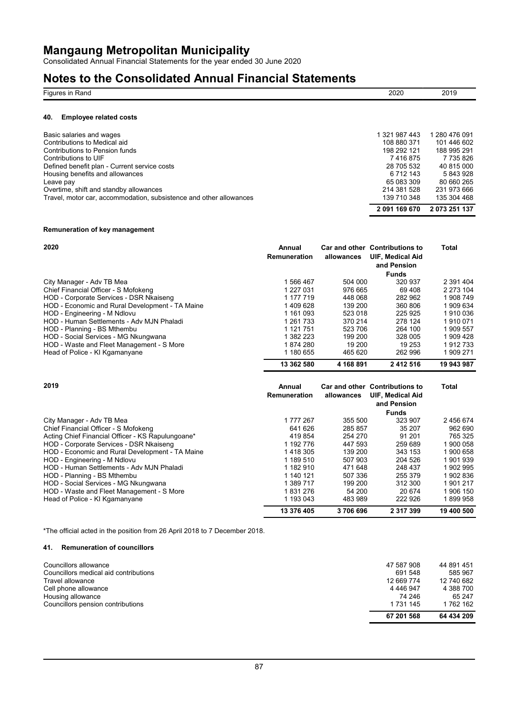Consolidated Annual Financial Statements for the year ended 30 June 2020

## **Notes to the Consolidated Annual Financial Statements**

| <b>Figures</b><br>Rand | 2020 | 2019 |
|------------------------|------|------|
|                        |      |      |

### **40. Employee related costs**

|                                                                    | 2 091 169 670 | 2 073 251 137 |
|--------------------------------------------------------------------|---------------|---------------|
| Travel, motor car, accommodation, subsistence and other allowances | 139 710 348   | 135 304 468   |
| Overtime, shift and standby allowances                             | 214 381 528   | 231 973 666   |
| Leave pay                                                          | 65 083 309    | 80 660 265    |
| Housing benefits and allowances                                    | 6 712 143     | 5843928       |
| Defined benefit plan - Current service costs                       | 28 705 532    | 40 815 000    |
| Contributions to UIF                                               | 7416875       | 7 735 826     |
| Contributions to Pension funds                                     | 198 292 121   | 188 995 291   |
| Contributions to Medical aid                                       | 108 880 371   | 101 446 602   |
| Basic salaries and wages                                           | 1 321 987 443 | 1 280 476 091 |
|                                                                    |               |               |

### **Remuneration of key management**

| 2020                                            | Annual<br>Remuneration | allowances | <b>Car and other Contributions to</b><br><b>UIF, Medical Aid</b><br>and Pension<br><b>Funds</b> | <b>Total</b>  |
|-------------------------------------------------|------------------------|------------|-------------------------------------------------------------------------------------------------|---------------|
| City Manager - Adv TB Mea                       | 1 566 467              | 504 000    | 320 937                                                                                         | 2 391 404     |
| Chief Financial Officer - S Mofokeng            | 1 227 031              | 976 665    | 69 408                                                                                          | 2 2 7 3 1 0 4 |
| HOD - Corporate Services - DSR Nkaiseng         | 1 177 719              | 448 068    | 282 962                                                                                         | 1908749       |
| HOD - Economic and Rural Development - TA Maine | 1409628                | 139 200    | 360 806                                                                                         | 1 909 634     |
| HOD - Engineering - M Ndlovu                    | 1 161 093              | 523 018    | 225 925                                                                                         | 1910036       |
| HOD - Human Settlements - Adv MJN Phaladi       | 1 261 733              | 370 214    | 278 124                                                                                         | 1910071       |
| HOD - Planning - BS Mthembu                     | 1 121 751              | 523 706    | 264 100                                                                                         | 1 909 557     |
| HOD - Social Services - MG Nkungwana            | 1 382 223              | 199 200    | 328 005                                                                                         | 1 909 428     |
| HOD - Waste and Fleet Management - S More       | 1874280                | 19 200     | 19 253                                                                                          | 1912733       |
| Head of Police - KI Kgamanyane                  | 1 180 655              | 465 620    | 262 996                                                                                         | 1909271       |
|                                                 | 13 362 580             | 4 168 891  | 2 412 516                                                                                       | 19 943 987    |

| 2019                                              | Annual<br>Remuneration | allowances | <b>Car and other Contributions to</b><br><b>UIF. Medical Aid</b><br>and Pension<br><b>Funds</b> | <b>Total</b> |
|---------------------------------------------------|------------------------|------------|-------------------------------------------------------------------------------------------------|--------------|
| City Manager - Adv TB Mea                         | 1777267                | 355 500    | 323 907                                                                                         | 2456674      |
| Chief Financial Officer - S Mofokeng              | 641 626                | 285 857    | 35 207                                                                                          | 962 690      |
| Acting Chief Financial Officer - KS Rapulungoane* | 419854                 | 254 270    | 91 201                                                                                          | 765 325      |
| HOD - Corporate Services - DSR Nkaiseng           | 1 192 776              | 447 593    | 259 689                                                                                         | 1 900 058    |
| HOD - Economic and Rural Development - TA Maine   | 1418305                | 139 200    | 343 153                                                                                         | 1 900 658    |
| HOD - Engineering - M Ndlovu                      | 1 189 510              | 507 903    | 204 526                                                                                         | 1901939      |
| HOD - Human Settlements - Adv MJN Phaladi         | 1 182 910              | 471 648    | 248 437                                                                                         | 1 902 995    |
| HOD - Planning - BS Mthembu                       | 1 140 121              | 507 336    | 255 379                                                                                         | 1902836      |
| HOD - Social Services - MG Nkungwana              | 1 389 717              | 199 200    | 312 300                                                                                         | 1901217      |
| HOD - Waste and Fleet Management - S More         | 1831276                | 54 200     | 20 674                                                                                          | 1 906 150    |
| Head of Police - KI Kgamanyane                    | 1 193 043              | 483 989    | 222 926                                                                                         | 1899958      |
|                                                   | 13 376 405             | 3706696    | 2 317 399                                                                                       | 19 400 500   |

\*The official acted in the position from 26 April 2018 to 7 December 2018.

### **41. Remuneration of councillors**

| Councillors pension contributions     | 1 7 3 1 1 4 5<br>67 201 568 | 1762 162<br>64 434 209 |
|---------------------------------------|-----------------------------|------------------------|
| Housing allowance                     | 74 246                      | 65 247                 |
| Cell phone allowance                  | 4 4 4 4 5 9 4 7             | 4 388 700              |
| Travel allowance                      | 12 669 774                  | 12 740 682             |
| Councillors medical aid contributions | 691 548                     | 585 967                |
| Councillors allowance                 | 47 587 908                  | 44 891 451             |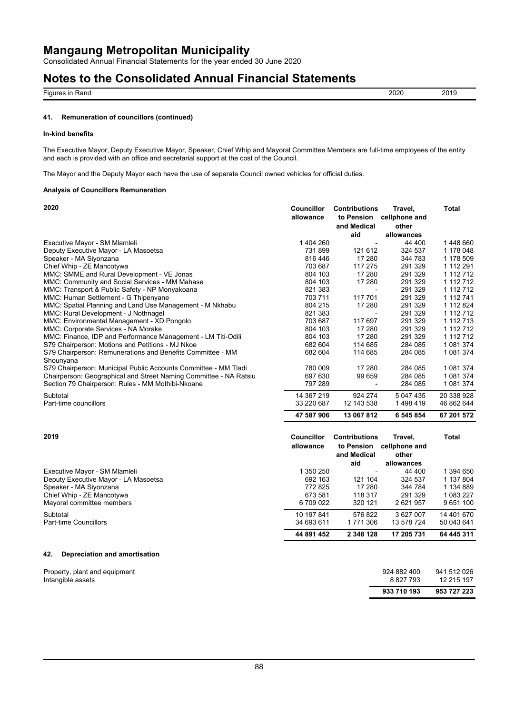Consolidated Annual Financial Statements for the year ended 30 June 2020

### **Notes to the Consolidated Annual Financial Statements**

| --<br>Figures<br>Rand<br>ır | 2020 | $\Omega$ |
|-----------------------------|------|----------|
|                             |      |          |

### **41. Remuneration of councillors (continued)**

### **In-kind benefits**

The Executive Mayor, Deputy Executive Mayor, Speaker, Chief Whip and Mayoral Committee Members are full-time employees of the entity and each is provided with an office and secretarial support at the cost of the Council.

The Mayor and the Deputy Mayor each have the use of separate Council owned vehicles for official duties.

### **Analysis of Councillors Remuneration**

| 2020                                                                    | <b>Councillor</b><br>allowance | <b>Contributions</b><br>to Pension<br>and Medical | Travel,<br>cellphone and<br>other | Total      |
|-------------------------------------------------------------------------|--------------------------------|---------------------------------------------------|-----------------------------------|------------|
|                                                                         |                                | aid                                               | allowances                        |            |
| Executive Mayor - SM Mlamleli                                           | 1404 260                       |                                                   | 44 400                            | 1448 660   |
| Deputy Executive Mayor - LA Masoetsa                                    | 731899                         | 121 612                                           | 324 537                           | 1 178 048  |
| Speaker - MA Siyonzana                                                  | 816 446                        | 17 280                                            | 344 783                           | 1 178 509  |
| Chief Whip - ZE Mancotywa                                               | 703 687                        | 117 275                                           | 291 329                           | 1 112 291  |
| MMC: SMME and Rural Development - VE Jonas                              | 804 103                        | 17 280                                            | 291 329                           | 1 112 712  |
| MMC: Community and Social Services - MM Mahase                          | 804 103                        | 17 280                                            | 291 329                           | 1 112 712  |
| MMC: Transport & Public Safety - NP Monyakoana                          | 821 383                        |                                                   | 291 329                           | 1 112 712  |
| MMC: Human Settlement - G Thipenyane                                    | 703 711                        | 117 701                                           | 291 329                           | 1 112 741  |
| MMC: Spatial Planning and Land Use Management - M Nkhabu                | 804 215                        | 17 280                                            | 291 329                           | 1 112 824  |
| MMC: Rural Development - J Nothnagel                                    | 821 383                        |                                                   | 291 329                           | 1 112 712  |
| MMC: Environmental Management - XD Pongolo                              | 703 687                        | 117 697                                           | 291 329                           | 1 112 713  |
| MMC: Corporate Services - NA Morake                                     | 804 103                        | 17 280                                            | 291 329                           | 1 112 712  |
| MMC: Finance, IDP and Performance Management - LM Titi-Odili            | 804 103                        | 17 280                                            | 291 329                           | 1 112 712  |
| S79 Chairperson: Motions and Petitions - MJ Nkoe                        | 682 604                        | 114 685                                           | 284 085                           | 1081374    |
| S79 Chairperson: Remunerations and Benefits Committee - MM<br>Shounyana | 682 604                        | 114 685                                           | 284 085                           | 1 081 374  |
| S79 Chairperson: Municipal Public Accounts Committee - MM Tladi         | 780 009                        | 17 280                                            | 284 085                           | 1 081 374  |
| Chairperson: Geographical and Street Naming Committee - NA Ratsiu       | 697 630                        | 99 659                                            | 284 085                           | 1 081 374  |
| Section 79 Chairperson: Rules - MM Mothibi-Nkoane                       | 797 289                        |                                                   | 284 085                           | 1 081 374  |
| Subtotal                                                                | 14 367 219                     | 924 274                                           | 5 047 435                         | 20 338 928 |
| Part-time councillors                                                   | 33 220 687                     | 12 143 538                                        | 1498419                           | 46 862 644 |
|                                                                         | 47 587 906                     | 13 067 812                                        | 6 545 854                         | 67 201 572 |

| 2019                                 | <b>Councillor</b><br>allowance | <b>Contributions</b><br>to Pension<br>and Medical<br>aid | Travel.<br>cellphone and<br>other<br>allowances | Total      |
|--------------------------------------|--------------------------------|----------------------------------------------------------|-------------------------------------------------|------------|
| Executive Mayor - SM Mlamleli        | 1 350 250                      | $\overline{\phantom{0}}$                                 | 44 400                                          | 1 394 650  |
| Deputy Executive Mayor - LA Masoetsa | 692 163                        | 121 104                                                  | 324 537                                         | 1 137 804  |
| Speaker - MA Siyonzana               | 772825                         | 17 280                                                   | 344 784                                         | 1 134 889  |
| Chief Whip - ZE Mancotywa            | 673 581                        | 118 317                                                  | 291 329                                         | 1 083 227  |
| Mayoral committee members            | 6709022                        | 320 121                                                  | 2621957                                         | 9 651 100  |
| Subtotal                             | 10 197 841                     | 576822                                                   | 3627007                                         | 14 401 670 |
| Part-time Councillors                | 34 693 611                     | 1 771 306                                                | 13 578 724                                      | 50 043 641 |
|                                      | 44 891 452                     | 2 348 128                                                | 17 205 731                                      | 64 445 311 |

#### **42. Depreciation and amortisation**

|                               | 933 710 193 | 953 727 223 |
|-------------------------------|-------------|-------------|
| Intangible assets             | 8 827 793   | 12 215 197  |
| Property, plant and equipment | 924 882 400 | 941 512 026 |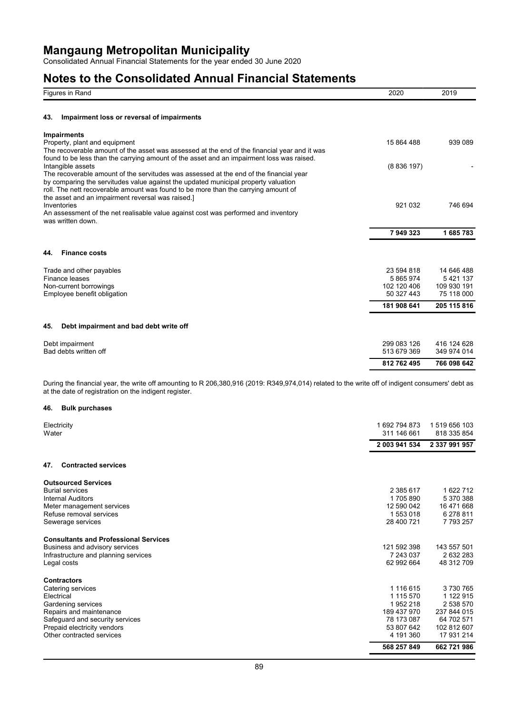Consolidated Annual Financial Statements for the year ended 30 June 2020

# **Notes to the Consolidated Annual Financial Statements**

| 15 864 488                | 939 089                                                                                                                                                                                       |
|---------------------------|-----------------------------------------------------------------------------------------------------------------------------------------------------------------------------------------------|
| (8836197)                 |                                                                                                                                                                                               |
|                           |                                                                                                                                                                                               |
| 921 032                   | 746 694                                                                                                                                                                                       |
|                           |                                                                                                                                                                                               |
|                           |                                                                                                                                                                                               |
| 7949323                   | 1685783                                                                                                                                                                                       |
|                           |                                                                                                                                                                                               |
| 23 594 818                | 14 646 488                                                                                                                                                                                    |
| 5 865 974                 | 5421137                                                                                                                                                                                       |
| 102 120 406<br>50 327 443 | 109 930 191<br>75 118 000                                                                                                                                                                     |
| 181 908 641               | 205 115 816                                                                                                                                                                                   |
|                           |                                                                                                                                                                                               |
|                           |                                                                                                                                                                                               |
|                           | 416 124 628                                                                                                                                                                                   |
|                           | 349 974 014                                                                                                                                                                                   |
|                           | 766 098 642                                                                                                                                                                                   |
|                           | 299 083 126<br>513 679 369<br>812 762 495<br>During the financial year, the write off amounting to R 206,380,916 (2019: R349,974,014) related to the write off of indigent consumers' debt as |

### **46. Bulk purchases**

| Electricity<br>Water                         | 1692794873<br>311 146 661 | 1 519 656 103<br>818 335 854 |
|----------------------------------------------|---------------------------|------------------------------|
|                                              | 2 003 941 534             | 2 337 991 957                |
| <b>Contracted services</b><br>47.            |                           |                              |
| <b>Outsourced Services</b>                   |                           |                              |
| <b>Burial services</b>                       | 2 3 8 5 6 1 7             | 1622712                      |
| <b>Internal Auditors</b>                     | 1705890                   | 5 370 388                    |
| Meter management services                    | 12 590 042                | 16 471 668                   |
| Refuse removal services                      | 1 553 018                 | 6 278 811                    |
| Sewerage services                            | 28 400 721                | 7 793 257                    |
| <b>Consultants and Professional Services</b> |                           |                              |
| Business and advisory services               | 121 592 398               | 143 557 501                  |
| Infrastructure and planning services         | 7 243 037                 | 2632283                      |
| Legal costs                                  | 62 992 664                | 48 312 709                   |
| <b>Contractors</b>                           |                           |                              |
| Catering services                            | 1 116 615                 | 3730765                      |
| Electrical                                   | 1 115 570                 | 1 122 915                    |
| Gardening services                           | 1952218                   | 2 538 570                    |
| Repairs and maintenance                      | 189 437 970               | 237 844 015                  |
| Safeguard and security services              | 78 173 087                | 64 702 571                   |
| Prepaid electricity vendors                  | 53 807 642                | 102 812 607                  |
| Other contracted services                    | 4 191 360                 | 17 931 214                   |
|                                              | 568 257 849               | 662 721 986                  |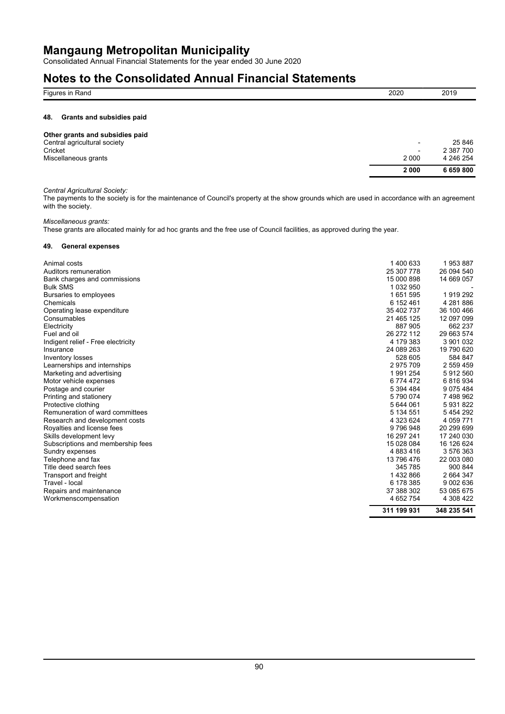Consolidated Annual Financial Statements for the year ended 30 June 2020

## **Notes to the Consolidated Annual Financial Statements**

| --------<br>___<br>__<br>_____<br>_ _ _ _ _ _ _ _ _<br>___<br>___<br>--------<br>___ |      |      |
|--------------------------------------------------------------------------------------|------|------|
| Figur.<br>₹ano<br>۰υ.                                                                | 2020 | 2019 |
|                                                                                      |      |      |

### **48. Grants and subsidies paid**

| Other grants and subsidies paid |                          |           |
|---------------------------------|--------------------------|-----------|
| Central agricultural society    | ۰                        | 25 846    |
| Cricket                         | $\overline{\phantom{a}}$ | 2 387 700 |
| Miscellaneous grants            | 2 0 0 0                  | 4 246 254 |
|                                 | 2000                     | 6 659 800 |
|                                 |                          |           |

*Central Agricultural Society:*

The payments to the society is for the maintenance of Council's property at the show grounds which are used in accordance with an agreement with the society.

*Miscellaneous grants:*

These grants are allocated mainly for ad hoc grants and the free use of Council facilities, as approved during the year.

### **49. General expenses**

|                                    | 311 199 931 | 348 235 541   |
|------------------------------------|-------------|---------------|
| Workmenscompensation               | 4 652 754   | 4 308 422     |
| Repairs and maintenance            | 37 388 302  | 53 085 675    |
| Travel - local                     | 6 178 385   | 9 002 636     |
| Transport and freight              | 1432866     | 2 664 347     |
| Title deed search fees             | 345 785     | 900 844       |
| Telephone and fax                  | 13 796 476  | 22 003 080    |
| Sundry expenses                    | 4 883 416   | 3 576 363     |
| Subscriptions and membership fees  | 15 028 084  | 16 126 624    |
| Skills development levy            | 16 297 241  | 17 240 030    |
| Royalties and license fees         | 9796948     | 20 299 699    |
| Research and development costs     | 4 323 624   | 4 0 59 7 7 1  |
| Remuneration of ward committees    | 5 134 551   | 5 4 5 4 2 9 2 |
| Protective clothing                | 5 644 061   | 5931822       |
| Printing and stationery            | 5790074     | 7 498 962     |
| Postage and courier                | 5 394 484   | 9 0 7 5 4 8 4 |
| Motor vehicle expenses             | 6774472     | 6816934       |
| Marketing and advertising          | 1991254     | 5912560       |
| Learnerships and internships       | 2975709     | 2 559 459     |
| <b>Inventory losses</b>            | 528 605     | 584 847       |
| Insurance                          | 24 089 263  | 19 790 620    |
| Indigent relief - Free electricity | 4 179 383   | 3 901 032     |
| Fuel and oil                       | 26 272 112  | 29 663 574    |
| Electricity                        | 887 905     | 662 237       |
| Consumables                        | 21 465 125  | 12 097 099    |
| Operating lease expenditure        | 35 402 737  | 36 100 466    |
| Chemicals                          | 6 152 461   | 4 281 886     |
| Bursaries to employees             | 1651595     | 1919292       |
| <b>Bulk SMS</b>                    | 1 032 950   |               |
| Bank charges and commissions       | 15 000 898  | 14 669 057    |
| Auditors remuneration              | 25 307 778  | 26 094 540    |
| Animal costs                       | 1400 633    | 1953887       |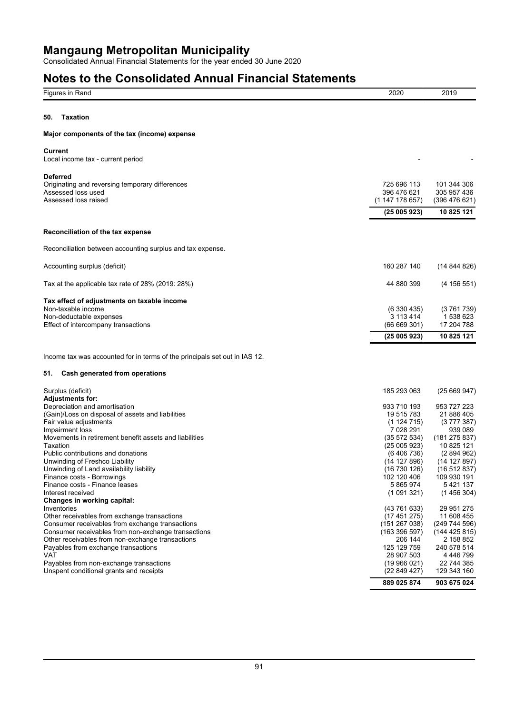Consolidated Annual Financial Statements for the year ended 30 June 2020

# **Notes to the Consolidated Annual Financial Statements**

| Figures in Rand                                                                    | 2020                       | 2019                        |
|------------------------------------------------------------------------------------|----------------------------|-----------------------------|
| <b>Taxation</b><br>50.                                                             |                            |                             |
| Major components of the tax (income) expense                                       |                            |                             |
| <b>Current</b>                                                                     |                            |                             |
| Local income tax - current period                                                  |                            |                             |
| Deferred                                                                           |                            |                             |
| Originating and reversing temporary differences                                    | 725 696 113                | 101 344 306                 |
| Assessed loss used<br>Assessed loss raised                                         | 396 476 621                | 305 957 436                 |
|                                                                                    | (1147178657)<br>(25005923) | (396 476 621)<br>10 825 121 |
|                                                                                    |                            |                             |
| Reconciliation of the tax expense                                                  |                            |                             |
| Reconciliation between accounting surplus and tax expense.                         |                            |                             |
| Accounting surplus (deficit)                                                       | 160 287 140                | (14 844 826)                |
| Tax at the applicable tax rate of 28% (2019: 28%)                                  | 44 880 399                 | (4156551)                   |
| Tax effect of adjustments on taxable income                                        |                            |                             |
| Non-taxable income                                                                 | (6330435)                  | (3761739)                   |
| Non-deductable expenses                                                            | 3 113 414                  | 1 538 623                   |
| Effect of intercompany transactions                                                | (66669301)                 | 17 204 788                  |
|                                                                                    | (25005923)                 | 10 825 121                  |
| Income tax was accounted for in terms of the principals set out in IAS 12.         |                            |                             |
| Cash generated from operations<br>51.                                              |                            |                             |
| Surplus (deficit)                                                                  | 185 293 063                | (25669947)                  |
| <b>Adjustments for:</b>                                                            |                            |                             |
| Depreciation and amortisation<br>(Gain)/Loss on disposal of assets and liabilities | 933 710 193<br>19 515 783  | 953 727 223<br>21 886 405   |
| Fair value adjustments                                                             | (1124715)                  | (3777387)                   |
| Impairment loss                                                                    | 7 028 291                  | 939 089                     |
| Movements in retirement benefit assets and liabilities                             | (35572534)                 | (181 275 837)               |
| Taxation<br>Public contributions and donations                                     | (25005923)                 | 10 825 121                  |
| Unwinding of Freshco Liability                                                     | (6406736)<br>(14 127 896)  | (2894962)<br>(14 127 897)   |
| Unwinding of Land availability liability                                           | (16 730 126)               | (16 512 837)                |
| Finance costs - Borrowings                                                         | 102 120 406                | 109 930 191                 |
| Finance costs - Finance leases                                                     | 5 865 974                  | 5421137                     |
| Interest received                                                                  | (1091321)                  | (1456304)                   |
| Changes in working capital:<br>Inventories                                         | (43 761 633)               | 29 951 275                  |
| Other receivables from exchange transactions                                       | (17451275)                 | 11 608 455                  |
| Consumer receivables from exchange transactions                                    | (151 267 038)              | (249 744 596)               |
| Consumer receivables from non-exchange transactions                                | (163 396 597)              | (144425815)                 |
| Other receivables from non-exchange transactions                                   | 206 144                    | 2 158 852                   |
| Payables from exchange transactions                                                | 125 129 759                | 240 578 514                 |
| VAT<br>Payables from non-exchange transactions                                     | 28 907 503<br>(19966021)   | 4 446 799<br>22 744 385     |
| Unspent conditional grants and receipts                                            | (22849427)                 | 129 343 160                 |
|                                                                                    | 889 025 874                | 903 675 024                 |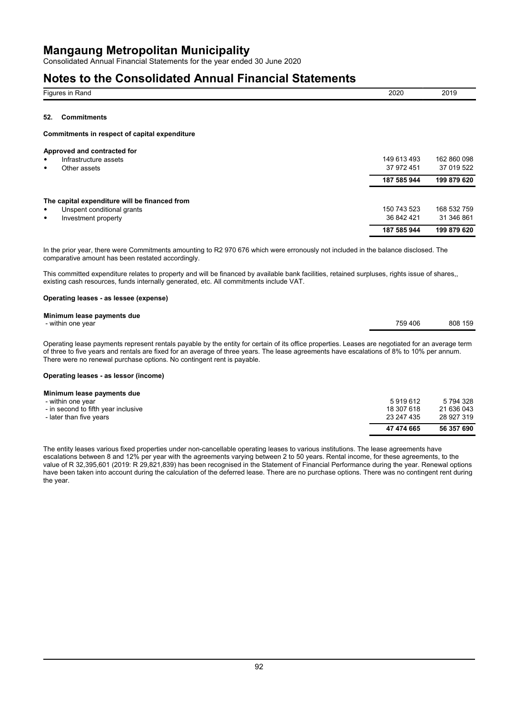Consolidated Annual Financial Statements for the year ended 30 June 2020

# **Notes to the Consolidated Annual Financial Statements**

| Figure.<br>– – – – | 2020 | 2019 |
|--------------------|------|------|
|                    |      |      |

### **52. Commitments**

### **Commitments in respect of capital expenditure**

### **Approved and contracted for**

|           |                                                             | 187 585 944 | 199 879 620 |
|-----------|-------------------------------------------------------------|-------------|-------------|
| $\bullet$ | Investment property                                         | 36 842 421  | 31 346 861  |
| $\bullet$ | Unspent conditional grants                                  | 150 743 523 | 168 532 759 |
|           | The capital expenditure will be financed from               |             |             |
|           |                                                             | 187 585 944 | 199 879 620 |
| ٠         | Other assets                                                | 37 972 451  | 37 019 522  |
| $\bullet$ | <b>Approved and contracted for</b><br>Infrastructure assets | 149 613 493 | 162 860 098 |

In the prior year, there were Commitments amounting to R2 970 676 which were erronously not included in the balance disclosed. The comparative amount has been restated accordingly.

This committed expenditure relates to property and will be financed by available bank facilities, retained surpluses, rights issue of shares,, existing cash resources, funds internally generated, etc. All commitments include VAT.

### **Operating leases - as lessee (expense)**

| Minimum lease payments due |         |         |
|----------------------------|---------|---------|
| - within one year          | 759 406 | 808 159 |

Operating lease payments represent rentals payable by the entity for certain of its office properties. Leases are negotiated for an average term of three to five years and rentals are fixed for an average of three years. The lease agreements have escalations of 8% to 10% per annum. There were no renewal purchase options. No contingent rent is payable.

### **Operating leases - as lessor (income)**

| Minimum lease payments due          |            |            |
|-------------------------------------|------------|------------|
| - within one year                   | 5919612    | 5 794 328  |
| - in second to fifth year inclusive | 18 307 618 | 21 636 043 |
| - later than five vears             | 23 247 435 | 28 927 319 |
|                                     | 47 474 665 | 56 357 690 |

The entity leases various fixed properties under non-cancellable operating leases to various institutions. The lease agreements have escalations between 8 and 12% per year with the agreements varying between 2 to 50 years. Rental income, for these agreements, to the value of R 32,395,601 (2019: R 29,821,839) has been recognised in the Statement of Financial Performance during the year. Renewal options have been taken into account during the calculation of the deferred lease. There are no purchase options. There was no contingent rent during the year.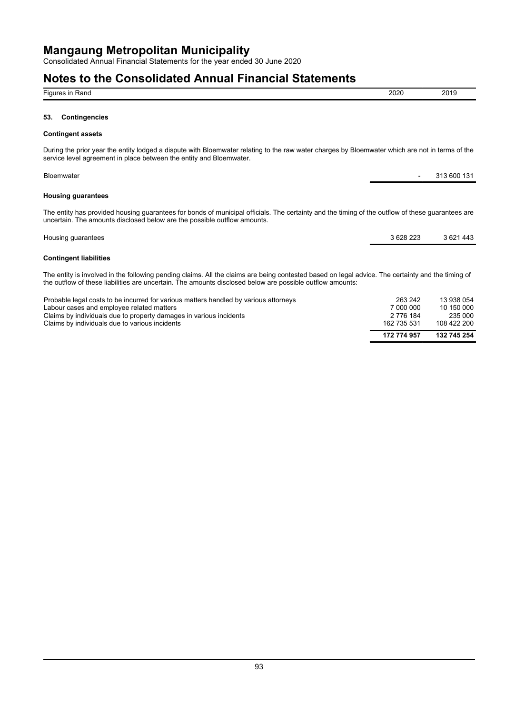Consolidated Annual Financial Statements for the year ended 30 June 2020

### **Notes to the Consolidated Annual Financial Statements**

| $- \cdot$<br>- 17 | וכיר<br>∸<br>. | . ب _<br>. .<br>$\sim$ $\sim$ |
|-------------------|----------------|-------------------------------|
|                   |                |                               |

### **53. Contingencies**

### **Contingent assets**

During the prior year the entity lodged a dispute with Bloemwater relating to the raw water charges by Bloemwater which are not in terms of the service level agreement in place between the entity and Bloemwater.

Bloemwater - 313 600 131

### **Housing guarantees**

The entity has provided housing guarantees for bonds of municipal officials. The certainty and the timing of the outflow of these guarantees are uncertain. The amounts disclosed below are the possible outflow amounts.

| Housing guarantees | 3 628 223<br>__<br>$   -$ | 3 621 443 |
|--------------------|---------------------------|-----------|
|                    |                           |           |

### **Contingent liabilities**

The entity is involved in the following pending claims. All the claims are being contested based on legal advice. The certainty and the timing of the outflow of these liabilities are uncertain. The amounts disclosed below are possible outflow amounts:

|                                                                                      | 172 774 957 | 132 745 254 |
|--------------------------------------------------------------------------------------|-------------|-------------|
| Claims by individuals due to various incidents                                       | 162 735 531 | 108 422 200 |
| Claims by individuals due to property damages in various incidents                   | 2 776 184   | 235 000     |
| Labour cases and employee related matters                                            | 7 000 000   | 10 150 000  |
| Probable legal costs to be incurred for various matters handled by various attorneys | 263 242     | 13 938 054  |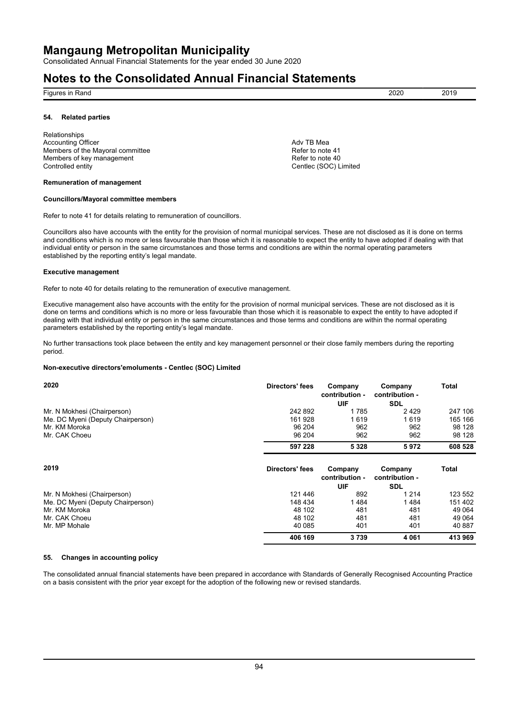Consolidated Annual Financial Statements for the year ended 30 June 2020

## **Notes to the Consolidated Annual Financial Statements**

Figures in Rand 2020 2019

#### **54. Related parties**

Relationships Accounting Officer Adv TB Mea Members of the Mayoral committee **Refer to note 41 Refer to note 41** Members of key management Refer to note 40<br>
Controlled entity Center Controlled entity Center Controlled entity Center Controlled entity Center Controlled entity Center Controlled entity Center Controlled entity Center Con

#### **Remuneration of management**

### **Councillors/Mayoral committee members**

Refer to note 41 for details relating to remuneration of councillors.

Councillors also have accounts with the entity for the provision of normal municipal services. These are not disclosed as it is done on terms and conditions which is no more or less favourable than those which it is reasonable to expect the entity to have adopted if dealing with that individual entity or person in the same circumstances and those terms and conditions are within the normal operating parameters established by the reporting entity's legal mandate.

Centlec (SOC) Limited

#### **Executive management**

Refer to note 40 for details relating to the remuneration of executive management.

Executive management also have accounts with the entity for the provision of normal municipal services. These are not disclosed as it is done on terms and conditions which is no more or less favourable than those which it is reasonable to expect the entity to have adopted if dealing with that individual entity or person in the same circumstances and those terms and conditions are within the normal operating parameters established by the reporting entity's legal mandate.

No further transactions took place between the entity and key management personnel or their close family members during the reporting period.

### **Non-executive directors'emoluments - Centlec (SOC) Limited**

| 2020                              | Directors' fees | Company<br>contribution -<br>UIF        | Company<br>contribution -<br><b>SDL</b> | Total   |
|-----------------------------------|-----------------|-----------------------------------------|-----------------------------------------|---------|
| Mr. N Mokhesi (Chairperson)       | 242 892         | 1785                                    | 2429                                    | 247 106 |
| Me. DC Myeni (Deputy Chairperson) | 161 928         | 1619                                    | 1619                                    | 165 166 |
| Mr. KM Moroka                     | 96 204          | 962                                     | 962                                     | 98 128  |
| Mr. CAK Choeu                     | 96 204          | 962                                     | 962                                     | 98 128  |
|                                   | 597 228         | 5 3 2 8                                 | 5972                                    | 608 528 |
| 2019                              | Directors' fees | Company<br>contribution -<br><b>UIF</b> | Company<br>contribution -<br><b>SDL</b> | Total   |
| Mr. N Mokhesi (Chairperson)       | 121 446         | 892                                     | 1 2 1 4                                 | 123 552 |
| Me. DC Myeni (Deputy Chairperson) | 148 434         | 1484                                    | 1484                                    | 151 402 |
| Mr. KM Moroka                     | 48 102          | 481                                     | 481                                     | 49 0 64 |
| Mr. CAK Choeu                     | 48 102          | 481                                     | 481                                     | 49 0 64 |
| Mr. MP Mohale                     | 40 085          | 401                                     | 401                                     | 40 887  |
|                                   | 406 169         | 3739                                    | 4 0 6 1                                 | 413 969 |

#### **55. Changes in accounting policy**

The consolidated annual financial statements have been prepared in accordance with Standards of Generally Recognised Accounting Practice on a basis consistent with the prior year except for the adoption of the following new or revised standards.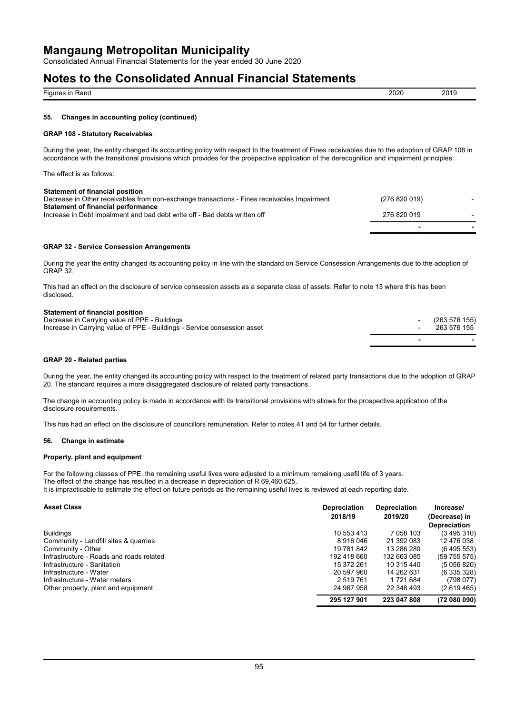Consolidated Annual Financial Statements for the year ended 30 June 2020

### **Notes to the Consolidated Annual Financial Statements**

| $- \cdot$<br>Figure<br>Rand<br>ш | 2020 | 201<br>. |
|----------------------------------|------|----------|
|                                  |      |          |

### **55. Changes in accounting policy (continued)**

#### **GRAP 108 - Statutory Receivables**

During the year, the entity changed its accounting policy with respect to the treatment of Fines receivables due to the adoption of GRAP 108 in accordance with the transitional provisions which provides for the prospective application of the derecognition and impairment principles.

The effect is as follows:

### **Statement of financial position**

| $\frac{1}{2}$<br>Decrease in Other receivables from non-exchange transactions - Fines receivables Impairment | (276 820 019) |  |
|--------------------------------------------------------------------------------------------------------------|---------------|--|
| <b>Statement of financial performance</b>                                                                    |               |  |
| Increase in Debt impairment and bad debt write off - Bad debts written off                                   | 276 820 019   |  |
|                                                                                                              |               |  |
|                                                                                                              |               |  |

#### **GRAP 32 - Service Consession Arrangements**

During the year the entity changed its accounting policy in line with the standard on Service Consession Arrangements due to the adoption of GRAP 32.

This had an effect on the disclosure of service consession assets as a separate class of assets. Refer to note 13 where this has been disclosed.

### **Statement of financial position**

| <b>Statement of middleng poortion</b><br>Decrease in Carrying value of PPE - Buildings<br>Increase in Carrying value of PPE - Buildings - Service consession asset | (263 576 155)<br>263 576 155 |
|--------------------------------------------------------------------------------------------------------------------------------------------------------------------|------------------------------|
|                                                                                                                                                                    |                              |

### **GRAP 20 - Related parties**

During the year, the entity changed its accounting policy with respect to the treatment of related party transactions due to the adoption of GRAP 20. The standard requires a more disaggregated disclosure of related party transactions.

The change in accounting policy is made in accordance with its transitional provisions with allows for the prospective application of the disclosure requirements.

This has had an effect on the disclosure of councillors remuneration. Refer to notes 41 and 54 for further details.

#### **56. Change in estimate**

#### **Property, plant and equipment**

For the following classes of PPE, the remaining useful lives were adjusted to a minimum remaining usefil life of 3 years. The effect of the change has resulted in a decrease in depreciation of R 69,460,625. It is impracticable to estimate the effect on future periods as the remaining useful lives is reviewed at each reporting date.

**Asset Class Depreciation 2018/19 Depreciation 2019/20 Increase/ (Decrease) in Depreciation**<br>(3 495 310) Buildings 10 553 413 7 058 103 (3 495 310) Community - Landfill sites & quarries 6 6 1392 083 12 476 038 12 476 938 12 476 938 12 476 938 12 476 938 12 4<br>19 781 842 13 286 289 13 286 1397 13 286 289 14 553 142 13 286 289 14 553 142 142 142 142 143 286 289 142 143 Community - Other 19 781 842 13 286 289 (6 495 553) Infrastructure - Roads and roads related 192 418 660 132 663 085 (59 755 575)<br>- Infrastructure - Sanitation 15 372 261 10 315 440 (5 056 820) Infrastructure - Sanitation 15 372 261 10 315 440 (5 056 820) Infrastructure - Water 20 597 960 14 262 631 (6 335 328) Infrastructure - Water meters 2 519 761 1 721 684 (798 077) Other property, plant and equipment **295 127 901 223 047 808 (72 080 090)**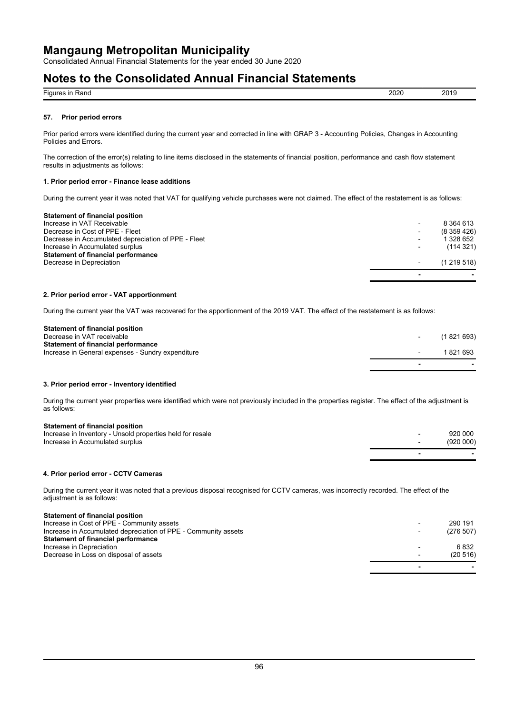Consolidated Annual Financial Statements for the year ended 30 June 2020

### **Notes to the Consolidated Annual Financial Statements**

| Figures in<br>Rand | 2020 | 20a<br>-u |
|--------------------|------|-----------|
|                    |      |           |

### **57. Prior period errors**

Prior period errors were identified during the current year and corrected in line with GRAP 3 - Accounting Policies, Changes in Accounting Policies and Errors.

The correction of the error(s) relating to line items disclosed in the statements of financial position, performance and cash flow statement results in adjustments as follows:

### **1. Prior period error - Finance lease additions**

During the current year it was noted that VAT for qualifying vehicle purchases were not claimed. The effect of the restatement is as follows:

#### **Statement of financial position**

| Increase in VAT Receivable                          |        | 8 364 613   |
|-----------------------------------------------------|--------|-------------|
| Decrease in Cost of PPE - Fleet                     |        | (8359426)   |
| Decrease in Accumulated depreciation of PPE - Fleet |        | 1 328 652   |
| Increase in Accumulated surplus                     |        | (114 321)   |
| <b>Statement of financial performance</b>           |        |             |
| Decrease in Depreciation                            | $\sim$ | (1 219 518) |
|                                                     |        |             |

### **2. Prior period error - VAT apportionment**

During the current year the VAT was recovered for the apportionment of the 2019 VAT. The effect of the restatement is as follows:

| <b>Statement of financial position</b>            |                  |           |
|---------------------------------------------------|------------------|-----------|
| Decrease in VAT receivable                        | $\sim$ 100 $\mu$ | (1821693) |
| <b>Statement of financial performance</b>         |                  |           |
| Increase in General expenses - Sundry expenditure |                  | 1 821 693 |
|                                                   |                  |           |

### **3. Prior period error - Inventory identified**

During the current year properties were identified which were not previously included in the properties register. The effect of the adjustment is as follows:

### **Statement of financial position**

| Increase in Inventory - Unsold properties held for resale<br>Increase in Accumulated surplus | 920 000<br>(920000) |
|----------------------------------------------------------------------------------------------|---------------------|
|                                                                                              |                     |

### **4. Prior period error - CCTV Cameras**

During the current year it was noted that a previous disposal recognised for CCTV cameras, was incorrectly recorded. The effect of the adjustment is as follows:

### **Statement of financial position**

| Increase in Cost of PPE - Community assets                     | $\overline{\phantom{a}}$ | 290 191   |
|----------------------------------------------------------------|--------------------------|-----------|
| Increase in Accumulated depreciation of PPE - Community assets | $\overline{\phantom{a}}$ | (276 507) |
| <b>Statement of financial performance</b>                      |                          |           |
| Increase in Depreciation                                       | $\overline{\phantom{a}}$ | 6832      |
| Decrease in Loss on disposal of assets                         | ٠                        | (20516)   |
|                                                                |                          |           |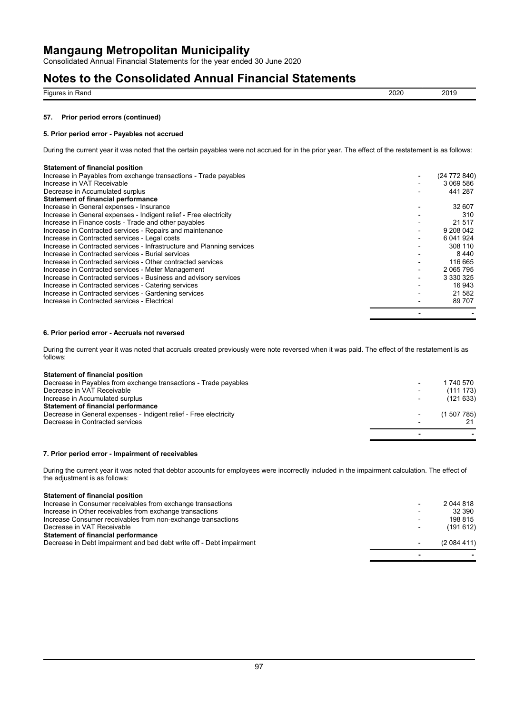Consolidated Annual Financial Statements for the year ended 30 June 2020

## **Notes to the Consolidated Annual Financial Statements**

| Figures<br>¬ - - -<br>nanu | 2020 | 20 <sup>4</sup><br>. . |
|----------------------------|------|------------------------|
|                            |      |                        |

### **57. Prior period errors (continued)**

### **5. Prior period error - Payables not accrued**

During the current year it was noted that the certain payables were not accrued for in the prior year. The effect of the restatement is as follows:

| <b>Statement of financial position</b>                                 |               |
|------------------------------------------------------------------------|---------------|
| Increase in Payables from exchange transactions - Trade payables       | (24 772 840)  |
| Increase in VAT Receivable                                             | 3 069 586     |
| Decrease in Accumulated surplus                                        | 441 287       |
| <b>Statement of financial performance</b>                              |               |
| Increase in General expenses - Insurance                               | 32 607        |
| Increase in General expenses - Indigent relief - Free electricity      | 310           |
| Increase in Finance costs - Trade and other payables                   | 21 517        |
| Increase in Contracted services - Repairs and maintenance              | 9 208 042     |
| Increase in Contracted services - Legal costs                          | 6 041 924     |
| Increase in Contracted services - Infrastructure and Planning services | 308 110       |
| Increase in Contracted services - Burial services                      | 8440          |
| Increase in Contracted services - Other contracted services            | 116 665       |
| Increase in Contracted services - Meter Management                     | 2 065 795     |
| Increase in Contracted services - Business and advisory services       | 3 3 3 0 3 2 5 |
| Increase in Contracted services - Catering services                    | 16 943        |
| Increase in Contracted services - Gardening services                   | 21 582        |
| Increase in Contracted services - Electrical                           | 89 707        |
|                                                                        |               |

### **6. Prior period error - Accruals not reversed**

During the current year it was noted that accruals created previously were note reversed when it was paid. The effect of the restatement is as follows:

| <b>Statement of financial position</b>                            |           |
|-------------------------------------------------------------------|-----------|
| Decrease in Payables from exchange transactions - Trade payables  | 1 740 570 |
| Decrease in VAT Receivable                                        | (111173)  |
| Increase in Accumulated surplus                                   | (121633)  |
| <b>Statement of financial performance</b>                         |           |
| Decrease in General expenses - Indigent relief - Free electricity | (1507785) |
| Decrease in Contracted services                                   |           |
|                                                                   |           |

### **7. Prior period error - Impairment of receivables**

During the current year it was noted that debtor accounts for employees were incorrectly included in the impairment calculation. The effect of the adjustment is as follows:

| <b>Statement of financial position</b>                               |           |
|----------------------------------------------------------------------|-----------|
| Increase in Consumer receivables from exchange transactions          | 2044818   |
| Increase in Other receivables from exchange transactions             | 32 390    |
| Increase Consumer receivables from non-exchange transactions         | 198 815   |
| Decrease in VAT Receivable                                           | (191612)  |
| <b>Statement of financial performance</b>                            |           |
| Decrease in Debt impairment and bad debt write off - Debt impairment | (2084411) |
|                                                                      |           |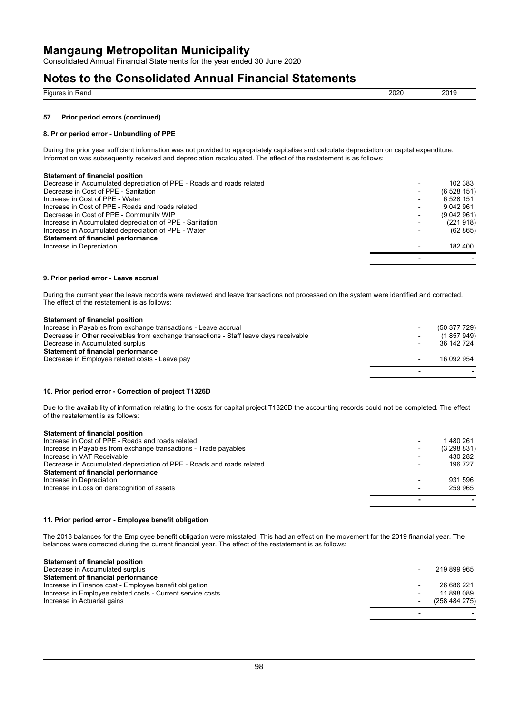Consolidated Annual Financial Statements for the year ended 30 June 2020

## **Notes to the Consolidated Annual Financial Statements**

| $- \cdot$<br><b>Flaur</b><br>nai<br>.<br>. | 2020 | 201<br><b>2019</b> |  |
|--------------------------------------------|------|--------------------|--|
|                                            |      |                    |  |

### **57. Prior period errors (continued)**

### **8. Prior period error - Unbundling of PPE**

During the prior year sufficient information was not provided to appropriately capitalise and calculate depreciation on capital expenditure. Information was subsequently received and depreciation recalculated. The effect of the restatement is as follows:

#### **Statement of financial position**

| Decrease in Accumulated depreciation of PPE - Roads and roads related |      | 102 383   |
|-----------------------------------------------------------------------|------|-----------|
| Decrease in Cost of PPE - Sanitation                                  |      | (6528151) |
| Increase in Cost of PPE - Water                                       | $\,$ | 6 528 151 |
| Increase in Cost of PPE - Roads and roads related                     | $\,$ | 9 042 961 |
| Decrease in Cost of PPE - Community WIP                               |      | (9042961) |
| Increase in Accumulated depreciation of PPE - Sanitation              |      | (221918)  |
| Increase in Accumulated depreciation of PPE - Water                   |      | (62 865)  |
| <b>Statement of financial performance</b>                             |      |           |
| Increase in Depreciation                                              |      | 182 400   |
|                                                                       |      |           |

#### **9. Prior period error - Leave accrual**

During the current year the leave records were reviewed and leave transactions not processed on the system were identified and corrected. The effect of the restatement is as follows:

### **Statement of financial position**

| $\frac{1}{2}$                                                                          |                          |              |
|----------------------------------------------------------------------------------------|--------------------------|--------------|
| Increase in Payables from exchange transactions - Leave accrual                        | $\overline{\phantom{0}}$ | (50 377 729) |
| Decrease in Other receivables from exchange transactions - Staff leave days receivable | $\blacksquare$           | (1 857 949)  |
| Decrease in Accumulated surplus                                                        | $\overline{\phantom{0}}$ | 36 142 724   |
| <b>Statement of financial performance</b>                                              |                          |              |
| Decrease in Employee related costs - Leave pay                                         | $\overline{\phantom{0}}$ | 16 092 954   |
|                                                                                        |                          |              |

### **10. Prior period error - Correction of project T1326D**

Due to the availability of information relating to the costs for capital project T1326D the accounting records could not be completed. The effect of the restatement is as follows:

| <b>Statement of financial position</b>                                |             |
|-----------------------------------------------------------------------|-------------|
| Increase in Cost of PPE - Roads and roads related                     | 1480261     |
| Increase in Payables from exchange transactions - Trade payables      | (3 298 831) |
| Increase in VAT Receivable                                            | 430 282     |
| Decrease in Accumulated depreciation of PPE - Roads and roads related | 196 727     |
| <b>Statement of financial performance</b>                             |             |
| Increase in Depreciation                                              | 931 596     |
| Increase in Loss on derecognition of assets                           | 259 965     |
|                                                                       |             |

### **11. Prior period error - Employee benefit obligation**

The 2018 balances for the Employee benefit obligation were misstated. This had an effect on the movement for the 2019 financial year. The belances were corrected during the current financial year. The effect of the restatement is as follows:

| <b>Statement of financial position</b>                     |               |
|------------------------------------------------------------|---------------|
| Decrease in Accumulated surplus                            | 219 899 965   |
| <b>Statement of financial performance</b>                  |               |
| Increase in Finance cost - Employee benefit obligation     | 26 686 221    |
| Increase in Employee related costs - Current service costs | 11 898 089    |
| Increase in Actuarial gains                                | (258 484 275) |
|                                                            |               |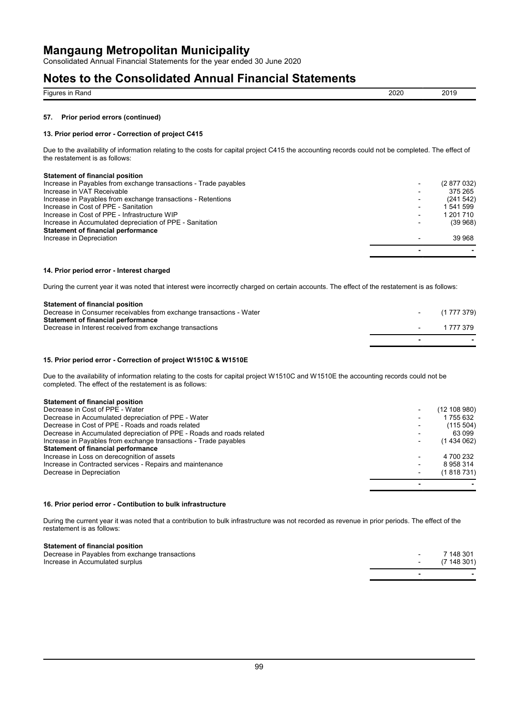Consolidated Annual Financial Statements for the year ended 30 June 2020

## **Notes to the Consolidated Annual Financial Statements**

| $-$<br>.<br>FlQU <sup>rc</sup><br><b>101</b><br> | 2020 | 201<br>טו ט<br>-<br>$\sim$ $\sim$ |
|--------------------------------------------------|------|-----------------------------------|
|                                                  |      |                                   |

### **57. Prior period errors (continued)**

### **13. Prior period error - Correction of project C415**

Due to the availability of information relating to the costs for capital project C415 the accounting records could not be completed. The effect of the restatement is as follows:

### **Statement of financial position**

| Increase in Payables from exchange transactions - Trade payables | (2877032) |
|------------------------------------------------------------------|-----------|
| Increase in VAT Receivable                                       | 375 265   |
| Increase in Payables from exchange transactions - Retentions     | (241542)  |
| Increase in Cost of PPE - Sanitation                             | 1 541 599 |
| Increase in Cost of PPE - Infrastructure WIP                     | 1 201 710 |
| Increase in Accumulated depreciation of PPE - Sanitation         | (39968)   |
| <b>Statement of financial performance</b>                        |           |
| Increase in Depreciation                                         | 39 968    |
|                                                                  |           |

### **14. Prior period error - Interest charged**

During the current year it was noted that interest were incorrectly charged on certain accounts. The effect of the restatement is as follows:

### **Statement of financial position**

| <b>UNIVERSITY OF HIRLIUM PUBLICITY</b>                              |               |
|---------------------------------------------------------------------|---------------|
| Decrease in Consumer receivables from exchange transactions - Water | $- (1777379)$ |
| <b>Statement of financial performance</b>                           |               |
| Decrease in Interest received from exchange transactions            | - 1777379     |
|                                                                     |               |
|                                                                     |               |

### **15. Prior period error - Correction of project W1510C & W1510E**

Due to the availability of information relating to the costs for capital project W1510C and W1510E the accounting records could not be completed. The effect of the restatement is as follows:

| <b>Statement of financial position</b>                                |                          |              |
|-----------------------------------------------------------------------|--------------------------|--------------|
| Decrease in Cost of PPE - Water                                       |                          | (12 108 980) |
| Decrease in Accumulated depreciation of PPE - Water                   | $\overline{\phantom{0}}$ | 1755632      |
| Decrease in Cost of PPE - Roads and roads related                     |                          | (115 504)    |
| Decrease in Accumulated depreciation of PPE - Roads and roads related |                          | 63 099       |
| Increase in Payables from exchange transactions - Trade payables      |                          | (1434062)    |
| <b>Statement of financial performance</b>                             |                          |              |
| Increase in Loss on derecognition of assets                           |                          | 4 700 232    |
| Increase in Contracted services - Repairs and maintenance             |                          | 8958314      |
| Decrease in Depreciation                                              |                          | (1818731)    |
|                                                                       |                          |              |

#### **16. Prior period error - Contibution to bulk infrastructure**

During the current year it was noted that a contribution to bulk infrastructure was not recorded as revenue in prior periods. The effect of the restatement is as follows:

### **Statement of financial position**

| <b>UNIVERSITY OF HIRALDIAL POSITION</b><br>Decrease in Payables from exchange transactions | 7 148 301   |
|--------------------------------------------------------------------------------------------|-------------|
| Increase in Accumulated surplus                                                            | (7 148 301) |
|                                                                                            |             |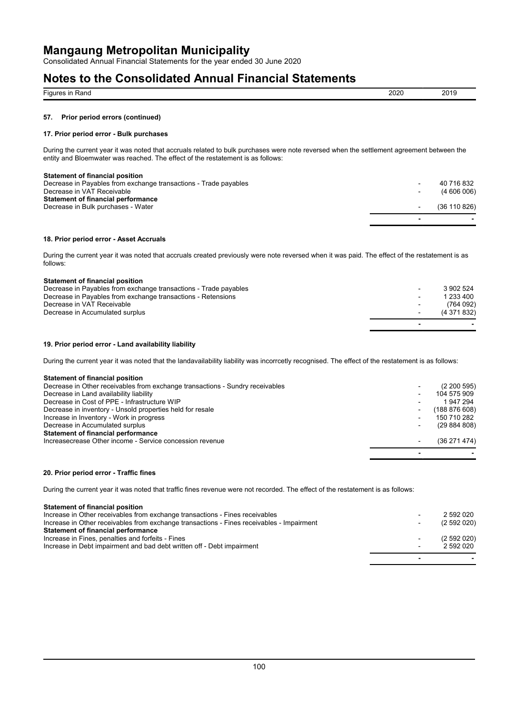Consolidated Annual Financial Statements for the year ended 30 June 2020

## **Notes to the Consolidated Annual Financial Statements**

| $- \cdot$<br>.<br>$-10^{6}$<br>ומר<br><br>. | ∩מרי<br><u>_v_</u><br>$\sim$ $\sim$ | nn.<br>.<br>. .<br>$\sim$ $\sim$ |
|---------------------------------------------|-------------------------------------|----------------------------------|
|                                             |                                     |                                  |

### **57. Prior period errors (continued)**

### **17. Prior period error - Bulk purchases**

During the current year it was noted that accruals related to bulk purchases were note reversed when the settlement agreement between the entity and Bloemwater was reached. The effect of the restatement is as follows:

### **Statement of financial position**

| Decrease in Payables from exchange transactions - Trade payables | 40 716 832   |
|------------------------------------------------------------------|--------------|
| Decrease in VAT Receivable                                       | (4606006)    |
| <b>Statement of financial performance</b>                        |              |
| Decrease in Bulk purchases - Water                               | (36 110 826) |
|                                                                  |              |
|                                                                  |              |

### **18. Prior period error - Asset Accruals**

During the current year it was noted that accruals created previously were note reversed when it was paid. The effect of the restatement is as follows:

### **Statement of financial position**

| Decrease in Payables from exchange transactions - Trade payables |                          | 3 902 524   |
|------------------------------------------------------------------|--------------------------|-------------|
| Decrease in Payables from exchange transactions - Retensions     |                          | 1 233 400   |
| Decrease in VAT Receivable                                       |                          | (764092)    |
| Decrease in Accumulated surplus                                  | $\overline{\phantom{a}}$ | (4 371 832) |
|                                                                  |                          |             |
|                                                                  |                          |             |

### **19. Prior period error - Land availability liability**

During the current year it was noted that the landavailability liability was incorrcetly recognised. The effect of the restatement is as follows:

| <b>Statement of financial position</b>                                        |                          |               |
|-------------------------------------------------------------------------------|--------------------------|---------------|
| Decrease in Other receivables from exchange transactions - Sundry receivables |                          | (2 200 595)   |
| Decrease in Land availability liability                                       | $\overline{\phantom{0}}$ | 104 575 909   |
| Decrease in Cost of PPE - Infrastructure WIP                                  |                          | 1947294       |
| Decrease in inventory - Unsold properties held for resale                     |                          | (188 876 608) |
| Increase in Inventory - Work in progress                                      |                          | 150 710 282   |
| Decrease in Accumulated surplus                                               |                          | (29884808)    |
| <b>Statement of financial performance</b>                                     |                          |               |
| Increasecrease Other income - Service concession revenue                      |                          | (36271474)    |
|                                                                               |                          |               |

### **20. Prior period error - Traffic fines**

During the current year it was noted that traffic fines revenue were not recorded. The effect of the restatement is as follows:

| <b>Statement of financial position</b>                                                    |           |
|-------------------------------------------------------------------------------------------|-----------|
| Increase in Other receivables from exchange transactions - Fines receivables              | 2 592 020 |
| Increase in Other receivables from exchange transactions - Fines receivables - Impairment | (2592020) |
| <b>Statement of financial performance</b>                                                 |           |
| Increase in Fines, penalties and forfeits - Fines                                         | (2592020) |
| Increase in Debt impairment and bad debt written off - Debt impairment                    | 2 592 020 |
|                                                                                           |           |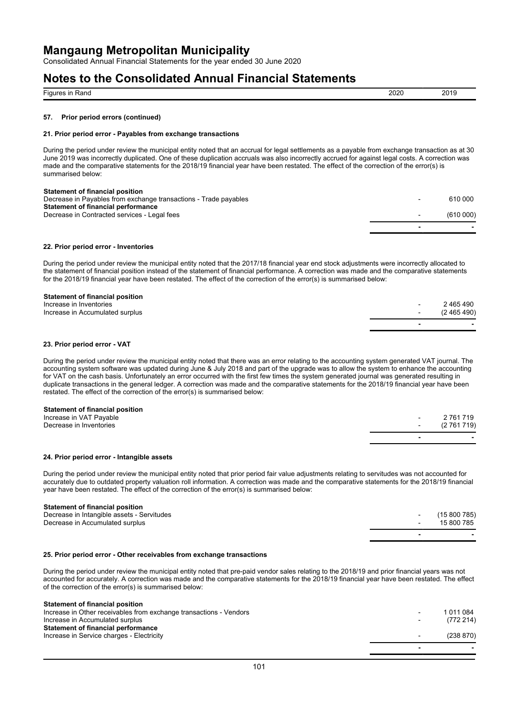Consolidated Annual Financial Statements for the year ended 30 June 2020

### **Notes to the Consolidated Annual Financial Statements**

| $- \cdot$<br>Figure.<br><br>Ranc<br>יוו כ<br>. | ורחי<br>-- | ำก.<br>$-0$ |
|------------------------------------------------|------------|-------------|
|                                                |            |             |

### **57. Prior period errors (continued)**

### **21. Prior period error - Payables from exchange transactions**

During the period under review the municipal entity noted that an accrual for legal settlements as a payable from exchange transaction as at 30 June 2019 was incorrectly duplicated. One of these duplication accruals was also incorrectly accrued for against legal costs. A correction was made and the comparative statements for the 2018/19 financial year have been restated. The effect of the correction of the error(s) is summarised below:

### **Statement of financial position**

| $\frac{1}{2}$                                                    |          |
|------------------------------------------------------------------|----------|
| Decrease in Payables from exchange transactions - Trade payables | 610 000  |
| <b>Statement of financial performance</b>                        |          |
| Decrease in Contracted services - Legal fees                     | (610000) |
|                                                                  |          |
|                                                                  |          |

#### **22. Prior period error - Inventories**

During the period under review the municipal entity noted that the 2017/18 financial year end stock adjustments were incorrectly allocated to the statement of financial position instead of the statement of financial performance. A correction was made and the comparative statements for the 2018/19 financial year have been restated. The effect of the correction of the error(s) is summarised below:

### **Statement of financial position**

| Increase in Inventories<br>Increase in Accumulated surplus | $\overline{\phantom{a}}$<br>$\overline{\phantom{a}}$ | 2465490<br>(2,465,490) |
|------------------------------------------------------------|------------------------------------------------------|------------------------|
| <b>Statement of middle-position</b>                        |                                                      |                        |

#### **23. Prior period error - VAT**

During the period under review the municipal entity noted that there was an error relating to the accounting system generated VAT journal. The accounting system software was updated during June & July 2018 and part of the upgrade was to allow the system to enhance the accounting for VAT on the cash basis. Unfortunately an error occurred with the first few times the system generated journal was generated resulting in duplicate transactions in the general ledger. A correction was made and the comparative statements for the 2018/19 financial year have been restated. The effect of the correction of the error(s) is summarised below:

### **Statement of financial position**

| <b>Diatement of Imancial position</b> |                          |           |
|---------------------------------------|--------------------------|-----------|
| Increase in VAT Payable               | $\overline{\phantom{a}}$ | 2 761 719 |
| Decrease in Inventories               | $\sim$                   | (2761719) |
|                                       |                          |           |
|                                       |                          |           |

#### **24. Prior period error - Intangible assets**

During the period under review the municipal entity noted that prior period fair value adjustments relating to servitudes was not accounted for accurately due to outdated property valuation roll information. A correction was made and the comparative statements for the 2018/19 financial year have been restated. The effect of the correction of the error(s) is summarised below:

### **Statement of financial position**

| Decrease in Accumulated surplus            | 15 800 785 |
|--------------------------------------------|------------|
| Decrease in Intangible assets - Servitudes | (15800785) |

#### **25. Prior period error - Other receivables from exchange transactions**

During the period under review the municipal entity noted that pre-paid vendor sales relating to the 2018/19 and prior financial years was not accounted for accurately. A correction was made and the comparative statements for the 2018/19 financial year have been restated. The effect of the correction of the error(s) is summarised below:

| <b>Statement of financial position</b>                             |                          |           |
|--------------------------------------------------------------------|--------------------------|-----------|
| Increase in Other receivables from exchange transactions - Vendors |                          | 1 011 084 |
| Increase in Accumulated surplus                                    |                          | (772 214) |
| <b>Statement of financial performance</b>                          |                          |           |
| Increase in Service charges - Electricity                          | $\overline{\phantom{a}}$ | (238 870) |
|                                                                    | -                        |           |
|                                                                    |                          |           |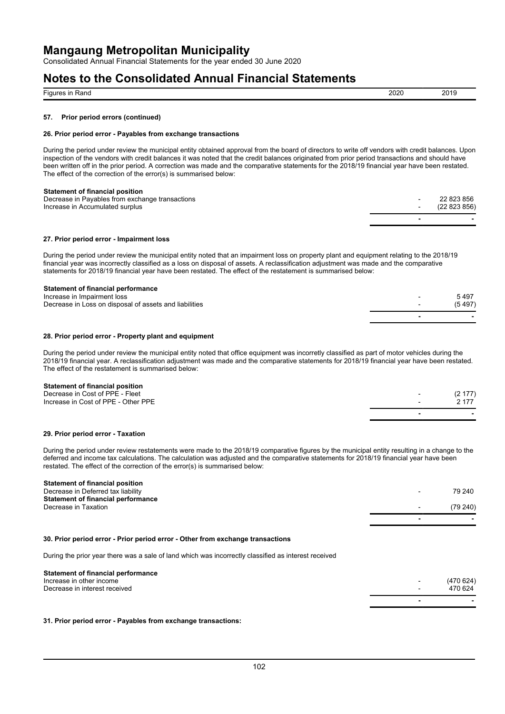Consolidated Annual Financial Statements for the year ended 30 June 2020

### **Notes to the Consolidated Annual Financial Statements**

| $- \cdot$<br>Figure.<br><br>Ranc<br>וו כי<br>. | ״חר<br>v<br>____ | 201<br>∠∪ |
|------------------------------------------------|------------------|-----------|
|                                                |                  |           |

### **57. Prior period errors (continued)**

### **26. Prior period error - Payables from exchange transactions**

During the period under review the municipal entity obtained approval from the board of directors to write off vendors with credit balances. Upon inspection of the vendors with credit balances it was noted that the credit balances originated from prior period transactions and should have been written off in the prior period. A correction was made and the comparative statements for the 2018/19 financial year have been restated. The effect of the correction of the error(s) is summarised below:

### **Statement of financial position**

| Decrease in Payables from exchange transactions<br>Increase in Accumulated surplus | 22 823 856<br>(22 823 856) |
|------------------------------------------------------------------------------------|----------------------------|
|                                                                                    |                            |

#### **27. Prior period error - Impairment loss**

During the period under review the municipal entity noted that an impairment loss on property plant and equipment relating to the 2018/19 financial year was incorrectly classified as a loss on disposal of assets. A reclassification adjustment was made and the comparative statements for 2018/19 financial year have been restated. The effect of the restatement is summarised below:

### **Statement of financial performance**

| Increase in Impairment loss                            | 5497   |
|--------------------------------------------------------|--------|
| Decrease in Loss on disposal of assets and liabilities | (5497) |
|                                                        |        |

#### **28. Prior period error - Property plant and equipment**

During the period under review the municipal entity noted that office equipment was incorretly classified as part of motor vehicles during the 2018/19 financial year. A reclassification adjustment was made and the comparative statements for 2018/19 financial year have been restated. The effect of the restatement is summarised below:

### **Statement of financial position**

| <b>UNIVERSITY OF HINAHUMA POSITION</b> |        |        |
|----------------------------------------|--------|--------|
| Decrease in Cost of PPE - Fleet        | $\sim$ | (2177) |
| Increase in Cost of PPE - Other PPE    |        | 2 177  |
|                                        |        |        |
|                                        |        |        |
|                                        |        |        |

### **29. Prior period error - Taxation**

During the period under review restatements were made to the 2018/19 comparative figures by the municipal entity resulting in a change to the deferred and income tax calculations. The calculation was adjusted and the comparative statements for 2018/19 financial year have been restated. The effect of the correction of the error(s) is summarised below:

**- -**

#### **Statement of financial position** Decrease in Deferred tax liability and the control of the control of the control of the control of the control of the control of the control of the control of the control of the control of the control of the control of the **Statement of financial performance** Decrease in Taxation - (79 240)

#### **30. Prior period error - Prior period error - Other from exchange transactions**

During the prior year there was a sale of land which was incorrectly classified as interest received

| <b>Statement of financial performance</b> |                          |          |
|-------------------------------------------|--------------------------|----------|
| Increase in other income                  | $\overline{\phantom{0}}$ | (470624) |
| Decrease in interest received             | $\overline{\phantom{0}}$ | 470 624  |
|                                           |                          |          |
|                                           |                          |          |

#### **31. Prior period error - Payables from exchange transactions:**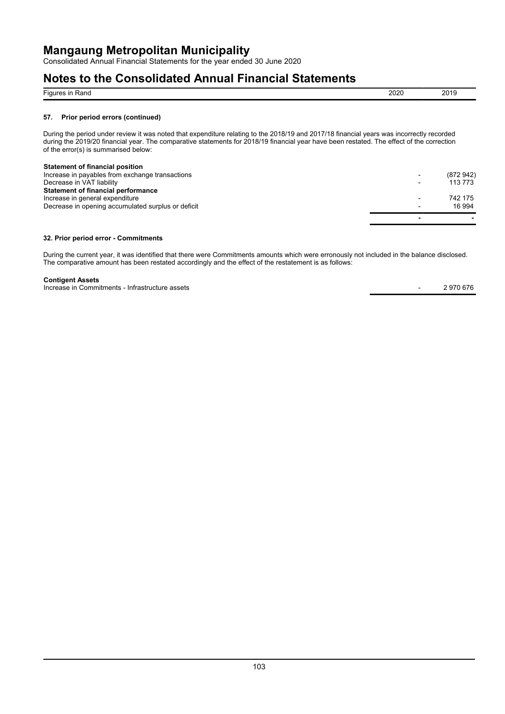Consolidated Annual Financial Statements for the year ended 30 June 2020

# **Notes to the Consolidated Annual Financial Statements**

| Figure<br>. <b>.</b><br>Ranu | $\sim$<br>2020 | 2019 |
|------------------------------|----------------|------|
|                              |                |      |

### **57. Prior period errors (continued)**

During the period under review it was noted that expenditure relating to the 2018/19 and 2017/18 financial years was incorrectly recorded during the 2019/20 financial year. The comparative statements for 2018/19 financial year have been restated. The effect of the correction of the error(s) is summarised below:

### **Statement of financial position**

| Increase in payables from exchange transactions    | $\overline{\phantom{0}}$ | (872942) |
|----------------------------------------------------|--------------------------|----------|
| Decrease in VAT liability                          |                          | 113 773  |
| <b>Statement of financial performance</b>          |                          |          |
| Increase in general expenditure                    | $\overline{\phantom{0}}$ | 742 175  |
| Decrease in opening accumulated surplus or deficit | $\overline{\phantom{0}}$ | 16 994   |
|                                                    |                          |          |

### **32. Prior period error - Commitments**

During the current year, it was identified that there were Commitments amounts which were erronously not included in the balance disclosed. The comparative amount has been restated accordingly and the effect of the restatement is as follows:

### **Contigent Assets**

Increase in Commitments - Infrastructure assets - 2 970 676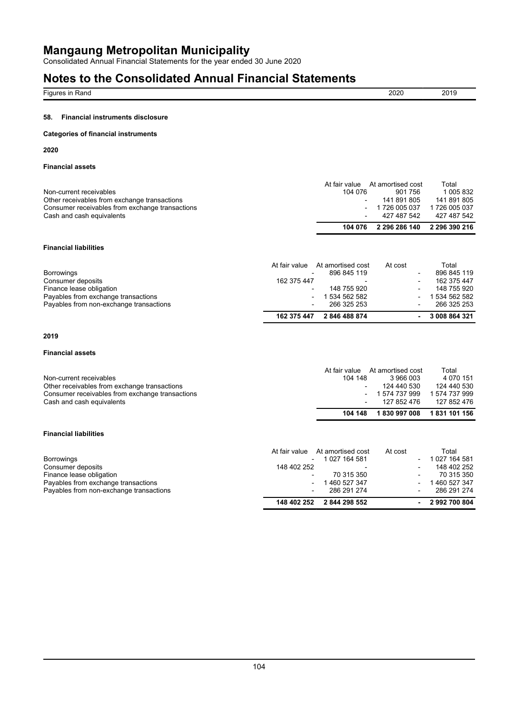Consolidated Annual Financial Statements for the year ended 30 June 2020

# **Notes to the Consolidated Annual Financial Statements**

| Figures in Rand                                                                                                                                         |                                                          |                                                                                               | 2020                                                                                        | 2019                                                                                                |
|---------------------------------------------------------------------------------------------------------------------------------------------------------|----------------------------------------------------------|-----------------------------------------------------------------------------------------------|---------------------------------------------------------------------------------------------|-----------------------------------------------------------------------------------------------------|
|                                                                                                                                                         |                                                          |                                                                                               |                                                                                             |                                                                                                     |
| <b>Financial instruments disclosure</b><br>58.                                                                                                          |                                                          |                                                                                               |                                                                                             |                                                                                                     |
| <b>Categories of financial instruments</b>                                                                                                              |                                                          |                                                                                               |                                                                                             |                                                                                                     |
| 2020                                                                                                                                                    |                                                          |                                                                                               |                                                                                             |                                                                                                     |
| <b>Financial assets</b>                                                                                                                                 |                                                          |                                                                                               |                                                                                             |                                                                                                     |
| Non-current receivables<br>Other receivables from exchange transactions<br>Consumer receivables from exchange transactions<br>Cash and cash equivalents |                                                          | At fair value<br>104 076<br>104 076                                                           | At amortised cost<br>901 756<br>141 891 805<br>1726 005 037<br>427 487 542<br>2 296 286 140 | Total<br>1 005 832<br>141 891 805<br>1726 005 037<br>427 487 542<br>2 296 390 216                   |
| <b>Financial liabilities</b>                                                                                                                            |                                                          |                                                                                               |                                                                                             |                                                                                                     |
| Borrowings<br>Consumer deposits<br>Finance lease obligation<br>Payables from exchange transactions<br>Payables from non-exchange transactions           | At fair value<br>162 375 447<br>162 375 447              | At amortised cost<br>896 845 119<br>148 755 920<br>1 534 562 582<br>266 325 253<br>2846488874 | At cost                                                                                     | Total<br>896 845 119<br>162 375 447<br>148 755 920<br>1 534 562 582<br>266 325 253<br>3 008 864 321 |
| 2019                                                                                                                                                    |                                                          |                                                                                               |                                                                                             |                                                                                                     |
| <b>Financial assets</b>                                                                                                                                 |                                                          |                                                                                               |                                                                                             |                                                                                                     |
| Non-current receivables<br>Other receivables from exchange transactions<br>Consumer receivables from exchange transactions<br>Cash and cash equivalents |                                                          | At fair value<br>104 148<br>104 148                                                           | At amortised cost<br>3 966 003<br>124 440 530<br>1 574 737 999<br>127 852 476<br>1830997008 | Total<br>4 070 151<br>124 440 530<br>1 574 737 999<br>127 852 476<br>1831101156                     |
|                                                                                                                                                         |                                                          |                                                                                               |                                                                                             |                                                                                                     |
| <b>Financial liabilities</b>                                                                                                                            |                                                          |                                                                                               |                                                                                             |                                                                                                     |
| Borrowings<br>Consumer deposits<br>Finance lease obligation<br>Payables from exchange transactions<br>Payables from non-exchange transactions           | At fair value<br>$\overline{\phantom{a}}$<br>148 402 252 | At amortised cost<br>1 027 164 581<br>70 315 350<br>1 460 527 347<br>286 291 274              | At cost                                                                                     | Total<br>1027 164 581<br>148 402 252<br>70 315 350<br>1 460 527 347<br>286 291 274                  |

**148 402 252 2 844 298 552 - 2 992 700 804**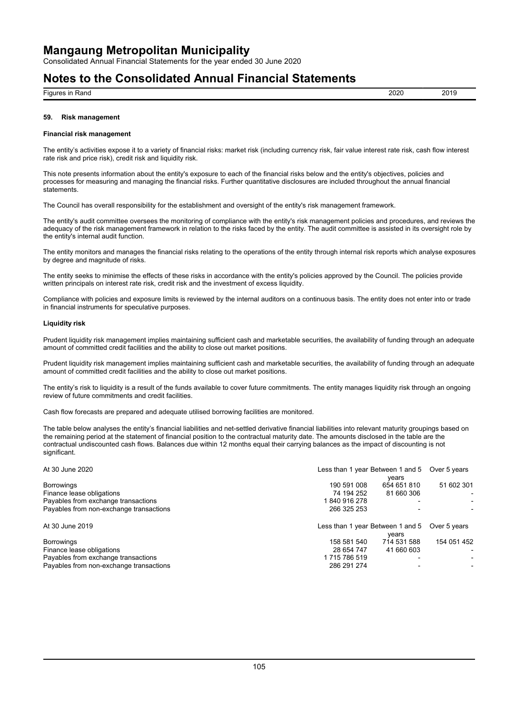Consolidated Annual Financial Statements for the year ended 30 June 2020

### **Notes to the Consolidated Annual Financial Statements**

| Figure<br>.<br>Ranc | 2020 | 201<br>__ |
|---------------------|------|-----------|
|                     |      |           |

#### **59. Risk management**

### **Financial risk management**

The entity's activities expose it to a variety of financial risks: market risk (including currency risk, fair value interest rate risk, cash flow interest rate risk and price risk), credit risk and liquidity risk.

This note presents information about the entity's exposure to each of the financial risks below and the entity's objectives, policies and processes for measuring and managing the financial risks. Further quantitative disclosures are included throughout the annual financial **statements** 

The Council has overall responsibility for the establishment and oversight of the entity's risk management framework.

The entity's audit committee oversees the monitoring of compliance with the entity's risk management policies and procedures, and reviews the adequacy of the risk management framework in relation to the risks faced by the entity. The audit committee is assisted in its oversight role by the entity's internal audit function.

The entity monitors and manages the financial risks relating to the operations of the entity through internal risk reports which analyse exposures by degree and magnitude of risks.

The entity seeks to minimise the effects of these risks in accordance with the entity's policies approved by the Council. The policies provide written principals on interest rate risk, credit risk and the investment of excess liquidity.

Compliance with policies and exposure limits is reviewed by the internal auditors on a continuous basis. The entity does not enter into or trade in financial instruments for speculative purposes.

#### **Liquidity risk**

Prudent liquidity risk management implies maintaining sufficient cash and marketable securities, the availability of funding through an adequate amount of committed credit facilities and the ability to close out market positions.

Prudent liquidity risk management implies maintaining sufficient cash and marketable securities, the availability of funding through an adequate amount of committed credit facilities and the ability to close out market positions.

The entity's risk to liquidity is a result of the funds available to cover future commitments. The entity manages liquidity risk through an ongoing review of future commitments and credit facilities.

Cash flow forecasts are prepared and adequate utilised borrowing facilities are monitored.

The table below analyses the entity's financial liabilities and net-settled derivative financial liabilities into relevant maturity groupings based on the remaining period at the statement of financial position to the contractual maturity date. The amounts disclosed in the table are the contractual undiscounted cash flows. Balances due within 12 months equal their carrying balances as the impact of discounting is not significant.

| Less than 1 year Between 1 and 5 Over 5 years |             |                                                             |
|-----------------------------------------------|-------------|-------------------------------------------------------------|
|                                               | years       |                                                             |
| 190 591 008                                   | 654 651 810 | 51 602 301                                                  |
|                                               | 81 660 306  |                                                             |
| 1840916278                                    |             |                                                             |
| 266 325 253                                   |             |                                                             |
|                                               |             |                                                             |
|                                               | years       |                                                             |
| 158 581 540                                   | 714 531 588 | 154 051 452                                                 |
| 28 654 747                                    | 41 660 603  |                                                             |
| 1715786519                                    |             |                                                             |
| 286 291 274                                   |             |                                                             |
|                                               |             | 74 194 252<br>Less than 1 year Between 1 and 5 Over 5 years |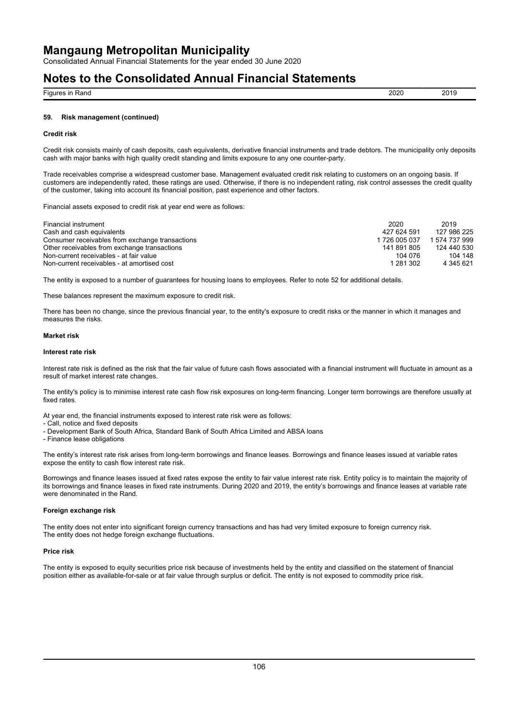Consolidated Annual Financial Statements for the year ended 30 June 2020

### **Notes to the Consolidated Annual Financial Statements**

| $- \cdot$<br>.<br>Fiaur<br>אמר | _∩כ∩כ<br>., | . |
|--------------------------------|-------------|---|
|                                |             |   |

### **59. Risk management (continued)**

#### **Credit risk**

Credit risk consists mainly of cash deposits, cash equivalents, derivative financial instruments and trade debtors. The municipality only deposits cash with major banks with high quality credit standing and limits exposure to any one counter-party.

Trade receivables comprise a widespread customer base. Management evaluated credit risk relating to customers on an ongoing basis. If customers are independently rated, these ratings are used. Otherwise, if there is no independent rating, risk control assesses the credit quality of the customer, taking into account its financial position, past experience and other factors.

Financial assets exposed to credit risk at year end were as follows:

| Financial instrument                            | 2020          | 2019          |
|-------------------------------------------------|---------------|---------------|
| Cash and cash equivalents                       | 427 624 591   | 127 986 225   |
| Consumer receivables from exchange transactions | 1 726 005 037 | 1 574 737 999 |
| Other receivables from exchange transactions    | 141 891 805   | 124 440 530   |
| Non-current receivables - at fair value         | 104 076       | 104 148       |
| Non-current receivables - at amortised cost     | 1 281 302     | 4 345 621     |

The entity is exposed to a number of guarantees for housing loans to employees. Refer to note 52 for additional details.

These balances represent the maximum exposure to credit risk.

There has been no change, since the previous financial year, to the entity's exposure to credit risks or the manner in which it manages and measures the risks.

#### **Market risk**

#### **Interest rate risk**

Interest rate risk is defined as the risk that the fair value of future cash flows associated with a financial instrument will fluctuate in amount as a result of market interest rate changes.

The entity's policy is to minimise interest rate cash flow risk exposures on long-term financing. Longer term borrowings are therefore usually at fixed rates.

At year end, the financial instruments exposed to interest rate risk were as follows:

- Call, notice and fixed deposits
- Development Bank of South Africa, Standard Bank of South Africa Limited and ABSA loans

- Finance lease obligations

The entity's interest rate risk arises from long-term borrowings and finance leases. Borrowings and finance leases issued at variable rates expose the entity to cash flow interest rate risk.

Borrowings and finance leases issued at fixed rates expose the entity to fair value interest rate risk. Entity policy is to maintain the majority of its borrowings and finance leases in fixed rate instruments. During 2020 and 2019, the entity's borrowings and finance leases at variable rate were denominated in the Rand.

#### **Foreign exchange risk**

The entity does not enter into significant foreign currency transactions and has had very limited exposure to foreign currency risk. The entity does not hedge foreign exchange fluctuations.

#### **Price risk**

The entity is exposed to equity securities price risk because of investments held by the entity and classified on the statement of financial position either as available-for-sale or at fair value through surplus or deficit. The entity is not exposed to commodity price risk.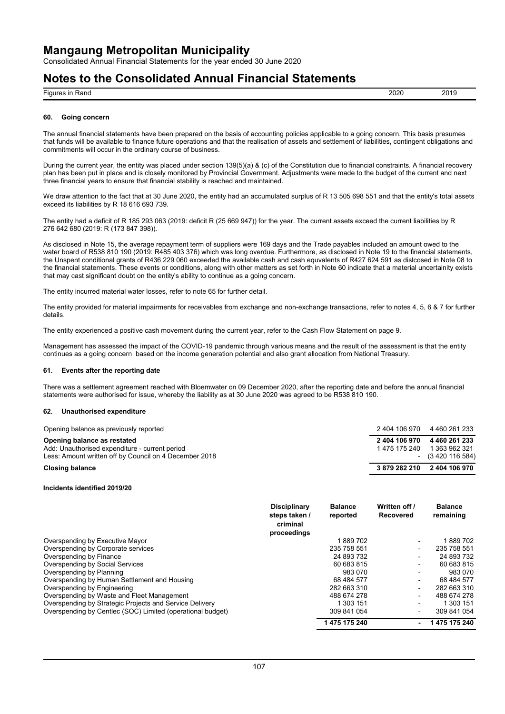Consolidated Annual Financial Statements for the year ended 30 June 2020

### **Notes to the Consolidated Annual Financial Statements**

| $- \cdot$<br>∽iar<br><b>Natio</b><br><br>.<br>. . | วกวก<br>.<br>$\sim$ $\sim$ $\sim$ | ໍ<br>ΣU<br>$\sim$ $\sim$ $\sim$ |
|---------------------------------------------------|-----------------------------------|---------------------------------|

### **60. Going concern**

The annual financial statements have been prepared on the basis of accounting policies applicable to a going concern. This basis presumes that funds will be available to finance future operations and that the realisation of assets and settlement of liabilities, contingent obligations and commitments will occur in the ordinary course of business.

During the current year, the entity was placed under section 139(5)(a) & (c) of the Constitution due to financial constraints. A financial recovery plan has been put in place and is closely monitored by Provincial Government. Adjustments were made to the budget of the current and next three financial years to ensure that financial stability is reached and maintained.

We draw attention to the fact that at 30 June 2020, the entity had an accumulated surplus of R 13 505 698 551 and that the entity's total assets exceed its liabilities by R 18 616 693 739.

The entity had a deficit of R 185 293 063 (2019: deficit R (25 669 947)) for the year. The current assets exceed the current liabilities by R 276 642 680 (2019: R (173 847 398)).

As disclosed in Note 15, the average repayment term of suppliers were 169 days and the Trade payables included an amount owed to the water board of R538 810 190 (2019: R485 403 376) which was long overdue. Furthermore, as disclosed in Note 19 to the financial statements, the Unspent conditional grants of R436 229 060 exceeded the available cash and cash equvalents of R427 624 591 as dislcosed in Note 08 to the financial statements. These events or conditions, along with other matters as set forth in Note 60 indicate that a material uncertainity exists that may cast significant doubt on the entity's ability to continue as a going concern.

The entity incurred material water losses, refer to note 65 for further detail.

The entity provided for material impairments for receivables from exchange and non-exchange transactions, refer to notes 4, 5, 6 & 7 for further details.

The entity experienced a positive cash movement during the current year, refer to the Cash Flow Statement on page 9.

Management has assessed the impact of the COVID-19 pandemic through various means and the result of the assessment is that the entity continues as a going concern based on the income generation potential and also grant allocation from National Treasury.

#### **61. Events after the reporting date**

There was a settlement agreement reached with Bloemwater on 09 December 2020, after the reporting date and before the annual financial statements were authorised for issue, whereby the liability as at 30 June 2020 was agreed to be R538 810 190.

### **62. Unauthorised expenditure**

| Opening balance as previously reported                                        | 2 404 106 970                  | 4 460 261 233                  |
|-------------------------------------------------------------------------------|--------------------------------|--------------------------------|
| Opening balance as restated<br>Add: Unauthorised expenditure - current period | 2 404 106 970<br>1 475 175 240 | 4 460 261 233<br>1 363 962 321 |
| Less: Amount written off by Council on 4 December 2018                        |                                | $-$ (3 420 116 584)            |
| <b>Closing balance</b>                                                        | 3879282210                     | 2 404 106 970                  |

### **Incidents identified 2019/20**

|                                                            | <b>Disciplinary</b><br>steps taken /<br>criminal<br>proceedings | <b>Balance</b><br>reported | Written off /<br>Recovered | <b>Balance</b><br>remaining |
|------------------------------------------------------------|-----------------------------------------------------------------|----------------------------|----------------------------|-----------------------------|
| Overspending by Executive Mayor                            |                                                                 | 1889702                    |                            | 1889702                     |
| Overspending by Corporate services                         |                                                                 | 235 758 551                |                            | 235 758 551                 |
| Overspending by Finance                                    |                                                                 | 24 893 732                 |                            | 24 893 732                  |
| Overspending by Social Services                            |                                                                 | 60 683 815                 |                            | 60 683 815                  |
| Overspending by Planning                                   |                                                                 | 983 070                    |                            | 983 070                     |
| Overspending by Human Settlement and Housing               |                                                                 | 68 484 577                 |                            | 68 484 577                  |
| Overspending by Engineering                                |                                                                 | 282 663 310                |                            | 282 663 310                 |
| Overspending by Waste and Fleet Management                 |                                                                 | 488 674 278                |                            | 488 674 278                 |
| Overspending by Strategic Projects and Service Delivery    |                                                                 | 1 303 151                  |                            | 1 303 151                   |
| Overspending by Centlec (SOC) Limited (operational budget) |                                                                 | 309 841 054                |                            | 309 841 054                 |
|                                                            |                                                                 | 1 475 175 240              |                            | 1 475 175 240               |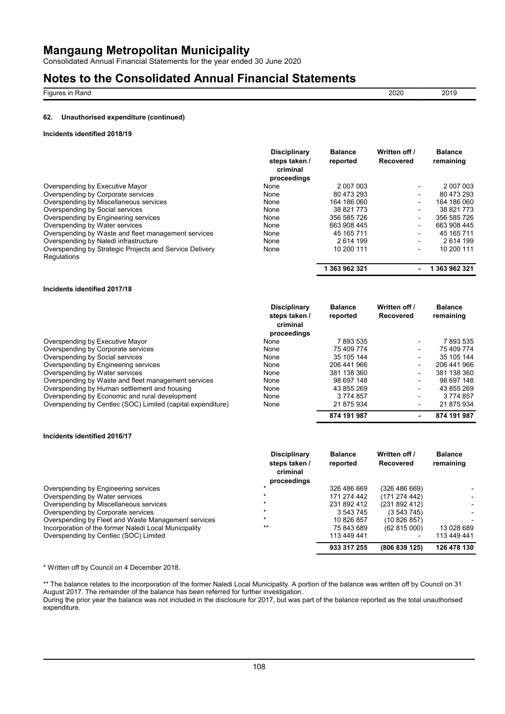Consolidated Annual Financial Statements for the year ended 30 June 2020

# **Notes to the Consolidated Annual Financial Statements**

| $\overline{\phantom{0}}$<br><b>Rand</b><br>·iaures | 2020 | 2010<br><b>LUIJ</b> |
|----------------------------------------------------|------|---------------------|

#### **62. Unauthorised expenditure (continued)**

#### **Incidents identified 2018/19**

|                                                                        | <b>Disciplinary</b><br>steps taken /<br>criminal<br>proceedings | <b>Balance</b><br>reported | Written off /<br>Recovered | <b>Balance</b><br>remaining |
|------------------------------------------------------------------------|-----------------------------------------------------------------|----------------------------|----------------------------|-----------------------------|
| Overspending by Executive Mayor                                        | None                                                            | 2 007 003                  |                            | 2 007 003                   |
| Overspending by Corporate services                                     | None                                                            | 80 473 293                 |                            | 80 473 293                  |
| Overspending by Miscellaneous services                                 | None                                                            | 164 186 060                |                            | 164 186 060                 |
| Overspending by Social services                                        | None                                                            | 38 821 773                 |                            | 38 821 773                  |
| Overspending by Engineering services                                   | None                                                            | 356 585 726                |                            | 356 585 726                 |
| Overspending by Water services                                         | None                                                            | 663 908 445                |                            | 663 908 445                 |
| Overspending by Waste and fleet management services                    | None                                                            | 45 165 711                 |                            | 45 165 711                  |
| Overspending by Naledi infrastructure                                  | None                                                            | 2 614 199                  |                            | 2614 199                    |
| Overspending by Strategic Projects and Service Delivery<br>Regulations | None                                                            | 10 200 111                 |                            | 10 200 111                  |
|                                                                        |                                                                 | 1 363 962 321              | ۰                          | 1 363 962 321               |

#### **Incidents identified 2017/18**

|                                                             | <b>Disciplinary</b><br>steps taken /<br>criminal<br>proceedings | <b>Balance</b><br>reported | Written off /<br>Recovered | <b>Balance</b><br>remaining |
|-------------------------------------------------------------|-----------------------------------------------------------------|----------------------------|----------------------------|-----------------------------|
| Overspending by Executive Mayor                             | None                                                            | 7893535                    |                            | 7893535                     |
| Overspending by Corporate services                          | None                                                            | 75 409 774                 |                            | 75 409 774                  |
| Overspending by Social services                             | None                                                            | 35 105 144                 |                            | 35 105 144                  |
| Overspending by Engineering services                        | None                                                            | 206 441 966                |                            | 206 441 966                 |
| Overspending by Water services                              | None                                                            | 381 138 360                |                            | 381 138 360                 |
| Overspending by Waste and fleet management services         | None                                                            | 98 697 148                 |                            | 98 697 148                  |
| Overspending by Human settlement and housing                | None                                                            | 43 855 269                 |                            | 43 855 269                  |
| Overspending by Economic and rural development              | None                                                            | 3774857                    |                            | 3774857                     |
| Overspending by Centlec (SOC) Limited (capital expenditure) | None                                                            | 21 875 934                 |                            | 21 875 934                  |
|                                                             |                                                                 | 874 191 987                |                            | 874 191 987                 |

#### **Incidents identified 2016/17**

|                                                       | <b>Disciplinary</b><br>steps taken /<br>criminal | <b>Balance</b><br>reported | Written off /<br>Recovered | <b>Balance</b><br>remaining |
|-------------------------------------------------------|--------------------------------------------------|----------------------------|----------------------------|-----------------------------|
|                                                       | proceedings                                      |                            |                            |                             |
| Overspending by Engineering services                  |                                                  | 326 486 669                | (326 486 669)              |                             |
| Overspending by Water services                        | $\ast$                                           | 171 274 442                | (171274442)                |                             |
| Overspending by Miscellaneous services                | $\star$                                          | 231 892 412                | (231 892 412)              |                             |
| Overspending by Corporate services                    | $\star$                                          | 3 543 745                  | (3543745)                  |                             |
| Overspending by Fleet and Waste Management services   | $\star$                                          | 10 826 857                 | (10826857)                 |                             |
| Incorporation of the former Naledi Local Municipality | $***$                                            | 75 843 689                 | (62815000)                 | 13 028 689                  |
| Overspending by Centlec (SOC) Limited                 |                                                  | 113 449 441                |                            | 113 449 441                 |
|                                                       |                                                  | 933 317 255                | (806 839 125)              | 126 478 130                 |

\* Written off by Council on 4 December 2018.

\*\* The balance relates to the incorporation of the former Naledi Local Municipality. A portion of the balance was written off by Council on 31 August 2017. The remainder of the balance has been referred for further investigation.

During the prior year the balance was not included in the disclosure for 2017, but was part of the balance reported as the total unauthorised expenditure.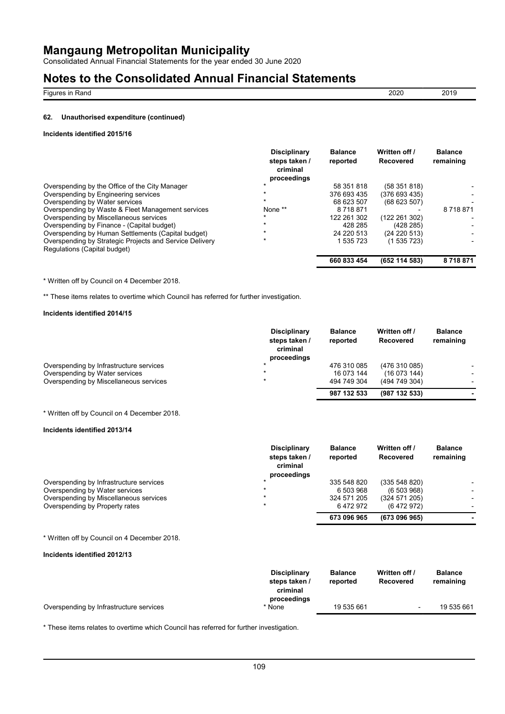Consolidated Annual Financial Statements for the year ended 30 June 2020

# **Notes to the Consolidated Annual Financial Statements**

| $\overline{\phantom{0}}$<br>---<br>Figur<br>$\sim$<br>⊼a⊓u<br><br>$\ddot{\phantom{1}}$ | 2020 | 0.04<br>.<br>_____ |
|----------------------------------------------------------------------------------------|------|--------------------|

#### **62. Unauthorised expenditure (continued)**

#### **Incidents identified 2015/16**

| <b>Disciplinary</b><br>steps taken /<br>criminal<br>proceedings | <b>Balance</b><br>reported | Written off /<br><b>Recovered</b> | <b>Balance</b><br>remaining |
|-----------------------------------------------------------------|----------------------------|-----------------------------------|-----------------------------|
|                                                                 | 58 351 818                 | (58351818)                        |                             |
|                                                                 | 376 693 435                | (376 693 435)                     |                             |
| $\star$                                                         | 68 623 507                 | (68 623 507)                      |                             |
| None **                                                         | 8718871                    |                                   | 8718871                     |
|                                                                 | 122 261 302                | (122 261 302)                     |                             |
| $\star$                                                         | 428 285                    | (428 285)                         |                             |
| $\star$                                                         | 24 220 513                 | (24 220 513)                      |                             |
| $^\star$                                                        | 1 535 723                  | (1535723)                         |                             |
|                                                                 |                            |                                   |                             |
|                                                                 | 660 833 454                | (652 114 583)                     | 8718871                     |
|                                                                 |                            |                                   |                             |

\* Written off by Council on 4 December 2018.

\*\* These items relates to overtime which Council has referred for further investigation.

### **Incidents identified 2014/15**

|                                         | <b>Disciplinary</b><br>steps taken /<br>criminal<br>proceedings | <b>Balance</b><br>reported | Written off /<br>Recovered | <b>Balance</b><br>remaining |
|-----------------------------------------|-----------------------------------------------------------------|----------------------------|----------------------------|-----------------------------|
| Overspending by Infrastructure services | $\star$                                                         | 476 310 085                | (476310085)                | $\overline{\phantom{a}}$    |
| Overspending by Water services          | $\star$                                                         | 16 073 144                 | (16073144)                 | $\overline{\phantom{a}}$    |
| Overspending by Miscellaneous services  | $\star$                                                         | 494 749 304                | (494 749 304)              |                             |
|                                         |                                                                 | 987 132 533                | (987 132 533)              |                             |

#### \* Written off by Council on 4 December 2018.

#### **Incidents identified 2013/14**

|                                         | <b>Disciplinary</b><br>steps taken /<br>criminal<br>proceedings | <b>Balance</b><br>reported | Written off /<br>Recovered | <b>Balance</b><br>remaining |
|-----------------------------------------|-----------------------------------------------------------------|----------------------------|----------------------------|-----------------------------|
| Overspending by Infrastructure services | $\star$                                                         | 335 548 820                | (335 548 820)              |                             |
| Overspending by Water services          | $\star$                                                         | 6 503 968                  | (6503968)                  | $\overline{\phantom{0}}$    |
| Overspending by Miscellaneous services  | $\star$                                                         | 324 571 205                | (324 571 205)              | $\overline{\phantom{0}}$    |
| Overspending by Property rates          | $\star$                                                         | 6472972                    | (6472972)                  | -                           |
|                                         |                                                                 | 673 096 965                | (673 096 965)              |                             |

\* Written off by Council on 4 December 2018.

#### **Incidents identified 2012/13**

| <b>Disciplinary</b><br>steps taken /<br>criminal<br>proceedings | <b>Balance</b><br>reported | Written off /<br>Recovered | Balance<br>remaining |
|-----------------------------------------------------------------|----------------------------|----------------------------|----------------------|
| * None                                                          | 19 535 661                 | $\overline{\phantom{0}}$   | 19 535 661           |
|                                                                 |                            |                            |                      |

\* These items relates to overtime which Council has referred for further investigation.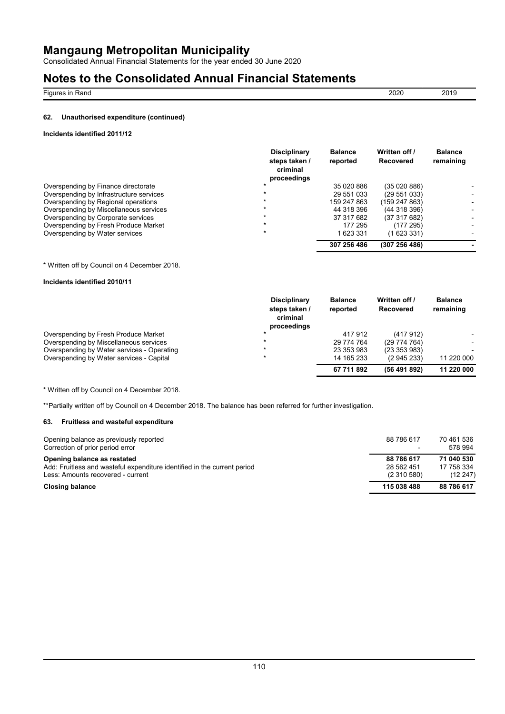Consolidated Annual Financial Statements for the year ended 30 June 2020

# **Notes to the Consolidated Annual Financial Statements**

| $\overline{\phantom{0}}$<br>Fiau<br>≺anɑ<br>ш<br>$-22$ $-22$ | ∩∩∩<br>2020 | ດ^າ |
|--------------------------------------------------------------|-------------|-----|

### **62. Unauthorised expenditure (continued)**

#### **Incidents identified 2011/12**

|                                         | <b>Disciplinary</b><br>steps taken /<br>criminal<br>proceedings | <b>Balance</b><br>reported | Written off /<br>Recovered | <b>Balance</b><br>remaining |
|-----------------------------------------|-----------------------------------------------------------------|----------------------------|----------------------------|-----------------------------|
| Overspending by Finance directorate     |                                                                 | 35 020 886                 | (35020886)                 |                             |
| Overspending by Infrastructure services | $\star$                                                         | 29 551 033                 | (29 551 033)               | $\overline{\phantom{0}}$    |
| Overspending by Regional operations     | $\ast$                                                          | 159 247 863                | (159 247 863)              |                             |
| Overspending by Miscellaneous services  | $\star$                                                         | 44 318 396                 | (44318396)                 |                             |
| Overspending by Corporate services      | $\ast$                                                          | 37 317 682                 | (37317682)                 |                             |
| Overspending by Fresh Produce Market    | $\star$                                                         | 177 295                    | (177295)                   | $\overline{\phantom{0}}$    |
| Overspending by Water services          | $\star$                                                         | 1 623 331                  | (1623331)                  |                             |
|                                         |                                                                 | 307 256 486                | (307 256 486)              |                             |

### \* Written off by Council on 4 December 2018.

#### **Incidents identified 2010/11**

|                                            | <b>Disciplinary</b><br>steps taken /<br>criminal<br>proceedings | <b>Balance</b><br>reported | Written off /<br>Recovered | <b>Balance</b><br>remaining |
|--------------------------------------------|-----------------------------------------------------------------|----------------------------|----------------------------|-----------------------------|
| Overspending by Fresh Produce Market       | $\star$                                                         | 417 912                    | (417912)                   |                             |
| Overspending by Miscellaneous services     | $\star$                                                         | 29 774 764                 | (29774764)                 |                             |
| Overspending by Water services - Operating | $\star$                                                         | 23 353 983                 | (23353983)                 |                             |
| Overspending by Water services - Capital   | $\star$                                                         | 14 165 233                 | (2945233)                  | 11 220 000                  |
|                                            |                                                                 | 67 711 892                 | (56 491 892)               | 11 220 000                  |

\* Written off by Council on 4 December 2018.

\*\*Partially written off by Council on 4 December 2018. The balance has been referred for further investigation.

### **63. Fruitless and wasteful expenditure**

| 28 562 451<br>(2310580) | (12247)                  |
|-------------------------|--------------------------|
|                         |                          |
| 88 786 617              | 71 040 530<br>17 758 334 |
| 88 786 617              | 70 461 536<br>578 994    |
|                         |                          |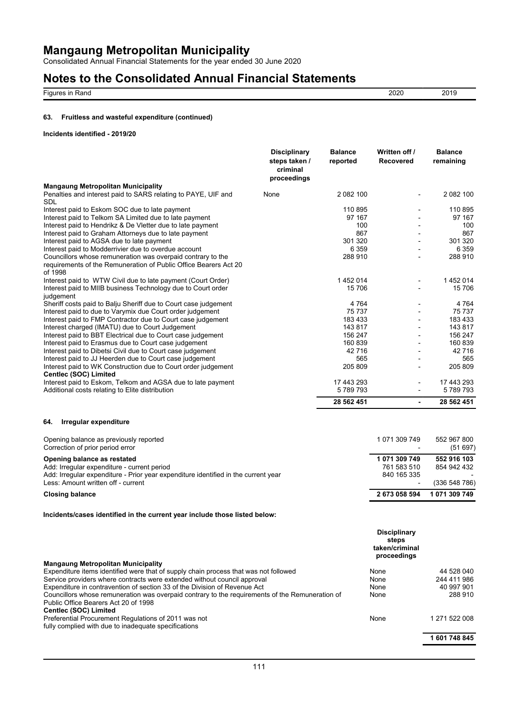Consolidated Annual Financial Statements for the year ended 30 June 2020

# **Notes to the Consolidated Annual Financial Statements**

| $\overline{\phantom{0}}$<br>---<br><b>Figu</b><br>≺ano | 2020 | 2010<br><b>LUIJ</b> |
|--------------------------------------------------------|------|---------------------|

#### **63. Fruitless and wasteful expenditure (continued)**

**Incidents identified - 2019/20**

|                                                                                                                                                                                                                                                                                                                                                                                                                                | <b>Disciplinary</b><br>steps taken /<br>criminal<br>proceedings | <b>Balance</b><br>reported | Written off /<br><b>Recovered</b>                             | <b>Balance</b><br>remaining                        |
|--------------------------------------------------------------------------------------------------------------------------------------------------------------------------------------------------------------------------------------------------------------------------------------------------------------------------------------------------------------------------------------------------------------------------------|-----------------------------------------------------------------|----------------------------|---------------------------------------------------------------|----------------------------------------------------|
| Mangaung Metropolitan Municipality                                                                                                                                                                                                                                                                                                                                                                                             |                                                                 |                            |                                                               |                                                    |
| Penalties and interest paid to SARS relating to PAYE, UIF and<br>SDL                                                                                                                                                                                                                                                                                                                                                           | None                                                            | 2 082 100                  |                                                               | 2 082 100                                          |
| Interest paid to Eskom SOC due to late payment                                                                                                                                                                                                                                                                                                                                                                                 |                                                                 | 110 895                    |                                                               | 110 895                                            |
| Interest paid to Telkom SA Limited due to late payment                                                                                                                                                                                                                                                                                                                                                                         |                                                                 | 97 167                     |                                                               | 97 167                                             |
| Interest paid to Hendrikz & De Vletter due to late payment                                                                                                                                                                                                                                                                                                                                                                     |                                                                 | 100                        |                                                               | 100                                                |
| Interest paid to Graham Attorneys due to late payment                                                                                                                                                                                                                                                                                                                                                                          |                                                                 | 867                        |                                                               | 867                                                |
| Interest paid to AGSA due to late payment                                                                                                                                                                                                                                                                                                                                                                                      |                                                                 | 301 320                    |                                                               | 301 320                                            |
| Interest paid to Modderrivier due to overdue account<br>Councillors whose remuneration was overpaid contrary to the                                                                                                                                                                                                                                                                                                            |                                                                 | 6 3 5 9                    | ٠                                                             | 6 3 5 9                                            |
| requirements of the Remuneration of Public Office Bearers Act 20<br>of 1998                                                                                                                                                                                                                                                                                                                                                    |                                                                 | 288 910                    |                                                               | 288 910                                            |
| Interest paid to WTW Civil due to late payment (Court Order)                                                                                                                                                                                                                                                                                                                                                                   |                                                                 | 1452014                    | ٠                                                             | 1452014                                            |
| Interest paid to MIIB business Technology due to Court order<br>judgement                                                                                                                                                                                                                                                                                                                                                      |                                                                 | 15 706                     |                                                               | 15 706                                             |
| Sheriff costs paid to Balju Sheriff due to Court case judgement                                                                                                                                                                                                                                                                                                                                                                |                                                                 | 4 764                      |                                                               | 4 764                                              |
| Interest paid to due to Varymix due Court order judgement                                                                                                                                                                                                                                                                                                                                                                      |                                                                 | 75 737                     |                                                               | 75 737                                             |
| Interest paid to FMP Contractor due to Court case judgement                                                                                                                                                                                                                                                                                                                                                                    |                                                                 | 183 433                    | $\overline{a}$                                                | 183 433                                            |
| Interest charged (IMATU) due to Court Judgement                                                                                                                                                                                                                                                                                                                                                                                |                                                                 | 143 817<br>156 247         | $\overline{a}$<br>$\overline{a}$                              | 143817<br>156 247                                  |
| Interest paid to BBT Electrical due to Court case judgement<br>Interest paid to Erasmus due to Court case judgement                                                                                                                                                                                                                                                                                                            |                                                                 | 160 839                    |                                                               | 160 839                                            |
| Interest paid to Dibetsi Civil due to Court case judgement                                                                                                                                                                                                                                                                                                                                                                     |                                                                 | 42 716                     | $\overline{a}$                                                | 42716                                              |
| Interest paid to JJ Heerden due to Court case judgement                                                                                                                                                                                                                                                                                                                                                                        |                                                                 | 565                        |                                                               | 565                                                |
| Interest paid to WK Construction due to Court order judgement<br>Centlec (SOC) Limited                                                                                                                                                                                                                                                                                                                                         |                                                                 | 205 809                    | $\overline{a}$                                                | 205 809                                            |
| Interest paid to Eskom, Telkom and AGSA due to late payment                                                                                                                                                                                                                                                                                                                                                                    |                                                                 | 17 443 293                 | $\overline{a}$                                                | 17 443 293                                         |
| Additional costs relating to Elite distribution                                                                                                                                                                                                                                                                                                                                                                                |                                                                 | 5789793                    |                                                               | 5789793                                            |
|                                                                                                                                                                                                                                                                                                                                                                                                                                |                                                                 | 28 562 451                 |                                                               | 28 562 451                                         |
| 64.<br>Irregular expenditure                                                                                                                                                                                                                                                                                                                                                                                                   |                                                                 |                            |                                                               |                                                    |
| Opening balance as previously reported<br>Correction of prior period error                                                                                                                                                                                                                                                                                                                                                     |                                                                 |                            | 1071309749                                                    | 552 967 800<br>(51697)                             |
| Opening balance as restated                                                                                                                                                                                                                                                                                                                                                                                                    |                                                                 |                            | 1 071 309 749                                                 | 552 916 103                                        |
| Add: Irregular expenditure - current period<br>Add: Irregular expenditure - Prior year expenditure identified in the current year                                                                                                                                                                                                                                                                                              |                                                                 |                            | 761 583 510<br>840 165 335                                    | 854 942 432                                        |
| Less: Amount written off - current                                                                                                                                                                                                                                                                                                                                                                                             |                                                                 |                            |                                                               | (336 548 786)                                      |
| <b>Closing balance</b>                                                                                                                                                                                                                                                                                                                                                                                                         |                                                                 |                            | 2673058594                                                    | 1 071 309 749                                      |
| Incidents/cases identified in the current year include those listed below:                                                                                                                                                                                                                                                                                                                                                     |                                                                 |                            |                                                               |                                                    |
|                                                                                                                                                                                                                                                                                                                                                                                                                                |                                                                 |                            | <b>Disciplinary</b><br>steps<br>taken/criminal<br>proceedings |                                                    |
| Mangaung Metropolitan Municipality<br>Expenditure items identified were that of supply chain process that was not followed<br>Service providers where contracts were extended without council approval<br>Expenditure in contravention of section 33 of the Division of Revenue Act<br>Councillors whose remuneration was overpaid contrary to the requirements of the Remuneration of<br>Public Office Bearers Act 20 of 1998 |                                                                 |                            | None<br>None<br>None<br>None                                  | 44 528 040<br>244 411 986<br>40 997 901<br>288 910 |
| Centlec (SOC) Limited<br>Preferential Procurement Regulations of 2011 was not                                                                                                                                                                                                                                                                                                                                                  |                                                                 |                            | None                                                          | 1 271 522 008                                      |

fully complied with due to inadequate specifications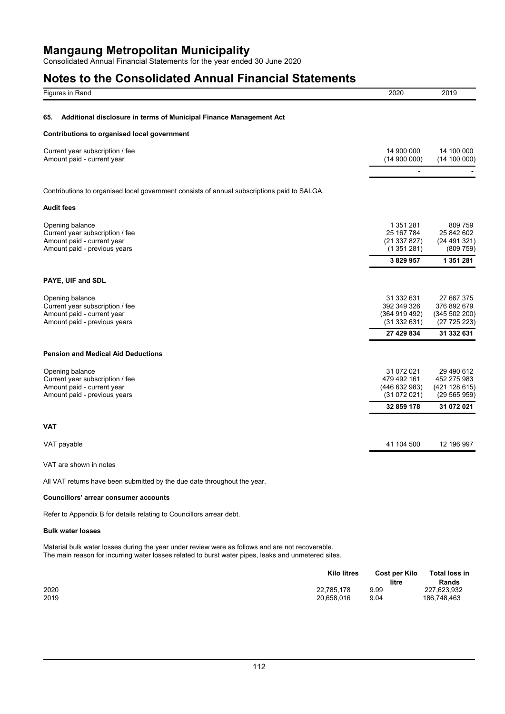Consolidated Annual Financial Statements for the year ended 30 June 2020

# **Notes to the Consolidated Annual Financial Statements**

| Figures in Rand                                                                                                  | 2020                                                                   | 2019                                                                     |
|------------------------------------------------------------------------------------------------------------------|------------------------------------------------------------------------|--------------------------------------------------------------------------|
| Additional disclosure in terms of Municipal Finance Management Act<br>65.                                        |                                                                        |                                                                          |
| Contributions to organised local government                                                                      |                                                                        |                                                                          |
| Current year subscription / fee<br>Amount paid - current year                                                    | 14 900 000<br>(14900000)<br>$\blacksquare$                             | 14 100 000<br>(14 100 000)                                               |
| Contributions to organised local government consists of annual subscriptions paid to SALGA.                      |                                                                        |                                                                          |
| <b>Audit fees</b>                                                                                                |                                                                        |                                                                          |
| Opening balance<br>Current year subscription / fee<br>Amount paid - current year<br>Amount paid - previous years | 1 351 281<br>25 167 784<br>(21337827)<br>(1351281)                     | 809 759<br>25 842 602<br>(24491321)<br>(809759)                          |
|                                                                                                                  | 3829957                                                                | 1 351 281                                                                |
| PAYE, UIF and SDL                                                                                                |                                                                        |                                                                          |
| Opening balance<br>Current year subscription / fee<br>Amount paid - current year<br>Amount paid - previous years | 31 332 631<br>392 349 326<br>(364 919 492)<br>(31332631)<br>27 429 834 | 27 667 375<br>376 892 679<br>(345 502 200)<br>(27 725 223)<br>31 332 631 |
| <b>Pension and Medical Aid Deductions</b>                                                                        |                                                                        |                                                                          |
| Opening balance<br>Current year subscription / fee<br>Amount paid - current year<br>Amount paid - previous years | 31 072 021<br>479 492 161<br>(446 632 983)<br>(31072021)               | 29 490 612<br>452 275 983<br>(421 128 615)<br>(29 565 959)               |
|                                                                                                                  | 32 859 178                                                             | 31 072 021                                                               |
| <b>VAT</b>                                                                                                       |                                                                        |                                                                          |
| VAT payable                                                                                                      | 41 104 500                                                             | 12 196 997                                                               |
| VAT are shown in notes                                                                                           |                                                                        |                                                                          |

All VAT returns have been submitted by the due date throughout the year.

#### **Councillors' arrear consumer accounts**

Refer to Appendix B for details relating to Councillors arrear debt.

#### **Bulk water losses**

Material bulk water losses during the year under review were as follows and are not recoverable. The main reason for incurring water losses related to burst water pipes, leaks and unmetered sites.

|      | <b>Kilo litres</b> | Cost per Kilo<br>litre | Total loss in<br>Rands |
|------|--------------------|------------------------|------------------------|
| 2020 | 22.785.178         | 9.99                   | 227,623,932            |
| 2019 | 20.658.016         | 9.04                   | 186,748,463            |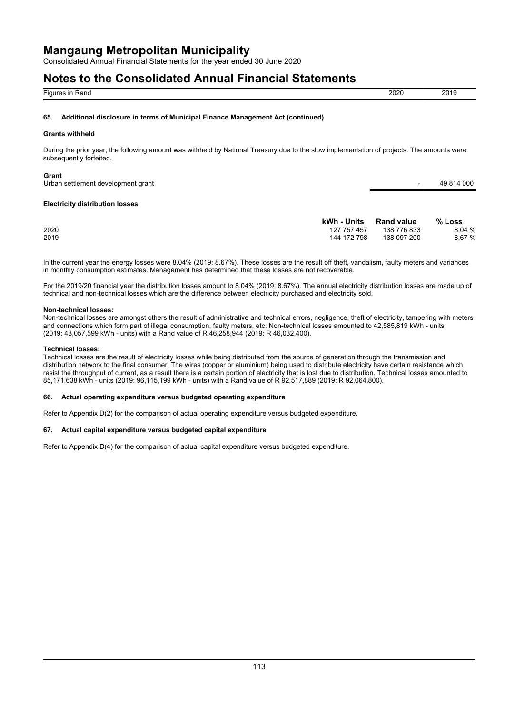Consolidated Annual Financial Statements for the year ended 30 June 2020

# **Notes to the Consolidated Annual Financial Statements**

| Figures in Rand                                                                                                                                                       | 2020                      | 2019        |
|-----------------------------------------------------------------------------------------------------------------------------------------------------------------------|---------------------------|-------------|
| Additional disclosure in terms of Municipal Finance Management Act (continued)<br>65.                                                                                 |                           |             |
| <b>Grants withheld</b>                                                                                                                                                |                           |             |
| During the prior year, the following amount was withheld by National Treasury due to the slow implementation of projects. The amounts were<br>subsequently forfeited. |                           |             |
| Grant<br>Urban settlement development grant                                                                                                                           |                           | 49 814 000  |
| <b>Electricity distribution losses</b>                                                                                                                                |                           |             |
|                                                                                                                                                                       | $LMA/L$ Unite Dendization | $0/1 - - -$ |

|      | KVVN - UNITS | - Rang value | ั∕o LOSS |
|------|--------------|--------------|----------|
| 2020 | 127 757 457  | 138 776 833  | 8.04%    |
| 2019 | 144 172 798  | 138 097 200  | 8.67%    |
|      |              |              |          |

In the current year the energy losses were 8.04% (2019: 8.67%). These losses are the result off theft, vandalism, faulty meters and variances in monthly consumption estimates. Management has determined that these losses are not recoverable.

For the 2019/20 financial year the distribution losses amount to 8.04% (2019: 8.67%). The annual electricity distribution losses are made up of technical and non-technical losses which are the difference between electricity purchased and electricity sold.

#### **Non-technical losses:**

Non-technical losses are amongst others the result of administrative and technical errors, negligence, theft of electricity, tampering with meters and connections which form part of illegal consumption, faulty meters, etc. Non-technical losses amounted to 42,585,819 kWh - units (2019: 48,057,599 kWh - units) with a Rand value of R 46,258,944 (2019: R 46,032,400).

#### **Technical losses:**

Technical losses are the result of electricity losses while being distributed from the source of generation through the transmission and distribution network to the final consumer. The wires (copper or aluminium) being used to distribute electricity have certain resistance which resist the throughput of current, as a result there is a certain portion of electricity that is lost due to distribution. Technical losses amounted to 85,171,638 kWh - units (2019: 96,115,199 kWh - units) with a Rand value of R 92,517,889 (2019: R 92,064,800).

#### **66. Actual operating expenditure versus budgeted operating expenditure**

Refer to Appendix D(2) for the comparison of actual operating expenditure versus budgeted expenditure.

#### **67. Actual capital expenditure versus budgeted capital expenditure**

Refer to Appendix D(4) for the comparison of actual capital expenditure versus budgeted expenditure.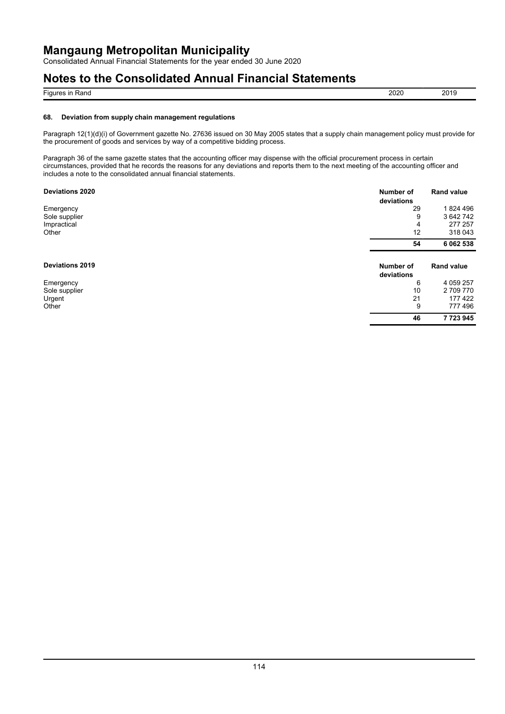Consolidated Annual Financial Statements for the year ended 30 June 2020

| Notes to the Consolidated Annual Financial Statements |      |      |
|-------------------------------------------------------|------|------|
| Figures in Rand                                       | 2020 | 2019 |

#### **68. Deviation from supply chain management regulations**

Paragraph 12(1)(d)(i) of Government gazette No. 27636 issued on 30 May 2005 states that a supply chain management policy must provide for the procurement of goods and services by way of a competitive bidding process.

Paragraph 36 of the same gazette states that the accounting officer may dispense with the official procurement process in certain circumstances, provided that he records the reasons for any deviations and reports them to the next meeting of the accounting officer and includes a note to the consolidated annual financial statements.

| <b>Deviations 2020</b> | <b>Number of</b><br>deviations | <b>Rand value</b> |
|------------------------|--------------------------------|-------------------|
| Emergency              | 29                             | 1824 496          |
| Sole supplier          | 9                              | 3 642 742         |
| Impractical            | 4                              | 277 257           |
| Other                  | 12                             | 318 043           |
|                        | 54                             | 6 062 538         |
| <b>Deviations 2019</b> | Number of<br>deviations        | <b>Rand value</b> |
| Emergency              | 6                              | 4 0 5 9 2 5 7     |
| Sole supplier          | 10                             | 2 709 770         |
| Urgent                 | 21                             | 177 422           |
| Other                  | 9                              | 777 496           |
|                        | 46                             | 7723945           |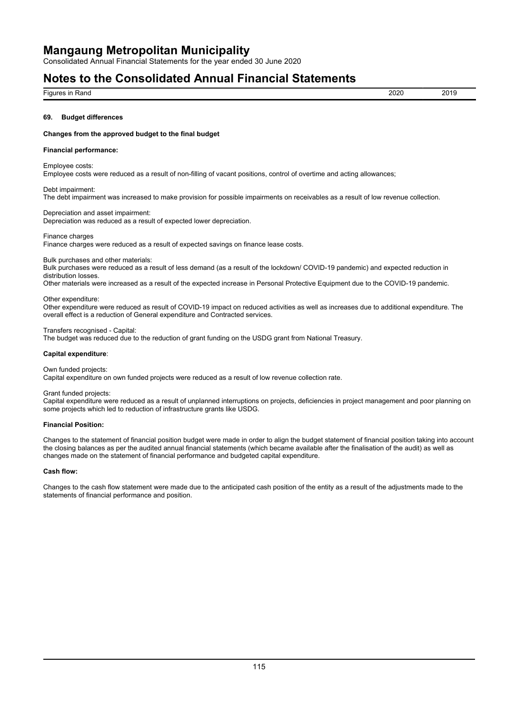Consolidated Annual Financial Statements for the year ended 30 June 2020

# **Notes to the Consolidated Annual Financial Statements**

| $- \cdot$<br>.<br>- 16<br>71 I I<br>. | חמחר<br><u>LUL</u> |  |
|---------------------------------------|--------------------|--|
|                                       |                    |  |

#### **69. Budget differences**

#### **Changes from the approved budget to the final budget**

#### **Financial performance:**

Employee costs: Employee costs were reduced as a result of non-filling of vacant positions, control of overtime and acting allowances;

Debt impairment: The debt impairment was increased to make provision for possible impairments on receivables as a result of low revenue collection.

Depreciation and asset impairment: Depreciation was reduced as a result of expected lower depreciation.

Finance charges

Finance charges were reduced as a result of expected savings on finance lease costs.

#### Bulk purchases and other materials:

Bulk purchases were reduced as a result of less demand (as a result of the lockdown/ COVID-19 pandemic) and expected reduction in distribution losses.

Other materials were increased as a result of the expected increase in Personal Protective Equipment due to the COVID-19 pandemic.

#### Other expenditure:

Other expenditure were reduced as result of COVID-19 impact on reduced activities as well as increases due to additional expenditure. The overall effect is a reduction of General expenditure and Contracted services.

### Transfers recognised - Capital:

The budget was reduced due to the reduction of grant funding on the USDG grant from National Treasury.

#### **Capital expenditure**:

#### Own funded projects:

Capital expenditure on own funded projects were reduced as a result of low revenue collection rate.

#### Grant funded projects:

Capital expenditure were reduced as a result of unplanned interruptions on projects, deficiencies in project management and poor planning on some projects which led to reduction of infrastructure grants like USDG.

#### **Financial Position:**

Changes to the statement of financial position budget were made in order to align the budget statement of financial position taking into account the closing balances as per the audited annual financial statements (which became available after the finalisation of the audit) as well as changes made on the statement of financial performance and budgeted capital expenditure.

#### **Cash flow:**

Changes to the cash flow statement were made due to the anticipated cash position of the entity as a result of the adjustments made to the statements of financial performance and position.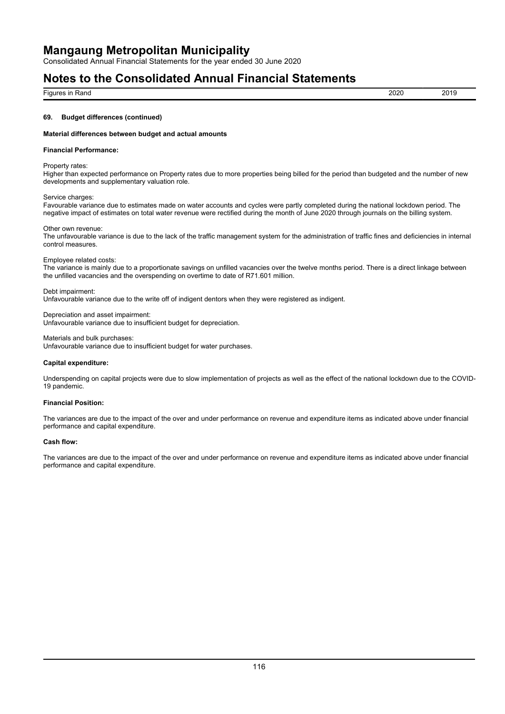Consolidated Annual Financial Statements for the year ended 30 June 2020

# **Notes to the Consolidated Annual Financial Statements**

| $- \cdot$<br>.<br>Figure<br>Rand<br>19 J | זרחי<br>- - - | . .<br>$ -$ |
|------------------------------------------|---------------|-------------|
|                                          |               |             |

#### **69. Budget differences (continued)**

#### **Material differences between budget and actual amounts**

#### **Financial Performance:**

Property rates:

Higher than expected performance on Property rates due to more properties being billed for the period than budgeted and the number of new developments and supplementary valuation role.

#### Service charges:

Favourable variance due to estimates made on water accounts and cycles were partly completed during the national lockdown period. The negative impact of estimates on total water revenue were rectified during the month of June 2020 through journals on the billing system.

#### Other own revenue:

The unfavourable variance is due to the lack of the traffic management system for the administration of traffic fines and deficiencies in internal control measures.

#### Employee related costs:

The variance is mainly due to a proportionate savings on unfilled vacancies over the twelve months period. There is a direct linkage between the unfilled vacancies and the overspending on overtime to date of R71.601 million.

#### Debt impairment:

Unfavourable variance due to the write off of indigent dentors when they were registered as indigent.

Depreciation and asset impairment:

Unfavourable variance due to insufficient budget for depreciation.

Materials and bulk purchases:

Unfavourable variance due to insufficient budget for water purchases.

#### **Capital expenditure:**

Underspending on capital projects were due to slow implementation of projects as well as the effect of the national lockdown due to the COVID-19 pandemic.

#### **Financial Position:**

The variances are due to the impact of the over and under performance on revenue and expenditure items as indicated above under financial performance and capital expenditure.

#### **Cash flow:**

The variances are due to the impact of the over and under performance on revenue and expenditure items as indicated above under financial performance and capital expenditure.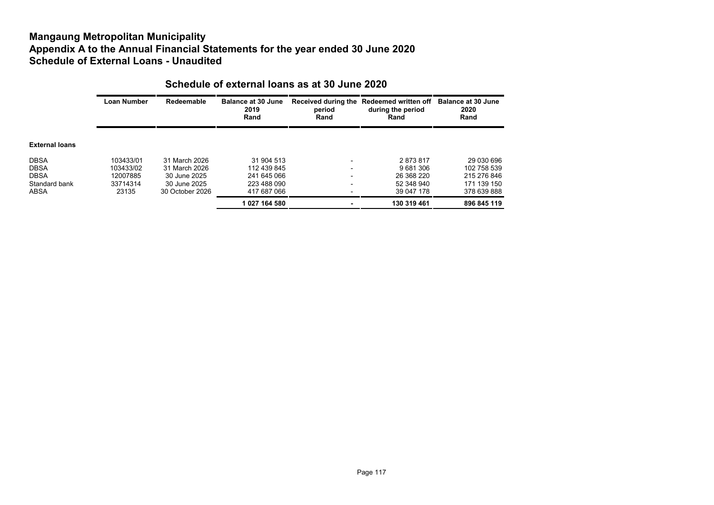### **Mangaung Metropolitan Municipality Appendix A to the Annual Financial Statements for the year ended 30 June 2020 Schedule of External Loans - Unaudited**

|                                                                    | <b>Loan Number</b>                                      | Redeemable                                                                        | <b>Balance at 30 June</b><br>2019<br>Rand                              | Received during the<br>period<br>Rand | <b>Redeemed written off</b><br>during the period<br>Rand       | <b>Balance at 30 June</b><br>2020<br>Rand                              |
|--------------------------------------------------------------------|---------------------------------------------------------|-----------------------------------------------------------------------------------|------------------------------------------------------------------------|---------------------------------------|----------------------------------------------------------------|------------------------------------------------------------------------|
| <b>External loans</b>                                              |                                                         |                                                                                   |                                                                        |                                       |                                                                |                                                                        |
| <b>DBSA</b><br><b>DBSA</b><br><b>DBSA</b><br>Standard bank<br>ABSA | 103433/01<br>103433/02<br>12007885<br>33714314<br>23135 | 31 March 2026<br>31 March 2026<br>30 June 2025<br>30 June 2025<br>30 October 2026 | 31 904 513<br>112 439 845<br>241 645 066<br>223 488 090<br>417 687 066 |                                       | 2873817<br>9 681 306<br>26 368 220<br>52 348 940<br>39 047 178 | 29 030 696<br>102 758 539<br>215 276 846<br>171 139 150<br>378 639 888 |
|                                                                    |                                                         |                                                                                   | 1 027 164 580                                                          |                                       | 130 319 461                                                    | 896 845 119                                                            |

**Schedule of external loans as at 30 June 2020**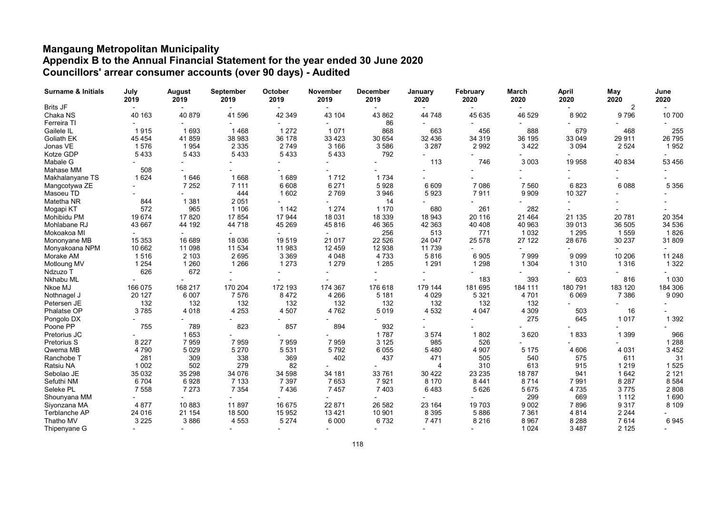### **Appendix B to the Annual Financial Statement for the year ended 30 June 2020 Councillors' arrear consumer accounts (over 90 days) - Audited**

| <b>Surname &amp; Initials</b> | July<br>2019 | <b>August</b><br>2019 | September<br>2019 | October<br>2019 | <b>November</b><br>2019 | <b>December</b><br>2019 | January<br>2020 | February<br>2020 | <b>March</b><br>2020 | <b>April</b><br>2020 | May<br>2020    | June<br>2020 |
|-------------------------------|--------------|-----------------------|-------------------|-----------------|-------------------------|-------------------------|-----------------|------------------|----------------------|----------------------|----------------|--------------|
| <b>Brits JF</b>               |              |                       |                   |                 |                         |                         |                 |                  |                      |                      | $\overline{2}$ |              |
| Chaka NS                      | 40 163       | 40 879                | 41 596            | 42 349          | 43 104                  | 43 862                  | 44 748          | 45 635           | 46 529               | 8 9 0 2              | 9796           | 10 700       |
| Ferreira TI                   |              |                       |                   |                 |                         | 86                      |                 |                  |                      |                      |                |              |
| Gailele IL                    | 1915         | 1 6 9 3               | 1468              | 1 2 7 2         | 1071                    | 868                     | 663             | 456              | 888                  | 679                  | 468            | 255          |
| <b>Goliath EK</b>             | 45 4 54      | 41859                 | 38 983            | 36 178          | 33 4 23                 | 30 654                  | 32 4 36         | 34 319           | 36 195               | 33 049               | 29 911         | 26 795       |
| Jonas VE                      | 1576         | 1954                  | 2 3 3 5           | 2749            | 3 1 6 6                 | 3 5 8 6                 | 3 2 8 7         | 2 9 9 2          | 3422                 | 3 0 9 4              | 2 5 2 4        | 1952         |
| Kotze GDP                     | 5433         | 5433                  | 5433              | 5433            | 5433                    | 792                     |                 |                  |                      |                      |                |              |
| Mabale G                      |              |                       |                   |                 |                         |                         | 113             | 746              | 3 0 0 3              | 19 9 58              | 40 834         | 53 456       |
| Mahase MM                     | 508          |                       |                   |                 |                         |                         |                 |                  |                      |                      |                |              |
| Makhalanyane TS               | 1 6 2 4      | 1646                  | 1668              | 1689            | 1712                    | 1 7 3 4                 |                 |                  |                      |                      |                |              |
| Mangcotywa ZE                 |              | 7 2 5 2               | 7 1 1 1           | 6 6 0 8         | 6 2 7 1                 | 5928                    | 6 6 0 9         | 7 0 8 6          | 7 5 6 0              | 6823                 | 6088           | 5 3 5 6      |
| Masoeu TD                     |              |                       | 444               | 1602            | 2769                    | 3 9 4 6                 | 5923            | 7911             | 9 9 0 9              | 10 327               |                |              |
| Matetha NR                    | 844          | 1 3 8 1               | 2 0 5 1           |                 |                         | 14                      |                 |                  |                      |                      |                |              |
| Mogapi KT                     | 572          | 965                   | 1 1 0 6           | 1 1 4 2         | 1 2 7 4                 | 1 1 7 0                 | 680             | 261              | 282                  |                      |                |              |
| <b>Mohibidu PM</b>            | 19674        | 17820                 | 17854             | 17944           | 18 0 31                 | 18 339                  | 18 943          | 20 116           | 21 4 64              | 21 135               | 20 781         | 20 354       |
| Mohlabane RJ                  | 43 667       | 44 192                | 44 718            | 45 269          | 45816                   | 46 365                  | 42 363          | 40 40 8          | 40 963               | 39 013               | 36 505         | 34 536       |
| Mokoakoa MI                   |              |                       |                   |                 |                         | 256                     | 513             | 771              | 1 0 3 2              | 1 2 9 5              | 1 5 5 9        | 1826         |
| Mononyane MB                  | 15 3 53      | 16 689                | 18 0 36           | 19519           | 21 0 17                 | 22 5 26                 | 24 047          | 25 578           | 27 122               | 28 676               | 30 237         | 31 809       |
| Monyakoana NPM                | 10 662       | 11 098                | 11 534            | 11 983          | 12 459                  | 12 938                  | 11 739          |                  |                      |                      |                |              |
| Morake AM                     | 1516         | 2 1 0 3               | 2695              | 3 3 6 9         | 4 0 4 8                 | 4 7 3 3                 | 5816            | 6 9 0 5          | 7999                 | 9099                 | 10 20 6        | 11 248       |
| Motloung MV                   | 1 2 5 4      | 1 2 6 0               | 1 2 6 6           | 1 2 7 3         | 1 2 7 9                 | 1 2 8 5                 | 1 2 9 1         | 1 2 9 8          | 1 3 0 4              | 1 3 1 0              | 1 3 1 6        | 1 3 2 2      |
| Ndzuzo T                      | 626          | 672                   |                   |                 |                         |                         |                 |                  |                      |                      |                |              |
| Nkhabu ML                     |              |                       |                   |                 |                         |                         |                 | 183              | 393                  | 603                  | 816            | 1 0 3 0      |
| Nkoe MJ                       | 166 075      | 168 217               | 170 204           | 172 193         | 174 367                 | 176 618                 | 179 144         | 181 695          | 184 111              | 180 791              | 183 120        | 184 306      |
| Nothnagel J                   | 20 127       | 6 0 0 7               | 7 5 7 6           | 8472            | 4 2 6 6                 | 5 1 8 1                 | 4 0 2 9         | 5 3 2 1          | 4701                 | 6069                 | 7 3 8 6        | 9 0 9 0      |
| Petersen JE                   | 132          | 132                   | 132               | 132             | 132                     | 132                     | 132             | 132              | 132                  |                      |                |              |
| Phalatse OP                   | 3785         | 4 0 18                | 4 2 5 3           | 4 5 0 7         | 4762                    | 5019                    | 4 5 3 2         | 4 0 4 7          | 4 3 0 9              | 503                  | 16             |              |
| Pongolo DX                    |              |                       |                   |                 |                         |                         |                 |                  | 275                  | 645                  | 1017           | 1 3 9 2      |
| Poone PP                      | 755          | 789                   | 823               | 857             | 894                     | 932                     |                 |                  |                      |                      |                |              |
| Pretorius JC                  |              | 1 6 5 3               |                   |                 |                         | 1787                    | 3574            | 1802             | 3620                 | 1833                 | 1 3 9 9        | 966          |
| Pretorius S                   | 8 2 2 7      | 7959                  |                   | 7959            | 7959                    | 3 1 2 5                 | 985             | 526              |                      |                      |                | 1 2 8 8      |
| Qwema MB                      | 4790         | 5 0 2 9               | 7959<br>5 2 7 0   | 5 5 3 1         | 5792                    | 6 0 5 5                 | 5 4 8 0         | 4 9 0 7          | 5 1 7 5              | 4 60 6               | 4 0 3 1        | 3 4 5 2      |
| Ranchobe T                    | 281          | 309                   | 338               | 369             | 402                     | 437                     | 471             | 505              | 540                  | 575                  | 611            | 31           |
| Ratsiu NA                     | 1 0 0 2      |                       |                   | 82              |                         |                         |                 |                  | 613                  | 915                  |                |              |
|                               |              | 502                   | 279               |                 |                         | 33 761                  | 30 4 22         | 310              | 18787                | 941                  | 1 2 1 9        | 1 5 2 5      |
| Sebolao JE                    | 35 0 32      | 35 298                | 34 076            | 34 598          | 34 181                  |                         |                 | 23 2 35          |                      |                      | 1642           | 2 1 2 1      |
| Sefuthi NM                    | 6704         | 6928                  | 7 1 3 3           | 7 3 9 7         | 7653                    | 7921                    | 8 1 7 0         | 8 4 4 1          | 8714                 | 7991                 | 8 2 8 7        | 8 5 8 4      |
| Seleke PL                     | 7 5 5 8      | 7 2 7 3               | 7 3 5 4           | 7436            | 7457                    | 7 4 0 3                 | 6483            | 5 6 2 6          | 5675                 | 4735                 | 3775           | 2808         |
| Shounyana MM                  |              |                       |                   |                 |                         |                         |                 |                  | 299                  | 669                  | 1 1 1 2        | 1690         |
| Siyonzana MA                  | 4 8 7 7      | 10883                 | 11897             | 16 675          | 22 871                  | 26 582                  | 23 164          | 19 703           | 9 0 0 2              | 7896                 | 9 3 1 7        | 8 1 0 9      |
| Terblanche AP                 | 24 016       | 21 154                | 18 500            | 15 9 52         | 13 4 21                 | 10 901                  | 8 3 9 5         | 5886             | 7 3 6 1              | 4814                 | 2 2 4 4        |              |
| Thatho MV                     | 3 2 2 5      | 3886                  | 4 5 5 3           | 5 2 7 4         | 6 0 0 0                 | 6732                    | 7471            | 8 2 1 6          | 8967                 | 8 2 8 8              | 7614           | 6945         |
| Thipenyane G                  |              |                       |                   |                 |                         |                         |                 |                  | 1 0 2 4              | 3 4 8 7              | 2 1 2 5        |              |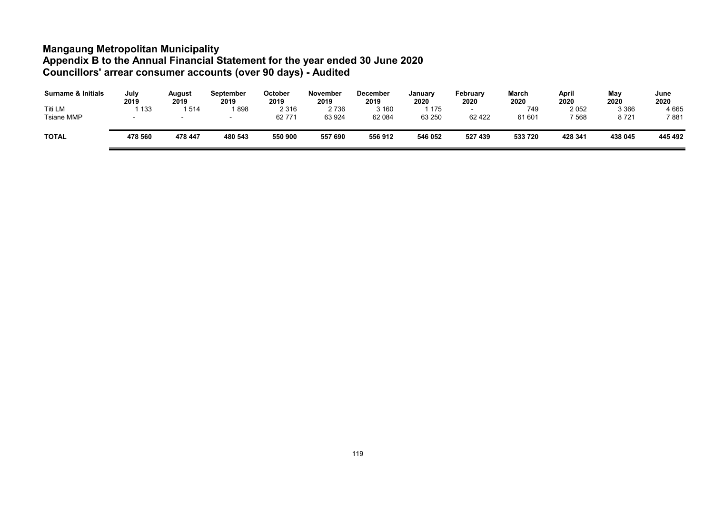### **Appendix B to the Annual Financial Statement for the year ended 30 June 2020 Councillors' arrear consumer accounts (over 90 days) - Audited**

| <b>Surname &amp; Initials</b> | July<br>2019   | August<br>2019 | September<br>2019 | October<br>2019 | <b>November</b><br>2019 | December<br>2019 | Januarv<br>2020 | February<br>2020         | March<br>2020 | April<br>2020 | May<br>2020 | June<br>2020 |
|-------------------------------|----------------|----------------|-------------------|-----------------|-------------------------|------------------|-----------------|--------------------------|---------------|---------------|-------------|--------------|
| Titi LM                       | $^{\circ}$ 133 | 1514           | 898               | 2 3 1 6         | 2736                    | 3 160            | 175             | $\overline{\phantom{0}}$ | 749           | 2052          | 3 3 6 6     | 4 6 6 5      |
| Tsiane MMP                    |                |                |                   | 62771           | 63 924                  | 62 084           | 63 250          | 62 422                   | 61 601        | 7568          | 8721        | 7881         |
|                               |                |                |                   |                 |                         |                  |                 |                          |               |               |             |              |
| <b>TOTAL</b>                  | 478 560        | 478 447        | 480 543           | 550 900         | 557 690                 | 556 912          | 546 052         | 527 439                  | 533720        | 428 341       | 438 045     | 445 492      |
|                               |                |                |                   |                 |                         |                  |                 |                          |               |               |             |              |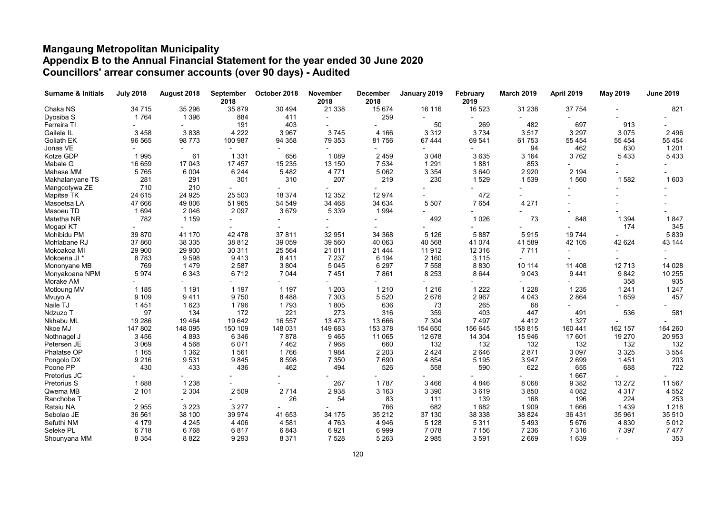### **Appendix B to the Annual Financial Statement for the year ended 30 June 2020 Councillors' arrear consumer accounts (over 90 days) - Audited**

| <b>Surname &amp; Initials</b> | <b>July 2018</b> | August 2018    | September<br>2018 | October 2018 | November<br>2018 | <b>December</b><br>2018 | January 2019 | February<br>2019 | <b>March 2019</b> | <b>April 2019</b> | May 2019 | <b>June 2019</b> |
|-------------------------------|------------------|----------------|-------------------|--------------|------------------|-------------------------|--------------|------------------|-------------------|-------------------|----------|------------------|
| Chaka NS                      | 34 715           | 35 296         | 35 879            | 30 4 94      | 21 338           | 15 674                  | 16 116       | 16 523           | 31 238            | 37 754            |          | 821              |
| Dyosiba S                     | 1764             | 1 3 9 6        | 884               | 411          |                  | 259                     |              |                  |                   |                   |          |                  |
| Ferreira TI                   |                  |                | 191               | 403          |                  |                         | 50           | 269              | 482               | 697               | 913      |                  |
| Gailele IL                    | 3 4 5 8          | 3838           | 4 2 2 2           | 3 9 6 7      | 3745             | 4 1 6 6                 | 3 3 1 2      | 3734             | 3517              | 3 2 9 7           | 3 0 7 5  | 2 4 9 6          |
| Goliath EK                    | 96 565           | 98 773         | 100 987           | 94 358       | 79 353           | 81 756                  | 67 444       | 69 541           | 61753             | 55 4 54           | 55 4 54  | 55 454           |
| Jonas VE                      |                  | $\blacksquare$ |                   |              |                  |                         |              |                  | 94                | 462               | 830      | 1 2 0 1          |
| Kotze GDP                     | 1995             | 61             | 1 3 3 1           | 656          | 1089             | 2 4 5 9                 | 3 0 4 8      | 3635             | 3 1 6 4           | 3762              | 5433     | 5 4 3 3          |
| Mabale G                      | 16 659           | 17 043         | 17457             | 15 2 35      | 13 150           | 7 5 3 4                 | 1 2 9 1      | 1881             | 853               |                   |          |                  |
| Mahase MM                     | 5765             | 6 0 0 4        | 6 2 4 4           | 5482         | 4 7 7 1          | 5 0 6 2                 | 3 3 5 4      | 3640             | 2920              | 2 1 9 4           |          |                  |
| Makhalanyane TS               | 281              | 291            | 301               | 310          | 207              | 219                     | 230          | 1529             | 1539              | 1560              | 1582     | 1 603            |
| Mangcotywa ZE                 | 710              | 210            |                   |              |                  |                         |              |                  |                   |                   |          |                  |
| <b>Mapitse TK</b>             | 24 615           | 24 9 25        | 25 503            | 18 374       | 12 3 52          | 12 974                  |              | 472              |                   |                   |          |                  |
| Masoetsa LA                   | 47 666           | 49 806         | 51 965            | 54 549       | 34 4 68          | 34 634                  | 5 5 0 7      | 7654             | 4 2 7 1           |                   |          |                  |
| Masoeu TD                     | 1694             | 2 0 4 6        | 2 0 9 7           | 3679         | 5 3 3 9          | 1994                    |              |                  |                   |                   |          |                  |
| Matetha NR                    | 782              | 1 1 5 9        |                   |              |                  |                         | 492          | 1026             | 73                | 848               | 1 3 9 4  | 1847             |
| Mogapi KT                     |                  |                |                   |              |                  |                         |              |                  |                   |                   | 174      | 345              |
| <b>Mohibidu PM</b>            | 39 870           | 41 170         | 42 478            | 37811        | 32 951           | 34 368                  | 5 1 2 6      | 5887             | 5915              | 19744             |          | 5839             |
| Mohlabane RJ                  | 37 860           | 38 335         | 38 812            | 39 059       | 39 560           | 40 063                  | 40 568       | 41 0 74          | 41 589            | 42 105            | 42 624   | 43 144           |
| Mokoakoa MI                   | 29 900           | 29 900         | 30 311            | 25 5 64      | 21 011           | 21 4 4 4                | 11 912       | 12 3 16          | 7711              |                   |          |                  |
| Mokoena JI *                  | 8783             | 9598           | 9413              | 8411         | 7 2 3 7          | 6 194                   | 2 160        | 3 1 1 5          |                   |                   |          |                  |
| Mononyane MB                  | 769              | 1479           | 2 5 8 7           | 3804         | 5 0 4 5          | 6 2 9 7                 | 7 5 5 8      | 8830             | 10 114            | 11 408            | 12713    | 14 0 28          |
| Monyakoana NPM                | 5974             | 6 3 4 3        | 6712              | 7 0 4 4      | 7451             | 7861                    | 8 2 5 3      | 8644             | 9043              | 9441              | 9842     | 10 255           |
| Morake AM                     |                  |                |                   |              |                  |                         |              |                  |                   |                   | 358      | 935              |
| Motloung MV                   | 1 1 8 5          | 1 1 9 1        | 1 1 9 7           | 1 1 9 7      | 1 2 0 3          | 1 2 1 0                 | 1 2 1 6      | 1 2 2 2          | 1 2 2 8           | 1 2 3 5           | 1 2 4 1  | 1 2 4 7          |
| Mvuyo A                       | 9 1 0 9          | 9411           | 9750              | 8488         | 7 3 0 3          | 5 5 20                  | 2676         | 2967             | 4 0 4 3           | 2864              | 1659     | 457              |
| Naile TJ                      | 1451             | 1 6 2 3        | 1796              | 1793         | 1805             | 636                     | 73           | 265              | 68                |                   |          |                  |
| Ndzuzo T                      | 97               | 134            | 172               | 221          | 273              | 316                     | 359          | 403              | 447               | 491               | 536      | 581              |
| Nkhabu ML                     | 19 28 6          | 19 4 64        | 19642             | 16 557       | 13 4 73          | 13 666                  | 7 3 0 4      | 7497             | 4412              | 1 3 2 7           |          |                  |
| Nkoe MJ                       | 147 802          | 148 095        | 150 109           | 148 031      | 149 683          | 153 378                 | 154 650      | 156 645          | 158 815           | 160 441           | 162 157  | 164 260          |
| Nothnagel J                   | 3 4 5 6          | 4 8 9 3        | 6 3 4 6           | 7878         | 9465             | 11 065                  | 12 678       | 14 304           | 15 946            | 17601             | 19 270   | 20 953           |
| Petersen JE                   | 3 0 6 9          | 4 5 6 8        | 6071              | 7462         | 7968             | 660                     | 132          | 132              | 132               | 132               | 132      | 132              |
| Phalatse OP                   | 1 1 6 5          | 1 3 6 2        | 1561              | 1766         | 1984             | 2 2 0 3                 | 2 4 2 4      | 2646             | 2871              | 3 0 9 7           | 3 3 2 5  | 3 5 5 4          |
| Pongolo DX                    | 9 2 1 6          | 9531           | 9845              | 8598         | 7 3 5 0          | 7 6 9 0                 | 4 8 5 4      | 5 1 9 5          | 3947              | 2699              | 1451     | 203              |
| Poone PP                      | 430              | 433            | 436               | 462          | 494              | 526                     | 558          | 590              | 622               | 655               | 688      | 722              |
| Pretorius JC                  |                  |                |                   |              |                  |                         |              |                  |                   | 1667              |          |                  |
| Pretorius S                   | 1888             | 1 2 3 8        |                   |              | 267              | 1787                    | 3466         | 4 8 4 6          | 8068              | 9 3 8 2           | 13 27 2  | 11 567           |
| Qwema MB                      | 2 101            | 2 3 0 4        | 2 5 0 9           | 2714         | 2938             | 3 1 6 3                 | 3 3 9 0      | 3619             | 3850              | 4 0 8 2           | 4 3 1 7  | 4 5 5 2          |
| Ranchobe T                    |                  |                |                   | 26           | 54               | 83                      | 111          | 139              | 168               | 196               | 224      | 253              |
| Ratsiu NA                     | 2 9 5 5          | 3 2 2 3        | 3 2 7 7           |              |                  | 766                     | 682          | 1682             | 1909              | 1666              | 1439     | 1 2 1 8          |
| Sebolao JE                    | 36 561           | 38 100         | 39 974            | 41 653       | 34 175           | 35 212                  | 37 130       | 38 338           | 38 824            | 36 431            | 35 961   | 35 510           |
| Sefuthi NM                    | 4 1 7 9          | 4 2 4 5        | 4 4 0 6           | 4581         | 4763             | 4 9 4 6                 | 5 1 2 8      | 5311             | 5493              | 5676              | 4 8 3 0  | 5012             |
| Seleke PL                     | 6718             | 6768           | 6817              | 6843         | 6921             | 6999                    | 7 0 7 8      | 7 1 5 6          | 7 2 3 6           | 7316              | 7 3 9 7  | 7477             |
| Shounyana MM                  | 8 3 5 4          | 8822           | 9 2 9 3           | 8 3 7 1      | 7 5 28           | 5 2 6 3                 | 2985         | 3591             | 2669              | 1639              |          | 353              |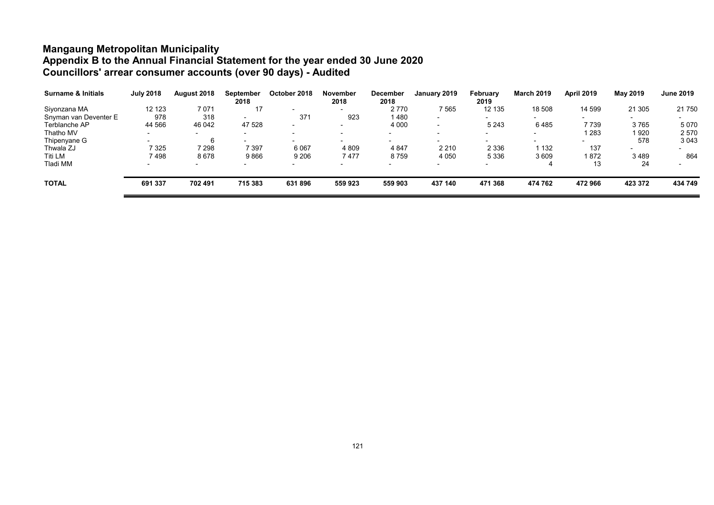| Appendix D to the Annual Financial Oldienicht for the year chucu ov bunc 2020.<br>Councillors' arrear consumer accounts (over 90 days) - Audited |                  |             |      |                        |                  |                  |              |                  |            |  |
|--------------------------------------------------------------------------------------------------------------------------------------------------|------------------|-------------|------|------------------------|------------------|------------------|--------------|------------------|------------|--|
| <b>Surname &amp; Initials</b>                                                                                                                    | <b>July 2018</b> | August 2018 | 2018 | September October 2018 | November<br>2018 | December<br>2018 | Januarv 2019 | Februarv<br>2019 | March 2019 |  |

**Appendix B to the Annual Financial Statement for the year ended 30 June 2020**

| Surname & Initials    | <b>July 2018</b> | August 2018              | September<br>2018        | October 2018             | <b>November</b><br>2018  | <b>December</b><br>2018  | January 2019 | February<br>2019         | <b>March 2019</b>        | <b>April 2019</b>        | May 2019 | <b>June 2019</b> |
|-----------------------|------------------|--------------------------|--------------------------|--------------------------|--------------------------|--------------------------|--------------|--------------------------|--------------------------|--------------------------|----------|------------------|
| Siyonzana MA          | 12 123           | 7 071                    | 17                       | $\overline{\phantom{0}}$ | $\overline{\phantom{0}}$ | 2770                     | 7565         | 12 135                   | 18 508                   | 14 599                   | 21 305   | 21 750           |
| Snyman van Deventer E | 978              | 318                      |                          | 371                      | 923                      | 1480                     |              | $\overline{\phantom{0}}$ | $\overline{\phantom{0}}$ | $\overline{\phantom{0}}$ |          |                  |
| Terblanche AP         | 44 566           | 46 042                   | 47 528                   | $\overline{\phantom{a}}$ | $\overline{\phantom{0}}$ | 4 0 0 0                  |              | 5 2 4 3                  | 6485                     | 7 739                    | 3765     | 5070             |
| Thatho MV             |                  | $\overline{\phantom{0}}$ | -                        | $\overline{\phantom{0}}$ |                          | -                        |              | $\overline{\phantom{0}}$ | -                        | 1 2 8 3                  | 1920     | 2570             |
| Thipenyane G          |                  | 6                        |                          | $\overline{\phantom{0}}$ | $\overline{\phantom{0}}$ | -                        |              | $\overline{\phantom{0}}$ |                          |                          | 578      | 3 0 4 3          |
| Thwala ZJ             | 7 325            | 7 298                    | 7 397                    | 6 0 67                   | 4 8 0 9                  | 4 8 4 7                  | 2 2 1 0      | 2 3 3 6                  | l 132                    | 137                      |          |                  |
| Titi LM               | 7498             | 8678                     | 9866                     | 9 2 0 6                  | 7 477                    | 8759                     | 4 0 5 0      | 5 3 3 6                  | 3609                     | 1872                     | 3489     | 864              |
| Tladi MM              |                  | $\overline{\phantom{0}}$ | $\overline{\phantom{0}}$ | $\overline{\phantom{a}}$ | $\overline{\phantom{0}}$ | $\overline{\phantom{a}}$ | $\sim$       | $\overline{\phantom{0}}$ |                          | 13                       | 24       |                  |
| <b>TOTAL</b>          | 691 337          | 702 491                  | 715 383                  | 631896                   | 559923                   | 559 903                  | 437 140      | 471 368                  | 474 762                  | 472966                   | 423 372  | 434 749          |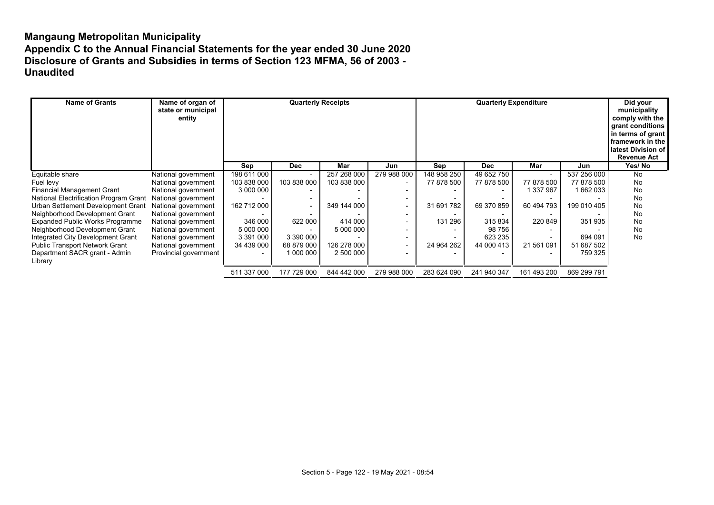**Appendix C to the Annual Financial Statements for the year ended 30 June 2020 Disclosure of Grants and Subsidies in terms of Section 123 MFMA, 56 of 2003 - Unaudited**

| <b>Name of Grants</b>                  | Name of organ of<br>state or municipal<br>entity |             | <b>Quarterly Receipts</b> |             |                          |             |             | Did your<br>municipality<br>comply with the<br>grant conditions<br>in terms of grant<br>framework in the<br>latest Division of<br><b>Revenue Act</b> |             |           |
|----------------------------------------|--------------------------------------------------|-------------|---------------------------|-------------|--------------------------|-------------|-------------|------------------------------------------------------------------------------------------------------------------------------------------------------|-------------|-----------|
|                                        |                                                  | Sep         | <b>Dec</b>                | Mar         | Jun                      | Sep         | <b>Dec</b>  | Mar                                                                                                                                                  | Jun         | Yes/No    |
| Equitable share                        | National government                              | 198 611 000 |                           | 257 268 000 | 279 988 000              | 148 958 250 | 49 652 750  | $\overline{\phantom{a}}$                                                                                                                             | 537 256 000 | No        |
| Fuel levy                              | National government                              | 103 838 000 | 103 838 000               | 103 838 000 | $\overline{\phantom{0}}$ | 77 878 500  | 77 878 500  | 77 878 500                                                                                                                                           | 77 878 500  | No        |
| <b>Financial Management Grant</b>      | National government                              | 3 000 000   |                           |             |                          |             |             | 1 337 967                                                                                                                                            | 1662033     | No        |
| National Electrification Program Grant | National government                              |             |                           |             | $\overline{\phantom{a}}$ |             |             |                                                                                                                                                      |             | No        |
| Urban Settlement Development Grant     | National government                              | 162 712 000 |                           | 349 144 000 | $\overline{\phantom{a}}$ | 31 691 782  | 69 370 859  | 60 494 793                                                                                                                                           | 199 010 405 | No        |
| Neighborhood Development Grant         | National government                              |             |                           |             | $\overline{\phantom{0}}$ |             |             |                                                                                                                                                      |             | No        |
| <b>Expanded Public Works Programme</b> | National government                              | 346 000     | 622 000                   | 414 000     | $\overline{\phantom{0}}$ | 131 296     | 315 834     | 220 849                                                                                                                                              | 351935      | No        |
| Neighborhood Development Grant         | National government                              | 5 000 000   |                           | 5 000 000   | $\overline{\phantom{a}}$ |             | 98 756      |                                                                                                                                                      |             | No        |
| Integrated City Development Grant      | National government                              | 3 391 000   | 3 390 000                 |             | $\overline{\phantom{0}}$ |             | 623 235     |                                                                                                                                                      | 694 091     | <b>No</b> |
| Public Transport Network Grant         | National government                              | 34 439 000  | 68 879 000                | 126 278 000 | $\overline{\phantom{a}}$ | 24 964 262  | 44 000 413  | 21 561 091                                                                                                                                           | 51 687 502  |           |
| Department SACR grant - Admin          | Provincial government                            |             | 000 000                   | 2 500 000   |                          |             |             |                                                                                                                                                      | 759 325     |           |
| Library                                |                                                  |             |                           |             |                          |             |             |                                                                                                                                                      |             |           |
|                                        |                                                  | 511 337 000 | 177 729 000               | 844 442 000 | 279 988 000              | 283 624 090 | 241 940 347 | 161 493 200                                                                                                                                          | 869 299 791 |           |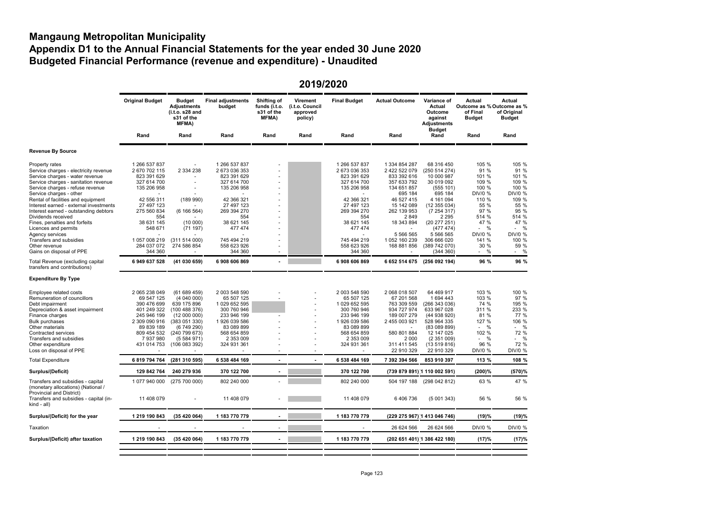### **Appendix D1 to the Annual Financial Statements for the year ended 30 June 2020 Budgeted Financial Performance (revenue and expenditure) - Unaudited**

|                                                                                                                                                                                                                                                                                                                                                                                                                                                                                                      | <b>Original Budget</b>                                                                                                                                                                         | Budget<br><b>Adjustments</b><br>(i.t.o. s28 and<br>s31 of the<br>MFMA)                                                                         | <b>Final adjustments</b><br>budget                                                                                                                                                              | Shifting of<br>funds (i.t.o.<br>s31 of the<br><b>MFMA)</b> | <b>Virement</b><br>(i.t.o. Council<br>approved<br>policy) | <b>Final Budget</b>                                                                                                                                                                          | <b>Actual Outcome</b>                                                                                                                                                                               | Variance of<br>Actual<br>Outcome<br>against<br><b>Adjustments</b>                                                                                                                                                            | Actual<br>Outcome as % Outcome as %<br>of Final<br><b>Budget</b>                                                                                    | Actual<br>of Original<br><b>Budget</b>                                                                                                           |
|------------------------------------------------------------------------------------------------------------------------------------------------------------------------------------------------------------------------------------------------------------------------------------------------------------------------------------------------------------------------------------------------------------------------------------------------------------------------------------------------------|------------------------------------------------------------------------------------------------------------------------------------------------------------------------------------------------|------------------------------------------------------------------------------------------------------------------------------------------------|-------------------------------------------------------------------------------------------------------------------------------------------------------------------------------------------------|------------------------------------------------------------|-----------------------------------------------------------|----------------------------------------------------------------------------------------------------------------------------------------------------------------------------------------------|-----------------------------------------------------------------------------------------------------------------------------------------------------------------------------------------------------|------------------------------------------------------------------------------------------------------------------------------------------------------------------------------------------------------------------------------|-----------------------------------------------------------------------------------------------------------------------------------------------------|--------------------------------------------------------------------------------------------------------------------------------------------------|
|                                                                                                                                                                                                                                                                                                                                                                                                                                                                                                      | Rand                                                                                                                                                                                           | Rand                                                                                                                                           | Rand                                                                                                                                                                                            | Rand                                                       | Rand                                                      | Rand                                                                                                                                                                                         | Rand                                                                                                                                                                                                | <b>Budget</b><br>Rand                                                                                                                                                                                                        | Rand                                                                                                                                                | Rand                                                                                                                                             |
| <b>Revenue By Source</b>                                                                                                                                                                                                                                                                                                                                                                                                                                                                             |                                                                                                                                                                                                |                                                                                                                                                |                                                                                                                                                                                                 |                                                            |                                                           |                                                                                                                                                                                              |                                                                                                                                                                                                     |                                                                                                                                                                                                                              |                                                                                                                                                     |                                                                                                                                                  |
| Property rates<br>Service charges - electricity revenue<br>Service charges - water revenue<br>Service charges - sanitation revenue<br>Service charges - refuse revenue<br>Service charges - other<br>Rental of facilities and equipment<br>Interest earned - external investments<br>Interest earned - outstanding debtors<br>Dividends received<br>Fines, penalties and forfeits<br>Licences and permits<br>Agency services<br>Transfers and subsidies<br>Other revenue<br>Gains on disposal of PPE | 1 266 537 837<br>2 670 702 115<br>823 391 629<br>327 614 700<br>135 206 958<br>42 556 311<br>27 497 123<br>275 560 834<br>554<br>38 631 145<br>548 671<br>1057008219<br>284 037 072<br>344 360 | 2 3 3 4 2 3 8<br>(189990)<br>(6166564)<br>(10000)<br>(71197)<br>(311514000)<br>274 586 854                                                     | 1 266 537 837<br>2 673 036 353<br>823 391 629<br>327 614 700<br>135 206 958<br>42 366 321<br>27 497 123<br>269 394 270<br>554<br>38 621 145<br>477 474<br>745 494 219<br>558 623 926<br>344 360 |                                                            |                                                           | 1 266 537 837<br>2673036353<br>823 391 629<br>327 614 700<br>135 206 958<br>42 366 321<br>27 497 123<br>269 394 270<br>554<br>38 621 145<br>477 474<br>745 494 219<br>558 623 926<br>344 360 | 1 334 854 287<br>2 422 522 079<br>833 392 616<br>357 633 792<br>134 651 857<br>695 184<br>46 527 415<br>15 142 089<br>262 139 953<br>2849<br>18 343 894<br>5 566 565<br>1052 160 239<br>168 881 856 | 68 316 450<br>(250 514 274)<br>10 000 987<br>30 019 092<br>(555 101)<br>695 184<br>4 161 094<br>(12355034)<br>(7254317)<br>2 2 9 5<br>(20 277 251)<br>(477 474)<br>5 5 6 5 5 6 5<br>306 666 020<br>(389 742 070)<br>(344360) | 105 %<br>91 %<br>101 %<br>109 %<br>100 %<br>DIV/0 %<br>110 %<br>55 %<br>97 %<br>514 %<br>47 %<br>%<br>a.<br>DIV/0 %<br>141 %<br>30 %<br>%<br>$\sim$ | 105 %<br>91 %<br>101 %<br>109 %<br>100 %<br>DIV/0 %<br>109 %<br>55 %<br>95 %<br>514 %<br>47 %<br>$\%$<br>a.<br>DIV/0 %<br>100 %<br>59 %<br>$-$ % |
| Total Revenue (excluding capital<br>transfers and contributions)                                                                                                                                                                                                                                                                                                                                                                                                                                     | 6 949 637 528                                                                                                                                                                                  | (41 030 659)                                                                                                                                   | 6908606869                                                                                                                                                                                      | L                                                          |                                                           | 6908606869                                                                                                                                                                                   | 6 652 514 675 (256 092 194)                                                                                                                                                                         |                                                                                                                                                                                                                              | 96 %                                                                                                                                                | 96 %                                                                                                                                             |
| <b>Expenditure By Type</b>                                                                                                                                                                                                                                                                                                                                                                                                                                                                           |                                                                                                                                                                                                |                                                                                                                                                |                                                                                                                                                                                                 |                                                            |                                                           |                                                                                                                                                                                              |                                                                                                                                                                                                     |                                                                                                                                                                                                                              |                                                                                                                                                     |                                                                                                                                                  |
| Employee related costs<br>Remuneration of councillors<br>Debt impairment<br>Depreciation & asset impairment<br>Finance charges<br><b>Bulk purchases</b><br>Other materials<br>Contracted services<br>Transfers and subsidies<br>Other expenditure<br>Loss on disposal of PPE                                                                                                                                                                                                                         | 2 065 238 049<br>69 547 125<br>390 476 699<br>401 249 322<br>245 946 199<br>2 309 090 916<br>89 839 189<br>809 454 532<br>7 937 980<br>431 014 753                                             | (61689459)<br>(4040000)<br>639 175 896<br>(100488376)<br>(12000000)<br>(383 051 330)<br>(6749290)<br>(240 799 673)<br>(5584971)<br>(106083392) | 2 003 548 590<br>65 507 125<br>1029 652 595<br>300 760 946<br>233 946 199<br>1926 039 586<br>83 089 899<br>568 654 859<br>2 353 009<br>324 931 361                                              |                                                            | ÷.<br>÷.                                                  | 2 003 548 590<br>65 507 125<br>1 029 652 595<br>300 760 946<br>233 946 199<br>1926 039 586<br>83 089 899<br>568 654 859<br>2 353 009<br>324 931 361                                          | 2 068 018 507<br>67 201 568<br>763 309 559<br>934 727 974<br>189 007 279<br>2 455 003 921<br>580 801 884<br>2 0 0 0<br>311 411 545<br>22 910 329                                                    | 64 469 917<br>1694 443<br>(266 343 036)<br>633 967 028<br>(44 938 920)<br>528 964 335<br>(8308989)<br>12 147 025<br>(2351009)<br>(13519816)<br>22 910 329                                                                    | 103 %<br>103 %<br>74 %<br>311 %<br>81 %<br>127 %<br>$-$ %<br>102 %<br>$\frac{0}{0}$<br>$\sim$<br>96 %<br>DIV/0 %                                    | 100 %<br>97 %<br>195 %<br>233 %<br>77 %<br>106 %<br>$-$ %<br>72 %<br>$\%$<br>a.<br>72 %<br>DIV/0 %                                               |
| <b>Total Expenditure</b>                                                                                                                                                                                                                                                                                                                                                                                                                                                                             | 6 819 794 764                                                                                                                                                                                  | (281 310 595)                                                                                                                                  | 6 538 484 169                                                                                                                                                                                   | ä,                                                         |                                                           | 6 538 484 169                                                                                                                                                                                | 7 392 394 566                                                                                                                                                                                       | 853 910 397                                                                                                                                                                                                                  | 113 %                                                                                                                                               | 108 %                                                                                                                                            |
| Surplus/(Deficit)                                                                                                                                                                                                                                                                                                                                                                                                                                                                                    | 129 842 764                                                                                                                                                                                    | 240 279 936                                                                                                                                    | 370 122 700                                                                                                                                                                                     | $\blacksquare$                                             |                                                           | 370 122 700                                                                                                                                                                                  |                                                                                                                                                                                                     | (739 879 891) 1 110 002 591)                                                                                                                                                                                                 | (200)%                                                                                                                                              | (570)%                                                                                                                                           |
| Transfers and subsidies - capital<br>(monetary allocations) (National /<br><b>Provincial and District)</b><br>Transfers and subsidies - capital (in-<br>kind - all)                                                                                                                                                                                                                                                                                                                                  | 1 077 940 000<br>11 408 079                                                                                                                                                                    | (275 700 000)                                                                                                                                  | 802 240 000<br>11 408 079                                                                                                                                                                       |                                                            |                                                           | 802 240 000<br>11 408 079                                                                                                                                                                    | 504 197 188<br>6 406 736                                                                                                                                                                            | (298 042 812)<br>(5001343)                                                                                                                                                                                                   | 63 %<br>56 %                                                                                                                                        | 47 %<br>56 %                                                                                                                                     |
| Surplus/(Deficit) for the year                                                                                                                                                                                                                                                                                                                                                                                                                                                                       | 1 219 190 843                                                                                                                                                                                  | (35 420 064)                                                                                                                                   | 1 183 770 779                                                                                                                                                                                   |                                                            |                                                           | 1 183 770 779                                                                                                                                                                                |                                                                                                                                                                                                     | (229 275 967) 1 413 046 746)                                                                                                                                                                                                 | (19)%                                                                                                                                               | (19)%                                                                                                                                            |
| Taxation                                                                                                                                                                                                                                                                                                                                                                                                                                                                                             |                                                                                                                                                                                                |                                                                                                                                                |                                                                                                                                                                                                 |                                                            |                                                           |                                                                                                                                                                                              | 26 624 566                                                                                                                                                                                          | 26 624 566                                                                                                                                                                                                                   | DIV/0 %                                                                                                                                             | DIV/0 %                                                                                                                                          |
| Surplus/(Deficit) after taxation                                                                                                                                                                                                                                                                                                                                                                                                                                                                     | 1 219 190 843                                                                                                                                                                                  | (35 420 064)                                                                                                                                   | 1 183 770 779                                                                                                                                                                                   |                                                            |                                                           | 1 183 770 779                                                                                                                                                                                |                                                                                                                                                                                                     | (202 651 401) 1 386 422 180)                                                                                                                                                                                                 | (17)%                                                                                                                                               | (17)%                                                                                                                                            |
|                                                                                                                                                                                                                                                                                                                                                                                                                                                                                                      |                                                                                                                                                                                                |                                                                                                                                                |                                                                                                                                                                                                 |                                                            |                                                           |                                                                                                                                                                                              |                                                                                                                                                                                                     |                                                                                                                                                                                                                              |                                                                                                                                                     |                                                                                                                                                  |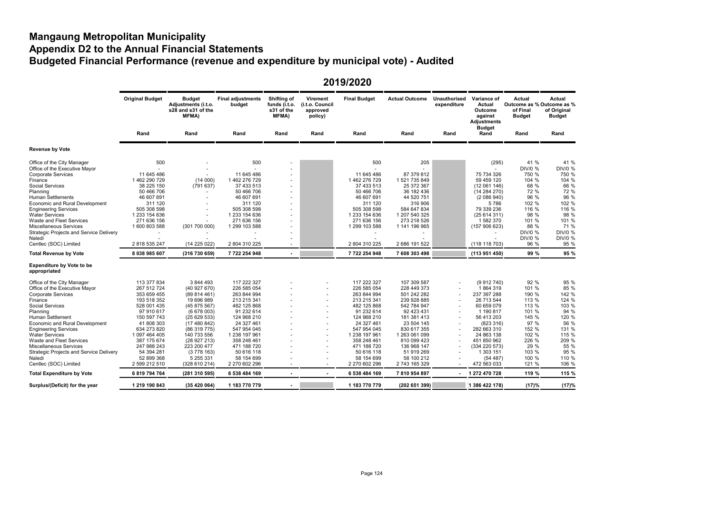**Appendix D2 to the Annual Financial Statements**

**Budgeted Financial Performance (revenue and expenditure by municipal vote) - Audited**

|                                                             | <b>Original Budget</b>    | <b>Budget</b><br>Adjustments (i.t.o.<br>s28 and s31 of the<br><b>MFMA)</b> | <b>Final adjustments</b><br>budget | Shifting of<br>funds (i.t.o.<br>s31 of the<br>MFMA) | Virement<br>(i.t.o. Council<br>approved<br>policy) | <b>Final Budget</b>       | <b>Actual Outcome</b>     | Unauthorised<br>expenditure | Variance of<br>Actual<br>Outcome<br>against<br><b>Adjustments</b> | Actual<br>Outcome as % Outcome as %<br>of Final<br><b>Budget</b> | Actual<br>of Original<br><b>Budget</b> |
|-------------------------------------------------------------|---------------------------|----------------------------------------------------------------------------|------------------------------------|-----------------------------------------------------|----------------------------------------------------|---------------------------|---------------------------|-----------------------------|-------------------------------------------------------------------|------------------------------------------------------------------|----------------------------------------|
|                                                             | Rand                      | Rand                                                                       | Rand                               | Rand                                                | Rand                                               | Rand                      | Rand                      | Rand                        | <b>Budget</b><br>Rand                                             | Rand                                                             | Rand                                   |
| <b>Revenue by Vote</b>                                      |                           |                                                                            |                                    |                                                     |                                                    |                           |                           |                             |                                                                   |                                                                  |                                        |
| Office of the City Manager<br>Office of the Executive Mayor | 500                       |                                                                            | 500                                |                                                     |                                                    | 500                       | 205                       |                             | (295)                                                             | 41 %<br>DIV/0 %                                                  | 41 %<br>DIV/0 %                        |
| <b>Corporate Services</b>                                   | 11 645 486                |                                                                            | 11 645 486                         |                                                     |                                                    | 11 645 486                | 87 379 812                |                             | 75 734 326                                                        | 750 %                                                            | 750 %                                  |
| Finance                                                     | 1462 290 729              | (14000)                                                                    | 1462 276 729                       |                                                     |                                                    | 1462 276 729              | 1 521 735 849             |                             | 59 459 120                                                        | 104 %                                                            | 104 %                                  |
| Social Services                                             | 38 225 150                | (791637)                                                                   | 37 433 513                         |                                                     |                                                    | 37 433 513                | 25 372 367                |                             | (12061146)                                                        | 68 %                                                             | 66 %                                   |
| Planning                                                    | 50 466 706                |                                                                            | 50 466 706                         |                                                     |                                                    | 50 466 706                | 36 182 436                |                             | (14 284 270)                                                      | 72 %                                                             | 72 %                                   |
| Human Settlements                                           | 46 607 691                |                                                                            | 46 607 691                         |                                                     |                                                    | 46 607 691                | 44 520 751                |                             | (2086940)                                                         | 96 %                                                             | 96 %<br>102 %                          |
| Economic and Rural Development                              | 311 120<br>505 308 598    |                                                                            | 311 120<br>505 308 598             |                                                     |                                                    | 311 120<br>505 308 598    | 316 906<br>584 647 834    |                             | 5786<br>79 339 236                                                | 102 %<br>116 %                                                   | 116 %                                  |
| <b>Engineering Services</b><br><b>Water Services</b>        | 1 233 154 636             | ٠                                                                          | 1 233 154 636                      |                                                     |                                                    | 1 233 154 636             | 1 207 540 325             |                             | (25614311)                                                        | 98 %                                                             | 98 %                                   |
| Waste and Fleet Services                                    | 271 636 156               | ÷                                                                          | 271 636 156                        |                                                     |                                                    | 271 636 156               | 273 218 526               |                             | 1 582 370                                                         | 101 %                                                            | 101 %                                  |
| <b>Miscellaneous Services</b>                               | 1600803588                | (301700000)                                                                | 1 299 103 588                      |                                                     |                                                    | 1 299 103 588             | 1 141 196 965             |                             | (157906623)                                                       | 88 %                                                             | 71 %                                   |
| Strategic Projects and Service Delivery                     | ٠                         |                                                                            |                                    |                                                     |                                                    | ۰                         |                           |                             |                                                                   | DIV/0 %                                                          | DIV/0 %                                |
| Naledi                                                      |                           |                                                                            |                                    |                                                     |                                                    |                           |                           |                             |                                                                   | DIV/0 %                                                          | DIV/0 %                                |
| Centlec (SOC) Limited                                       | 2 818 535 247             | (14 225 022)                                                               | 2 804 310 225                      |                                                     |                                                    | 2 804 310 225             | 2 686 191 522             |                             | (118 118 703)                                                     | 96 %                                                             | 95 %                                   |
| <b>Total Revenue by Vote</b>                                | 8 038 985 607             | (316 730 659)                                                              | 7722 254 948                       |                                                     |                                                    | 7722 254 948              | 7 608 303 498             |                             | (113951450)                                                       | 99 %                                                             | 95 %                                   |
| <b>Expenditure by Vote to be</b><br>appropriated            |                           |                                                                            |                                    |                                                     |                                                    |                           |                           |                             |                                                                   |                                                                  |                                        |
| Office of the City Manager                                  | 113 377 834               | 3 844 493                                                                  | 117 222 327                        |                                                     | ٠                                                  | 117 222 327               | 107 309 587               | $\overline{\phantom{a}}$    | (9912740)                                                         | 92 %                                                             | 95 %                                   |
| Office of the Executive Mayor                               | 267 512 724               | (40 927 670)                                                               | 226 585 054                        |                                                     | ٠                                                  | 226 585 054               | 228 449 373               | ٠                           | 1864319                                                           | 101 %                                                            | 85 %                                   |
| <b>Corporate Services</b>                                   | 353 659 455               | (89814461)                                                                 | 263 844 994                        |                                                     |                                                    | 263 844 994               | 501 242 282               |                             | 237 397 288                                                       | 190 %                                                            | 142 %                                  |
| Finance                                                     | 193 518 352               | 19 696 989                                                                 | 213 215 341                        |                                                     |                                                    | 213 215 341               | 239 928 885               |                             | 26 713 544                                                        | 113 %                                                            | 124 %                                  |
| Social Services                                             | 528 001 435               | (45875567)                                                                 | 482 125 868                        |                                                     | ×                                                  | 482 125 868               | 542 784 947               | ٠                           | 60 659 079                                                        | 113 %                                                            | 103 %                                  |
| Planning                                                    | 97 910 617                | (6678003)                                                                  | 91 232 614                         |                                                     | ×                                                  | 91 232 614                | 92 423 431                |                             | 1 190 817                                                         | 101 %                                                            | 94 %                                   |
| Human Settlement                                            | 150 597 743               | (2562953)                                                                  | 124 968 210<br>24 327 461          |                                                     | ×                                                  | 124 968 210<br>24 327 461 | 181 381 413               | $\blacksquare$              | 56 413 203                                                        | 145 %                                                            | 120 %<br>56 %                          |
| Economic and Rural Development                              | 41 808 303<br>634 273 820 | (17 480 842)<br>(86 319 775)                                               | 547 954 045                        |                                                     | ×.<br>×                                            | 547 954 045               | 23 504 145<br>830 617 355 | $\sim$                      | (823 316)<br>282 663 310                                          | 97 %<br>152 %                                                    | 131 %                                  |
| <b>Engineering Services</b><br><b>Water Services</b>        | 1 097 464 405             | 140 733 556                                                                | 1 238 197 961                      |                                                     | ٠                                                  | 1 238 197 961             | 1 263 061 099             | ٠                           | 24 863 138                                                        | 102 %                                                            | 115 %                                  |
| Waste and Fleet Services                                    | 387 175 674               | (28 927 213)                                                               | 358 248 461                        |                                                     | ٠                                                  | 358 248 461               | 810 099 423               | ٠                           | 451 850 962                                                       | 226 %                                                            | 209 %                                  |
| Miscellaneous Services                                      | 247 988 243               | 223 200 477                                                                | 471 188 720                        |                                                     | ٠                                                  | 471 188 720               | 136 968 147               |                             | (334 220 573)                                                     | 29 %                                                             | 55 %                                   |
| Strategic Projects and Service Delivery                     | 54 394 281                | (3778163)                                                                  | 50 616 118                         |                                                     |                                                    | 50 616 118                | 51 919 269                |                             | 1 303 151                                                         | 103 %                                                            | 95 %                                   |
| Naledi                                                      | 52 899 368                | 5 255 331                                                                  | 58 154 699                         |                                                     | ٠                                                  | 58 154 699                | 58 100 212                |                             | (54 487)                                                          | 100 %                                                            | 110 %                                  |
| Centlec (SOC) Limited                                       | 2 599 212 510             | (328 610 214)                                                              | 2 270 602 296                      |                                                     | ٠                                                  | 2 270 602 296             | 2 743 165 329             |                             | 472 563 033                                                       | 121 %                                                            | 106 %                                  |
| <b>Total Expenditure by Vote</b>                            | 6 819 794 764             | (281 310 595)                                                              | 6 538 484 169                      |                                                     | $\sim$                                             | 6 538 484 169             | 7810954897                |                             | 1 272 470 728                                                     | 119 %                                                            | 115 %                                  |
| Surplus/(Deficit) for the year                              | 1 219 190 843             | (35 420 064)                                                               | 1 183 770 779                      |                                                     |                                                    | 1 183 770 779             | (202 651 399)             |                             | 1 386 422 178)                                                    | (17)%                                                            | (17)%                                  |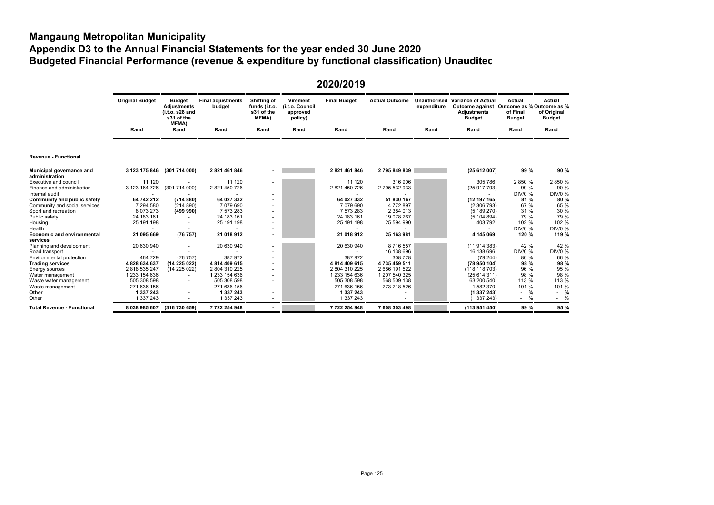**Appendix D3 to the Annual Financial Statements for the year ended 30 June 2020 Budgeted Financial Performance (revenue & expenditure by functional classification) Unaudited**

#### **Original Budget Budget Adjustments (i.t.o. s28 and s31 of the MFMA) Final adjustments budget Shifting of funds (i.t.o. s31 of the MFMA) Virement (i.t.o. Council approved policy) Final Budget Actual Outcome expenditure Outcome against Outcome as % Outcome as % Unauthorised Variance of Actual Adjustments Budget Actual of Final Budget Actual of Original Budget Rand Rand Rand Rand Rand Rand Rand Rand Rand Rand Rand Revenue - Functional Municipal governance and administration 3 123 175 846 (301 714 000) 2 821 461 846 - 2 821 461 846 2 795 849 839 (25 612 007) 99 % 90 %** Executive and council 11 120 - 11 120 - 11 120 316 906 305 786 2 850 % 2 850 % Finance and administration 3 123 164 726 (301 714 000) 2 821 450 726 - 2 821 450 726 2 795 532 933 (25 917 793) 99 % 90 % Internal audit - - - - - - - DIV/0 % DIV/0 % **Community and public safety 64 742 212 (714 880) 64 027 332 - 64 027 332 51 830 167 (12 197 165) 81 % 80 %** Community and social services 7 294 580 (214 890) 7 079 690 - 7 079 690 4 772 897 (2 306 793) 67 % 65 % Sport and recreation 8 073 273 **(499 990)** 7 573 283 - 7 573 283 2 384 013 (5 189 270) 31 % 30 % Public safety 24 183 161 - 24 183 161 - 24 183 161 19 078 267 (5 104 894) 79 % 79 % Housing 25 191 198 - 25 191 198 - 25 191 198 25 594 990 403 792 102 % 102 % Health - - - - - - - DIV/0 % DIV/0 % **Economic and environmental services**<br>Planning and development **21 095 669 (76 757) 21 018 912 - 21 018 912 25 163 981 4 145 069 120 % 119 %** Planning and development 20 630 940 - 20 630 940 - 20 630 940 - 20 630 940 8 716 557 (11 914 383) 42 % 42 % Road transport - - - - - 16 138 696 16 138 696 DIV/0 % DIV/0 % Environmental protection 464 729 (76 757) 387 972 - 387 972 308 728 (79 244) 80 % 66 % **Trading services 4 828 634 637 (14 225 022) 4 814 409 615 - 4 814 409 615 4 735 459 511 (78 950 104) 98 % 98 %** Energy sources 2 818 535 247 (14 225 022) 2 804 310 225 - 2 804 310 225 2 686 191 522 (118 118 703) 96 % 95 % Water management 1 233 154 636 1 233 154 636 1 233 154 636 1 207 540 325 (25 614 311) 98 % 98 % Waste water management 505 308 598 505 308 598 505 308 598 568 509 138 63 200 540 113 % 113 % Waste management 271 636 156 - 271 636 156 - 271 636 156 273 218 526 1 582 370 101 % 101 % **Other 1 337 243 - 1 337 243 - 1 337 243 - (1 337 243) - % - %** Other 1 337 243 - 1 337 243 - 1 337 243 - (1 337 243) - % - % **Total Revenue - Functional 8 038 985 607 (316 730 659) 7 722 254 948 - 7 722 254 948 7 608 303 498 (113 951 450) 99 % 95 %**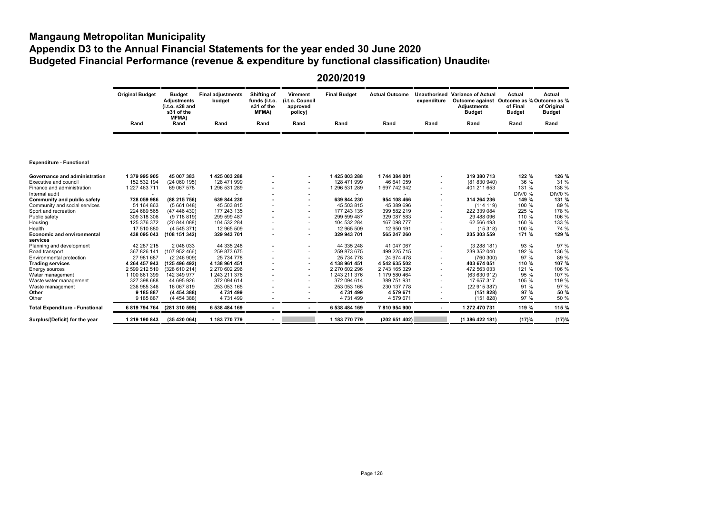### **Appendix D3 to the Annual Financial Statements for the year ended 30 June 2020** Budgeted Financial Performance (revenue & expenditure by functional classification) Unaudited

|                                                       | <b>Original Budget</b>    | <b>Budget</b><br><b>Adjustments</b><br>(i.t.o. s28 and<br>s31 of the<br><b>MFMA</b> | <b>Final adjustments</b><br>budget | Shifting of<br>funds (i.t.o.<br>s31 of the<br>MFMA) | Virement<br>(i.t.o. Council<br>approved<br>policy) | <b>Final Budget</b>       | <b>Actual Outcome</b>     | expenditure              | <b>Unauthorised Variance of Actual</b><br>Outcome against Outcome as % Outcome as %<br><b>Adjustments</b><br><b>Budget</b> | Actual<br>of Final<br><b>Budget</b> | Actual<br>of Original<br><b>Budget</b> |
|-------------------------------------------------------|---------------------------|-------------------------------------------------------------------------------------|------------------------------------|-----------------------------------------------------|----------------------------------------------------|---------------------------|---------------------------|--------------------------|----------------------------------------------------------------------------------------------------------------------------|-------------------------------------|----------------------------------------|
|                                                       | Rand                      | Rand                                                                                | Rand                               | Rand                                                | Rand                                               | Rand                      | Rand                      | Rand                     | Rand                                                                                                                       | Rand                                | Rand                                   |
|                                                       |                           |                                                                                     |                                    |                                                     |                                                    |                           |                           |                          |                                                                                                                            |                                     |                                        |
| <b>Expenditure Functional</b>                         |                           |                                                                                     |                                    |                                                     |                                                    |                           |                           |                          |                                                                                                                            |                                     |                                        |
| Governance and administration                         | 1379995905                | 45 007 383                                                                          | 1425 003 288                       |                                                     | $\sim$                                             | 1425 003 288              | 1744 384 001              | $\overline{a}$           | 319 380 713                                                                                                                | 122 %                               | 126 %                                  |
| Executive and council                                 | 152 532 194               | (24060195)                                                                          | 128 471 999                        |                                                     | ٠                                                  | 128 471 999               | 46 641 059                |                          | (81830940)                                                                                                                 | 36 %                                | 31 %                                   |
| Finance and administration                            | 1 227 463 711             | 69 067 578                                                                          | 1 296 531 289                      |                                                     | ٠                                                  | 1 296 531 289             | 1 697 742 942             |                          | 401 211 653                                                                                                                | 131 %                               | 138 %                                  |
| Internal audit                                        | $\sim$                    |                                                                                     |                                    |                                                     | $\overline{\phantom{a}}$                           |                           |                           |                          |                                                                                                                            | DIV/0 %                             | DIV/0 %                                |
| Community and public safety                           | 728 059 986<br>51 164 863 | (88 215 756)                                                                        | 639 844 230<br>45 503 815          |                                                     | $\bullet$                                          | 639 844 230<br>45 503 815 | 954 108 466<br>45 389 696 |                          | 314 264 236                                                                                                                | 149 %<br>100 %                      | 131 %<br>89 %                          |
| Community and social services<br>Sport and recreation | 224 689 565               | (5661048)<br>(4746430)                                                              | 177 243 135                        |                                                     | ٠<br>٠                                             | 177 243 135               | 399 582 219               | $\overline{\phantom{a}}$ | (114119)<br>222 339 084                                                                                                    | 225 %                               | 178 %                                  |
| Public safety                                         | 309 318 306               | (9718819)                                                                           | 299 599 487                        |                                                     | ٠                                                  | 299 599 487               | 329 087 583               |                          | 29 488 096                                                                                                                 | 110 %                               | 106 %                                  |
| Housing                                               | 125 376 372               | (20844088)                                                                          | 104 532 284                        |                                                     | ٠                                                  | 104 532 284               | 167 098 777               |                          | 62 566 493                                                                                                                 | 160 %                               | 133 %                                  |
| Health                                                | 17 510 880                | (4545371)                                                                           | 12 965 509                         |                                                     | ٠                                                  | 12 965 509                | 12 950 191                |                          | (15318)                                                                                                                    | 100 %                               | 74 %                                   |
| <b>Economic and environmental</b>                     | 438 095 043               | (108 151 342)                                                                       | 329 943 701                        |                                                     | $\sim$                                             | 329 943 701               | 565 247 260               |                          | 235 303 559                                                                                                                | 171 %                               | 129 %                                  |
| services                                              |                           |                                                                                     |                                    |                                                     |                                                    |                           |                           |                          |                                                                                                                            |                                     |                                        |
| Planning and development                              | 42 287 215                | 2 048 033                                                                           | 44 335 248                         |                                                     | ٠                                                  | 44 335 248                | 41 047 067                | $\overline{\phantom{a}}$ | (3288181)                                                                                                                  | 93 %                                | 97 %                                   |
| Road transport                                        | 367 826 141               | (107952466)                                                                         | 259 873 675                        |                                                     | ٠                                                  | 259 873 675               | 499 225 715               |                          | 239 352 040                                                                                                                | 192 %                               | 136 %                                  |
| Environmental protection                              | 27 981 687                | (2246909)                                                                           | 25 734 778                         |                                                     | ٠                                                  | 25 734 778                | 24 974 478                |                          | (760300)                                                                                                                   | 97 %                                | 89 %                                   |
| <b>Trading services</b>                               | 4 264 457 943             | (125 496 492)                                                                       | 4 138 961 451                      |                                                     | $\sim$                                             | 4 138 961 451             | 4 542 635 502             | $\blacksquare$           | 403 674 051                                                                                                                | 110 %                               | 107 %                                  |
| Energy sources                                        | 2 599 212 510             | (328 610 214)                                                                       | 2 270 602 296                      |                                                     | ٠                                                  | 2 270 602 296             | 2 743 165 329             |                          | 472 563 033                                                                                                                | 121 %                               | 106 %                                  |
| Water management                                      | 1 100 861 399             | 142 349 977                                                                         | 1 243 211 376                      |                                                     | ٠                                                  | 1 243 211 376             | 1 179 580 464             |                          | (63630912)                                                                                                                 | 95 %                                | 107 %                                  |
| Waste water management                                | 327 398 688               | 44 695 926                                                                          | 372 094 614                        |                                                     | ٠                                                  | 372 094 614               | 389 751 931               |                          | 17 657 317                                                                                                                 | 105 %                               | 119 %                                  |
| Waste management                                      | 236 985 346               | 16 067 819                                                                          | 253 053 165                        |                                                     | ٠                                                  | 253 053 165               | 230 137 778               |                          | (22 915 387)                                                                                                               | 91 %                                | 97 %                                   |
| Other                                                 | 9 185 887                 | (4 454 388)                                                                         | 4 731 499                          |                                                     |                                                    | 4 731 499                 | 4 579 671                 |                          | (151828)                                                                                                                   | 97 %                                | 50 %                                   |
| Other                                                 | 9 185 887                 | (4454388)                                                                           | 4731499                            |                                                     |                                                    | 4 731 499                 | 4579671                   |                          | (151 828)                                                                                                                  | 97 %                                | 50 %                                   |
| <b>Total Expenditure - Functional</b>                 | 6819794764                | (281 310 595)                                                                       | 6 538 484 169                      |                                                     | $\bullet$                                          | 6 538 484 169             | 7810954900                | $\sim$                   | 1 272 470 731                                                                                                              | 119 %                               | 115 %                                  |
| Surplus/(Deficit) for the year                        | 1 219 190 843             | (35 420 064)                                                                        | 1 183 770 779                      |                                                     |                                                    | 1 183 770 779             | (202 651 402)             |                          | (1 386 422 181)                                                                                                            | (17)%                               | (17)%                                  |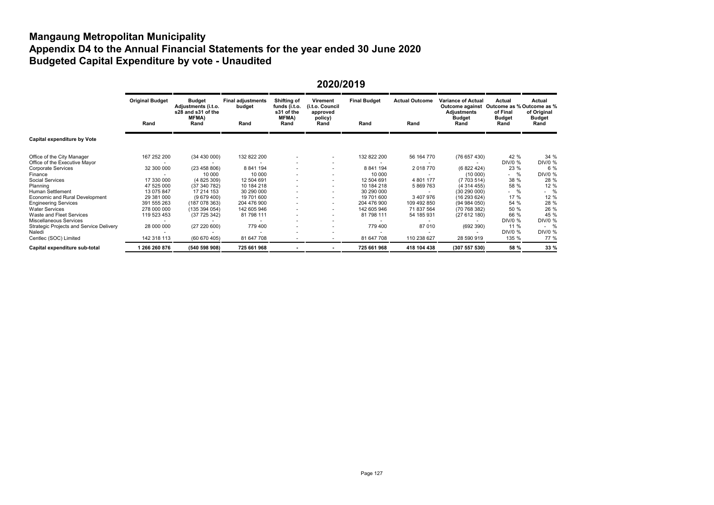### **Mangaung Metropolitan Municipality Appendix D4 to the Annual Financial Statements for the year ended 30 June 2020 Budgeted Capital Expenditure by vote - Unaudited**

|                                         | <b>Original Budget</b><br>Rand | <b>Budget</b><br>Adjustments (i.t.o.<br>s28 and s31 of the<br>MFMA)<br>Rand | <b>Final adjustments</b><br>budget<br>Rand | Shifting of<br>funds (i.t.o.<br>s31 of the<br><b>MFMA)</b><br>Rand | Virement<br>(i.t.o. Council<br>approved<br>policy)<br>Rand | <b>Final Budget</b><br>Rand | <b>Actual Outcome</b><br>Rand | <b>Variance of Actual</b><br>Outcome against<br>Adjustments<br><b>Budget</b><br>Rand | Actual<br>Outcome as % Outcome as %<br>of Final<br><b>Budget</b><br>Rand | Actual<br>of Original<br><b>Budget</b><br>Rand |
|-----------------------------------------|--------------------------------|-----------------------------------------------------------------------------|--------------------------------------------|--------------------------------------------------------------------|------------------------------------------------------------|-----------------------------|-------------------------------|--------------------------------------------------------------------------------------|--------------------------------------------------------------------------|------------------------------------------------|
| Capital expenditure by Vote             |                                |                                                                             |                                            |                                                                    |                                                            |                             |                               |                                                                                      |                                                                          |                                                |
| Office of the City Manager              | 167 252 200                    | (34 430 000)                                                                | 132 822 200                                |                                                                    | ۰                                                          | 132 822 200                 | 56 164 770                    | (76657430)                                                                           | 42 %                                                                     | 34 %                                           |
| Office of the Executive Mayor           |                                |                                                                             |                                            |                                                                    |                                                            |                             |                               |                                                                                      | DIV/0 %                                                                  | DIV/0 %                                        |
| Corporate Services                      | 32 300 000                     | (23458806)                                                                  | 8 841 194                                  |                                                                    |                                                            | 8 841 194                   | 2 018 770                     | (6 822 424)                                                                          | 23 %                                                                     | 6 %                                            |
| Finance                                 |                                | 10 000                                                                      | 10 000                                     |                                                                    |                                                            | 10 000                      |                               | (10 000)                                                                             | $\%$                                                                     | DIV/0 %                                        |
| Social Services                         | 17 330 000                     | (4 825 309)                                                                 | 12 504 691                                 |                                                                    | $\overline{\phantom{a}}$                                   | 12 504 691                  | 4 801 177                     | (7703514)                                                                            | 38 %                                                                     | 28 %                                           |
| Planning                                | 47 525 000                     | (37340782)                                                                  | 10 184 218                                 |                                                                    | $\overline{a}$                                             | 10 184 218                  | 5 869 763                     | (4 314 455)                                                                          | 58 %                                                                     | 12 %                                           |
| Human Settlement                        | 13 075 847                     | 17 214 153                                                                  | 30 290 000                                 |                                                                    |                                                            | 30 290 000                  |                               | (30 290 000)                                                                         | $\%$                                                                     | $-$ %                                          |
| Economic and Rural Development          | 29 381 000                     | (9679400)                                                                   | 19 701 600                                 |                                                                    | $\overline{a}$                                             | 19 701 600                  | 3 407 976                     | (16 293 624)                                                                         | 17 %                                                                     | 12 %                                           |
| <b>Engineering Services</b>             | 391 555 263                    | (187 078 363)                                                               | 204 476 900                                |                                                                    |                                                            | 204 476 900                 | 109 492 850                   | (94 984 050)                                                                         | 54 %                                                                     | 28 %                                           |
| <b>Water Services</b>                   | 278 000 000                    | (135 394 054)                                                               | 142 605 946                                |                                                                    | $\overline{\phantom{a}}$                                   | 142 605 946                 | 71 837 564                    | (70 768 382)                                                                         | 50 %                                                                     | 26 %                                           |
| Waste and Fleet Services                | 119 523 453                    | (37725342)                                                                  | 81 798 111                                 |                                                                    | ۰                                                          | 81 798 111                  | 54 185 931                    | (27612180)                                                                           | 66 %                                                                     | 45 %                                           |
| Miscellaneous Services                  |                                |                                                                             |                                            |                                                                    |                                                            |                             |                               |                                                                                      | DIV/0 %                                                                  | DIV/0 %                                        |
| Strategic Projects and Service Delivery | 28 000 000                     | (27 220 600)                                                                | 779 400                                    |                                                                    |                                                            | 779 400                     | 87 010                        | (692 390)                                                                            | 11 %                                                                     | $-$ %                                          |
| Naledi                                  |                                |                                                                             |                                            |                                                                    |                                                            |                             |                               |                                                                                      | DIV/0 %                                                                  | DIV/0 %                                        |
| Centlec (SOC) Limited                   | 142 318 113                    | (60 670 405)                                                                | 81 647 708                                 |                                                                    |                                                            | 81 647 708                  | 110 238 627                   | 28 590 919                                                                           | 135 %                                                                    | 77 %                                           |
| Capital expenditure sub-total           | 1 266 260 876                  | (540 598 908)                                                               | 725 661 968                                |                                                                    |                                                            | 725 661 968                 | 418 104 438                   | (307 557 530)                                                                        | 58 %                                                                     | 33 %                                           |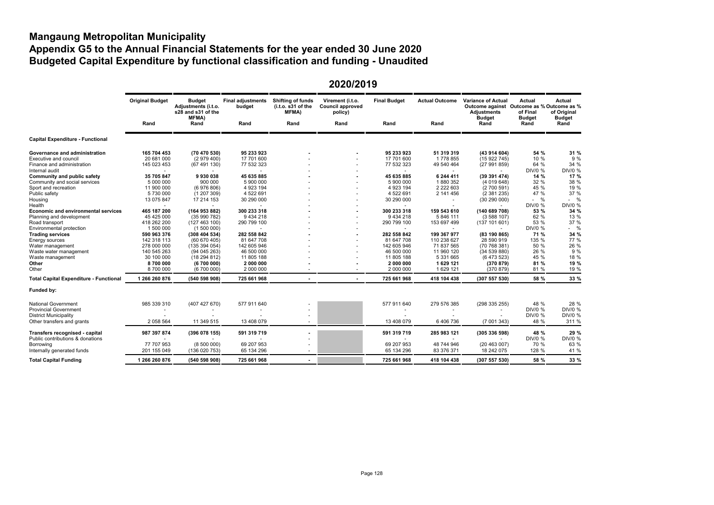**Appendix G5 to the Annual Financial Statements for the year ended 30 June 2020 Budgeted Capital Expenditure by functional classification and funding - Unaudited**

#### **2020/2019 Original Budget Budget Adjustments (i.t.o. s28 and s31 of the MFMA) Final adjustments budget Shifting of funds (i.t.o. s31 of the MFMA) Virement (i.t.o. Council approved policy) Final Budget Actual Outcome Variance of Actual Outcome against Outcome as % Outcome as % Adjustments Budget Actual of Final Budget Actual of Original Budget Rand Rand Rand Rand Rand Rand Rand Rand Rand Rand Capital Expenditure - Functional Governance and administration 165 704 453 (70 470 530) 95 233 923 - - 95 233 923 51 319 319 (43 914 604) 54 % 31 %** Executive and council 20 681 000 (2 979 400) 17 701 600 - - 17 701 600 1 778 855 (15 922 745) 10 % 9 % Finance and administration 145 023 453 (67 491 130) 77 532 323 - - 77 532 323 49 540 464 (27 991 859) 64 % 34 % Internal audit - - - - - - - - DIV/0 % DIV/0 % **Community and public safety 35 705 847 9 930 038 45 635 885 - - 45 635 885 6 244 411 (39 391 474) 14 % 17 %** Community and social services 5 000 000 900 000 5 900 000 - - 5 900 000 1 880 352 (4 019 648) 32 % 38 % Sport and recreation 11 900 000 (6 976 806) 4 923 194 2 222 603 (2 700 591) 45 % 19 % Public safety 5 730 000 (1 207 309) 4 522 691 - - 4 522 691 2 141 456 (2 381 235) 47 % 37 % Housing 13 075 847 17 214 153 30 290 000 - - 30 290 000 - (30 290 000) - % - % Health - - - - - - - - DIV/0 % DIV/0 % **Economic and environmental services 465 187 200 (164 953 882) 300 233 318 - - 300 233 318 159 543 610 (140 689 708) 53 % 34 %** Planning and development 45 425 000 (35 990 782) 9 434 218 - - 9 434 218 5 846 111 (3 588 107) 62 % 13 % Road transport 418 262 200 (127 463 100) 290 799 100 - - 290 799 100 153 697 499 (137 101 601) 53 % 37 % Environmental protection 1 500 000 (1 500 000) - - - - - - DIV/0 % - % **Trading services 590 963 376 (308 404 534) 282 558 842 - - 282 558 842 199 367 977 (83 190 865) 71 % 34 %** Energy sources 142 318 113 (60 670 405) 81 647 708 - - 81 647 708 110 238 627 28 590 919 135 % 77 % Water management 278 000 000 (135 394 054) 142 605 946 142 605 946 71 837 565 (70 768 381) 50 % 26 % Waste water management 140 545 263 (94 045 263) 46 500 000 - - 46 500 000 11 960 120 (34 539 880) 26 % 9 % Waste management 30 100 000 (18 294 812) 11 805 188 11 805 188 5 331 665 (6 473 523) 45 % 18 % **Other 8 700 000 (6 700 000) 2 000 000 - - 2 000 000 1 629 121 (370 879) 81 % 19 %** Other 8 700 000 (6 700 000) 2 000 000 - - 2 000 000 1 629 121 (370 879) 81 % 19 % **Total Capital Expenditure - Functional 1 266 260 876 (540 598 908) 725 661 968 - - 725 661 968 418 104 438 (307 557 530) 58 % 33 % Funded by:** National Government 985 339 310 (407 427 670) 577 911 640 577 911 640 279 576 385 (298 335 255) 48 % 28 % Provincial Government - - - - - - - DIV/0 % DIV/0 % District Municipality - - - - - - - DIV/0 % DIV/0 % Other transfers and grants 2 058 564 11 349 515 13 408 079 - 13 408 079 6 406 736 (7 001 343) 48 % 311 % **Transfers recognised - capital 987 397 874 (396 078 155) 591 319 719 - 591 319 719 285 983 121 (305 336 598) 48 % 29 %** Public contributions & donations - - - - - - - DIV/0 % DIV/0 % Borrowing 77 707 953 (8 500 000) 69 207 953 - 69 207 953 48 744 946 (20 463 007) 70 % 63 % Internally generated funds 201 155 049 (136 020 753) 65 134 296 - 65 134 296 83 376 371 18 242 075 128 % 41 % **Total Capital Funding 1 266 260 876 (540 598 908) 725 661 968 - 725 661 968 418 104 438 (307 557 530) 58 % 33 %**